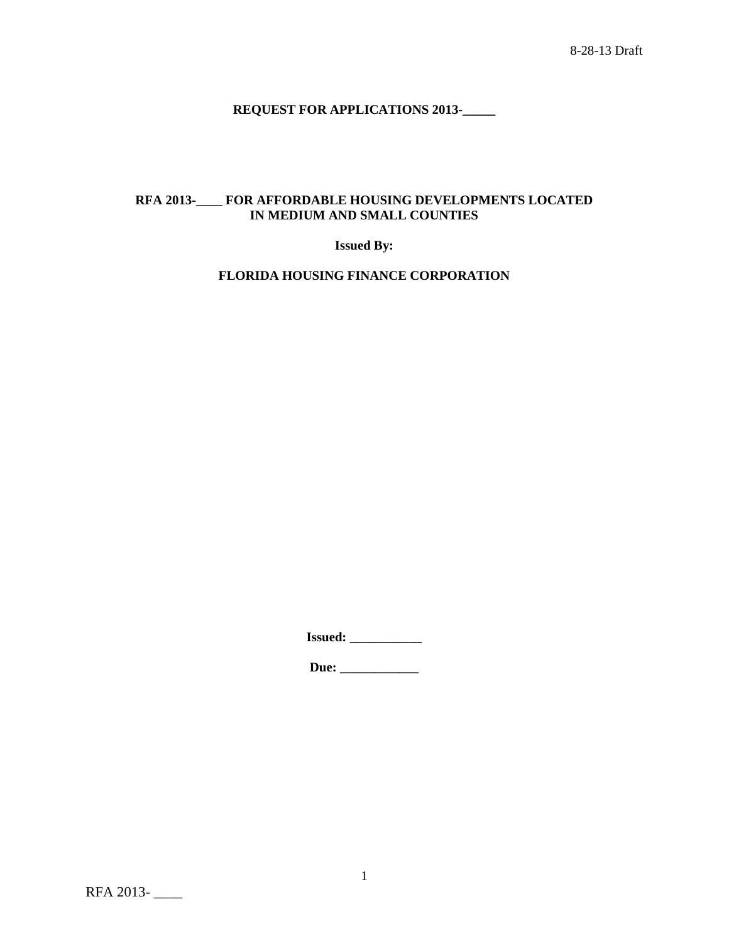# **REQUEST FOR APPLICATIONS 2013-\_\_\_\_\_**

# **RFA 2013-\_\_\_\_ FOR AFFORDABLE HOUSING DEVELOPMENTS LOCATED IN MEDIUM AND SMALL COUNTIES**

**Issued By:**

**FLORIDA HOUSING FINANCE CORPORATION**

**Issued: \_\_\_\_\_\_\_\_\_\_\_**

**Due: \_\_\_\_\_\_\_\_\_\_\_\_**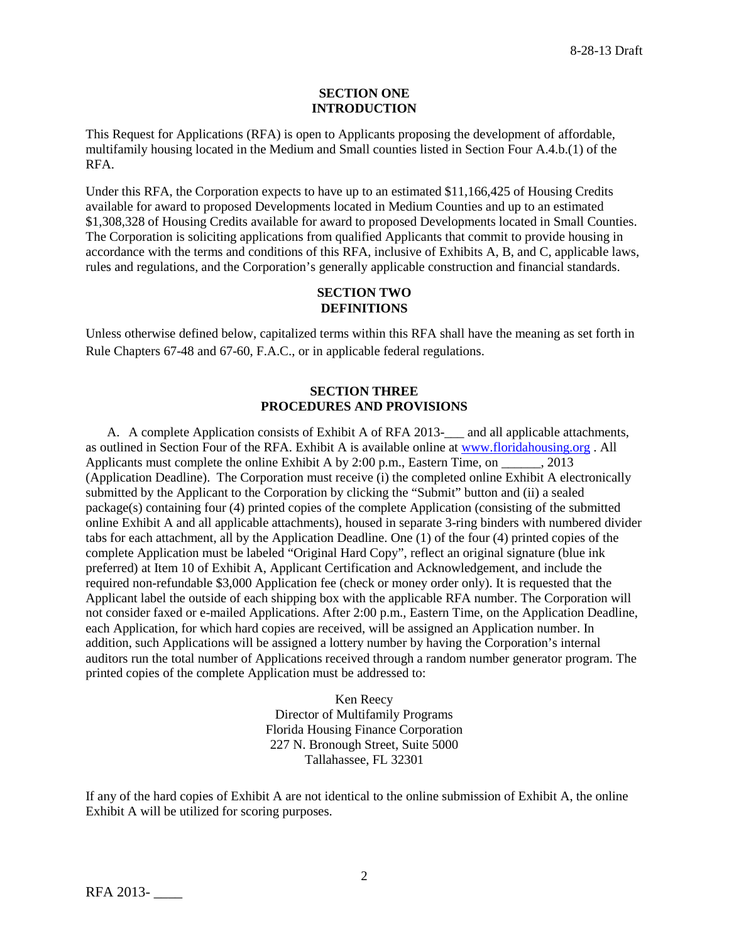#### **SECTION ONE INTRODUCTION**

This Request for Applications (RFA) is open to Applicants proposing the development of affordable, multifamily housing located in the Medium and Small counties listed in Section Four A.4.b.(1) of the RFA.

Under this RFA, the Corporation expects to have up to an estimated \$11,166,425 of Housing Credits available for award to proposed Developments located in Medium Counties and up to an estimated \$1,308,328 of Housing Credits available for award to proposed Developments located in Small Counties. The Corporation is soliciting applications from qualified Applicants that commit to provide housing in accordance with the terms and conditions of this RFA, inclusive of Exhibits A, B, and C, applicable laws, rules and regulations, and the Corporation's generally applicable construction and financial standards.

### **SECTION TWO DEFINITIONS**

Unless otherwise defined below, capitalized terms within this RFA shall have the meaning as set forth in Rule Chapters 67-48 and 67-60, F.A.C., or in applicable federal regulations.

# **SECTION THREE PROCEDURES AND PROVISIONS**

A. A complete Application consists of Exhibit A of RFA 2013-<br>and all applicable attachments, as outlined in Section Four of the RFA. Exhibit A is available online at [www.floridahousing.org](http://www.floridahousing.org/) . All Applicants must complete the online Exhibit A by 2:00 p.m., Eastern Time, on \_\_\_\_\_\_, 2013 (Application Deadline). The Corporation must receive (i) the completed online Exhibit A electronically submitted by the Applicant to the Corporation by clicking the "Submit" button and (ii) a sealed package(s) containing four (4) printed copies of the complete Application (consisting of the submitted online Exhibit A and all applicable attachments), housed in separate 3-ring binders with numbered divider tabs for each attachment, all by the Application Deadline. One (1) of the four (4) printed copies of the complete Application must be labeled "Original Hard Copy", reflect an original signature (blue ink preferred) at Item 10 of Exhibit A, Applicant Certification and Acknowledgement, and include the required non-refundable \$3,000 Application fee (check or money order only). It is requested that the Applicant label the outside of each shipping box with the applicable RFA number. The Corporation will not consider faxed or e-mailed Applications. After 2:00 p.m., Eastern Time, on the Application Deadline, each Application, for which hard copies are received, will be assigned an Application number. In addition, such Applications will be assigned a lottery number by having the Corporation's internal auditors run the total number of Applications received through a random number generator program. The printed copies of the complete Application must be addressed to:

> Ken Reecy Director of Multifamily Programs Florida Housing Finance Corporation 227 N. Bronough Street, Suite 5000 Tallahassee, FL 32301

If any of the hard copies of Exhibit A are not identical to the online submission of Exhibit A, the online Exhibit A will be utilized for scoring purposes.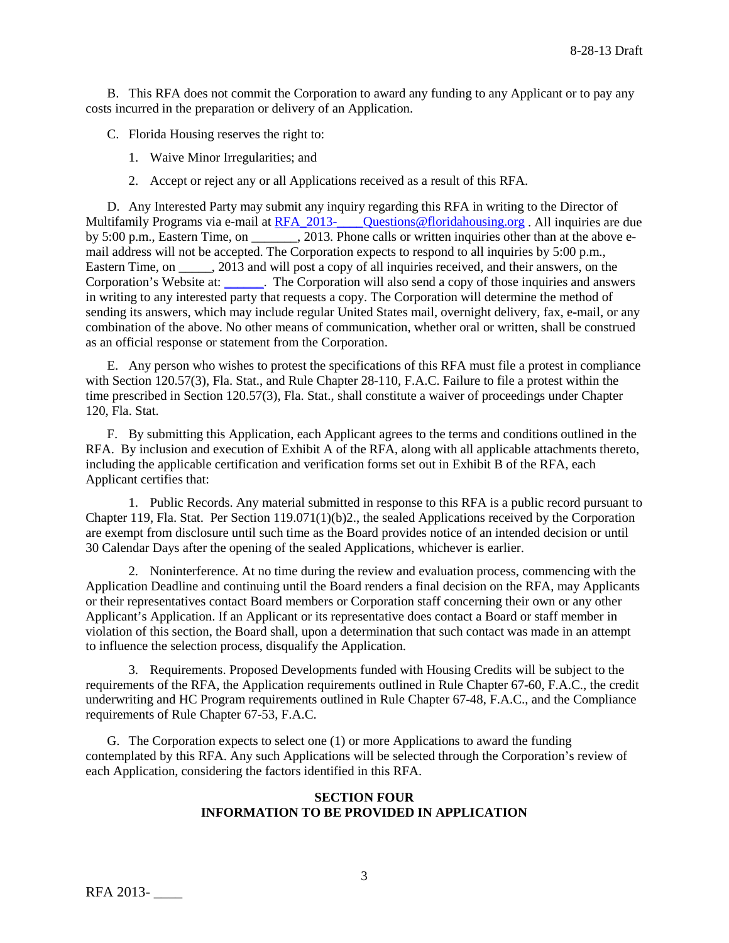B. This RFA does not commit the Corporation to award any funding to any Applicant or to pay any costs incurred in the preparation or delivery of an Application.

C. Florida Housing reserves the right to:

1. Waive Minor Irregularities; and

2. Accept or reject any or all Applications received as a result of this RFA.

D. Any Interested Party may submit any inquiry regarding this RFA in writing to the Director of Multifamily Programs via e-mail at RFA\_2013-\_\_\_\_\_Questions@floridahousing.org . All inquiries are due by 5:00 p.m., Eastern Time, on . 2013. Phone calls or written inquiries other than at the above email address will not be accepted. The Corporation expects to respond to all inquiries by 5:00 p.m., Eastern Time, on \_\_\_\_\_, 2013 and will post a copy of all inquiries received, and their answers, on the Corporation's Website at: [\\_\\_\\_\\_\\_\\_.](http://apps.floridahousing.org/StandAlone/FHFC_ECM/ContentPage.aspx?PAGE=0394) The Corporation will also send a copy of those inquiries and answers in writing to any interested party that requests a copy. The Corporation will determine the method of sending its answers, which may include regular United States mail, overnight delivery, fax, e-mail, or any combination of the above. No other means of communication, whether oral or written, shall be construed as an official response or statement from the Corporation.

E. Any person who wishes to protest the specifications of this RFA must file a protest in compliance with Section 120.57(3), Fla. Stat., and Rule Chapter 28-110, F.A.C. Failure to file a protest within the time prescribed in Section 120.57(3), Fla. Stat., shall constitute a waiver of proceedings under Chapter 120, Fla. Stat.

F. By submitting this Application, each Applicant agrees to the terms and conditions outlined in the RFA. By inclusion and execution of Exhibit A of the RFA, along with all applicable attachments thereto, including the applicable certification and verification forms set out in Exhibit B of the RFA, each Applicant certifies that:

1. Public Records. Any material submitted in response to this RFA is a public record pursuant to Chapter 119, Fla. Stat. Per Section 119.071(1)(b)2., the sealed Applications received by the Corporation are exempt from disclosure until such time as the Board provides notice of an intended decision or until 30 Calendar Days after the opening of the sealed Applications, whichever is earlier.

2. Noninterference. At no time during the review and evaluation process, commencing with the Application Deadline and continuing until the Board renders a final decision on the RFA, may Applicants or their representatives contact Board members or Corporation staff concerning their own or any other Applicant's Application. If an Applicant or its representative does contact a Board or staff member in violation of this section, the Board shall, upon a determination that such contact was made in an attempt to influence the selection process, disqualify the Application.

3. Requirements. Proposed Developments funded with Housing Credits will be subject to the requirements of the RFA, the Application requirements outlined in Rule Chapter 67-60, F.A.C., the credit underwriting and HC Program requirements outlined in Rule Chapter 67-48, F.A.C., and the Compliance requirements of Rule Chapter 67-53, F.A.C.

G. The Corporation expects to select one (1) or more Applications to award the funding contemplated by this RFA. Any such Applications will be selected through the Corporation's review of each Application, considering the factors identified in this RFA.

# **SECTION FOUR INFORMATION TO BE PROVIDED IN APPLICATION**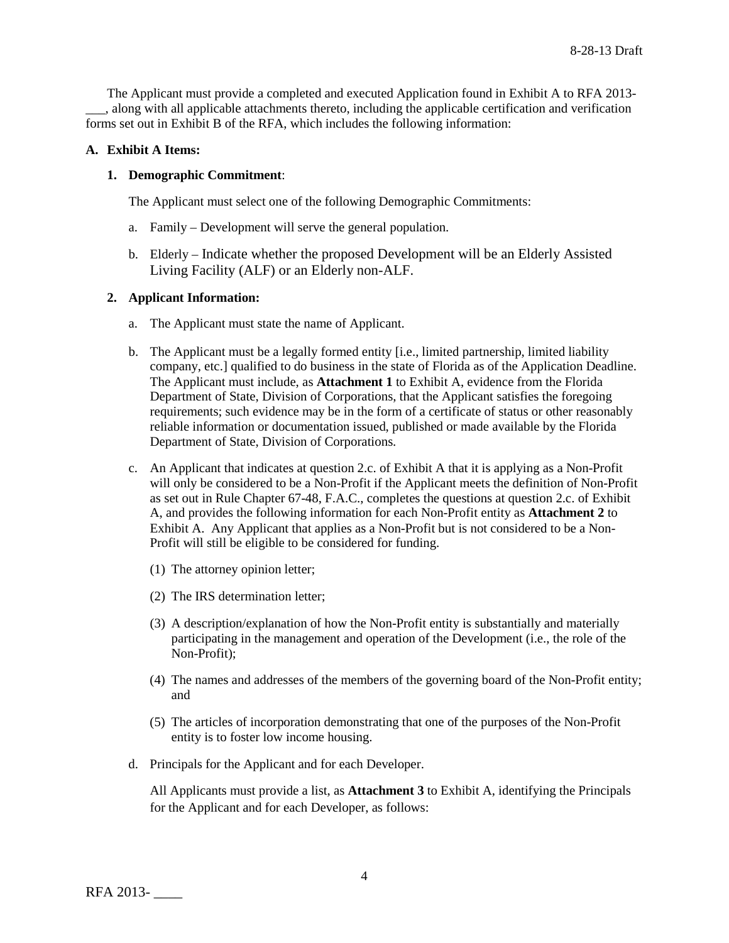The Applicant must provide a completed and executed Application found in Exhibit A to RFA 2013- \_\_\_, along with all applicable attachments thereto, including the applicable certification and verification forms set out in Exhibit B of the RFA, which includes the following information:

# **A. Exhibit A Items:**

# **1. Demographic Commitment**:

The Applicant must select one of the following Demographic Commitments:

- a. Family Development will serve the general population.
- b. Elderly Indicate whether the proposed Development will be an Elderly Assisted Living Facility (ALF) or an Elderly non-ALF.

# **2. Applicant Information:**

- a. The Applicant must state the name of Applicant.
- b. The Applicant must be a legally formed entity [i.e., limited partnership, limited liability company, etc.] qualified to do business in the state of Florida as of the Application Deadline. The Applicant must include, as **Attachment 1** to Exhibit A, evidence from the Florida Department of State, Division of Corporations, that the Applicant satisfies the foregoing requirements; such evidence may be in the form of a certificate of status or other reasonably reliable information or documentation issued, published or made available by the Florida Department of State, Division of Corporations.
- c. An Applicant that indicates at question 2.c. of Exhibit A that it is applying as a Non-Profit will only be considered to be a Non-Profit if the Applicant meets the definition of Non-Profit as set out in Rule Chapter 67-48, F.A.C., completes the questions at question 2.c. of Exhibit A, and provides the following information for each Non-Profit entity as **Attachment 2** to Exhibit A. Any Applicant that applies as a Non-Profit but is not considered to be a Non-Profit will still be eligible to be considered for funding.
	- (1) The attorney opinion letter;
	- (2) The IRS determination letter;
	- (3) A description/explanation of how the Non-Profit entity is substantially and materially participating in the management and operation of the Development (i.e., the role of the Non-Profit);
	- (4) The names and addresses of the members of the governing board of the Non-Profit entity; and
	- (5) The articles of incorporation demonstrating that one of the purposes of the Non-Profit entity is to foster low income housing.
- d. Principals for the Applicant and for each Developer.

All Applicants must provide a list, as **Attachment 3** to Exhibit A, identifying the Principals for the Applicant and for each Developer, as follows: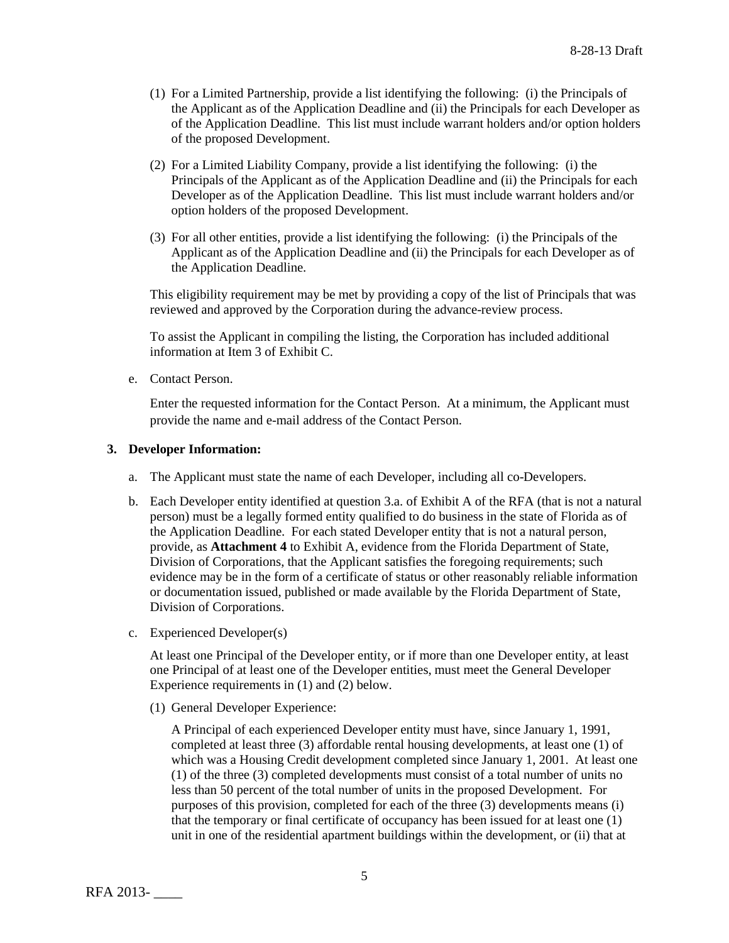- (1) For a Limited Partnership, provide a list identifying the following: (i) the Principals of the Applicant as of the Application Deadline and (ii) the Principals for each Developer as of the Application Deadline. This list must include warrant holders and/or option holders of the proposed Development.
- (2) For a Limited Liability Company, provide a list identifying the following: (i) the Principals of the Applicant as of the Application Deadline and (ii) the Principals for each Developer as of the Application Deadline. This list must include warrant holders and/or option holders of the proposed Development.
- (3) For all other entities, provide a list identifying the following: (i) the Principals of the Applicant as of the Application Deadline and (ii) the Principals for each Developer as of the Application Deadline.

This eligibility requirement may be met by providing a copy of the list of Principals that was reviewed and approved by the Corporation during the advance-review process.

To assist the Applicant in compiling the listing, the Corporation has included additional information at Item 3 of Exhibit C.

e. Contact Person.

Enter the requested information for the Contact Person. At a minimum, the Applicant must provide the name and e-mail address of the Contact Person.

# **3. Developer Information:**

- a. The Applicant must state the name of each Developer, including all co-Developers.
- b. Each Developer entity identified at question 3.a. of Exhibit A of the RFA (that is not a natural person) must be a legally formed entity qualified to do business in the state of Florida as of the Application Deadline. For each stated Developer entity that is not a natural person, provide, as **Attachment 4** to Exhibit A, evidence from the Florida Department of State, Division of Corporations, that the Applicant satisfies the foregoing requirements; such evidence may be in the form of a certificate of status or other reasonably reliable information or documentation issued, published or made available by the Florida Department of State, Division of Corporations.
- c. Experienced Developer(s)

At least one Principal of the Developer entity, or if more than one Developer entity, at least one Principal of at least one of the Developer entities, must meet the General Developer Experience requirements in (1) and (2) below.

(1) General Developer Experience:

A Principal of each experienced Developer entity must have, since January 1, 1991, completed at least three (3) affordable rental housing developments, at least one (1) of which was a Housing Credit development completed since January 1, 2001. At least one (1) of the three (3) completed developments must consist of a total number of units no less than 50 percent of the total number of units in the proposed Development. For purposes of this provision, completed for each of the three (3) developments means (i) that the temporary or final certificate of occupancy has been issued for at least one (1) unit in one of the residential apartment buildings within the development, or (ii) that at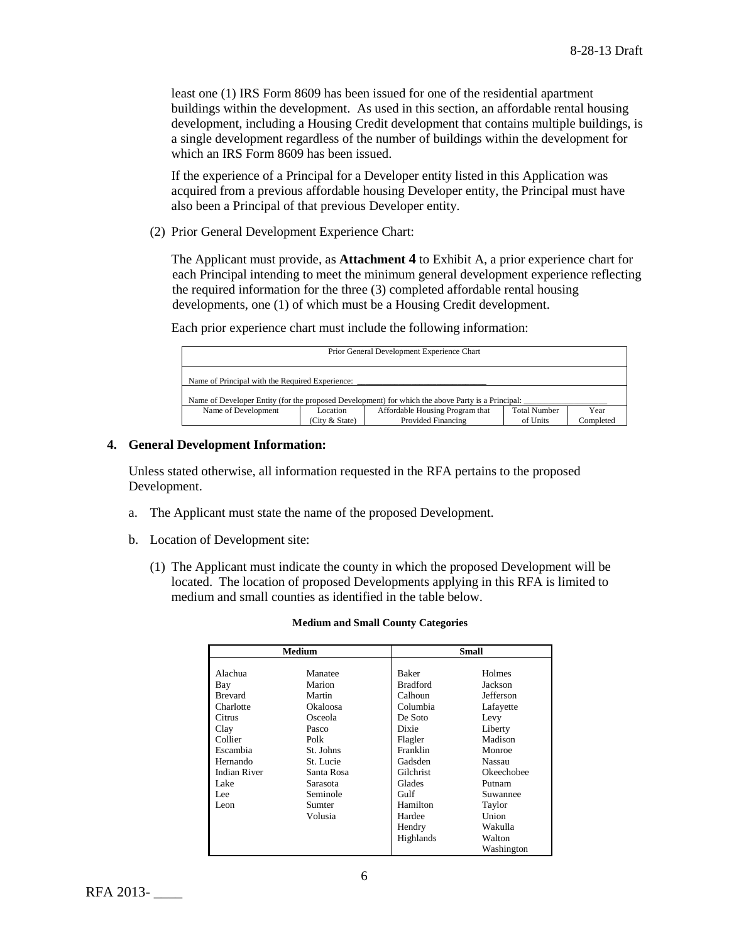least one (1) IRS Form 8609 has been issued for one of the residential apartment buildings within the development. As used in this section, an affordable rental housing development, including a Housing Credit development that contains multiple buildings, is a single development regardless of the number of buildings within the development for which an IRS Form 8609 has been issued.

If the experience of a Principal for a Developer entity listed in this Application was acquired from a previous affordable housing Developer entity, the Principal must have also been a Principal of that previous Developer entity.

(2) Prior General Development Experience Chart:

The Applicant must provide, as **Attachment 4** to Exhibit A, a prior experience chart for each Principal intending to meet the minimum general development experience reflecting the required information for the three (3) completed affordable rental housing developments, one (1) of which must be a Housing Credit development.

Each prior experience chart must include the following information:

| Prior General Development Experience Chart                                                        |  |  |  |      |  |
|---------------------------------------------------------------------------------------------------|--|--|--|------|--|
| Name of Principal with the Required Experience:                                                   |  |  |  |      |  |
| Name of Developer Entity (for the proposed Development) for which the above Party is a Principal: |  |  |  |      |  |
| <b>Total Number</b><br>Affordable Housing Program that<br>Name of Development<br>Location         |  |  |  | Year |  |
| Provided Financing<br>(City & State)<br>Completed<br>of Units                                     |  |  |  |      |  |

# **4. General Development Information:**

Unless stated otherwise, all information requested in the RFA pertains to the proposed Development.

- a. The Applicant must state the name of the proposed Development.
- b. Location of Development site:
	- (1) The Applicant must indicate the county in which the proposed Development will be located. The location of proposed Developments applying in this RFA is limited to medium and small counties as identified in the table below.

#### **Medium and Small County Categories**

| Medium              |            |                 | Small      |  |
|---------------------|------------|-----------------|------------|--|
|                     |            |                 |            |  |
| Alachua             | Manatee    | <b>Baker</b>    | Holmes     |  |
| Bay                 | Marion     | <b>Bradford</b> | Jackson    |  |
| <b>Brevard</b>      | Martin     | Calhoun         | Jefferson  |  |
| Charlotte           | Okaloosa   | Columbia        | Lafayette  |  |
| Citrus              | Osceola    | De Soto         | Levy       |  |
| Clay                | Pasco      | Dixie           | Liberty    |  |
| Collier             | Polk       | Flagler         | Madison    |  |
| Escambia            | St. Johns  | Franklin        | Monroe     |  |
| Hernando            | St. Lucie  | Gadsden         | Nassau     |  |
| <b>Indian River</b> | Santa Rosa | Gilchrist       | Okeechobee |  |
| Lake                | Sarasota   | Glades          | Putnam     |  |
| Lee                 | Seminole   | Gulf            | Suwannee   |  |
| Leon                | Sumter     | Hamilton        | Taylor     |  |
|                     | Volusia    | Hardee          | Union      |  |
|                     |            | Hendry          | Wakulla    |  |
|                     |            | Highlands       | Walton     |  |
|                     |            |                 | Washington |  |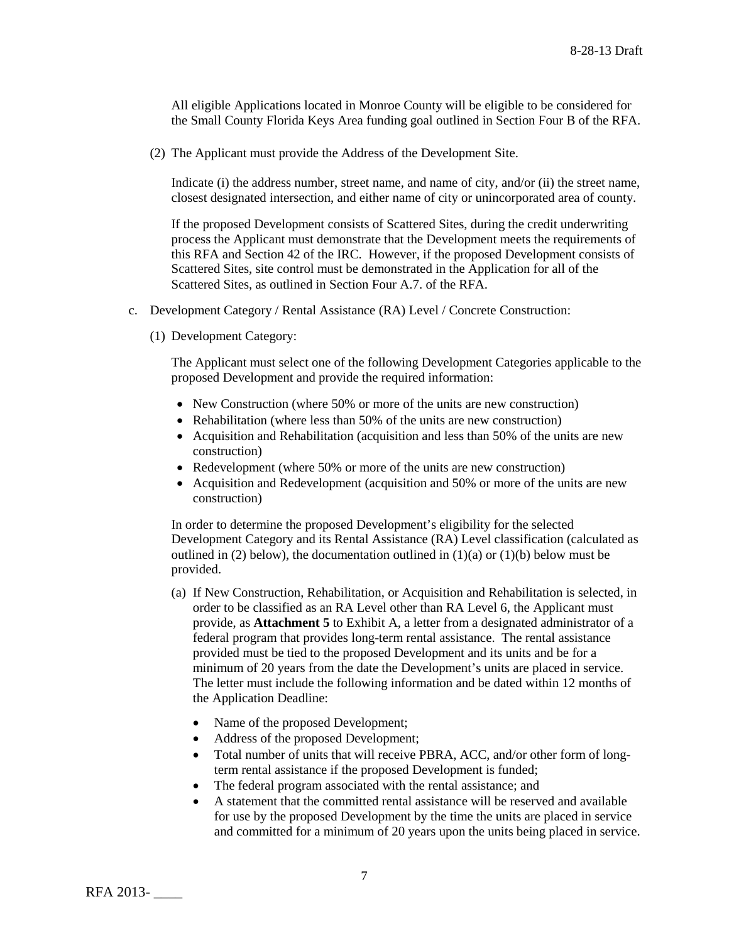All eligible Applications located in Monroe County will be eligible to be considered for the Small County Florida Keys Area funding goal outlined in Section Four B of the RFA.

(2) The Applicant must provide the Address of the Development Site.

Indicate (i) the address number, street name, and name of city, and/or (ii) the street name, closest designated intersection, and either name of city or unincorporated area of county.

If the proposed Development consists of Scattered Sites, during the credit underwriting process the Applicant must demonstrate that the Development meets the requirements of this RFA and Section 42 of the IRC. However, if the proposed Development consists of Scattered Sites, site control must be demonstrated in the Application for all of the Scattered Sites, as outlined in Section Four A.7. of the RFA.

- c. Development Category / Rental Assistance (RA) Level / Concrete Construction:
	- (1) Development Category:

The Applicant must select one of the following Development Categories applicable to the proposed Development and provide the required information:

- New Construction (where 50% or more of the units are new construction)
- Rehabilitation (where less than 50% of the units are new construction)
- Acquisition and Rehabilitation (acquisition and less than 50% of the units are new construction)
- Redevelopment (where 50% or more of the units are new construction)
- Acquisition and Redevelopment (acquisition and 50% or more of the units are new construction)

In order to determine the proposed Development's eligibility for the selected Development Category and its Rental Assistance (RA) Level classification (calculated as outlined in (2) below), the documentation outlined in  $(1)(a)$  or  $(1)(b)$  below must be provided.

- (a) If New Construction, Rehabilitation, or Acquisition and Rehabilitation is selected, in order to be classified as an RA Level other than RA Level 6, the Applicant must provide, as **Attachment 5** to Exhibit A, a letter from a designated administrator of a federal program that provides long-term rental assistance. The rental assistance provided must be tied to the proposed Development and its units and be for a minimum of 20 years from the date the Development's units are placed in service. The letter must include the following information and be dated within 12 months of the Application Deadline:
	- Name of the proposed Development;
	- Address of the proposed Development;
	- Total number of units that will receive PBRA, ACC, and/or other form of longterm rental assistance if the proposed Development is funded;
	- The federal program associated with the rental assistance; and
	- A statement that the committed rental assistance will be reserved and available for use by the proposed Development by the time the units are placed in service and committed for a minimum of 20 years upon the units being placed in service.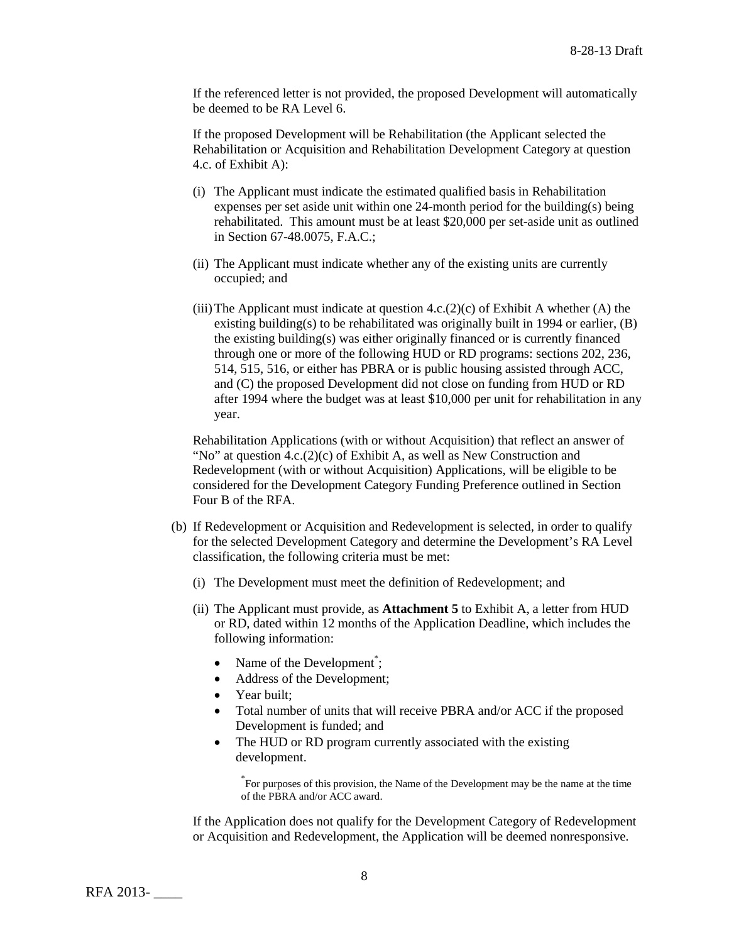If the referenced letter is not provided, the proposed Development will automatically be deemed to be RA Level 6.

If the proposed Development will be Rehabilitation (the Applicant selected the Rehabilitation or Acquisition and Rehabilitation Development Category at question 4.c. of Exhibit A):

- (i) The Applicant must indicate the estimated qualified basis in Rehabilitation expenses per set aside unit within one 24-month period for the building(s) being rehabilitated. This amount must be at least \$20,000 per set-aside unit as outlined in Section 67-48.0075, F.A.C.;
- (ii) The Applicant must indicate whether any of the existing units are currently occupied; and
- (iii) The Applicant must indicate at question  $4.c.(2)(c)$  of Exhibit A whether (A) the existing building(s) to be rehabilitated was originally built in 1994 or earlier,  $(B)$ the existing building(s) was either originally financed or is currently financed through one or more of the following HUD or RD programs: sections 202, 236, 514, 515, 516, or either has PBRA or is public housing assisted through ACC, and (C) the proposed Development did not close on funding from HUD or RD after 1994 where the budget was at least \$10,000 per unit for rehabilitation in any year.

Rehabilitation Applications (with or without Acquisition) that reflect an answer of "No" at question  $4.c.(2)(c)$  of Exhibit A, as well as New Construction and Redevelopment (with or without Acquisition) Applications, will be eligible to be considered for the Development Category Funding Preference outlined in Section Four B of the RFA.

- (b) If Redevelopment or Acquisition and Redevelopment is selected, in order to qualify for the selected Development Category and determine the Development's RA Level classification, the following criteria must be met:
	- (i) The Development must meet the definition of Redevelopment; and
	- (ii) The Applicant must provide, as **Attachment 5** to Exhibit A, a letter from HUD or RD, dated within 12 months of the Application Deadline, which includes the following information:
		- Name of the Development<sup>\*</sup>;
		- Address of the Development;
		- Year built;
		- Total number of units that will receive PBRA and/or ACC if the proposed Development is funded; and
		- The HUD or RD program currently associated with the existing development.

\* For purposes of this provision, the Name of the Development may be the name at the time of the PBRA and/or ACC award.

If the Application does not qualify for the Development Category of Redevelopment or Acquisition and Redevelopment, the Application will be deemed nonresponsive.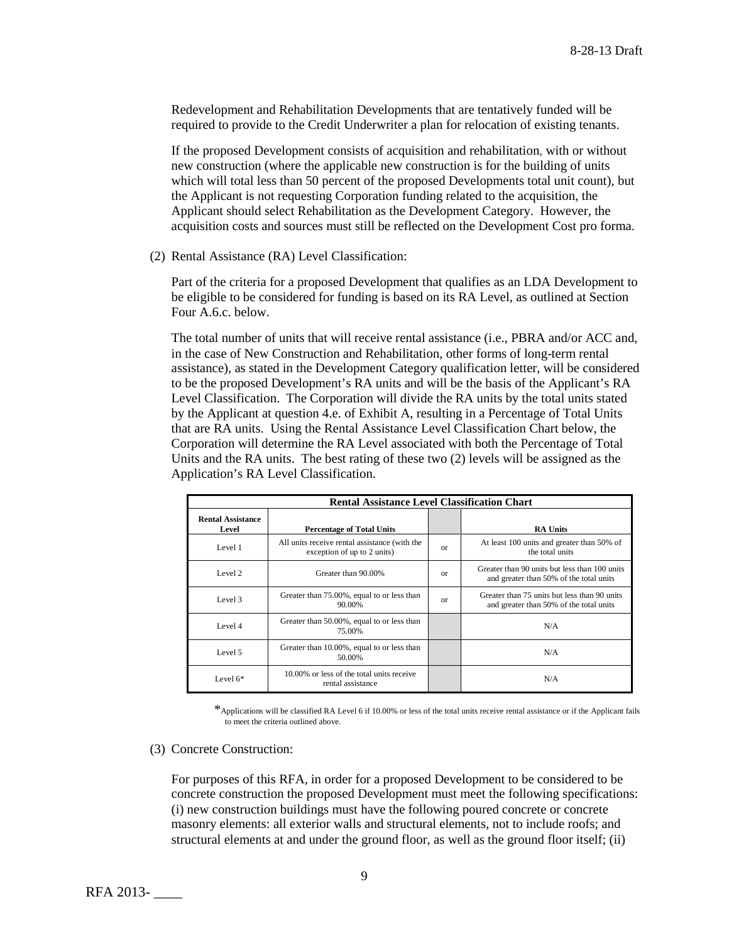Redevelopment and Rehabilitation Developments that are tentatively funded will be required to provide to the Credit Underwriter a plan for relocation of existing tenants.

If the proposed Development consists of acquisition and rehabilitation, with or without new construction (where the applicable new construction is for the building of units which will total less than 50 percent of the proposed Developments total unit count), but the Applicant is not requesting Corporation funding related to the acquisition, the Applicant should select Rehabilitation as the Development Category. However, the acquisition costs and sources must still be reflected on the Development Cost pro forma.

(2) Rental Assistance (RA) Level Classification:

Part of the criteria for a proposed Development that qualifies as an LDA Development to be eligible to be considered for funding is based on its RA Level, as outlined at Section Four A.6.c. below.

The total number of units that will receive rental assistance (i.e., PBRA and/or ACC and, in the case of New Construction and Rehabilitation, other forms of long-term rental assistance), as stated in the Development Category qualification letter, will be considered to be the proposed Development's RA units and will be the basis of the Applicant's RA Level Classification. The Corporation will divide the RA units by the total units stated by the Applicant at question 4.e. of Exhibit A, resulting in a Percentage of Total Units that are RA units. Using the Rental Assistance Level Classification Chart below, the Corporation will determine the RA Level associated with both the Percentage of Total Units and the RA units. The best rating of these two (2) levels will be assigned as the Application's RA Level Classification.

| <b>Rental Assistance Level Classification Chart</b> |                                                                              |          |                                                                                          |
|-----------------------------------------------------|------------------------------------------------------------------------------|----------|------------------------------------------------------------------------------------------|
| <b>Rental Assistance</b><br>Level                   | <b>Percentage of Total Units</b>                                             |          | <b>RA Units</b>                                                                          |
| Level 1                                             | All units receive rental assistance (with the<br>exception of up to 2 units) | $\alpha$ | At least 100 units and greater than 50% of<br>the total units                            |
| Level 2                                             | Greater than 90.00%                                                          | $\alpha$ | Greater than 90 units but less than 100 units<br>and greater than 50% of the total units |
| Level 3                                             | Greater than 75.00%, equal to or less than<br>90.00%                         | $\alpha$ | Greater than 75 units but less than 90 units<br>and greater than 50% of the total units  |
| Level 4                                             | Greater than 50.00%, equal to or less than<br>75.00%                         |          | N/A                                                                                      |
| Level 5                                             | Greater than 10.00%, equal to or less than<br>50.00%                         |          | N/A                                                                                      |
| Level $6*$                                          | 10.00% or less of the total units receive<br>rental assistance               |          | N/A                                                                                      |

\*Applications will be classified RA Level 6 if 10.00% or less of the total units receive rental assistance or if the Applicant fails to meet the criteria outlined above.

(3) Concrete Construction:

For purposes of this RFA, in order for a proposed Development to be considered to be concrete construction the proposed Development must meet the following specifications: (i) new construction buildings must have the following poured concrete or concrete masonry elements: all exterior walls and structural elements, not to include roofs; and structural elements at and under the ground floor, as well as the ground floor itself; (ii)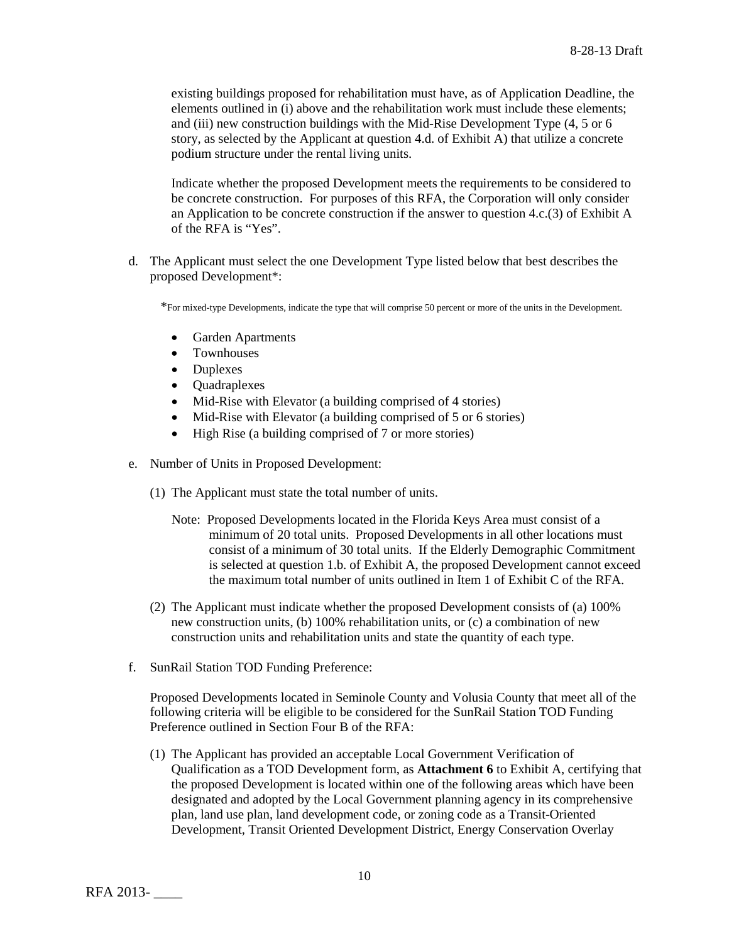existing buildings proposed for rehabilitation must have, as of Application Deadline, the elements outlined in (i) above and the rehabilitation work must include these elements; and (iii) new construction buildings with the Mid-Rise Development Type (4, 5 or 6 story, as selected by the Applicant at question 4.d. of Exhibit A) that utilize a concrete podium structure under the rental living units.

Indicate whether the proposed Development meets the requirements to be considered to be concrete construction. For purposes of this RFA, the Corporation will only consider an Application to be concrete construction if the answer to question 4.c.(3) of Exhibit A of the RFA is "Yes".

d. The Applicant must select the one Development Type listed below that best describes the proposed Development\*:

\*For mixed-type Developments, indicate the type that will comprise 50 percent or more of the units in the Development.

- Garden Apartments
- Townhouses
- Duplexes
- Quadraplexes
- Mid-Rise with Elevator (a building comprised of 4 stories)
- Mid-Rise with Elevator (a building comprised of 5 or 6 stories)
- High Rise (a building comprised of 7 or more stories)
- e. Number of Units in Proposed Development:
	- (1) The Applicant must state the total number of units.
		- Note: Proposed Developments located in the Florida Keys Area must consist of a minimum of 20 total units. Proposed Developments in all other locations must consist of a minimum of 30 total units. If the Elderly Demographic Commitment is selected at question 1.b. of Exhibit A, the proposed Development cannot exceed the maximum total number of units outlined in Item 1 of Exhibit C of the RFA.
	- (2) The Applicant must indicate whether the proposed Development consists of (a) 100% new construction units, (b) 100% rehabilitation units, or (c) a combination of new construction units and rehabilitation units and state the quantity of each type.
- f. SunRail Station TOD Funding Preference:

Proposed Developments located in Seminole County and Volusia County that meet all of the following criteria will be eligible to be considered for the SunRail Station TOD Funding Preference outlined in Section Four B of the RFA:

(1) The Applicant has provided an acceptable Local Government Verification of Qualification as a TOD Development form, as **Attachment 6** to Exhibit A, certifying that the proposed Development is located within one of the following areas which have been designated and adopted by the Local Government planning agency in its comprehensive plan, land use plan, land development code, or zoning code as a Transit-Oriented Development, Transit Oriented Development District, Energy Conservation Overlay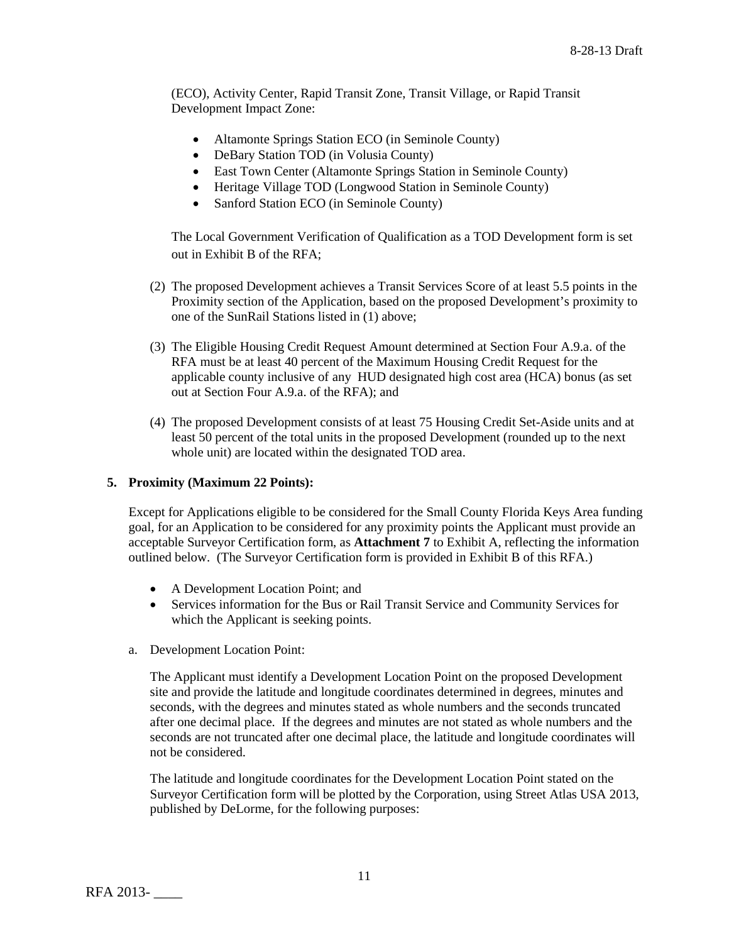(ECO), Activity Center, Rapid Transit Zone, Transit Village, or Rapid Transit Development Impact Zone:

- Altamonte Springs Station ECO (in Seminole County)
- DeBary Station TOD (in Volusia County)
- East Town Center (Altamonte Springs Station in Seminole County)
- Heritage Village TOD (Longwood Station in Seminole County)
- Sanford Station ECO (in Seminole County)

The Local Government Verification of Qualification as a TOD Development form is set out in Exhibit B of the RFA;

- (2) The proposed Development achieves a Transit Services Score of at least 5.5 points in the Proximity section of the Application, based on the proposed Development's proximity to one of the SunRail Stations listed in (1) above;
- (3) The Eligible Housing Credit Request Amount determined at Section Four A.9.a. of the RFA must be at least 40 percent of the Maximum Housing Credit Request for the applicable county inclusive of any HUD designated high cost area (HCA) bonus (as set out at Section Four A.9.a. of the RFA); and
- (4) The proposed Development consists of at least 75 Housing Credit Set-Aside units and at least 50 percent of the total units in the proposed Development (rounded up to the next whole unit) are located within the designated TOD area.

# **5. Proximity (Maximum 22 Points):**

Except for Applications eligible to be considered for the Small County Florida Keys Area funding goal, for an Application to be considered for any proximity points the Applicant must provide an acceptable Surveyor Certification form, as **Attachment 7** to Exhibit A, reflecting the information outlined below. (The Surveyor Certification form is provided in Exhibit B of this RFA.)

- A Development Location Point; and
- Services information for the Bus or Rail Transit Service and Community Services for which the Applicant is seeking points.
- a. Development Location Point:

The Applicant must identify a Development Location Point on the proposed Development site and provide the latitude and longitude coordinates determined in degrees, minutes and seconds, with the degrees and minutes stated as whole numbers and the seconds truncated after one decimal place. If the degrees and minutes are not stated as whole numbers and the seconds are not truncated after one decimal place, the latitude and longitude coordinates will not be considered.

The latitude and longitude coordinates for the Development Location Point stated on the Surveyor Certification form will be plotted by the Corporation, using Street Atlas USA 2013, published by DeLorme, for the following purposes: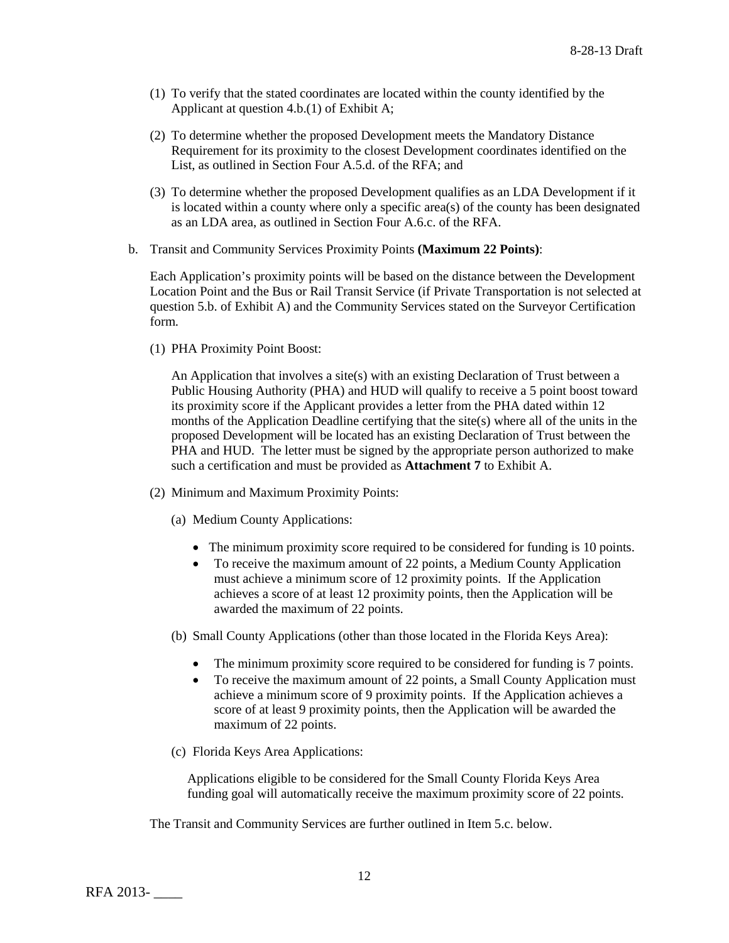- (1) To verify that the stated coordinates are located within the county identified by the Applicant at question 4.b.(1) of Exhibit A;
- (2) To determine whether the proposed Development meets the Mandatory Distance Requirement for its proximity to the closest Development coordinates identified on the List, as outlined in Section Four A.5.d. of the RFA; and
- (3) To determine whether the proposed Development qualifies as an LDA Development if it is located within a county where only a specific area(s) of the county has been designated as an LDA area, as outlined in Section Four A.6.c. of the RFA.
- b. Transit and Community Services Proximity Points **(Maximum 22 Points)**:

Each Application's proximity points will be based on the distance between the Development Location Point and the Bus or Rail Transit Service (if Private Transportation is not selected at question 5.b. of Exhibit A) and the Community Services stated on the Surveyor Certification form.

(1) PHA Proximity Point Boost:

An Application that involves a site(s) with an existing Declaration of Trust between a Public Housing Authority (PHA) and HUD will qualify to receive a 5 point boost toward its proximity score if the Applicant provides a letter from the PHA dated within 12 months of the Application Deadline certifying that the site(s) where all of the units in the proposed Development will be located has an existing Declaration of Trust between the PHA and HUD. The letter must be signed by the appropriate person authorized to make such a certification and must be provided as **Attachment 7** to Exhibit A.

- (2) Minimum and Maximum Proximity Points:
	- (a) Medium County Applications:
		- The minimum proximity score required to be considered for funding is 10 points.
		- To receive the maximum amount of 22 points, a Medium County Application must achieve a minimum score of 12 proximity points. If the Application achieves a score of at least 12 proximity points, then the Application will be awarded the maximum of 22 points.
	- (b) Small County Applications (other than those located in the Florida Keys Area):
		- The minimum proximity score required to be considered for funding is 7 points.
		- To receive the maximum amount of 22 points, a Small County Application must achieve a minimum score of 9 proximity points. If the Application achieves a score of at least 9 proximity points, then the Application will be awarded the maximum of 22 points.
	- (c) Florida Keys Area Applications:

Applications eligible to be considered for the Small County Florida Keys Area funding goal will automatically receive the maximum proximity score of 22 points.

The Transit and Community Services are further outlined in Item 5.c. below.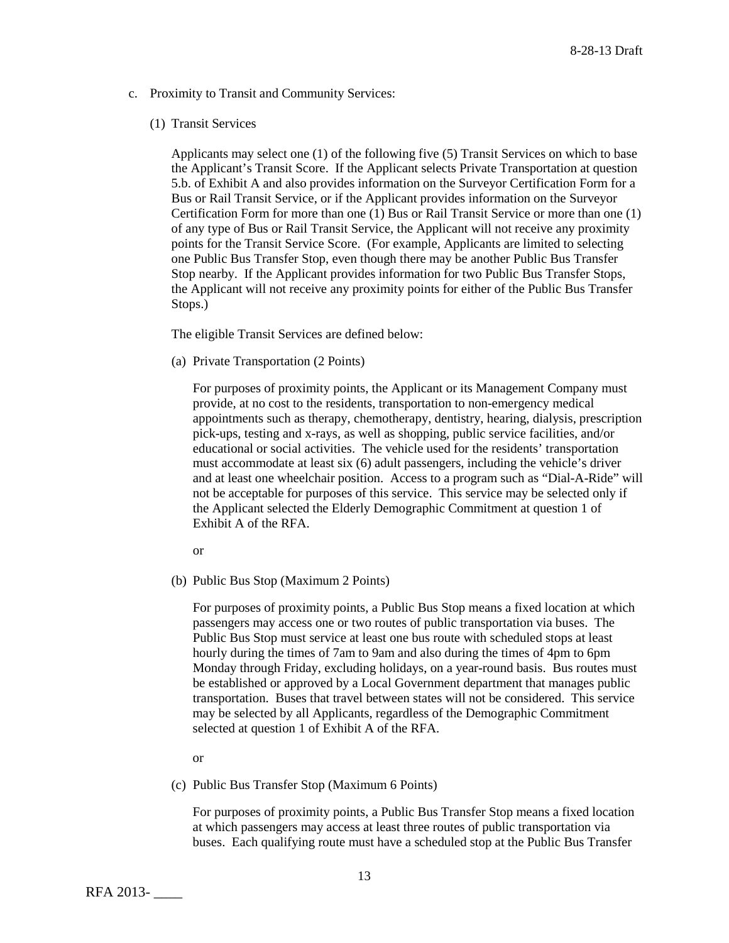c. Proximity to Transit and Community Services:

#### (1) Transit Services

Applicants may select one (1) of the following five (5) Transit Services on which to base the Applicant's Transit Score. If the Applicant selects Private Transportation at question 5.b. of Exhibit A and also provides information on the Surveyor Certification Form for a Bus or Rail Transit Service, or if the Applicant provides information on the Surveyor Certification Form for more than one (1) Bus or Rail Transit Service or more than one (1) of any type of Bus or Rail Transit Service, the Applicant will not receive any proximity points for the Transit Service Score. (For example, Applicants are limited to selecting one Public Bus Transfer Stop, even though there may be another Public Bus Transfer Stop nearby. If the Applicant provides information for two Public Bus Transfer Stops, the Applicant will not receive any proximity points for either of the Public Bus Transfer Stops.)

The eligible Transit Services are defined below:

(a) Private Transportation (2 Points)

For purposes of proximity points, the Applicant or its Management Company must provide, at no cost to the residents, transportation to non-emergency medical appointments such as therapy, chemotherapy, dentistry, hearing, dialysis, prescription pick-ups, testing and x-rays, as well as shopping, public service facilities, and/or educational or social activities. The vehicle used for the residents' transportation must accommodate at least six (6) adult passengers, including the vehicle's driver and at least one wheelchair position. Access to a program such as "Dial-A-Ride" will not be acceptable for purposes of this service. This service may be selected only if the Applicant selected the Elderly Demographic Commitment at question 1 of Exhibit A of the RFA.

or

(b) Public Bus Stop (Maximum 2 Points)

For purposes of proximity points, a Public Bus Stop means a fixed location at which passengers may access one or two routes of public transportation via buses. The Public Bus Stop must service at least one bus route with scheduled stops at least hourly during the times of 7am to 9am and also during the times of 4pm to 6pm Monday through Friday, excluding holidays, on a year-round basis. Bus routes must be established or approved by a Local Government department that manages public transportation. Buses that travel between states will not be considered. This service may be selected by all Applicants, regardless of the Demographic Commitment selected at question 1 of Exhibit A of the RFA.

or

(c) Public Bus Transfer Stop (Maximum 6 Points)

For purposes of proximity points, a Public Bus Transfer Stop means a fixed location at which passengers may access at least three routes of public transportation via buses. Each qualifying route must have a scheduled stop at the Public Bus Transfer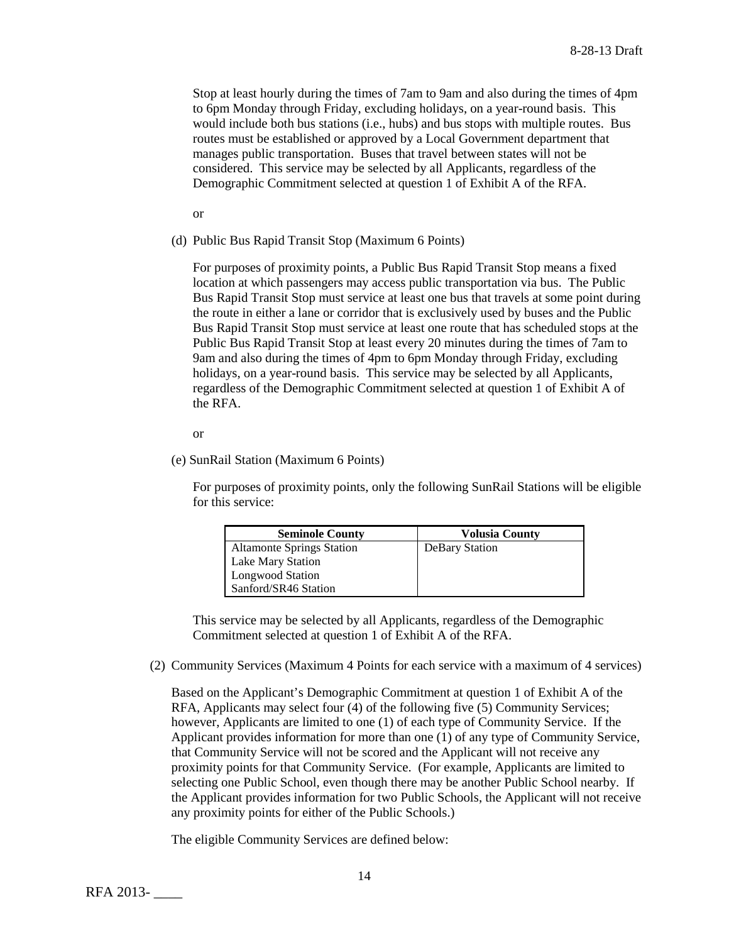Stop at least hourly during the times of 7am to 9am and also during the times of 4pm to 6pm Monday through Friday, excluding holidays, on a year-round basis. This would include both bus stations (i.e., hubs) and bus stops with multiple routes. Bus routes must be established or approved by a Local Government department that manages public transportation. Buses that travel between states will not be considered. This service may be selected by all Applicants, regardless of the Demographic Commitment selected at question 1 of Exhibit A of the RFA.

or

(d) Public Bus Rapid Transit Stop (Maximum 6 Points)

For purposes of proximity points, a Public Bus Rapid Transit Stop means a fixed location at which passengers may access public transportation via bus. The Public Bus Rapid Transit Stop must service at least one bus that travels at some point during the route in either a lane or corridor that is exclusively used by buses and the Public Bus Rapid Transit Stop must service at least one route that has scheduled stops at the Public Bus Rapid Transit Stop at least every 20 minutes during the times of 7am to 9am and also during the times of 4pm to 6pm Monday through Friday, excluding holidays, on a year-round basis. This service may be selected by all Applicants, regardless of the Demographic Commitment selected at question 1 of Exhibit A of the RFA.

or

(e) SunRail Station (Maximum 6 Points)

For purposes of proximity points, only the following SunRail Stations will be eligible for this service:

| <b>Seminole County</b>           | <b>Volusia County</b> |
|----------------------------------|-----------------------|
| <b>Altamonte Springs Station</b> | <b>DeBary Station</b> |
| <b>Lake Mary Station</b>         |                       |
| <b>Longwood Station</b>          |                       |
| Sanford/SR46 Station             |                       |

 This service may be selected by all Applicants, regardless of the Demographic Commitment selected at question 1 of Exhibit A of the RFA.

(2) Community Services (Maximum 4 Points for each service with a maximum of 4 services)

Based on the Applicant's Demographic Commitment at question 1 of Exhibit A of the RFA, Applicants may select four (4) of the following five (5) Community Services; however, Applicants are limited to one (1) of each type of Community Service. If the Applicant provides information for more than one (1) of any type of Community Service, that Community Service will not be scored and the Applicant will not receive any proximity points for that Community Service. (For example, Applicants are limited to selecting one Public School, even though there may be another Public School nearby. If the Applicant provides information for two Public Schools, the Applicant will not receive any proximity points for either of the Public Schools.)

The eligible Community Services are defined below: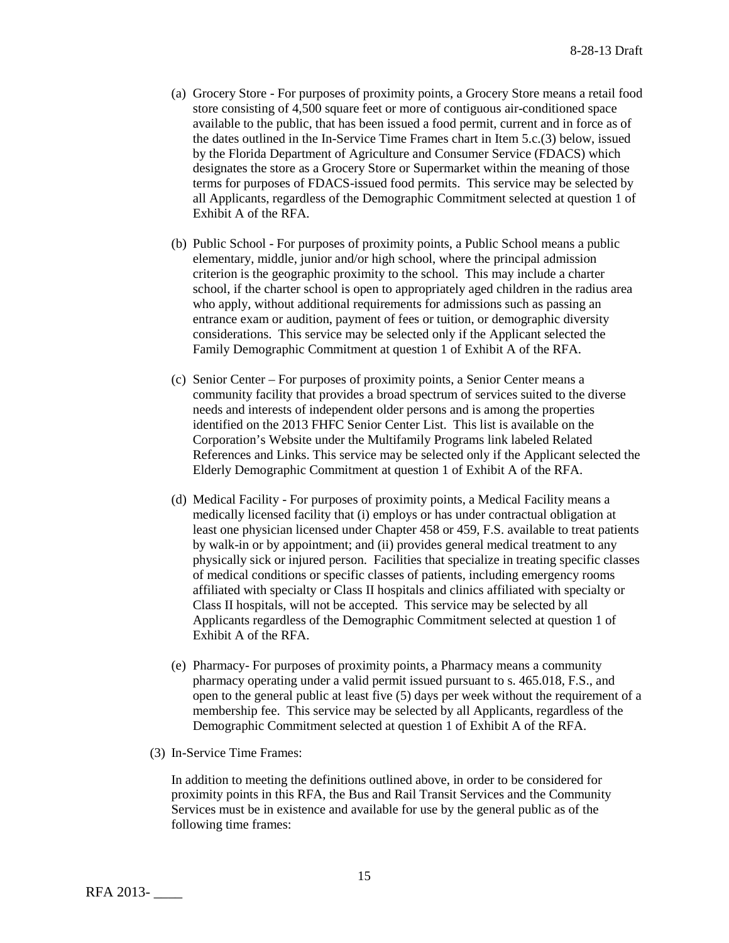- (a) Grocery Store For purposes of proximity points, a Grocery Store means a retail food store consisting of 4,500 square feet or more of contiguous air-conditioned space available to the public, that has been issued a food permit, current and in force as of the dates outlined in the In-Service Time Frames chart in Item 5.c.(3) below, issued by the Florida Department of Agriculture and Consumer Service (FDACS) which designates the store as a Grocery Store or Supermarket within the meaning of those terms for purposes of FDACS-issued food permits. This service may be selected by all Applicants, regardless of the Demographic Commitment selected at question 1 of Exhibit A of the RFA.
- (b) Public School For purposes of proximity points, a Public School means a public elementary, middle, junior and/or high school, where the principal admission criterion is the geographic proximity to the school. This may include a charter school, if the charter school is open to appropriately aged children in the radius area who apply, without additional requirements for admissions such as passing an entrance exam or audition, payment of fees or tuition, or demographic diversity considerations. This service may be selected only if the Applicant selected the Family Demographic Commitment at question 1 of Exhibit A of the RFA.
- (c) Senior Center For purposes of proximity points, a Senior Center means a community facility that provides a broad spectrum of services suited to the diverse needs and interests of independent older persons and is among the properties identified on the 2013 FHFC Senior Center List. This list is available on the Corporation's Website under the Multifamily Programs link labeled Related References and Links. This service may be selected only if the Applicant selected the Elderly Demographic Commitment at question 1 of Exhibit A of the RFA.
- (d) Medical Facility For purposes of proximity points, a Medical Facility means a medically licensed facility that (i) employs or has under contractual obligation at least one physician licensed under Chapter 458 or 459, F.S. available to treat patients by walk-in or by appointment; and (ii) provides general medical treatment to any physically sick or injured person. Facilities that specialize in treating specific classes of medical conditions or specific classes of patients, including emergency rooms affiliated with specialty or Class II hospitals and clinics affiliated with specialty or Class II hospitals, will not be accepted. This service may be selected by all Applicants regardless of the Demographic Commitment selected at question 1 of Exhibit A of the RFA.
- (e) Pharmacy- For purposes of proximity points, a Pharmacy means a community pharmacy operating under a valid permit issued pursuant to s. 465.018, F.S., and open to the general public at least five (5) days per week without the requirement of a membership fee. This service may be selected by all Applicants, regardless of the Demographic Commitment selected at question 1 of Exhibit A of the RFA.
- (3) In-Service Time Frames:

In addition to meeting the definitions outlined above, in order to be considered for proximity points in this RFA, the Bus and Rail Transit Services and the Community Services must be in existence and available for use by the general public as of the following time frames: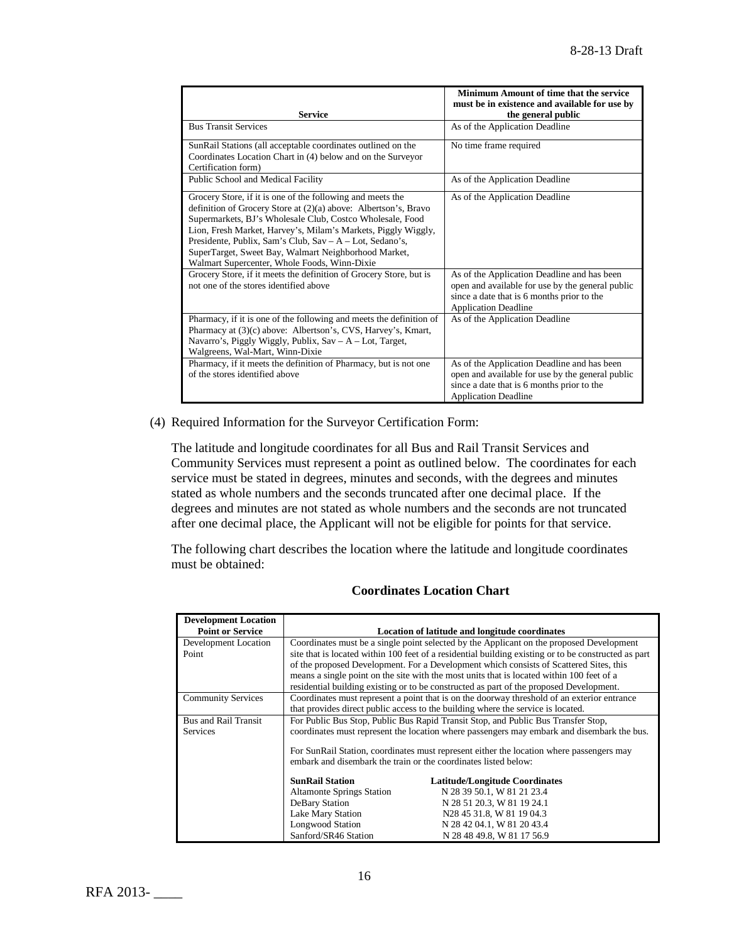| <b>Service</b>                                                                                                                                                                                                                                                                                                                                                                                                                  | Minimum Amount of time that the service<br>must be in existence and available for use by<br>the general public                                                               |
|---------------------------------------------------------------------------------------------------------------------------------------------------------------------------------------------------------------------------------------------------------------------------------------------------------------------------------------------------------------------------------------------------------------------------------|------------------------------------------------------------------------------------------------------------------------------------------------------------------------------|
| <b>Bus Transit Services</b>                                                                                                                                                                                                                                                                                                                                                                                                     | As of the Application Deadline                                                                                                                                               |
| SunRail Stations (all acceptable coordinates outlined on the<br>Coordinates Location Chart in (4) below and on the Surveyor<br>Certification form)                                                                                                                                                                                                                                                                              | No time frame required                                                                                                                                                       |
| Public School and Medical Facility                                                                                                                                                                                                                                                                                                                                                                                              | As of the Application Deadline                                                                                                                                               |
| Grocery Store, if it is one of the following and meets the<br>definition of Grocery Store at (2)(a) above: Albertson's, Bravo<br>Supermarkets, BJ's Wholesale Club, Costco Wholesale, Food<br>Lion, Fresh Market, Harvey's, Milam's Markets, Piggly Wiggly,<br>Presidente, Publix, Sam's Club, Sav – A – Lot, Sedano's,<br>SuperTarget, Sweet Bay, Walmart Neighborhood Market,<br>Walmart Supercenter, Whole Foods, Winn-Dixie | As of the Application Deadline                                                                                                                                               |
| Grocery Store, if it meets the definition of Grocery Store, but is<br>not one of the stores identified above                                                                                                                                                                                                                                                                                                                    | As of the Application Deadline and has been<br>open and available for use by the general public<br>since a date that is 6 months prior to the<br><b>Application Deadline</b> |
| Pharmacy, if it is one of the following and meets the definition of<br>Pharmacy at (3)(c) above: Albertson's, CVS, Harvey's, Kmart,<br>Navarro's, Piggly Wiggly, Publix, Sav - A - Lot, Target,<br>Walgreens, Wal-Mart, Winn-Dixie                                                                                                                                                                                              | As of the Application Deadline                                                                                                                                               |
| Pharmacy, if it meets the definition of Pharmacy, but is not one<br>of the stores identified above                                                                                                                                                                                                                                                                                                                              | As of the Application Deadline and has been<br>open and available for use by the general public<br>since a date that is 6 months prior to the<br><b>Application Deadline</b> |

(4) Required Information for the Surveyor Certification Form:

The latitude and longitude coordinates for all Bus and Rail Transit Services and Community Services must represent a point as outlined below. The coordinates for each service must be stated in degrees, minutes and seconds, with the degrees and minutes stated as whole numbers and the seconds truncated after one decimal place. If the degrees and minutes are not stated as whole numbers and the seconds are not truncated after one decimal place, the Applicant will not be eligible for points for that service.

The following chart describes the location where the latitude and longitude coordinates must be obtained:

| <b>Development Location</b> |                                                                                             |                                                                                                      |  |
|-----------------------------|---------------------------------------------------------------------------------------------|------------------------------------------------------------------------------------------------------|--|
| <b>Point or Service</b>     | <b>Location of latitude and longitude coordinates</b>                                       |                                                                                                      |  |
| Development Location        | Coordinates must be a single point selected by the Applicant on the proposed Development    |                                                                                                      |  |
| Point                       |                                                                                             | site that is located within 100 feet of a residential building existing or to be constructed as part |  |
|                             |                                                                                             | of the proposed Development. For a Development which consists of Scattered Sites, this               |  |
|                             |                                                                                             | means a single point on the site with the most units that is located within 100 feet of a            |  |
|                             | residential building existing or to be constructed as part of the proposed Development.     |                                                                                                      |  |
| <b>Community Services</b>   | Coordinates must represent a point that is on the doorway threshold of an exterior entrance |                                                                                                      |  |
|                             | that provides direct public access to the building where the service is located.            |                                                                                                      |  |
| <b>Bus and Rail Transit</b> | For Public Bus Stop, Public Bus Rapid Transit Stop, and Public Bus Transfer Stop,           |                                                                                                      |  |
| <b>Services</b>             | coordinates must represent the location where passengers may embark and disembark the bus.  |                                                                                                      |  |
|                             | For SunRail Station, coordinates must represent either the location where passengers may    |                                                                                                      |  |
|                             | embark and disembark the train or the coordinates listed below:                             |                                                                                                      |  |
|                             |                                                                                             |                                                                                                      |  |
|                             | <b>SunRail Station</b>                                                                      | Latitude/Longitude Coordinates                                                                       |  |
|                             | <b>Altamonte Springs Station</b>                                                            | N 28 39 50.1, W 81 21 23.4                                                                           |  |
|                             | DeBary Station                                                                              | N 28 51 20.3, W 81 19 24.1                                                                           |  |
|                             | Lake Mary Station                                                                           | N28 45 31.8, W 81 19 04.3                                                                            |  |
|                             | <b>Longwood Station</b>                                                                     | N 28 42 04.1, W 81 20 43.4                                                                           |  |
|                             | Sanford/SR46 Station                                                                        | N 28 48 49.8, W 81 17 56.9                                                                           |  |

# **Coordinates Location Chart**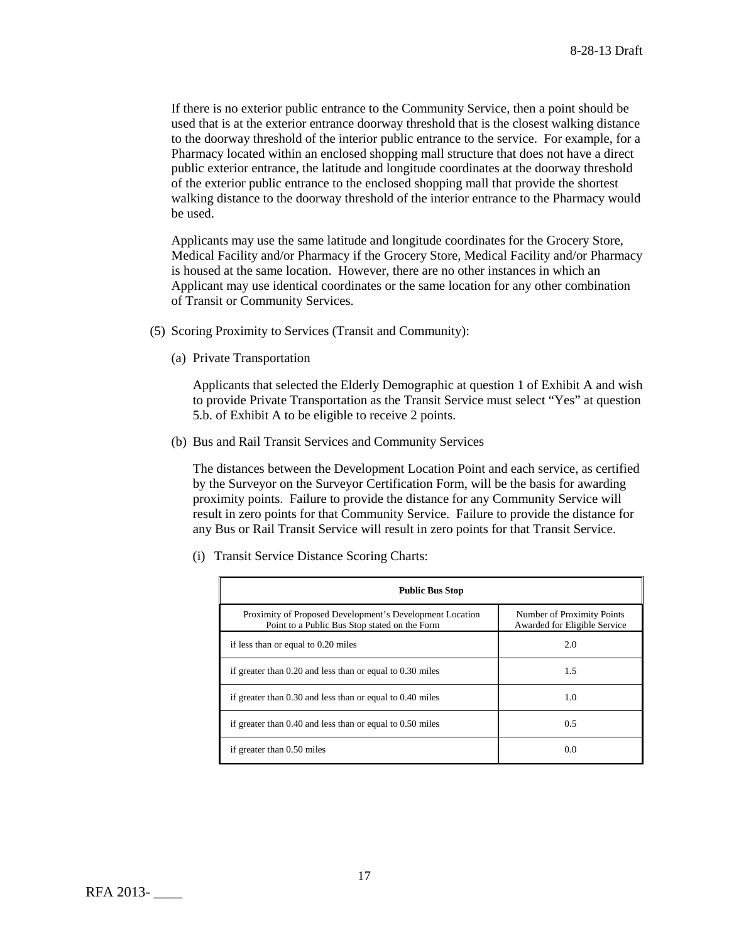If there is no exterior public entrance to the Community Service, then a point should be used that is at the exterior entrance doorway threshold that is the closest walking distance to the doorway threshold of the interior public entrance to the service. For example, for a Pharmacy located within an enclosed shopping mall structure that does not have a direct public exterior entrance, the latitude and longitude coordinates at the doorway threshold of the exterior public entrance to the enclosed shopping mall that provide the shortest walking distance to the doorway threshold of the interior entrance to the Pharmacy would be used.

Applicants may use the same latitude and longitude coordinates for the Grocery Store, Medical Facility and/or Pharmacy if the Grocery Store, Medical Facility and/or Pharmacy is housed at the same location. However, there are no other instances in which an Applicant may use identical coordinates or the same location for any other combination of Transit or Community Services.

- (5) Scoring Proximity to Services (Transit and Community):
	- (a) Private Transportation

Applicants that selected the Elderly Demographic at question 1 of Exhibit A and wish to provide Private Transportation as the Transit Service must select "Yes" at question 5.b. of Exhibit A to be eligible to receive 2 points.

(b) Bus and Rail Transit Services and Community Services

The distances between the Development Location Point and each service, as certified by the Surveyor on the Surveyor Certification Form, will be the basis for awarding proximity points. Failure to provide the distance for any Community Service will result in zero points for that Community Service. Failure to provide the distance for any Bus or Rail Transit Service will result in zero points for that Transit Service.

| <b>Public Bus Stop</b>                                                                                    |                                                            |  |  |
|-----------------------------------------------------------------------------------------------------------|------------------------------------------------------------|--|--|
| Proximity of Proposed Development's Development Location<br>Point to a Public Bus Stop stated on the Form | Number of Proximity Points<br>Awarded for Eligible Service |  |  |
| if less than or equal to 0.20 miles                                                                       | 2.0                                                        |  |  |
| if greater than 0.20 and less than or equal to 0.30 miles                                                 | 1.5                                                        |  |  |
| if greater than 0.30 and less than or equal to 0.40 miles                                                 | 1.0                                                        |  |  |
| if greater than 0.40 and less than or equal to 0.50 miles                                                 | 0.5                                                        |  |  |
| if greater than 0.50 miles                                                                                | 0.0                                                        |  |  |

(i) Transit Service Distance Scoring Charts: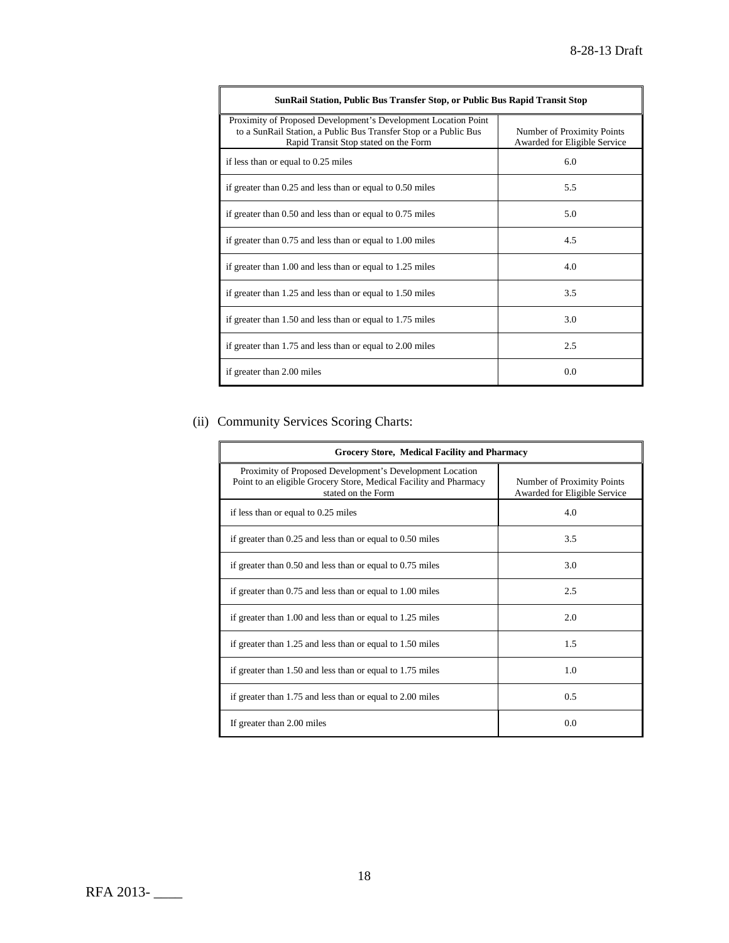| SunRail Station, Public Bus Transfer Stop, or Public Bus Rapid Transit Stop                                                                                                 |                                                            |  |  |
|-----------------------------------------------------------------------------------------------------------------------------------------------------------------------------|------------------------------------------------------------|--|--|
| Proximity of Proposed Development's Development Location Point<br>to a SunRail Station, a Public Bus Transfer Stop or a Public Bus<br>Rapid Transit Stop stated on the Form | Number of Proximity Points<br>Awarded for Eligible Service |  |  |
| if less than or equal to 0.25 miles                                                                                                                                         | 6.0                                                        |  |  |
| if greater than 0.25 and less than or equal to 0.50 miles                                                                                                                   | 5.5                                                        |  |  |
| if greater than $0.50$ and less than or equal to $0.75$ miles                                                                                                               | 5.0                                                        |  |  |
| if greater than 0.75 and less than or equal to 1.00 miles                                                                                                                   | 4.5                                                        |  |  |
| if greater than 1.00 and less than or equal to 1.25 miles                                                                                                                   | 4.0                                                        |  |  |
| if greater than 1.25 and less than or equal to 1.50 miles                                                                                                                   | 3.5                                                        |  |  |
| if greater than 1.50 and less than or equal to 1.75 miles                                                                                                                   | 3.0                                                        |  |  |
| if greater than 1.75 and less than or equal to 2.00 miles                                                                                                                   | 2.5                                                        |  |  |
| if greater than 2.00 miles                                                                                                                                                  | 0.0                                                        |  |  |

# (ii) Community Services Scoring Charts:

| <b>Grocery Store, Medical Facility and Pharmacy</b>                                                                                                 |                                                            |  |
|-----------------------------------------------------------------------------------------------------------------------------------------------------|------------------------------------------------------------|--|
| Proximity of Proposed Development's Development Location<br>Point to an eligible Grocery Store, Medical Facility and Pharmacy<br>stated on the Form | Number of Proximity Points<br>Awarded for Eligible Service |  |
| if less than or equal to 0.25 miles                                                                                                                 | 4.0                                                        |  |
| if greater than $0.25$ and less than or equal to $0.50$ miles                                                                                       | 3.5                                                        |  |
| if greater than $0.50$ and less than or equal to $0.75$ miles                                                                                       | 3.0                                                        |  |
| if greater than 0.75 and less than or equal to 1.00 miles                                                                                           | 2.5                                                        |  |
| if greater than 1.00 and less than or equal to 1.25 miles                                                                                           | 2.0                                                        |  |
| if greater than 1.25 and less than or equal to 1.50 miles                                                                                           | 1.5                                                        |  |
| if greater than 1.50 and less than or equal to 1.75 miles                                                                                           | 1.0                                                        |  |
| if greater than 1.75 and less than or equal to 2.00 miles                                                                                           | 0.5                                                        |  |
| If greater than 2.00 miles                                                                                                                          | 0.0                                                        |  |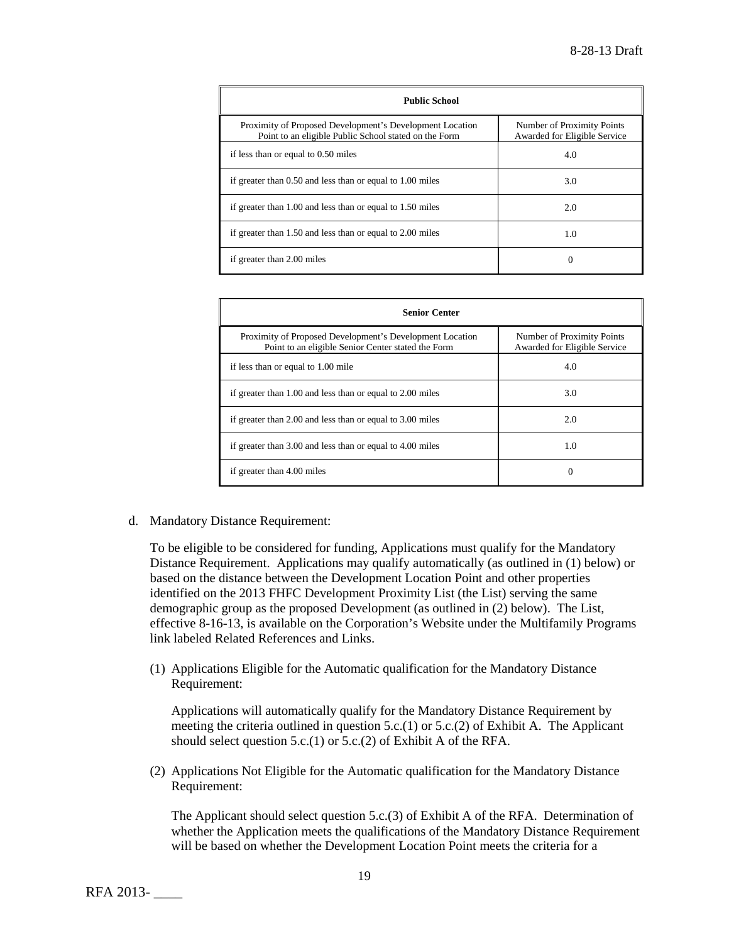| <b>Public School</b>                                                                                              |                                                            |  |
|-------------------------------------------------------------------------------------------------------------------|------------------------------------------------------------|--|
| Proximity of Proposed Development's Development Location<br>Point to an eligible Public School stated on the Form | Number of Proximity Points<br>Awarded for Eligible Service |  |
| if less than or equal to 0.50 miles                                                                               | 4.0                                                        |  |
| if greater than 0.50 and less than or equal to 1.00 miles                                                         | 3.0                                                        |  |
| if greater than 1.00 and less than or equal to 1.50 miles                                                         | 2.0                                                        |  |
| if greater than 1.50 and less than or equal to 2.00 miles                                                         | 1.0                                                        |  |
| if greater than 2.00 miles                                                                                        |                                                            |  |

| <b>Senior Center</b>                                                                                           |                                                            |  |
|----------------------------------------------------------------------------------------------------------------|------------------------------------------------------------|--|
| Proximity of Proposed Development's Development Location<br>Point to an eligible Senior Center stated the Form | Number of Proximity Points<br>Awarded for Eligible Service |  |
| if less than or equal to 1.00 mile                                                                             | 4.0                                                        |  |
| if greater than 1.00 and less than or equal to 2.00 miles                                                      | 3.0                                                        |  |
| if greater than 2.00 and less than or equal to 3.00 miles                                                      | 2.0                                                        |  |
| if greater than 3.00 and less than or equal to 4.00 miles                                                      | 1.0                                                        |  |
| if greater than 4.00 miles                                                                                     | $\Omega$                                                   |  |

d. Mandatory Distance Requirement:

To be eligible to be considered for funding, Applications must qualify for the Mandatory Distance Requirement. Applications may qualify automatically (as outlined in (1) below) or based on the distance between the Development Location Point and other properties identified on the 2013 FHFC Development Proximity List (the List) serving the same demographic group as the proposed Development (as outlined in (2) below). The List, effective 8-16-13, is available on the Corporation's Website under the Multifamily Programs link labeled Related References and Links.

(1) Applications Eligible for the Automatic qualification for the Mandatory Distance Requirement:

Applications will automatically qualify for the Mandatory Distance Requirement by meeting the criteria outlined in question  $5.c.(1)$  or  $5.c.(2)$  of Exhibit A. The Applicant should select question 5.c.(1) or 5.c.(2) of Exhibit A of the RFA.

(2) Applications Not Eligible for the Automatic qualification for the Mandatory Distance Requirement:

The Applicant should select question 5.c.(3) of Exhibit A of the RFA. Determination of whether the Application meets the qualifications of the Mandatory Distance Requirement will be based on whether the Development Location Point meets the criteria for a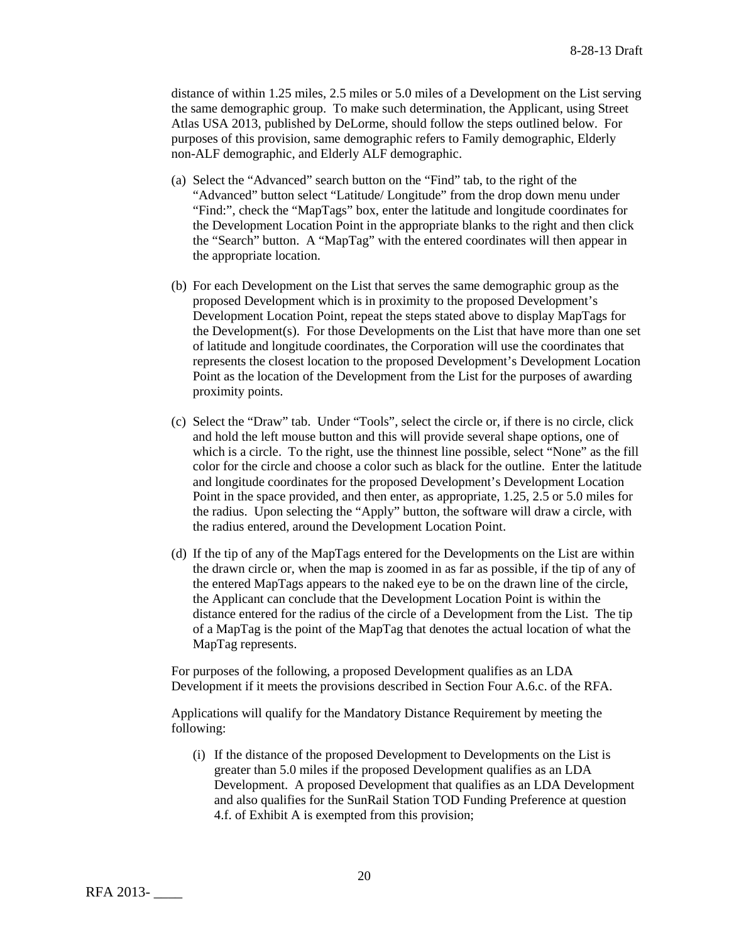distance of within 1.25 miles, 2.5 miles or 5.0 miles of a Development on the List serving the same demographic group. To make such determination, the Applicant, using Street Atlas USA 2013, published by DeLorme, should follow the steps outlined below. For purposes of this provision, same demographic refers to Family demographic, Elderly non-ALF demographic, and Elderly ALF demographic.

- (a) Select the "Advanced" search button on the "Find" tab, to the right of the "Advanced" button select "Latitude/ Longitude" from the drop down menu under "Find:", check the "MapTags" box, enter the latitude and longitude coordinates for the Development Location Point in the appropriate blanks to the right and then click the "Search" button. A "MapTag" with the entered coordinates will then appear in the appropriate location.
- (b) For each Development on the List that serves the same demographic group as the proposed Development which is in proximity to the proposed Development's Development Location Point, repeat the steps stated above to display MapTags for the Development(s). For those Developments on the List that have more than one set of latitude and longitude coordinates, the Corporation will use the coordinates that represents the closest location to the proposed Development's Development Location Point as the location of the Development from the List for the purposes of awarding proximity points.
- (c) Select the "Draw" tab. Under "Tools", select the circle or, if there is no circle, click and hold the left mouse button and this will provide several shape options, one of which is a circle. To the right, use the thinnest line possible, select "None" as the fill color for the circle and choose a color such as black for the outline. Enter the latitude and longitude coordinates for the proposed Development's Development Location Point in the space provided, and then enter, as appropriate, 1.25, 2.5 or 5.0 miles for the radius. Upon selecting the "Apply" button, the software will draw a circle, with the radius entered, around the Development Location Point.
- (d) If the tip of any of the MapTags entered for the Developments on the List are within the drawn circle or, when the map is zoomed in as far as possible, if the tip of any of the entered MapTags appears to the naked eye to be on the drawn line of the circle, the Applicant can conclude that the Development Location Point is within the distance entered for the radius of the circle of a Development from the List. The tip of a MapTag is the point of the MapTag that denotes the actual location of what the MapTag represents.

For purposes of the following, a proposed Development qualifies as an LDA Development if it meets the provisions described in Section Four A.6.c. of the RFA.

Applications will qualify for the Mandatory Distance Requirement by meeting the following:

(i) If the distance of the proposed Development to Developments on the List is greater than 5.0 miles if the proposed Development qualifies as an LDA Development. A proposed Development that qualifies as an LDA Development and also qualifies for the SunRail Station TOD Funding Preference at question 4.f. of Exhibit A is exempted from this provision;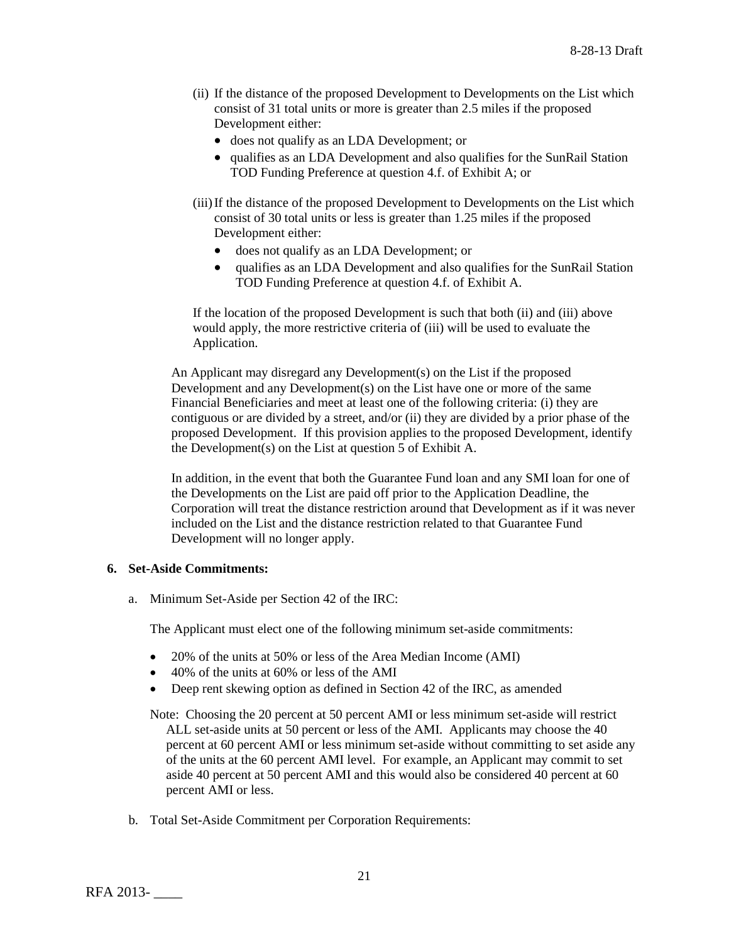- (ii) If the distance of the proposed Development to Developments on the List which consist of 31 total units or more is greater than 2.5 miles if the proposed Development either:
	- does not qualify as an LDA Development; or
	- qualifies as an LDA Development and also qualifies for the SunRail Station TOD Funding Preference at question 4.f. of Exhibit A; or
- (iii)If the distance of the proposed Development to Developments on the List which consist of 30 total units or less is greater than 1.25 miles if the proposed Development either:
	- does not qualify as an LDA Development; or
	- qualifies as an LDA Development and also qualifies for the SunRail Station TOD Funding Preference at question 4.f. of Exhibit A.

If the location of the proposed Development is such that both (ii) and (iii) above would apply, the more restrictive criteria of (iii) will be used to evaluate the Application.

An Applicant may disregard any Development(s) on the List if the proposed Development and any Development(s) on the List have one or more of the same Financial Beneficiaries and meet at least one of the following criteria: (i) they are contiguous or are divided by a street, and/or (ii) they are divided by a prior phase of the proposed Development. If this provision applies to the proposed Development, identify the Development(s) on the List at question 5 of Exhibit A.

In addition, in the event that both the Guarantee Fund loan and any SMI loan for one of the Developments on the List are paid off prior to the Application Deadline, the Corporation will treat the distance restriction around that Development as if it was never included on the List and the distance restriction related to that Guarantee Fund Development will no longer apply.

# **6. Set-Aside Commitments:**

a. Minimum Set-Aside per Section 42 of the IRC:

The Applicant must elect one of the following minimum set-aside commitments:

- 20% of the units at 50% or less of the Area Median Income (AMI)
- 40% of the units at 60% or less of the AMI
- Deep rent skewing option as defined in Section 42 of the IRC, as amended

Note: Choosing the 20 percent at 50 percent AMI or less minimum set-aside will restrict ALL set-aside units at 50 percent or less of the AMI. Applicants may choose the 40 percent at 60 percent AMI or less minimum set-aside without committing to set aside any of the units at the 60 percent AMI level. For example, an Applicant may commit to set aside 40 percent at 50 percent AMI and this would also be considered 40 percent at 60 percent AMI or less.

b. Total Set-Aside Commitment per Corporation Requirements: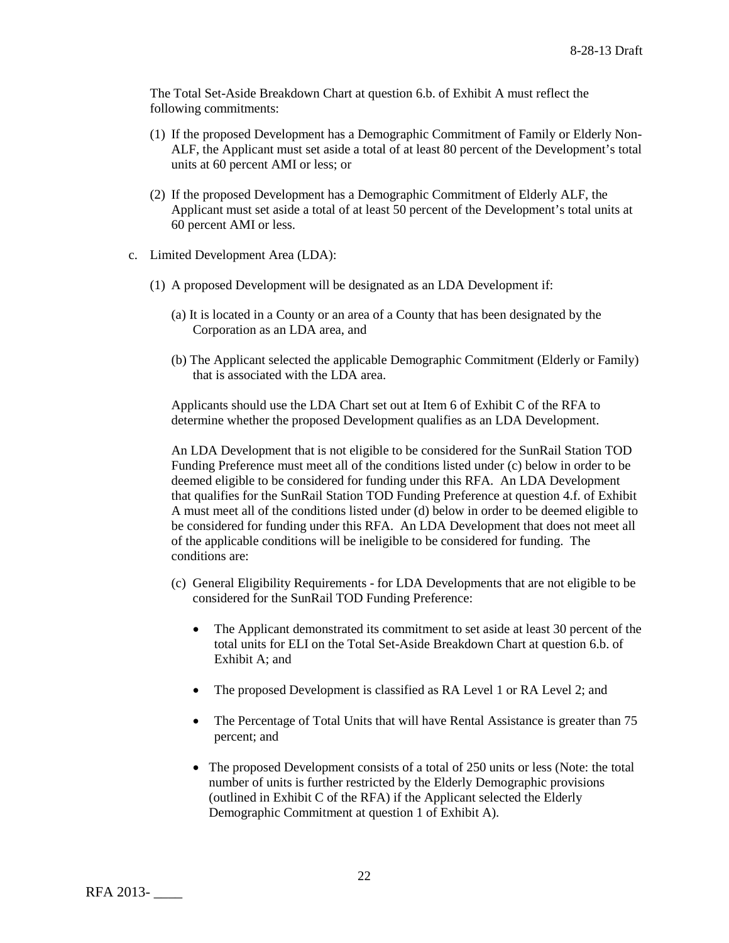The Total Set-Aside Breakdown Chart at question 6.b. of Exhibit A must reflect the following commitments:

- (1) If the proposed Development has a Demographic Commitment of Family or Elderly Non-ALF, the Applicant must set aside a total of at least 80 percent of the Development's total units at 60 percent AMI or less; or
- (2) If the proposed Development has a Demographic Commitment of Elderly ALF, the Applicant must set aside a total of at least 50 percent of the Development's total units at 60 percent AMI or less.
- c. Limited Development Area (LDA):
	- (1) A proposed Development will be designated as an LDA Development if:
		- (a) It is located in a County or an area of a County that has been designated by the Corporation as an LDA area, and
		- (b) The Applicant selected the applicable Demographic Commitment (Elderly or Family) that is associated with the LDA area.

Applicants should use the LDA Chart set out at Item 6 of Exhibit C of the RFA to determine whether the proposed Development qualifies as an LDA Development.

An LDA Development that is not eligible to be considered for the SunRail Station TOD Funding Preference must meet all of the conditions listed under (c) below in order to be deemed eligible to be considered for funding under this RFA. An LDA Development that qualifies for the SunRail Station TOD Funding Preference at question 4.f. of Exhibit A must meet all of the conditions listed under (d) below in order to be deemed eligible to be considered for funding under this RFA. An LDA Development that does not meet all of the applicable conditions will be ineligible to be considered for funding. The conditions are:

- (c) General Eligibility Requirements for LDA Developments that are not eligible to be considered for the SunRail TOD Funding Preference:
	- The Applicant demonstrated its commitment to set aside at least 30 percent of the total units for ELI on the Total Set-Aside Breakdown Chart at question 6.b. of Exhibit A; and
	- The proposed Development is classified as RA Level 1 or RA Level 2; and
	- The Percentage of Total Units that will have Rental Assistance is greater than 75 percent; and
	- The proposed Development consists of a total of 250 units or less (Note: the total number of units is further restricted by the Elderly Demographic provisions (outlined in Exhibit C of the RFA) if the Applicant selected the Elderly Demographic Commitment at question 1 of Exhibit A).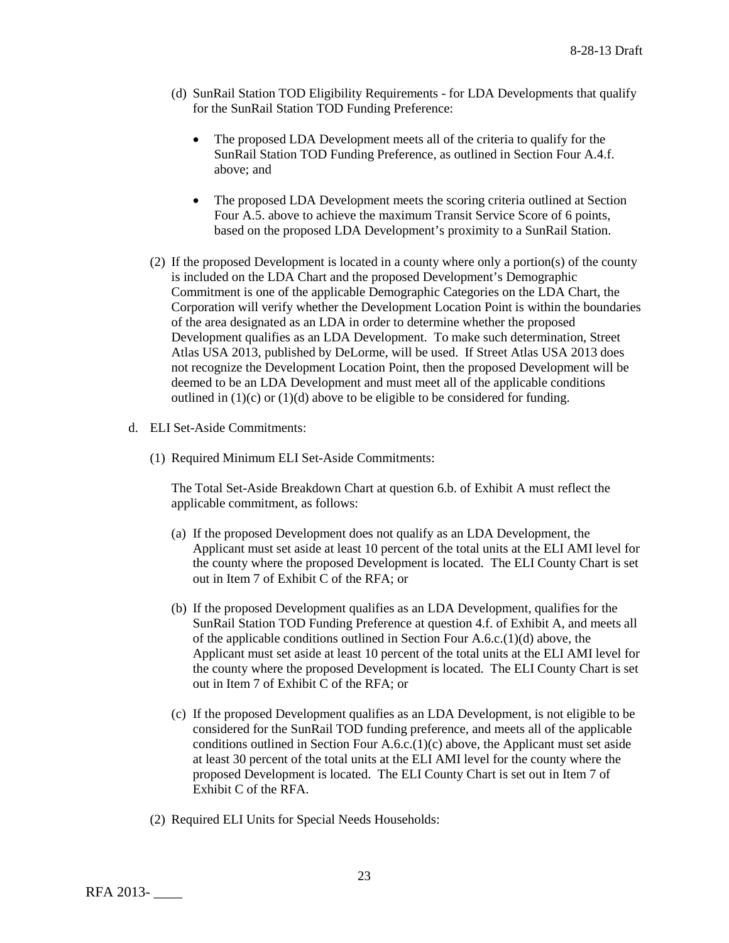- (d) SunRail Station TOD Eligibility Requirements for LDA Developments that qualify for the SunRail Station TOD Funding Preference:
	- The proposed LDA Development meets all of the criteria to qualify for the SunRail Station TOD Funding Preference, as outlined in Section Four A.4.f. above; and
	- The proposed LDA Development meets the scoring criteria outlined at Section Four A.5. above to achieve the maximum Transit Service Score of 6 points, based on the proposed LDA Development's proximity to a SunRail Station.
- (2) If the proposed Development is located in a county where only a portion(s) of the county is included on the LDA Chart and the proposed Development's Demographic Commitment is one of the applicable Demographic Categories on the LDA Chart, the Corporation will verify whether the Development Location Point is within the boundaries of the area designated as an LDA in order to determine whether the proposed Development qualifies as an LDA Development. To make such determination, Street Atlas USA 2013, published by DeLorme, will be used. If Street Atlas USA 2013 does not recognize the Development Location Point, then the proposed Development will be deemed to be an LDA Development and must meet all of the applicable conditions outlined in  $(1)(c)$  or  $(1)(d)$  above to be eligible to be considered for funding.
- d. ELI Set-Aside Commitments:
	- (1) Required Minimum ELI Set-Aside Commitments:

The Total Set-Aside Breakdown Chart at question 6.b. of Exhibit A must reflect the applicable commitment, as follows:

- (a) If the proposed Development does not qualify as an LDA Development, the Applicant must set aside at least 10 percent of the total units at the ELI AMI level for the county where the proposed Development is located. The ELI County Chart is set out in Item 7 of Exhibit C of the RFA; or
- (b) If the proposed Development qualifies as an LDA Development, qualifies for the SunRail Station TOD Funding Preference at question 4.f. of Exhibit A, and meets all of the applicable conditions outlined in Section Four A.6.c.(1)(d) above, the Applicant must set aside at least 10 percent of the total units at the ELI AMI level for the county where the proposed Development is located. The ELI County Chart is set out in Item 7 of Exhibit C of the RFA; or
- (c) If the proposed Development qualifies as an LDA Development, is not eligible to be considered for the SunRail TOD funding preference, and meets all of the applicable conditions outlined in Section Four A.6.c.(1)(c) above, the Applicant must set aside at least 30 percent of the total units at the ELI AMI level for the county where the proposed Development is located. The ELI County Chart is set out in Item 7 of Exhibit C of the RFA.
- (2) Required ELI Units for Special Needs Households: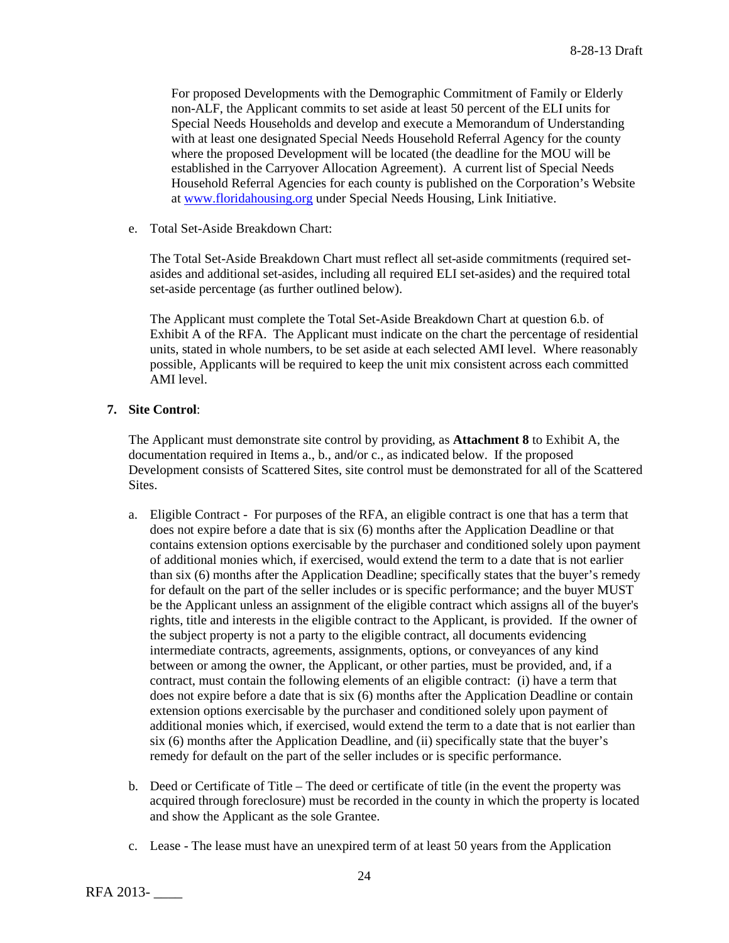For proposed Developments with the Demographic Commitment of Family or Elderly non-ALF, the Applicant commits to set aside at least 50 percent of the ELI units for Special Needs Households and develop and execute a Memorandum of Understanding with at least one designated Special Needs Household Referral Agency for the county where the proposed Development will be located (the deadline for the MOU will be established in the Carryover Allocation Agreement). A current list of Special Needs Household Referral Agencies for each county is published on the Corporation's Website at [www.floridahousing.org](http://www.floridahousing.org/) under Special Needs Housing, Link Initiative.

e. Total Set-Aside Breakdown Chart:

The Total Set-Aside Breakdown Chart must reflect all set-aside commitments (required setasides and additional set-asides, including all required ELI set-asides) and the required total set-aside percentage (as further outlined below).

The Applicant must complete the Total Set-Aside Breakdown Chart at question 6.b. of Exhibit A of the RFA. The Applicant must indicate on the chart the percentage of residential units, stated in whole numbers, to be set aside at each selected AMI level. Where reasonably possible, Applicants will be required to keep the unit mix consistent across each committed AMI level.

# **7. Site Control**:

The Applicant must demonstrate site control by providing, as **Attachment 8** to Exhibit A, the documentation required in Items a., b., and/or c., as indicated below. If the proposed Development consists of Scattered Sites, site control must be demonstrated for all of the Scattered Sites.

- a. Eligible Contract For purposes of the RFA, an eligible contract is one that has a term that does not expire before a date that is six (6) months after the Application Deadline or that contains extension options exercisable by the purchaser and conditioned solely upon payment of additional monies which, if exercised, would extend the term to a date that is not earlier than six (6) months after the Application Deadline; specifically states that the buyer's remedy for default on the part of the seller includes or is specific performance; and the buyer MUST be the Applicant unless an assignment of the eligible contract which assigns all of the buyer's rights, title and interests in the eligible contract to the Applicant, is provided. If the owner of the subject property is not a party to the eligible contract, all documents evidencing intermediate contracts, agreements, assignments, options, or conveyances of any kind between or among the owner, the Applicant, or other parties, must be provided, and, if a contract, must contain the following elements of an eligible contract: (i) have a term that does not expire before a date that is six (6) months after the Application Deadline or contain extension options exercisable by the purchaser and conditioned solely upon payment of additional monies which, if exercised, would extend the term to a date that is not earlier than six (6) months after the Application Deadline, and (ii) specifically state that the buyer's remedy for default on the part of the seller includes or is specific performance.
- b. Deed or Certificate of Title The deed or certificate of title (in the event the property was acquired through foreclosure) must be recorded in the county in which the property is located and show the Applicant as the sole Grantee.
- c. Lease The lease must have an unexpired term of at least 50 years from the Application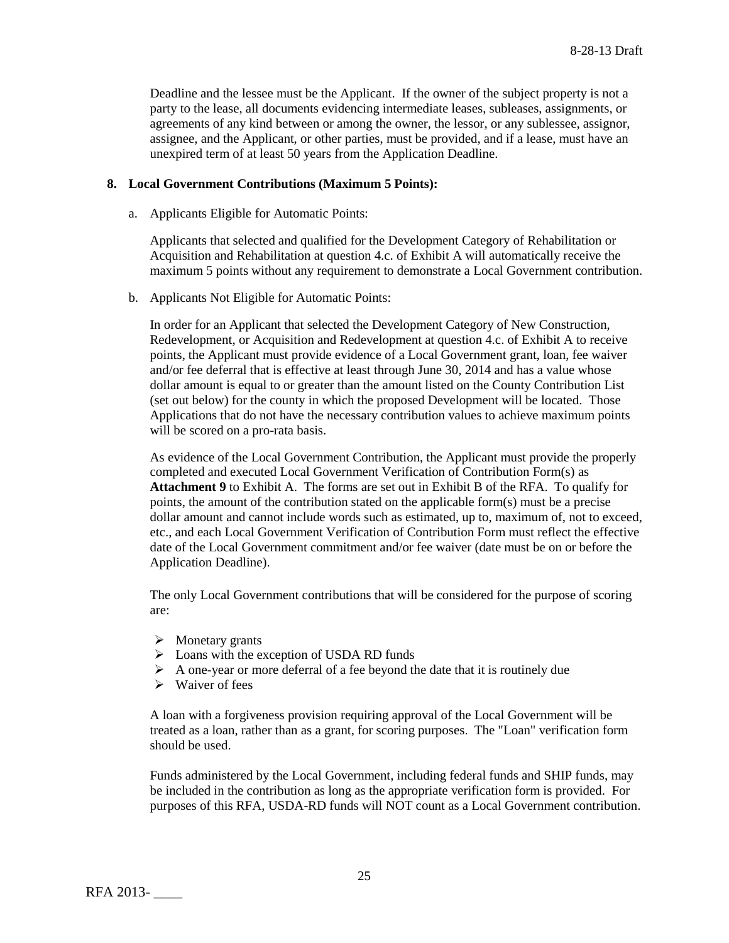Deadline and the lessee must be the Applicant. If the owner of the subject property is not a party to the lease, all documents evidencing intermediate leases, subleases, assignments, or agreements of any kind between or among the owner, the lessor, or any sublessee, assignor, assignee, and the Applicant, or other parties, must be provided, and if a lease, must have an unexpired term of at least 50 years from the Application Deadline.

# **8. Local Government Contributions (Maximum 5 Points):**

a. Applicants Eligible for Automatic Points:

Applicants that selected and qualified for the Development Category of Rehabilitation or Acquisition and Rehabilitation at question 4.c. of Exhibit A will automatically receive the maximum 5 points without any requirement to demonstrate a Local Government contribution.

b. Applicants Not Eligible for Automatic Points:

In order for an Applicant that selected the Development Category of New Construction, Redevelopment, or Acquisition and Redevelopment at question 4.c. of Exhibit A to receive points, the Applicant must provide evidence of a Local Government grant, loan, fee waiver and/or fee deferral that is effective at least through June 30, 2014 and has a value whose dollar amount is equal to or greater than the amount listed on the County Contribution List (set out below) for the county in which the proposed Development will be located. Those Applications that do not have the necessary contribution values to achieve maximum points will be scored on a pro-rata basis.

As evidence of the Local Government Contribution, the Applicant must provide the properly completed and executed Local Government Verification of Contribution Form(s) as **Attachment 9** to Exhibit A. The forms are set out in Exhibit B of the RFA. To qualify for points, the amount of the contribution stated on the applicable form(s) must be a precise dollar amount and cannot include words such as estimated, up to, maximum of, not to exceed, etc., and each Local Government Verification of Contribution Form must reflect the effective date of the Local Government commitment and/or fee waiver (date must be on or before the Application Deadline).

The only Local Government contributions that will be considered for the purpose of scoring are:

- $\triangleright$  Monetary grants
- $\triangleright$  Loans with the exception of USDA RD funds
- $\triangleright$  A one-year or more deferral of a fee beyond the date that it is routinely due
- $\triangleright$  Waiver of fees

A loan with a forgiveness provision requiring approval of the Local Government will be treated as a loan, rather than as a grant, for scoring purposes. The "Loan" verification form should be used.

Funds administered by the Local Government, including federal funds and SHIP funds, may be included in the contribution as long as the appropriate verification form is provided. For purposes of this RFA, USDA-RD funds will NOT count as a Local Government contribution.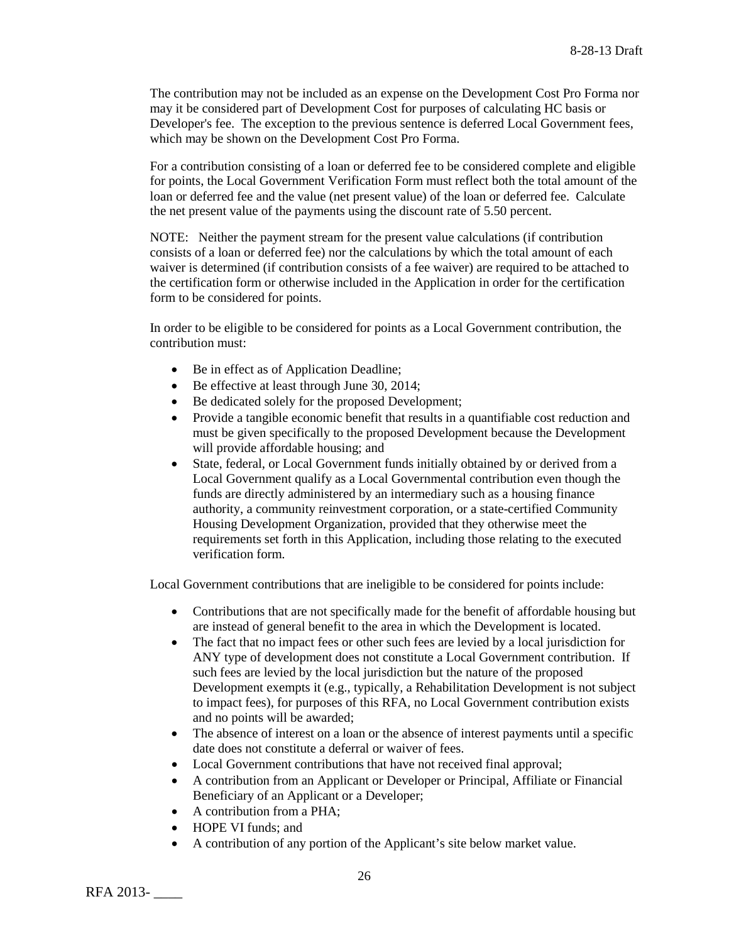The contribution may not be included as an expense on the Development Cost Pro Forma nor may it be considered part of Development Cost for purposes of calculating HC basis or Developer's fee. The exception to the previous sentence is deferred Local Government fees, which may be shown on the Development Cost Pro Forma.

For a contribution consisting of a loan or deferred fee to be considered complete and eligible for points, the Local Government Verification Form must reflect both the total amount of the loan or deferred fee and the value (net present value) of the loan or deferred fee. Calculate the net present value of the payments using the discount rate of 5.50 percent.

NOTE: Neither the payment stream for the present value calculations (if contribution consists of a loan or deferred fee) nor the calculations by which the total amount of each waiver is determined (if contribution consists of a fee waiver) are required to be attached to the certification form or otherwise included in the Application in order for the certification form to be considered for points.

In order to be eligible to be considered for points as a Local Government contribution, the contribution must:

- Be in effect as of Application Deadline;
- Be effective at least through June 30, 2014;
- Be dedicated solely for the proposed Development;
- Provide a tangible economic benefit that results in a quantifiable cost reduction and must be given specifically to the proposed Development because the Development will provide affordable housing; and
- State, federal, or Local Government funds initially obtained by or derived from a Local Government qualify as a Local Governmental contribution even though the funds are directly administered by an intermediary such as a housing finance authority, a community reinvestment corporation, or a state-certified Community Housing Development Organization, provided that they otherwise meet the requirements set forth in this Application, including those relating to the executed verification form.

Local Government contributions that are ineligible to be considered for points include:

- Contributions that are not specifically made for the benefit of affordable housing but are instead of general benefit to the area in which the Development is located.
- The fact that no impact fees or other such fees are levied by a local jurisdiction for ANY type of development does not constitute a Local Government contribution. If such fees are levied by the local jurisdiction but the nature of the proposed Development exempts it (e.g., typically, a Rehabilitation Development is not subject to impact fees), for purposes of this RFA, no Local Government contribution exists and no points will be awarded;
- The absence of interest on a loan or the absence of interest payments until a specific date does not constitute a deferral or waiver of fees.
- Local Government contributions that have not received final approval;
- A contribution from an Applicant or Developer or Principal, Affiliate or Financial Beneficiary of an Applicant or a Developer;
- A contribution from a PHA;
- HOPE VI funds: and
- A contribution of any portion of the Applicant's site below market value.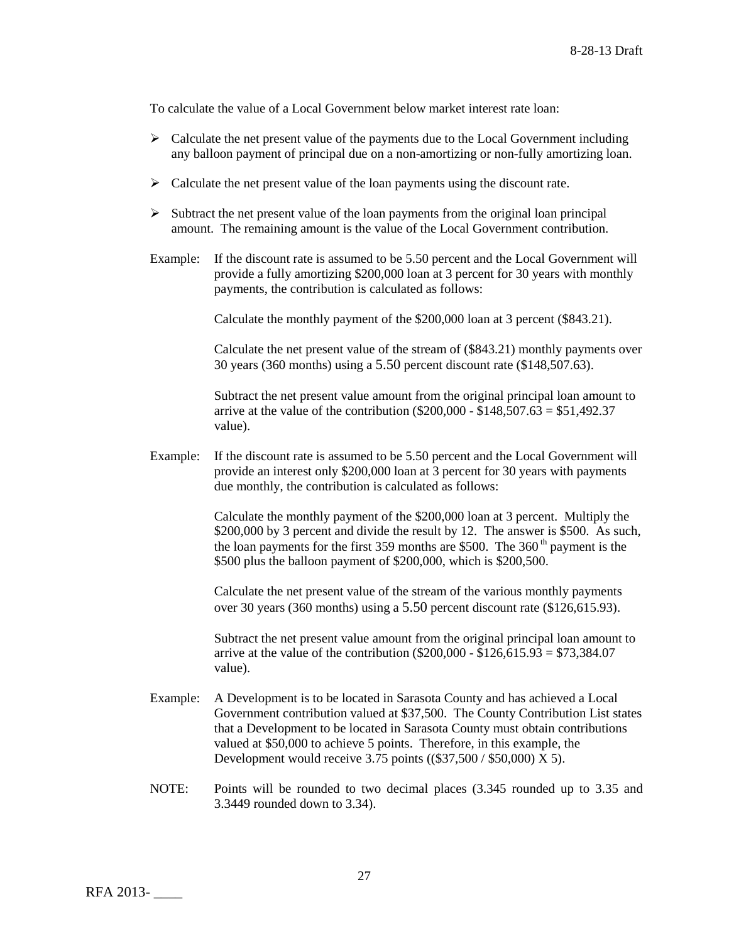To calculate the value of a Local Government below market interest rate loan:

- $\triangleright$  Calculate the net present value of the payments due to the Local Government including any balloon payment of principal due on a non-amortizing or non-fully amortizing loan.
- $\triangleright$  Calculate the net present value of the loan payments using the discount rate.
- $\triangleright$  Subtract the net present value of the loan payments from the original loan principal amount. The remaining amount is the value of the Local Government contribution.
- Example: If the discount rate is assumed to be 5.50 percent and the Local Government will provide a fully amortizing \$200,000 loan at 3 percent for 30 years with monthly payments, the contribution is calculated as follows:

Calculate the monthly payment of the \$200,000 loan at 3 percent (\$843.21).

Calculate the net present value of the stream of (\$843.21) monthly payments over 30 years (360 months) using a 5.50 percent discount rate (\$148,507.63).

Subtract the net present value amount from the original principal loan amount to arrive at the value of the contribution ( $$200,000 - $148,507.63 = $51,492.37$ ) value).

Example: If the discount rate is assumed to be 5.50 percent and the Local Government will provide an interest only \$200,000 loan at 3 percent for 30 years with payments due monthly, the contribution is calculated as follows:

> Calculate the monthly payment of the \$200,000 loan at 3 percent. Multiply the \$200,000 by 3 percent and divide the result by 12. The answer is \$500. As such, the loan payments for the first 359 months are \$500. The  $360<sup>th</sup>$  payment is the \$500 plus the balloon payment of \$200,000, which is \$200,500.

Calculate the net present value of the stream of the various monthly payments over 30 years (360 months) using a 5.50 percent discount rate (\$126,615.93).

Subtract the net present value amount from the original principal loan amount to arrive at the value of the contribution ( $$200,000 - $126,615.93 = $73,384.07$ value).

- Example: A Development is to be located in Sarasota County and has achieved a Local Government contribution valued at \$37,500. The County Contribution List states that a Development to be located in Sarasota County must obtain contributions valued at \$50,000 to achieve 5 points. Therefore, in this example, the Development would receive 3.75 points ((\$37,500 / \$50,000) X 5).
- NOTE: Points will be rounded to two decimal places (3.345 rounded up to 3.35 and 3.3449 rounded down to 3.34).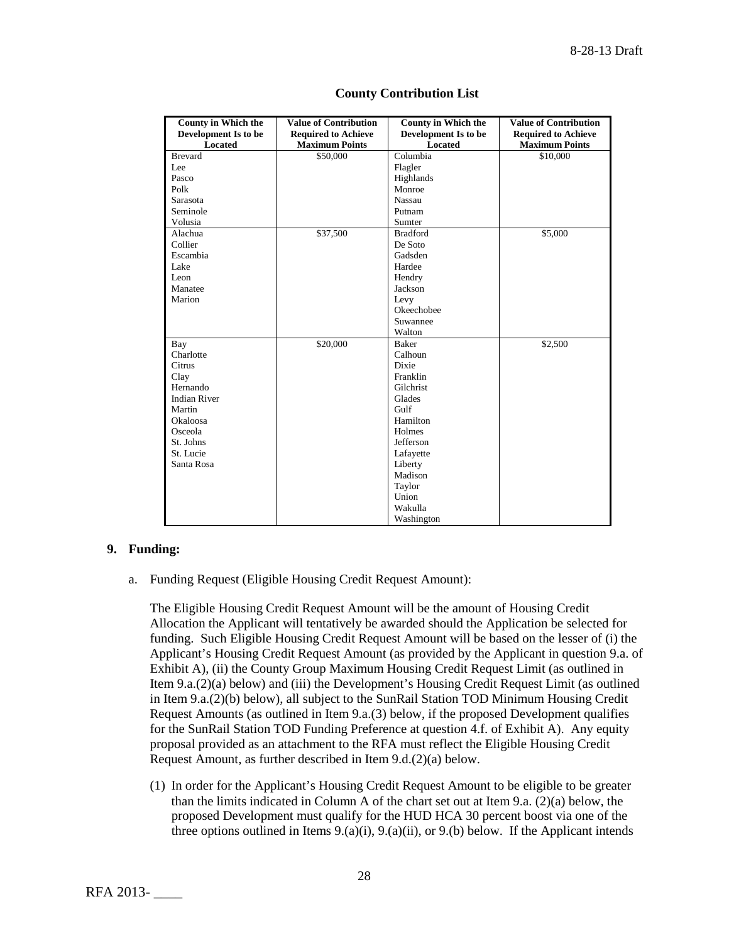| <b>County in Which the</b> | <b>Value of Contribution</b> | <b>County in Which the</b> | <b>Value of Contribution</b> |
|----------------------------|------------------------------|----------------------------|------------------------------|
| Development Is to be       | <b>Required to Achieve</b>   | Development Is to be       | <b>Required to Achieve</b>   |
| Located                    | <b>Maximum Points</b>        | <b>Located</b>             | <b>Maximum Points</b>        |
| <b>Brevard</b>             | \$50,000                     | Columbia                   | \$10,000                     |
| Lee                        |                              | Flagler                    |                              |
| Pasco                      |                              | Highlands                  |                              |
| Polk                       |                              | Monroe                     |                              |
| Sarasota                   |                              | <b>Nassau</b>              |                              |
| Seminole                   |                              | Putnam                     |                              |
| Volusia                    |                              | Sumter                     |                              |
| Alachua                    | \$37,500                     | <b>Bradford</b>            | \$5,000                      |
| Collier                    |                              | De Soto                    |                              |
| Escambia                   |                              | Gadsden                    |                              |
| Lake                       |                              | Hardee                     |                              |
| Leon                       |                              | Hendry                     |                              |
| Manatee                    |                              | Jackson                    |                              |
| Marion                     |                              | Levy                       |                              |
|                            |                              | Okeechobee                 |                              |
|                            |                              | Suwannee                   |                              |
|                            |                              | Walton                     |                              |
| Bay                        | \$20,000                     | Baker                      | \$2,500                      |
| Charlotte                  |                              | Calhoun                    |                              |
| Citrus                     |                              | Dixie                      |                              |
| Clay                       |                              | Franklin                   |                              |
| Hernando                   |                              | Gilchrist                  |                              |
| <b>Indian River</b>        |                              | Glades                     |                              |
| Martin                     |                              | Gulf                       |                              |
| Okaloosa                   |                              | Hamilton                   |                              |
| Osceola                    |                              | Holmes                     |                              |
| St. Johns                  |                              | Jefferson                  |                              |
| St. Lucie                  |                              | Lafayette                  |                              |
| Santa Rosa                 |                              | Liberty                    |                              |
|                            |                              | Madison                    |                              |
|                            |                              | Taylor                     |                              |
|                            |                              | Union                      |                              |
|                            |                              | Wakulla                    |                              |
|                            |                              | Washington                 |                              |

# **County Contribution List**

# **9. Funding:**

a. Funding Request (Eligible Housing Credit Request Amount):

The Eligible Housing Credit Request Amount will be the amount of Housing Credit Allocation the Applicant will tentatively be awarded should the Application be selected for funding. Such Eligible Housing Credit Request Amount will be based on the lesser of (i) the Applicant's Housing Credit Request Amount (as provided by the Applicant in question 9.a. of Exhibit A), (ii) the County Group Maximum Housing Credit Request Limit (as outlined in Item 9.a.(2)(a) below) and (iii) the Development's Housing Credit Request Limit (as outlined in Item 9.a.(2)(b) below), all subject to the SunRail Station TOD Minimum Housing Credit Request Amounts (as outlined in Item 9.a.(3) below, if the proposed Development qualifies for the SunRail Station TOD Funding Preference at question 4.f. of Exhibit A). Any equity proposal provided as an attachment to the RFA must reflect the Eligible Housing Credit Request Amount, as further described in Item 9.d.(2)(a) below.

(1) In order for the Applicant's Housing Credit Request Amount to be eligible to be greater than the limits indicated in Column A of the chart set out at Item 9.a. (2)(a) below, the proposed Development must qualify for the HUD HCA 30 percent boost via one of the three options outlined in Items  $9(0, a)(i)$ ,  $9(0, a)(ii)$ , or  $9(0, b)$  below. If the Applicant intends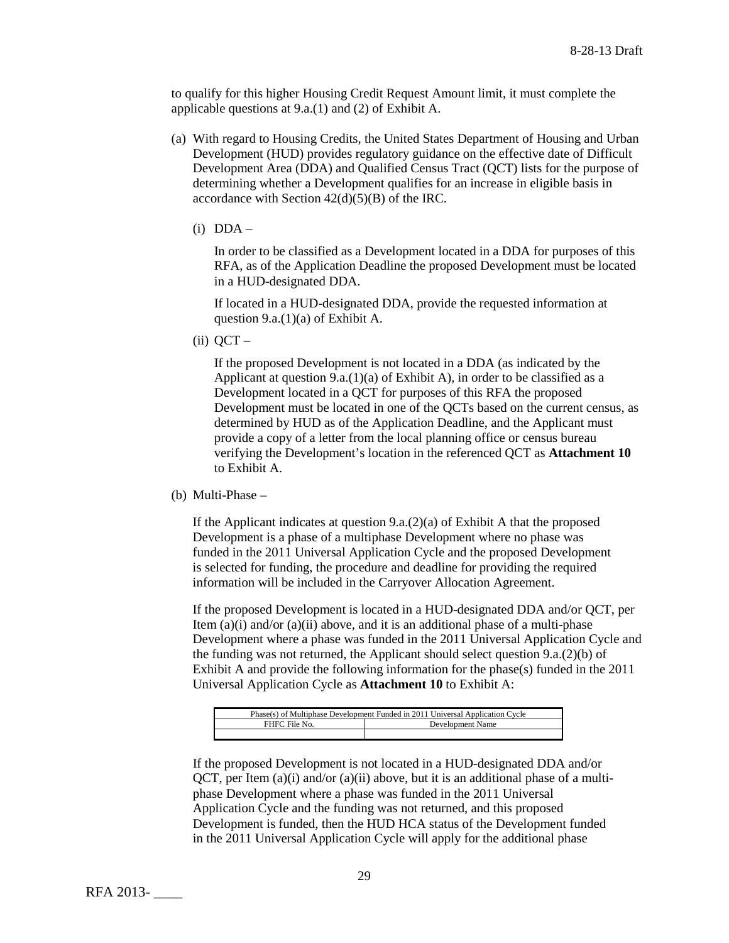to qualify for this higher Housing Credit Request Amount limit, it must complete the applicable questions at 9.a.(1) and (2) of Exhibit A.

- (a) With regard to Housing Credits, the United States Department of Housing and Urban Development (HUD) provides regulatory guidance on the effective date of Difficult Development Area (DDA) and Qualified Census Tract (QCT) lists for the purpose of determining whether a Development qualifies for an increase in eligible basis in accordance with Section 42(d)(5)(B) of the IRC.
	- $(i)$  DDA –

In order to be classified as a Development located in a DDA for purposes of this RFA, as of the Application Deadline the proposed Development must be located in a HUD-designated DDA.

If located in a HUD-designated DDA, provide the requested information at question 9.a.(1)(a) of Exhibit A.

 $(ii)$  QCT –

If the proposed Development is not located in a DDA (as indicated by the Applicant at question 9.a.(1)(a) of Exhibit A), in order to be classified as a Development located in a QCT for purposes of this RFA the proposed Development must be located in one of the QCTs based on the current census, as determined by HUD as of the Application Deadline, and the Applicant must provide a copy of a letter from the local planning office or census bureau verifying the Development's location in the referenced QCT as **Attachment 10** to Exhibit A.

(b) Multi-Phase –

If the Applicant indicates at question 9.a.(2)(a) of Exhibit A that the proposed Development is a phase of a multiphase Development where no phase was funded in the 2011 Universal Application Cycle and the proposed Development is selected for funding, the procedure and deadline for providing the required information will be included in the Carryover Allocation Agreement.

If the proposed Development is located in a HUD-designated DDA and/or QCT, per Item  $(a)(i)$  and/or  $(a)(ii)$  above, and it is an additional phase of a multi-phase Development where a phase was funded in the 2011 Universal Application Cycle and the funding was not returned, the Applicant should select question 9.a.(2)(b) of Exhibit A and provide the following information for the phase(s) funded in the 2011 Universal Application Cycle as **Attachment 10** to Exhibit A:

| Phase(s) of Multiphase Development Funded in 2011 Universal Application Cycle |                  |  |
|-------------------------------------------------------------------------------|------------------|--|
| FHFC File No.                                                                 | Development Name |  |
|                                                                               |                  |  |

If the proposed Development is not located in a HUD-designated DDA and/or QCT, per Item  $(a)(i)$  and/or  $(a)(ii)$  above, but it is an additional phase of a multiphase Development where a phase was funded in the 2011 Universal Application Cycle and the funding was not returned, and this proposed Development is funded, then the HUD HCA status of the Development funded in the 2011 Universal Application Cycle will apply for the additional phase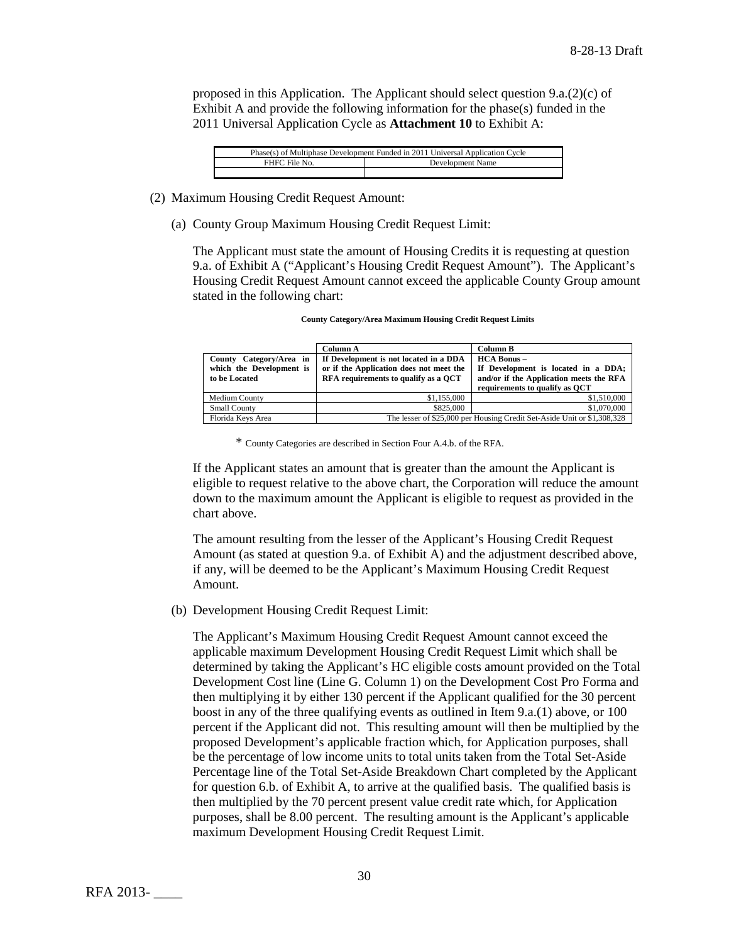proposed in this Application. The Applicant should select question 9.a.(2)(c) of Exhibit A and provide the following information for the phase(s) funded in the 2011 Universal Application Cycle as **Attachment 10** to Exhibit A:

| Phase(s) of Multiphase Development Funded in 2011 Universal Application Cycle |                  |  |
|-------------------------------------------------------------------------------|------------------|--|
| FHFC File No.                                                                 | Development Name |  |
|                                                                               |                  |  |

- (2) Maximum Housing Credit Request Amount:
	- (a) County Group Maximum Housing Credit Request Limit:

The Applicant must state the amount of Housing Credits it is requesting at question 9.a. of Exhibit A ("Applicant's Housing Credit Request Amount"). The Applicant's Housing Credit Request Amount cannot exceed the applicable County Group amount stated in the following chart:

|                                                                      | Column A                                                                                                                  | <b>Column B</b>                                                                                   |
|----------------------------------------------------------------------|---------------------------------------------------------------------------------------------------------------------------|---------------------------------------------------------------------------------------------------|
| County Category/Area in<br>which the Development is<br>to be Located | If Development is not located in a DDA<br>or if the Application does not meet the<br>RFA requirements to qualify as a OCT | $HCA$ Bonus $-$<br>If Development is located in a DDA;<br>and/or if the Application meets the RFA |
|                                                                      |                                                                                                                           | requirements to qualify as OCT                                                                    |
| Medium County                                                        | \$1,155,000                                                                                                               | \$1,510,000                                                                                       |
| <b>Small County</b>                                                  | \$825,000                                                                                                                 | \$1,070,000                                                                                       |
| Florida Keys Area                                                    | The lesser of \$25,000 per Housing Credit Set-Aside Unit or \$1,308,328                                                   |                                                                                                   |

| <b>County Category/Area Maximum Housing Credit Request Limits</b> |  |  |
|-------------------------------------------------------------------|--|--|
|-------------------------------------------------------------------|--|--|

\* County Categories are described in Section Four A.4.b. of the RFA.

If the Applicant states an amount that is greater than the amount the Applicant is eligible to request relative to the above chart, the Corporation will reduce the amount down to the maximum amount the Applicant is eligible to request as provided in the chart above.

The amount resulting from the lesser of the Applicant's Housing Credit Request Amount (as stated at question 9.a. of Exhibit A) and the adjustment described above, if any, will be deemed to be the Applicant's Maximum Housing Credit Request Amount.

(b) Development Housing Credit Request Limit:

The Applicant's Maximum Housing Credit Request Amount cannot exceed the applicable maximum Development Housing Credit Request Limit which shall be determined by taking the Applicant's HC eligible costs amount provided on the Total Development Cost line (Line G. Column 1) on the Development Cost Pro Forma and then multiplying it by either 130 percent if the Applicant qualified for the 30 percent boost in any of the three qualifying events as outlined in Item 9.a.(1) above, or 100 percent if the Applicant did not. This resulting amount will then be multiplied by the proposed Development's applicable fraction which, for Application purposes, shall be the percentage of low income units to total units taken from the Total Set-Aside Percentage line of the Total Set-Aside Breakdown Chart completed by the Applicant for question 6.b. of Exhibit A, to arrive at the qualified basis. The qualified basis is then multiplied by the 70 percent present value credit rate which, for Application purposes, shall be 8.00 percent. The resulting amount is the Applicant's applicable maximum Development Housing Credit Request Limit.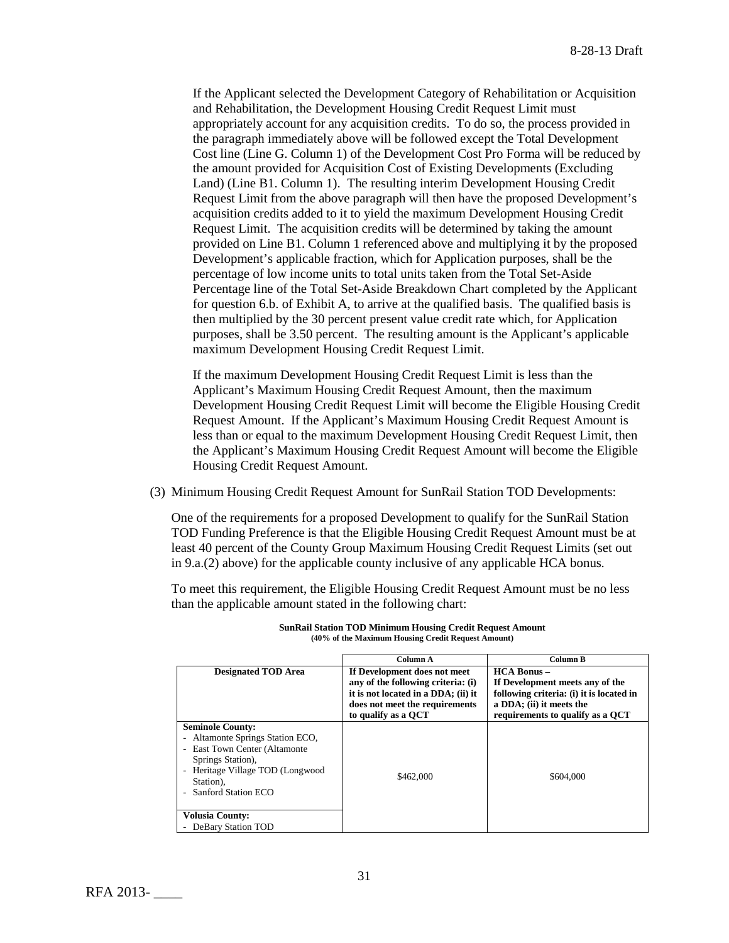If the Applicant selected the Development Category of Rehabilitation or Acquisition and Rehabilitation, the Development Housing Credit Request Limit must appropriately account for any acquisition credits. To do so, the process provided in the paragraph immediately above will be followed except the Total Development Cost line (Line G. Column 1) of the Development Cost Pro Forma will be reduced by the amount provided for Acquisition Cost of Existing Developments (Excluding Land) (Line B1. Column 1). The resulting interim Development Housing Credit Request Limit from the above paragraph will then have the proposed Development's acquisition credits added to it to yield the maximum Development Housing Credit Request Limit. The acquisition credits will be determined by taking the amount provided on Line B1. Column 1 referenced above and multiplying it by the proposed Development's applicable fraction, which for Application purposes, shall be the percentage of low income units to total units taken from the Total Set-Aside Percentage line of the Total Set-Aside Breakdown Chart completed by the Applicant for question 6.b. of Exhibit A, to arrive at the qualified basis. The qualified basis is then multiplied by the 30 percent present value credit rate which, for Application purposes, shall be 3.50 percent. The resulting amount is the Applicant's applicable maximum Development Housing Credit Request Limit.

If the maximum Development Housing Credit Request Limit is less than the Applicant's Maximum Housing Credit Request Amount, then the maximum Development Housing Credit Request Limit will become the Eligible Housing Credit Request Amount. If the Applicant's Maximum Housing Credit Request Amount is less than or equal to the maximum Development Housing Credit Request Limit, then the Applicant's Maximum Housing Credit Request Amount will become the Eligible Housing Credit Request Amount.

(3) Minimum Housing Credit Request Amount for SunRail Station TOD Developments:

One of the requirements for a proposed Development to qualify for the SunRail Station TOD Funding Preference is that the Eligible Housing Credit Request Amount must be at least 40 percent of the County Group Maximum Housing Credit Request Limits (set out in 9.a.(2) above) for the applicable county inclusive of any applicable HCA bonus.

To meet this requirement, the Eligible Housing Credit Request Amount must be no less than the applicable amount stated in the following chart:

|                                                                                                                                                                                                                                                                                           | Column A                                                                                                                                                           | Column B                                                                                                                                                       |
|-------------------------------------------------------------------------------------------------------------------------------------------------------------------------------------------------------------------------------------------------------------------------------------------|--------------------------------------------------------------------------------------------------------------------------------------------------------------------|----------------------------------------------------------------------------------------------------------------------------------------------------------------|
| <b>Designated TOD Area</b>                                                                                                                                                                                                                                                                | If Development does not meet<br>any of the following criteria: (i)<br>it is not located in a DDA; (ii) it<br>does not meet the requirements<br>to qualify as a QCT | $HCA$ Bonus $-$<br>If Development meets any of the<br>following criteria: (i) it is located in<br>a DDA; (ii) it meets the<br>requirements to qualify as a OCT |
| <b>Seminole County:</b><br>Altamonte Springs Station ECO,<br>$\overline{\phantom{a}}$<br><b>East Town Center (Altamonte</b><br>$\overline{\phantom{a}}$<br>Springs Station),<br>Heritage Village TOD (Longwood<br>$\qquad \qquad \blacksquare$<br>Station),<br><b>Sanford Station ECO</b> | \$462,000<br>\$604,000                                                                                                                                             |                                                                                                                                                                |
| <b>Volusia County:</b><br>DeBary Station TOD                                                                                                                                                                                                                                              |                                                                                                                                                                    |                                                                                                                                                                |

| <b>SunRail Station TOD Minimum Housing Credit Request Amount</b> |
|------------------------------------------------------------------|
| (40% of the Maximum Housing Credit Request Amount)               |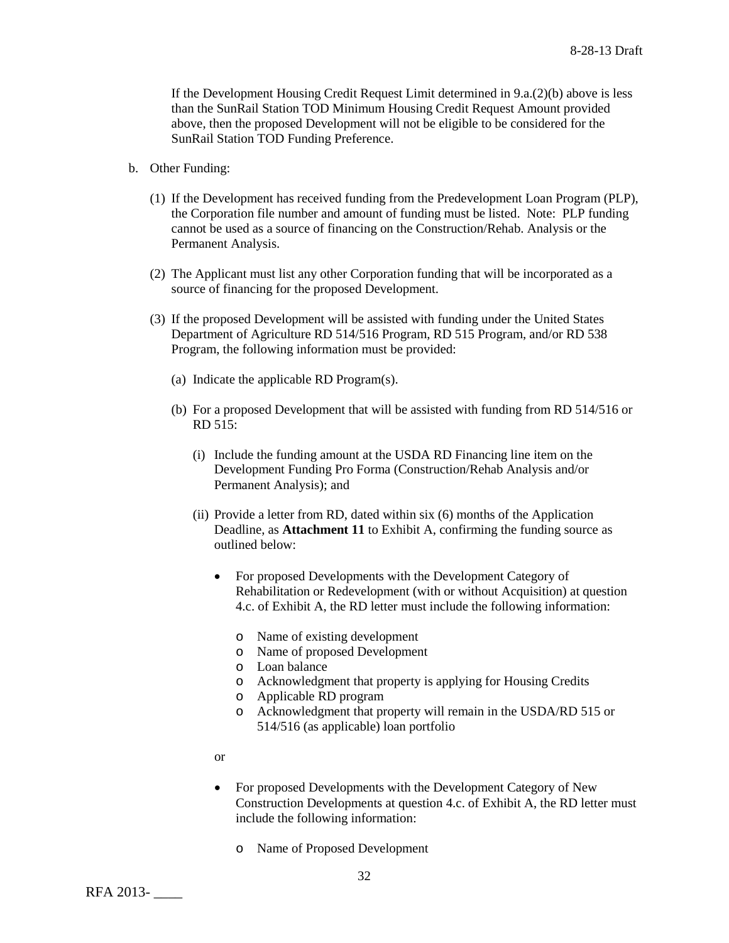If the Development Housing Credit Request Limit determined in 9.a.(2)(b) above is less than the SunRail Station TOD Minimum Housing Credit Request Amount provided above, then the proposed Development will not be eligible to be considered for the SunRail Station TOD Funding Preference.

- b. Other Funding:
	- (1) If the Development has received funding from the Predevelopment Loan Program (PLP), the Corporation file number and amount of funding must be listed. Note: PLP funding cannot be used as a source of financing on the Construction/Rehab. Analysis or the Permanent Analysis.
	- (2) The Applicant must list any other Corporation funding that will be incorporated as a source of financing for the proposed Development.
	- (3) If the proposed Development will be assisted with funding under the United States Department of Agriculture RD 514/516 Program, RD 515 Program, and/or RD 538 Program, the following information must be provided:
		- (a) Indicate the applicable RD Program(s).
		- (b) For a proposed Development that will be assisted with funding from RD 514/516 or RD 515:
			- (i) Include the funding amount at the USDA RD Financing line item on the Development Funding Pro Forma (Construction/Rehab Analysis and/or Permanent Analysis); and
			- (ii) Provide a letter from RD, dated within six (6) months of the Application Deadline, as **Attachment 11** to Exhibit A, confirming the funding source as outlined below:
				- For proposed Developments with the Development Category of Rehabilitation or Redevelopment (with or without Acquisition) at question 4.c. of Exhibit A, the RD letter must include the following information:
					- o Name of existing development
					- o Name of proposed Development
					- o Loan balance
					- o Acknowledgment that property is applying for Housing Credits
					- o Applicable RD program
					- o Acknowledgment that property will remain in the USDA/RD 515 or 514/516 (as applicable) loan portfolio
				- or
				- For proposed Developments with the Development Category of New Construction Developments at question 4.c. of Exhibit A, the RD letter must include the following information:
					- o Name of Proposed Development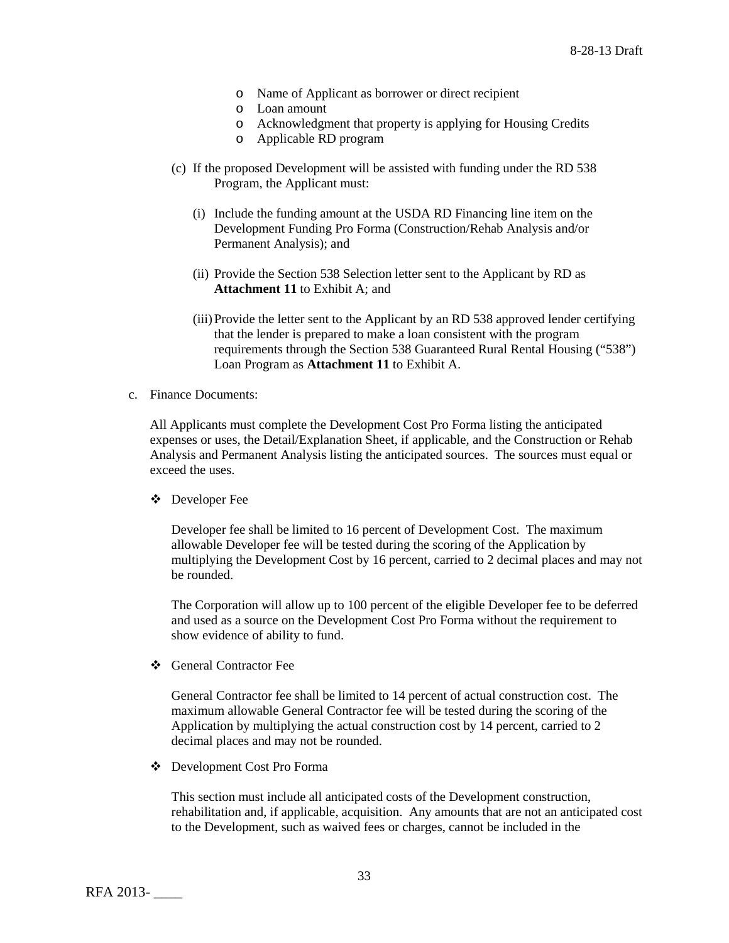- o Name of Applicant as borrower or direct recipient
- o Loan amount
- o Acknowledgment that property is applying for Housing Credits
- o Applicable RD program
- (c) If the proposed Development will be assisted with funding under the RD 538 Program, the Applicant must:
	- (i) Include the funding amount at the USDA RD Financing line item on the Development Funding Pro Forma (Construction/Rehab Analysis and/or Permanent Analysis); and
	- (ii) Provide the Section 538 Selection letter sent to the Applicant by RD as **Attachment 11** to Exhibit A; and
	- (iii)Provide the letter sent to the Applicant by an RD 538 approved lender certifying that the lender is prepared to make a loan consistent with the program requirements through the Section 538 Guaranteed Rural Rental Housing ("538") Loan Program as **Attachment 11** to Exhibit A.
- c. Finance Documents:

All Applicants must complete the Development Cost Pro Forma listing the anticipated expenses or uses, the Detail/Explanation Sheet, if applicable, and the Construction or Rehab Analysis and Permanent Analysis listing the anticipated sources. The sources must equal or exceed the uses.

Developer Fee

Developer fee shall be limited to 16 percent of Development Cost. The maximum allowable Developer fee will be tested during the scoring of the Application by multiplying the Development Cost by 16 percent, carried to 2 decimal places and may not be rounded.

The Corporation will allow up to 100 percent of the eligible Developer fee to be deferred and used as a source on the Development Cost Pro Forma without the requirement to show evidence of ability to fund.

General Contractor Fee

General Contractor fee shall be limited to 14 percent of actual construction cost. The maximum allowable General Contractor fee will be tested during the scoring of the Application by multiplying the actual construction cost by 14 percent, carried to 2 decimal places and may not be rounded.

Development Cost Pro Forma

This section must include all anticipated costs of the Development construction, rehabilitation and, if applicable, acquisition. Any amounts that are not an anticipated cost to the Development, such as waived fees or charges, cannot be included in the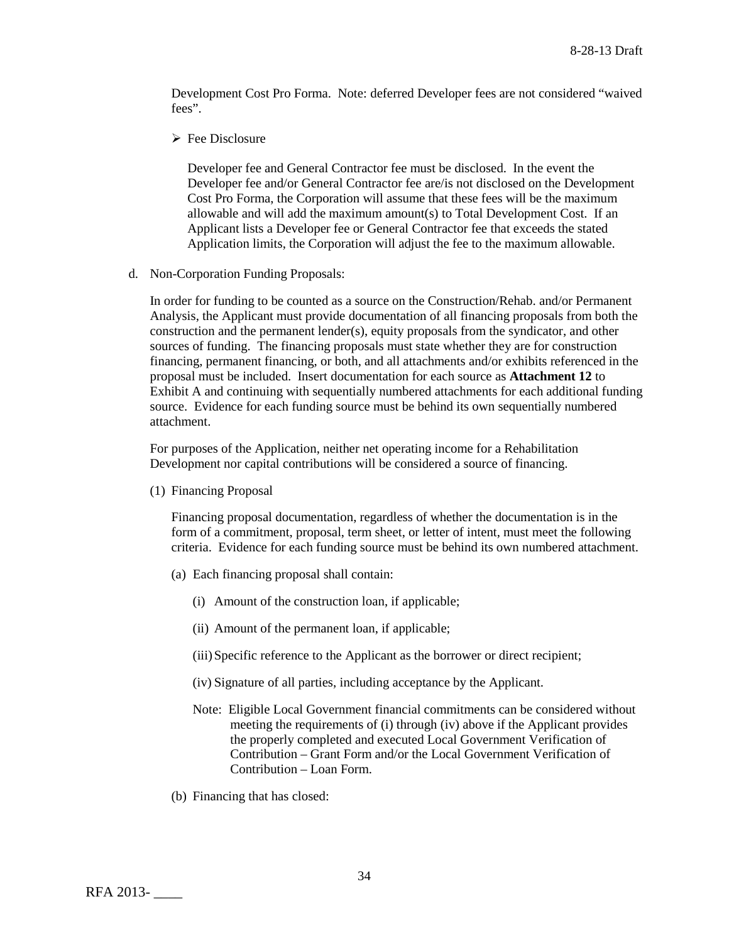Development Cost Pro Forma. Note: deferred Developer fees are not considered "waived fees".

 $\triangleright$  Fee Disclosure

Developer fee and General Contractor fee must be disclosed. In the event the Developer fee and/or General Contractor fee are/is not disclosed on the Development Cost Pro Forma, the Corporation will assume that these fees will be the maximum allowable and will add the maximum amount(s) to Total Development Cost. If an Applicant lists a Developer fee or General Contractor fee that exceeds the stated Application limits, the Corporation will adjust the fee to the maximum allowable.

d. Non-Corporation Funding Proposals:

In order for funding to be counted as a source on the Construction/Rehab. and/or Permanent Analysis, the Applicant must provide documentation of all financing proposals from both the construction and the permanent lender(s), equity proposals from the syndicator, and other sources of funding. The financing proposals must state whether they are for construction financing, permanent financing, or both, and all attachments and/or exhibits referenced in the proposal must be included. Insert documentation for each source as **Attachment 12** to Exhibit A and continuing with sequentially numbered attachments for each additional funding source. Evidence for each funding source must be behind its own sequentially numbered attachment.

For purposes of the Application, neither net operating income for a Rehabilitation Development nor capital contributions will be considered a source of financing.

(1) Financing Proposal

Financing proposal documentation, regardless of whether the documentation is in the form of a commitment, proposal, term sheet, or letter of intent, must meet the following criteria. Evidence for each funding source must be behind its own numbered attachment.

- (a) Each financing proposal shall contain:
	- (i) Amount of the construction loan, if applicable;
	- (ii) Amount of the permanent loan, if applicable;
	- (iii)Specific reference to the Applicant as the borrower or direct recipient;
	- (iv) Signature of all parties, including acceptance by the Applicant.
	- Note: Eligible Local Government financial commitments can be considered without meeting the requirements of (i) through (iv) above if the Applicant provides the properly completed and executed Local Government Verification of Contribution – Grant Form and/or the Local Government Verification of Contribution – Loan Form.
- (b) Financing that has closed: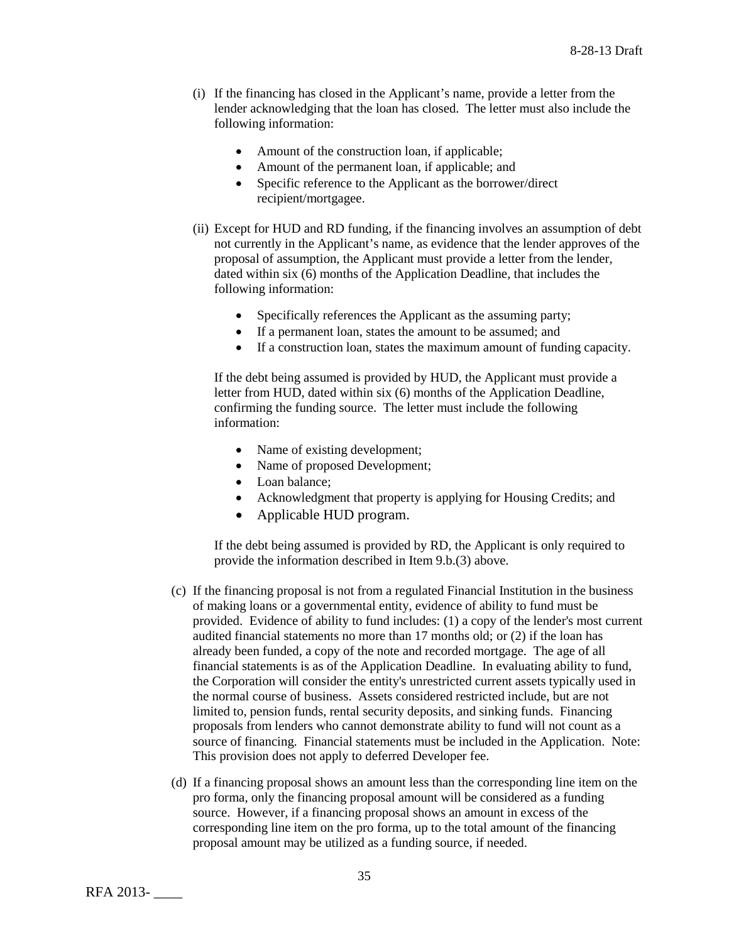- (i) If the financing has closed in the Applicant's name, provide a letter from the lender acknowledging that the loan has closed. The letter must also include the following information:
	- Amount of the construction loan, if applicable;
	- Amount of the permanent loan, if applicable; and
	- Specific reference to the Applicant as the borrower/direct recipient/mortgagee.
- (ii) Except for HUD and RD funding, if the financing involves an assumption of debt not currently in the Applicant's name, as evidence that the lender approves of the proposal of assumption, the Applicant must provide a letter from the lender, dated within six (6) months of the Application Deadline, that includes the following information:
	- Specifically references the Applicant as the assuming party;
	- If a permanent loan, states the amount to be assumed; and
	- If a construction loan, states the maximum amount of funding capacity.

If the debt being assumed is provided by HUD, the Applicant must provide a letter from HUD, dated within six (6) months of the Application Deadline, confirming the funding source. The letter must include the following information:

- Name of existing development;
- Name of proposed Development;
- Loan balance:
- Acknowledgment that property is applying for Housing Credits; and
- Applicable HUD program.

If the debt being assumed is provided by RD, the Applicant is only required to provide the information described in Item 9.b.(3) above.

- (c) If the financing proposal is not from a regulated Financial Institution in the business of making loans or a governmental entity, evidence of ability to fund must be provided. Evidence of ability to fund includes: (1) a copy of the lender's most current audited financial statements no more than 17 months old; or (2) if the loan has already been funded, a copy of the note and recorded mortgage. The age of all financial statements is as of the Application Deadline. In evaluating ability to fund, the Corporation will consider the entity's unrestricted current assets typically used in the normal course of business. Assets considered restricted include, but are not limited to, pension funds, rental security deposits, and sinking funds. Financing proposals from lenders who cannot demonstrate ability to fund will not count as a source of financing. Financial statements must be included in the Application. Note: This provision does not apply to deferred Developer fee.
- (d) If a financing proposal shows an amount less than the corresponding line item on the pro forma, only the financing proposal amount will be considered as a funding source. However, if a financing proposal shows an amount in excess of the corresponding line item on the pro forma, up to the total amount of the financing proposal amount may be utilized as a funding source, if needed.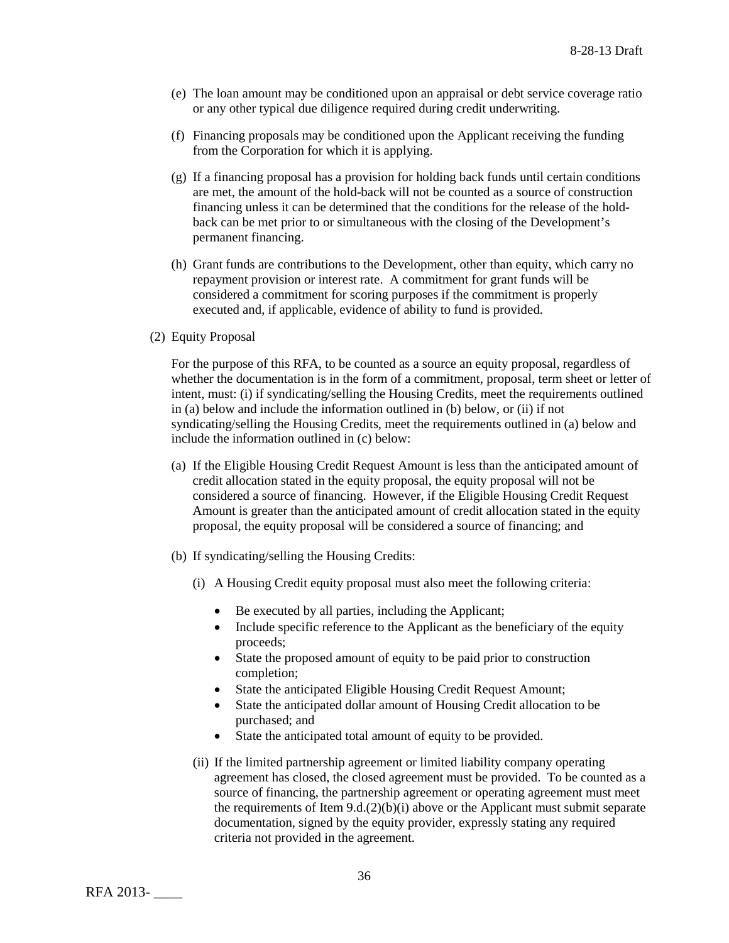- (e) The loan amount may be conditioned upon an appraisal or debt service coverage ratio or any other typical due diligence required during credit underwriting.
- (f) Financing proposals may be conditioned upon the Applicant receiving the funding from the Corporation for which it is applying.
- (g) If a financing proposal has a provision for holding back funds until certain conditions are met, the amount of the hold-back will not be counted as a source of construction financing unless it can be determined that the conditions for the release of the holdback can be met prior to or simultaneous with the closing of the Development's permanent financing.
- (h) Grant funds are contributions to the Development, other than equity, which carry no repayment provision or interest rate. A commitment for grant funds will be considered a commitment for scoring purposes if the commitment is properly executed and, if applicable, evidence of ability to fund is provided.
- (2) Equity Proposal

For the purpose of this RFA, to be counted as a source an equity proposal, regardless of whether the documentation is in the form of a commitment, proposal, term sheet or letter of intent, must: (i) if syndicating/selling the Housing Credits, meet the requirements outlined in (a) below and include the information outlined in (b) below, or (ii) if not syndicating/selling the Housing Credits, meet the requirements outlined in (a) below and include the information outlined in (c) below:

- (a) If the Eligible Housing Credit Request Amount is less than the anticipated amount of credit allocation stated in the equity proposal, the equity proposal will not be considered a source of financing. However, if the Eligible Housing Credit Request Amount is greater than the anticipated amount of credit allocation stated in the equity proposal, the equity proposal will be considered a source of financing; and
- (b) If syndicating/selling the Housing Credits:
	- (i) A Housing Credit equity proposal must also meet the following criteria:
		- Be executed by all parties, including the Applicant;
		- Include specific reference to the Applicant as the beneficiary of the equity proceeds;
		- State the proposed amount of equity to be paid prior to construction completion;
		- State the anticipated Eligible Housing Credit Request Amount;
		- State the anticipated dollar amount of Housing Credit allocation to be purchased; and
		- State the anticipated total amount of equity to be provided.
	- (ii) If the limited partnership agreement or limited liability company operating agreement has closed, the closed agreement must be provided. To be counted as a source of financing, the partnership agreement or operating agreement must meet the requirements of Item  $9.d.(2)(b)(i)$  above or the Applicant must submit separate documentation, signed by the equity provider, expressly stating any required criteria not provided in the agreement.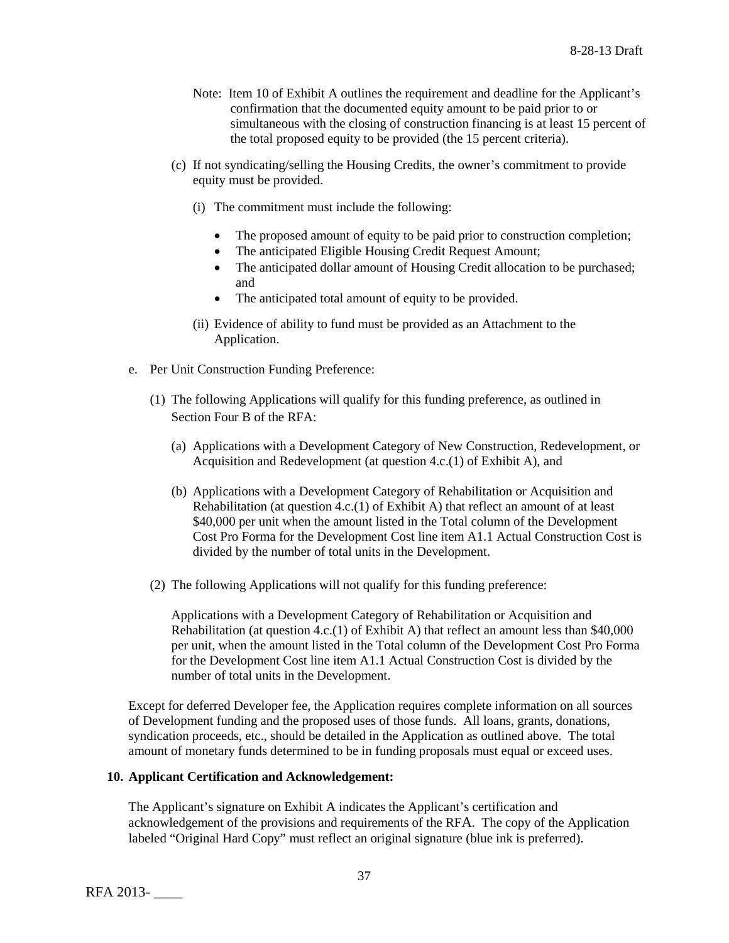- Note: Item 10 of Exhibit A outlines the requirement and deadline for the Applicant's confirmation that the documented equity amount to be paid prior to or simultaneous with the closing of construction financing is at least 15 percent of the total proposed equity to be provided (the 15 percent criteria).
- (c) If not syndicating/selling the Housing Credits, the owner's commitment to provide equity must be provided.
	- (i) The commitment must include the following:
		- The proposed amount of equity to be paid prior to construction completion;
		- The anticipated Eligible Housing Credit Request Amount;
		- The anticipated dollar amount of Housing Credit allocation to be purchased; and
		- The anticipated total amount of equity to be provided.
	- (ii) Evidence of ability to fund must be provided as an Attachment to the Application.
- e. Per Unit Construction Funding Preference:
	- (1) The following Applications will qualify for this funding preference, as outlined in Section Four B of the RFA:
		- (a) Applications with a Development Category of New Construction, Redevelopment, or Acquisition and Redevelopment (at question 4.c.(1) of Exhibit A), and
		- (b) Applications with a Development Category of Rehabilitation or Acquisition and Rehabilitation (at question  $4.c.(1)$  of Exhibit A) that reflect an amount of at least \$40,000 per unit when the amount listed in the Total column of the Development Cost Pro Forma for the Development Cost line item A1.1 Actual Construction Cost is divided by the number of total units in the Development.
	- (2) The following Applications will not qualify for this funding preference:

Applications with a Development Category of Rehabilitation or Acquisition and Rehabilitation (at question 4.c.(1) of Exhibit A) that reflect an amount less than \$40,000 per unit, when the amount listed in the Total column of the Development Cost Pro Forma for the Development Cost line item A1.1 Actual Construction Cost is divided by the number of total units in the Development.

Except for deferred Developer fee, the Application requires complete information on all sources of Development funding and the proposed uses of those funds. All loans, grants, donations, syndication proceeds, etc., should be detailed in the Application as outlined above. The total amount of monetary funds determined to be in funding proposals must equal or exceed uses.

#### **10. Applicant Certification and Acknowledgement:**

The Applicant's signature on Exhibit A indicates the Applicant's certification and acknowledgement of the provisions and requirements of the RFA. The copy of the Application labeled "Original Hard Copy" must reflect an original signature (blue ink is preferred).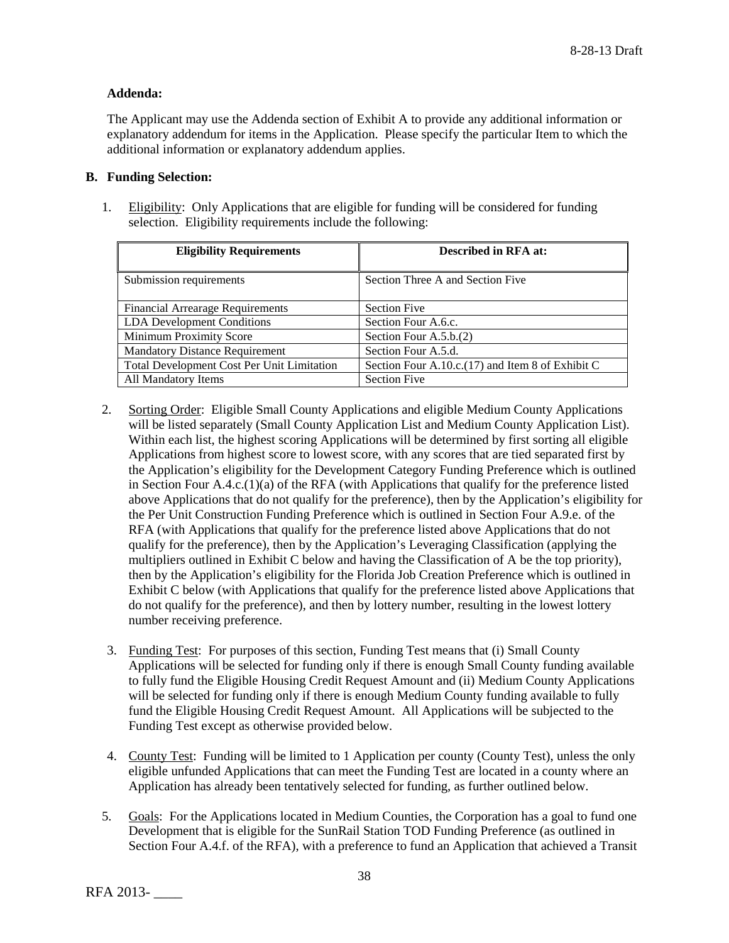# **Addenda:**

The Applicant may use the Addenda section of Exhibit A to provide any additional information or explanatory addendum for items in the Application. Please specify the particular Item to which the additional information or explanatory addendum applies.

# **B. Funding Selection:**

1. Eligibility: Only Applications that are eligible for funding will be considered for funding selection. Eligibility requirements include the following:

| <b>Eligibility Requirements</b>                   | <b>Described in RFA at:</b>                      |
|---------------------------------------------------|--------------------------------------------------|
| Submission requirements                           | Section Three A and Section Five                 |
| <b>Financial Arrearage Requirements</b>           | <b>Section Five</b>                              |
| <b>LDA</b> Development Conditions                 | Section Four A.6.c.                              |
| <b>Minimum Proximity Score</b>                    | Section Four A.5.b.(2)                           |
| <b>Mandatory Distance Requirement</b>             | Section Four A.5.d.                              |
| <b>Total Development Cost Per Unit Limitation</b> | Section Four A.10.c.(17) and Item 8 of Exhibit C |
| All Mandatory Items                               | <b>Section Five</b>                              |

- 2. Sorting Order: Eligible Small County Applications and eligible Medium County Applications will be listed separately (Small County Application List and Medium County Application List). Within each list, the highest scoring Applications will be determined by first sorting all eligible Applications from highest score to lowest score, with any scores that are tied separated first by the Application's eligibility for the Development Category Funding Preference which is outlined in Section Four A.4.c.(1)(a) of the RFA (with Applications that qualify for the preference listed above Applications that do not qualify for the preference), then by the Application's eligibility for the Per Unit Construction Funding Preference which is outlined in Section Four A.9.e. of the RFA (with Applications that qualify for the preference listed above Applications that do not qualify for the preference), then by the Application's Leveraging Classification (applying the multipliers outlined in Exhibit C below and having the Classification of A be the top priority), then by the Application's eligibility for the Florida Job Creation Preference which is outlined in Exhibit C below (with Applications that qualify for the preference listed above Applications that do not qualify for the preference), and then by lottery number, resulting in the lowest lottery number receiving preference.
- 3. Funding Test: For purposes of this section, Funding Test means that (i) Small County Applications will be selected for funding only if there is enough Small County funding available to fully fund the Eligible Housing Credit Request Amount and (ii) Medium County Applications will be selected for funding only if there is enough Medium County funding available to fully fund the Eligible Housing Credit Request Amount. All Applications will be subjected to the Funding Test except as otherwise provided below.
- 4. County Test: Funding will be limited to 1 Application per county (County Test), unless the only eligible unfunded Applications that can meet the Funding Test are located in a county where an Application has already been tentatively selected for funding, as further outlined below.
- 5. Goals: For the Applications located in Medium Counties, the Corporation has a goal to fund one Development that is eligible for the SunRail Station TOD Funding Preference (as outlined in Section Four A.4.f. of the RFA), with a preference to fund an Application that achieved a Transit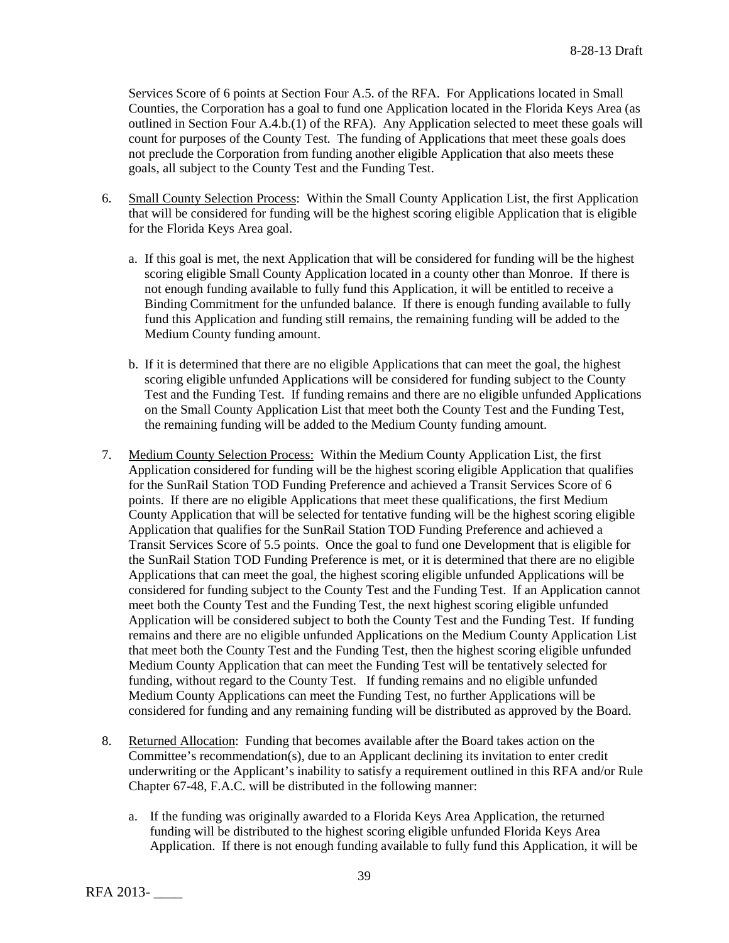Services Score of 6 points at Section Four A.5. of the RFA. For Applications located in Small Counties, the Corporation has a goal to fund one Application located in the Florida Keys Area (as outlined in Section Four A.4.b.(1) of the RFA). Any Application selected to meet these goals will count for purposes of the County Test. The funding of Applications that meet these goals does not preclude the Corporation from funding another eligible Application that also meets these goals, all subject to the County Test and the Funding Test.

- 6. Small County Selection Process: Within the Small County Application List, the first Application that will be considered for funding will be the highest scoring eligible Application that is eligible for the Florida Keys Area goal.
	- a. If this goal is met, the next Application that will be considered for funding will be the highest scoring eligible Small County Application located in a county other than Monroe. If there is not enough funding available to fully fund this Application, it will be entitled to receive a Binding Commitment for the unfunded balance. If there is enough funding available to fully fund this Application and funding still remains, the remaining funding will be added to the Medium County funding amount.
	- b. If it is determined that there are no eligible Applications that can meet the goal, the highest scoring eligible unfunded Applications will be considered for funding subject to the County Test and the Funding Test. If funding remains and there are no eligible unfunded Applications on the Small County Application List that meet both the County Test and the Funding Test, the remaining funding will be added to the Medium County funding amount.
- 7. Medium County Selection Process: Within the Medium County Application List, the first Application considered for funding will be the highest scoring eligible Application that qualifies for the SunRail Station TOD Funding Preference and achieved a Transit Services Score of 6 points. If there are no eligible Applications that meet these qualifications, the first Medium County Application that will be selected for tentative funding will be the highest scoring eligible Application that qualifies for the SunRail Station TOD Funding Preference and achieved a Transit Services Score of 5.5 points. Once the goal to fund one Development that is eligible for the SunRail Station TOD Funding Preference is met, or it is determined that there are no eligible Applications that can meet the goal, the highest scoring eligible unfunded Applications will be considered for funding subject to the County Test and the Funding Test. If an Application cannot meet both the County Test and the Funding Test, the next highest scoring eligible unfunded Application will be considered subject to both the County Test and the Funding Test. If funding remains and there are no eligible unfunded Applications on the Medium County Application List that meet both the County Test and the Funding Test, then the highest scoring eligible unfunded Medium County Application that can meet the Funding Test will be tentatively selected for funding, without regard to the County Test. If funding remains and no eligible unfunded Medium County Applications can meet the Funding Test, no further Applications will be considered for funding and any remaining funding will be distributed as approved by the Board.
- 8. Returned Allocation: Funding that becomes available after the Board takes action on the Committee's recommendation(s), due to an Applicant declining its invitation to enter credit underwriting or the Applicant's inability to satisfy a requirement outlined in this RFA and/or Rule Chapter 67-48, F.A.C. will be distributed in the following manner:
	- a. If the funding was originally awarded to a Florida Keys Area Application, the returned funding will be distributed to the highest scoring eligible unfunded Florida Keys Area Application. If there is not enough funding available to fully fund this Application, it will be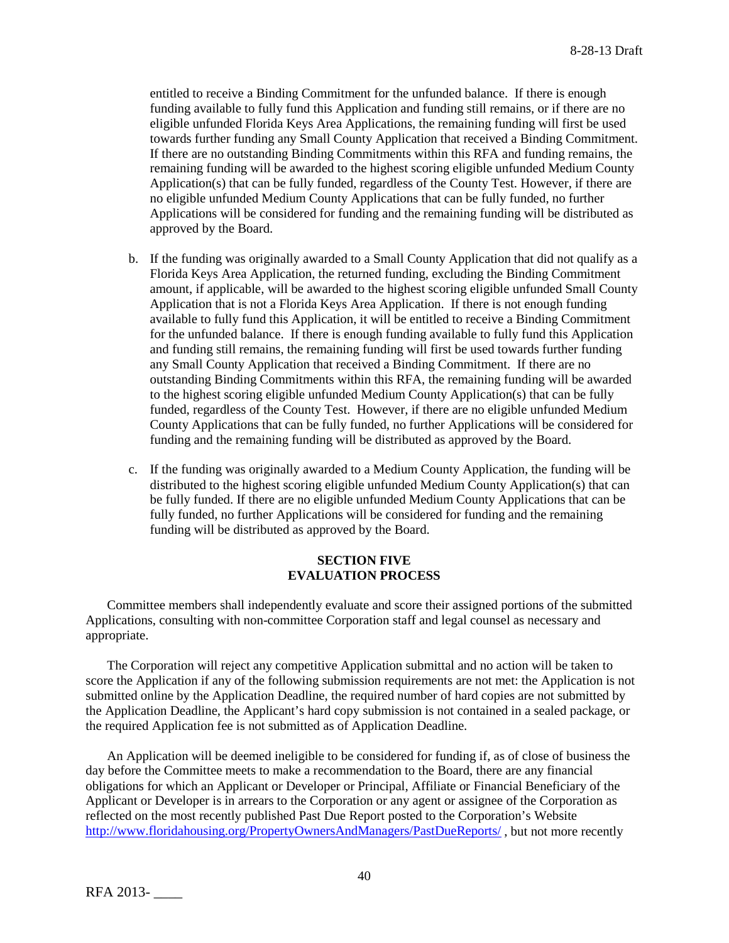entitled to receive a Binding Commitment for the unfunded balance. If there is enough funding available to fully fund this Application and funding still remains, or if there are no eligible unfunded Florida Keys Area Applications, the remaining funding will first be used towards further funding any Small County Application that received a Binding Commitment. If there are no outstanding Binding Commitments within this RFA and funding remains, the remaining funding will be awarded to the highest scoring eligible unfunded Medium County Application(s) that can be fully funded, regardless of the County Test. However, if there are no eligible unfunded Medium County Applications that can be fully funded, no further Applications will be considered for funding and the remaining funding will be distributed as approved by the Board.

- b. If the funding was originally awarded to a Small County Application that did not qualify as a Florida Keys Area Application, the returned funding, excluding the Binding Commitment amount, if applicable, will be awarded to the highest scoring eligible unfunded Small County Application that is not a Florida Keys Area Application. If there is not enough funding available to fully fund this Application, it will be entitled to receive a Binding Commitment for the unfunded balance. If there is enough funding available to fully fund this Application and funding still remains, the remaining funding will first be used towards further funding any Small County Application that received a Binding Commitment. If there are no outstanding Binding Commitments within this RFA, the remaining funding will be awarded to the highest scoring eligible unfunded Medium County Application(s) that can be fully funded, regardless of the County Test. However, if there are no eligible unfunded Medium County Applications that can be fully funded, no further Applications will be considered for funding and the remaining funding will be distributed as approved by the Board.
- c. If the funding was originally awarded to a Medium County Application, the funding will be distributed to the highest scoring eligible unfunded Medium County Application(s) that can be fully funded. If there are no eligible unfunded Medium County Applications that can be fully funded, no further Applications will be considered for funding and the remaining funding will be distributed as approved by the Board.

## **SECTION FIVE EVALUATION PROCESS**

Committee members shall independently evaluate and score their assigned portions of the submitted Applications, consulting with non-committee Corporation staff and legal counsel as necessary and appropriate.

The Corporation will reject any competitive Application submittal and no action will be taken to score the Application if any of the following submission requirements are not met: the Application is not submitted online by the Application Deadline, the required number of hard copies are not submitted by the Application Deadline, the Applicant's hard copy submission is not contained in a sealed package, or the required Application fee is not submitted as of Application Deadline.

An Application will be deemed ineligible to be considered for funding if, as of close of business the day before the Committee meets to make a recommendation to the Board, there are any financial obligations for which an Applicant or Developer or Principal, Affiliate or Financial Beneficiary of the Applicant or Developer is in arrears to the Corporation or any agent or assignee of the Corporation as reflected on the most recently published Past Due Report posted to the Corporation's Website <http://www.floridahousing.org/PropertyOwnersAndManagers/PastDueReports/> , but not more recently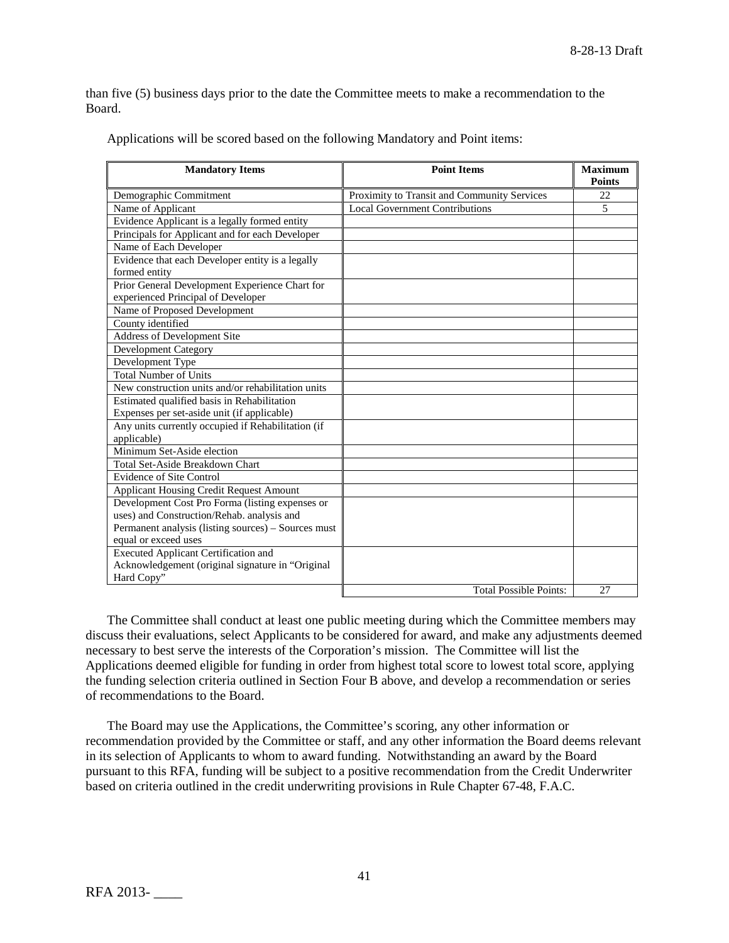than five (5) business days prior to the date the Committee meets to make a recommendation to the Board.

| <b>Mandatory Items</b>                              | <b>Point Items</b>                          | <b>Maximum</b><br><b>Points</b> |
|-----------------------------------------------------|---------------------------------------------|---------------------------------|
| Demographic Commitment                              | Proximity to Transit and Community Services | 22                              |
| Name of Applicant                                   | <b>Local Government Contributions</b>       | 5                               |
| Evidence Applicant is a legally formed entity       |                                             |                                 |
| Principals for Applicant and for each Developer     |                                             |                                 |
| Name of Each Developer                              |                                             |                                 |
| Evidence that each Developer entity is a legally    |                                             |                                 |
| formed entity                                       |                                             |                                 |
| Prior General Development Experience Chart for      |                                             |                                 |
| experienced Principal of Developer                  |                                             |                                 |
| Name of Proposed Development                        |                                             |                                 |
| County identified                                   |                                             |                                 |
| <b>Address of Development Site</b>                  |                                             |                                 |
| <b>Development Category</b>                         |                                             |                                 |
| Development Type                                    |                                             |                                 |
| <b>Total Number of Units</b>                        |                                             |                                 |
| New construction units and/or rehabilitation units  |                                             |                                 |
| Estimated qualified basis in Rehabilitation         |                                             |                                 |
| Expenses per set-aside unit (if applicable)         |                                             |                                 |
| Any units currently occupied if Rehabilitation (if  |                                             |                                 |
| applicable)                                         |                                             |                                 |
| Minimum Set-Aside election                          |                                             |                                 |
| Total Set-Aside Breakdown Chart                     |                                             |                                 |
| <b>Evidence of Site Control</b>                     |                                             |                                 |
| <b>Applicant Housing Credit Request Amount</b>      |                                             |                                 |
| Development Cost Pro Forma (listing expenses or     |                                             |                                 |
| uses) and Construction/Rehab. analysis and          |                                             |                                 |
| Permanent analysis (listing sources) – Sources must |                                             |                                 |
| equal or exceed uses                                |                                             |                                 |
| <b>Executed Applicant Certification and</b>         |                                             |                                 |
| Acknowledgement (original signature in "Original    |                                             |                                 |
| Hard Copy"                                          |                                             |                                 |
|                                                     | <b>Total Possible Points:</b>               | 27                              |

Applications will be scored based on the following Mandatory and Point items:

The Committee shall conduct at least one public meeting during which the Committee members may discuss their evaluations, select Applicants to be considered for award, and make any adjustments deemed necessary to best serve the interests of the Corporation's mission. The Committee will list the Applications deemed eligible for funding in order from highest total score to lowest total score, applying the funding selection criteria outlined in Section Four B above, and develop a recommendation or series of recommendations to the Board.

The Board may use the Applications, the Committee's scoring, any other information or recommendation provided by the Committee or staff, and any other information the Board deems relevant in its selection of Applicants to whom to award funding. Notwithstanding an award by the Board pursuant to this RFA, funding will be subject to a positive recommendation from the Credit Underwriter based on criteria outlined in the credit underwriting provisions in Rule Chapter 67-48, F.A.C.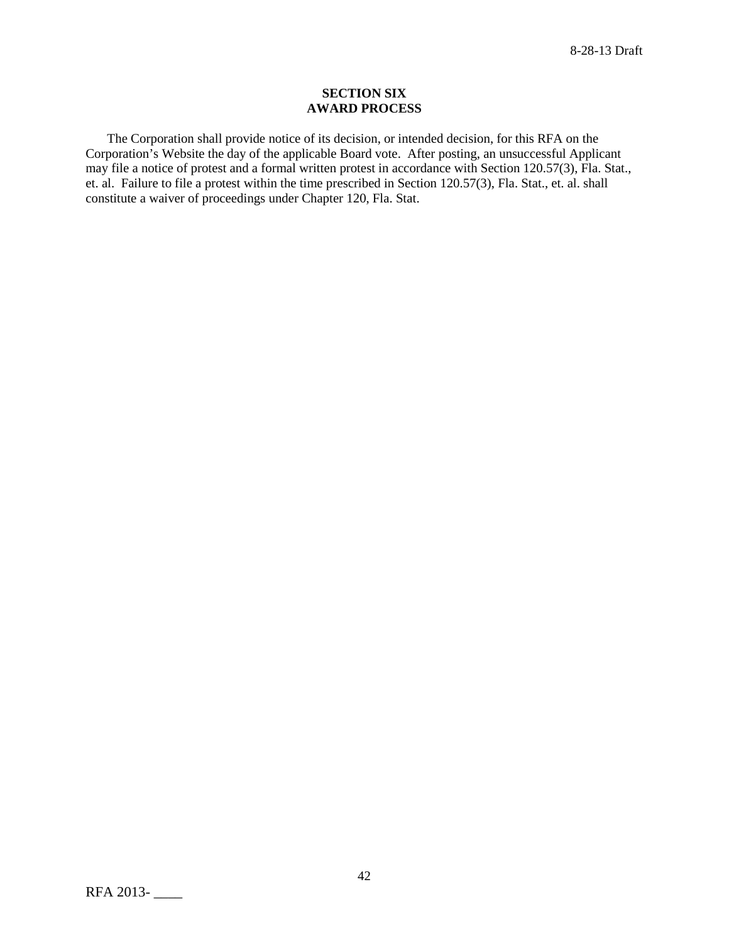#### **SECTION SIX AWARD PROCESS**

The Corporation shall provide notice of its decision, or intended decision, for this RFA on the Corporation's Website the day of the applicable Board vote. After posting, an unsuccessful Applicant may file a notice of protest and a formal written protest in accordance with Section 120.57(3), Fla. Stat., et. al. Failure to file a protest within the time prescribed in Section 120.57(3), Fla. Stat., et. al. shall constitute a waiver of proceedings under Chapter 120, Fla. Stat.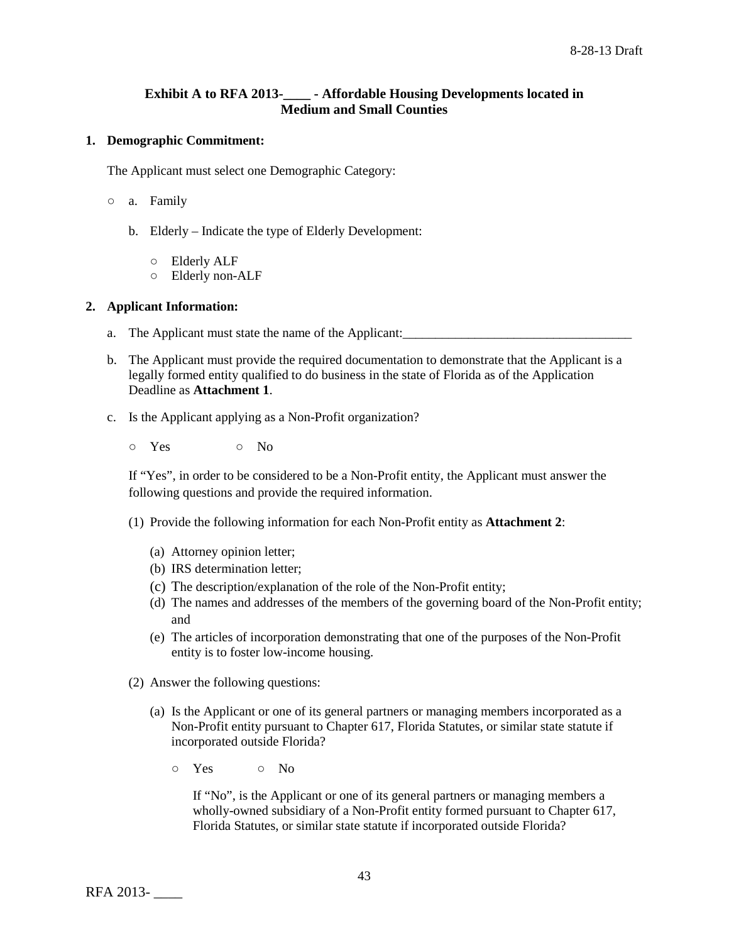# **Exhibit A to RFA 2013-\_\_\_\_ - Affordable Housing Developments located in Medium and Small Counties**

## **1. Demographic Commitment:**

The Applicant must select one Demographic Category:

- a. Family
	- b. Elderly Indicate the type of Elderly Development:
		- Elderly ALF
		- Elderly non-ALF

#### **2. Applicant Information:**

- a. The Applicant must state the name of the Applicant: \_\_\_\_\_\_\_\_\_\_\_\_\_\_\_\_\_\_\_\_\_\_\_\_\_\_
- b. The Applicant must provide the required documentation to demonstrate that the Applicant is a legally formed entity qualified to do business in the state of Florida as of the Application Deadline as **Attachment 1**.
- c. Is the Applicant applying as a Non-Profit organization?
	- Yes No

If "Yes", in order to be considered to be a Non-Profit entity, the Applicant must answer the following questions and provide the required information.

- (1) Provide the following information for each Non-Profit entity as **Attachment 2**:
	- (a) Attorney opinion letter;
	- (b) IRS determination letter;
	- (c) The description/explanation of the role of the Non-Profit entity;
	- (d) The names and addresses of the members of the governing board of the Non-Profit entity; and
	- (e) The articles of incorporation demonstrating that one of the purposes of the Non-Profit entity is to foster low-income housing.
- (2) Answer the following questions:
	- (a) Is the Applicant or one of its general partners or managing members incorporated as a Non-Profit entity pursuant to Chapter 617, Florida Statutes, or similar state statute if incorporated outside Florida?
		- Yes No

If "No", is the Applicant or one of its general partners or managing members a wholly-owned subsidiary of a Non-Profit entity formed pursuant to Chapter 617, Florida Statutes, or similar state statute if incorporated outside Florida?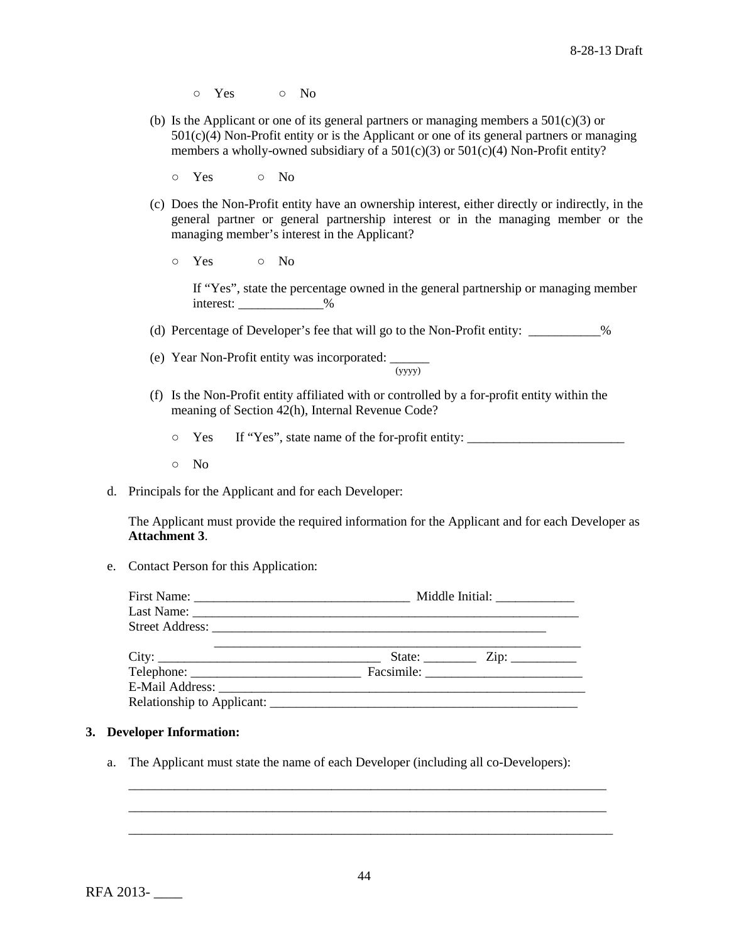- Yes No
- (b) Is the Applicant or one of its general partners or managing members a  $501(c)(3)$  or  $501(c)(4)$  Non-Profit entity or is the Applicant or one of its general partners or managing members a wholly-owned subsidiary of a  $501(c)(3)$  or  $501(c)(4)$  Non-Profit entity?
	- Yes No
- (c) Does the Non-Profit entity have an ownership interest, either directly or indirectly, in the general partner or general partnership interest or in the managing member or the managing member's interest in the Applicant?
	- Yes No

If "Yes", state the percentage owned in the general partnership or managing member interest: \_\_\_\_\_\_\_\_\_\_\_\_\_\_%

- (d) Percentage of Developer's fee that will go to the Non-Profit entity: \_\_\_\_\_\_\_\_\_\_\_%
- (e) Year Non-Profit entity was incorporated:  $\frac{1}{(yyyy)}$
- (f) Is the Non-Profit entity affiliated with or controlled by a for-profit entity within the meaning of Section 42(h), Internal Revenue Code?
	- Yes If "Yes", state name of the for-profit entity: \_\_\_\_\_\_\_\_\_\_\_\_\_\_\_\_\_\_\_\_\_\_\_\_
	- No
- d. Principals for the Applicant and for each Developer:

The Applicant must provide the required information for the Applicant and for each Developer as **Attachment 3**.

e. Contact Person for this Application:

|  | State: $\frac{\text{Zip: } }{ \text{ Lip: } }$ |  |  |  |
|--|------------------------------------------------|--|--|--|
|  |                                                |  |  |  |
|  |                                                |  |  |  |
|  |                                                |  |  |  |

# **3. Developer Information:**

a. The Applicant must state the name of each Developer (including all co-Developers):

\_\_\_\_\_\_\_\_\_\_\_\_\_\_\_\_\_\_\_\_\_\_\_\_\_\_\_\_\_\_\_\_\_\_\_\_\_\_\_\_\_\_\_\_\_\_\_\_\_\_\_\_\_\_\_\_\_\_\_\_\_\_\_\_\_\_\_\_\_\_\_\_\_ \_\_\_\_\_\_\_\_\_\_\_\_\_\_\_\_\_\_\_\_\_\_\_\_\_\_\_\_\_\_\_\_\_\_\_\_\_\_\_\_\_\_\_\_\_\_\_\_\_\_\_\_\_\_\_\_\_\_\_\_\_\_\_\_\_\_\_\_\_\_\_\_\_ \_\_\_\_\_\_\_\_\_\_\_\_\_\_\_\_\_\_\_\_\_\_\_\_\_\_\_\_\_\_\_\_\_\_\_\_\_\_\_\_\_\_\_\_\_\_\_\_\_\_\_\_\_\_\_\_\_\_\_\_\_\_\_\_\_\_\_\_\_\_\_\_\_\_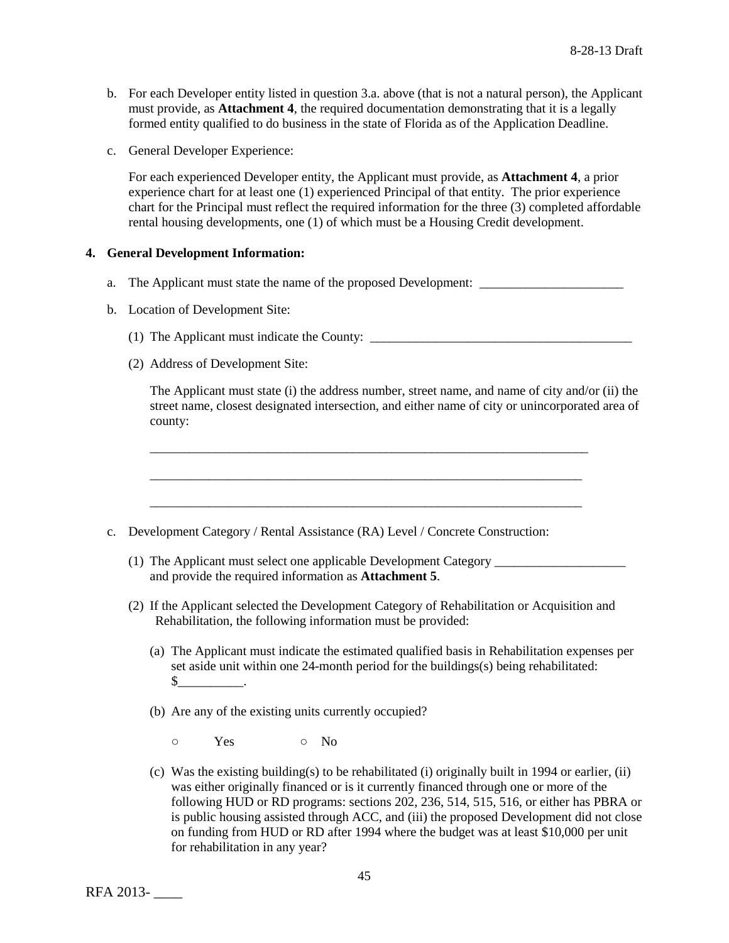- b. For each Developer entity listed in question 3.a. above (that is not a natural person), the Applicant must provide, as **Attachment 4**, the required documentation demonstrating that it is a legally formed entity qualified to do business in the state of Florida as of the Application Deadline.
- c. General Developer Experience:

For each experienced Developer entity, the Applicant must provide, as **Attachment 4**, a prior experience chart for at least one (1) experienced Principal of that entity. The prior experience chart for the Principal must reflect the required information for the three (3) completed affordable rental housing developments, one (1) of which must be a Housing Credit development.

#### **4. General Development Information:**

- a. The Applicant must state the name of the proposed Development:
- b. Location of Development Site:
	- (1) The Applicant must indicate the County: \_\_\_\_\_\_\_\_\_\_\_\_\_\_\_\_\_\_\_\_\_\_\_\_\_\_\_\_\_\_\_\_\_\_\_\_\_\_\_\_
	- (2) Address of Development Site:

The Applicant must state (i) the address number, street name, and name of city and/or (ii) the street name, closest designated intersection, and either name of city or unincorporated area of county:

- c. Development Category / Rental Assistance (RA) Level / Concrete Construction:
	- (1) The Applicant must select one applicable Development Category \_\_\_\_\_\_\_\_\_\_\_\_\_\_\_\_\_\_\_\_ and provide the required information as **Attachment 5**.

\_\_\_\_\_\_\_\_\_\_\_\_\_\_\_\_\_\_\_\_\_\_\_\_\_\_\_\_\_\_\_\_\_\_\_\_\_\_\_\_\_\_\_\_\_\_\_\_\_\_\_\_\_\_\_\_\_\_\_\_\_\_\_\_\_\_\_

\_\_\_\_\_\_\_\_\_\_\_\_\_\_\_\_\_\_\_\_\_\_\_\_\_\_\_\_\_\_\_\_\_\_\_\_\_\_\_\_\_\_\_\_\_\_\_\_\_\_\_\_\_\_\_\_\_\_\_\_\_\_\_\_\_\_

\_\_\_\_\_\_\_\_\_\_\_\_\_\_\_\_\_\_\_\_\_\_\_\_\_\_\_\_\_\_\_\_\_\_\_\_\_\_\_\_\_\_\_\_\_\_\_\_\_\_\_\_\_\_\_\_\_\_\_\_\_\_\_\_\_\_

- (2) If the Applicant selected the Development Category of Rehabilitation or Acquisition and Rehabilitation, the following information must be provided:
	- (a) The Applicant must indicate the estimated qualified basis in Rehabilitation expenses per set aside unit within one 24-month period for the buildings(s) being rehabilitated:  $\mathbb{S}$  .
	- (b) Are any of the existing units currently occupied?
		- o Yes o No
	- (c) Was the existing building(s) to be rehabilitated (i) originally built in 1994 or earlier, (ii) was either originally financed or is it currently financed through one or more of the following HUD or RD programs: sections 202, 236, 514, 515, 516, or either has PBRA or is public housing assisted through ACC, and (iii) the proposed Development did not close on funding from HUD or RD after 1994 where the budget was at least \$10,000 per unit for rehabilitation in any year?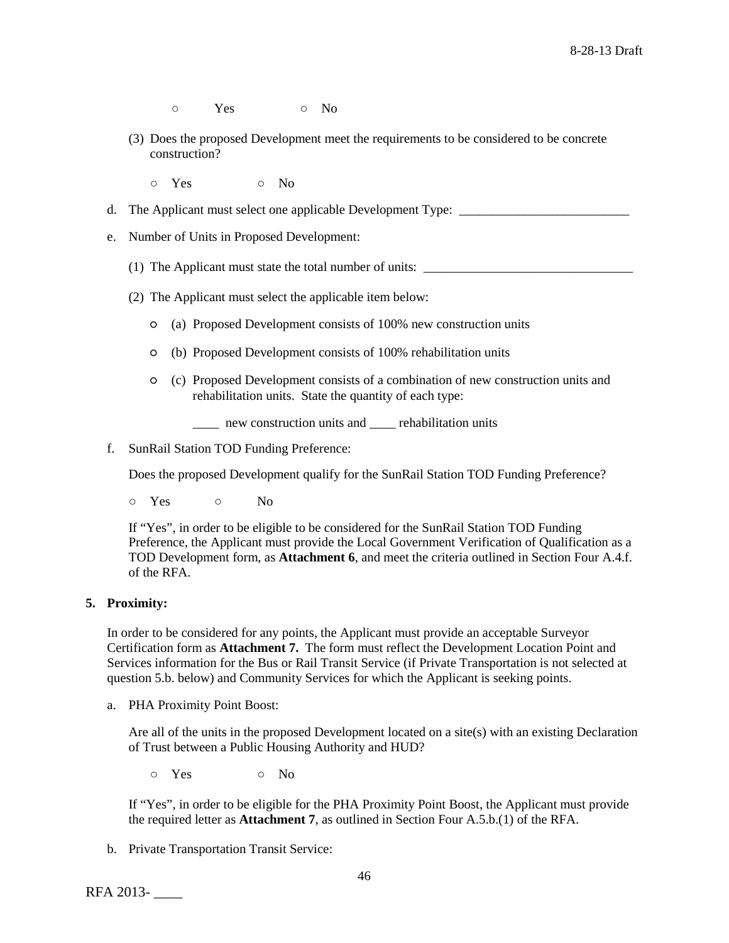- o Yes o No
- (3) Does the proposed Development meet the requirements to be considered to be concrete construction?
	- $\circ$  Yes  $\circ$  No
- d. The Applicant must select one applicable Development Type: \_\_\_\_\_\_\_\_\_\_\_\_\_\_\_\_\_\_\_\_\_\_\_\_\_
- e. Number of Units in Proposed Development:
	- (1) The Applicant must state the total number of units: \_\_\_\_\_\_\_\_\_\_\_\_\_\_\_\_\_\_\_\_\_\_\_\_\_\_\_\_\_\_\_\_
	- (2) The Applicant must select the applicable item below:
		- (a) Proposed Development consists of 100% new construction units
		- (b) Proposed Development consists of 100% rehabilitation units
		- (c) Proposed Development consists of a combination of new construction units and rehabilitation units. State the quantity of each type:
			- new construction units and rehabilitation units
- f. SunRail Station TOD Funding Preference:

Does the proposed Development qualify for the SunRail Station TOD Funding Preference?

○ Yes ○ No

If "Yes", in order to be eligible to be considered for the SunRail Station TOD Funding Preference, the Applicant must provide the Local Government Verification of Qualification as a TOD Development form, as **Attachment 6**, and meet the criteria outlined in Section Four A.4.f. of the RFA.

### **5. Proximity:**

In order to be considered for any points, the Applicant must provide an acceptable Surveyor Certification form as **Attachment 7.** The form must reflect the Development Location Point and Services information for the Bus or Rail Transit Service (if Private Transportation is not selected at question 5.b. below) and Community Services for which the Applicant is seeking points.

a. PHA Proximity Point Boost:

Are all of the units in the proposed Development located on a site(s) with an existing Declaration of Trust between a Public Housing Authority and HUD?

o Yes o No

If "Yes", in order to be eligible for the PHA Proximity Point Boost, the Applicant must provide the required letter as **Attachment 7**, as outlined in Section Four A.5.b.(1) of the RFA.

b. Private Transportation Transit Service: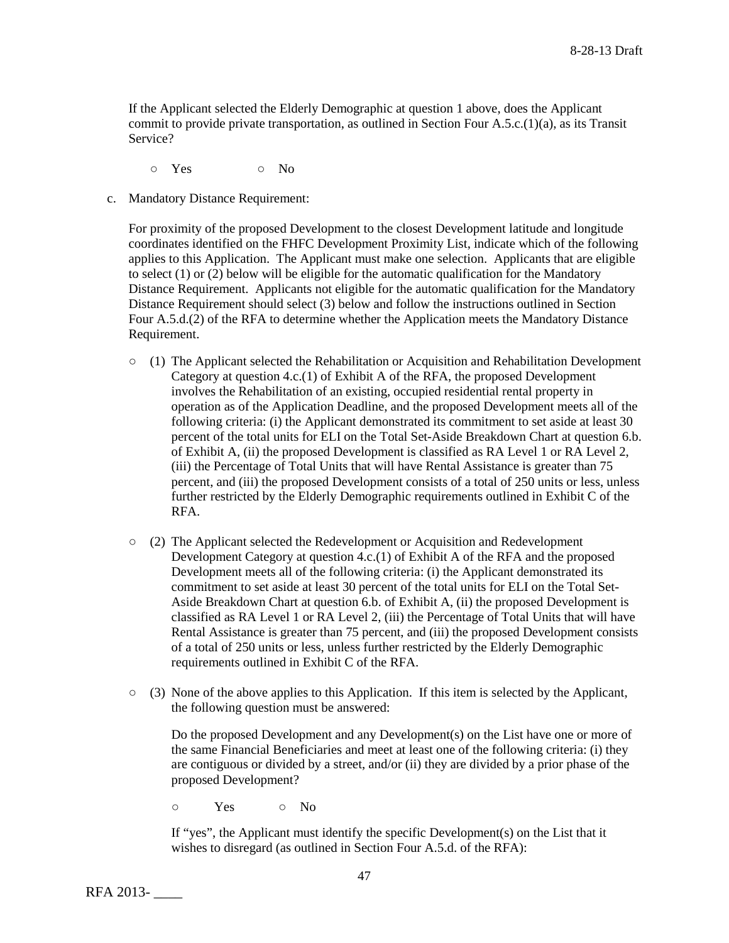If the Applicant selected the Elderly Demographic at question 1 above, does the Applicant commit to provide private transportation, as outlined in Section Four A.5.c.(1)(a), as its Transit Service?

○ Yes ○ No

c. Mandatory Distance Requirement:

For proximity of the proposed Development to the closest Development latitude and longitude coordinates identified on the FHFC Development Proximity List, indicate which of the following applies to this Application. The Applicant must make one selection. Applicants that are eligible to select (1) or (2) below will be eligible for the automatic qualification for the Mandatory Distance Requirement. Applicants not eligible for the automatic qualification for the Mandatory Distance Requirement should select (3) below and follow the instructions outlined in Section Four A.5.d.(2) of the RFA to determine whether the Application meets the Mandatory Distance Requirement.

- $\circ$  (1) The Applicant selected the Rehabilitation or Acquisition and Rehabilitation Development Category at question 4.c.(1) of Exhibit A of the RFA, the proposed Development involves the Rehabilitation of an existing, occupied residential rental property in operation as of the Application Deadline, and the proposed Development meets all of the following criteria: (i) the Applicant demonstrated its commitment to set aside at least 30 percent of the total units for ELI on the Total Set-Aside Breakdown Chart at question 6.b. of Exhibit A, (ii) the proposed Development is classified as RA Level 1 or RA Level 2, (iii) the Percentage of Total Units that will have Rental Assistance is greater than 75 percent, and (iii) the proposed Development consists of a total of 250 units or less, unless further restricted by the Elderly Demographic requirements outlined in Exhibit C of the RFA.
- (2) The Applicant selected the Redevelopment or Acquisition and Redevelopment Development Category at question 4.c.(1) of Exhibit A of the RFA and the proposed Development meets all of the following criteria: (i) the Applicant demonstrated its commitment to set aside at least 30 percent of the total units for ELI on the Total Set-Aside Breakdown Chart at question 6.b. of Exhibit A, (ii) the proposed Development is classified as RA Level 1 or RA Level 2, (iii) the Percentage of Total Units that will have Rental Assistance is greater than 75 percent, and (iii) the proposed Development consists of a total of 250 units or less, unless further restricted by the Elderly Demographic requirements outlined in Exhibit C of the RFA.
- (3) None of the above applies to this Application. If this item is selected by the Applicant, the following question must be answered:

Do the proposed Development and any Development(s) on the List have one or more of the same Financial Beneficiaries and meet at least one of the following criteria: (i) they are contiguous or divided by a street, and/or (ii) they are divided by a prior phase of the proposed Development?

○ Yes ○ No

If "yes", the Applicant must identify the specific Development(s) on the List that it wishes to disregard (as outlined in Section Four A.5.d. of the RFA):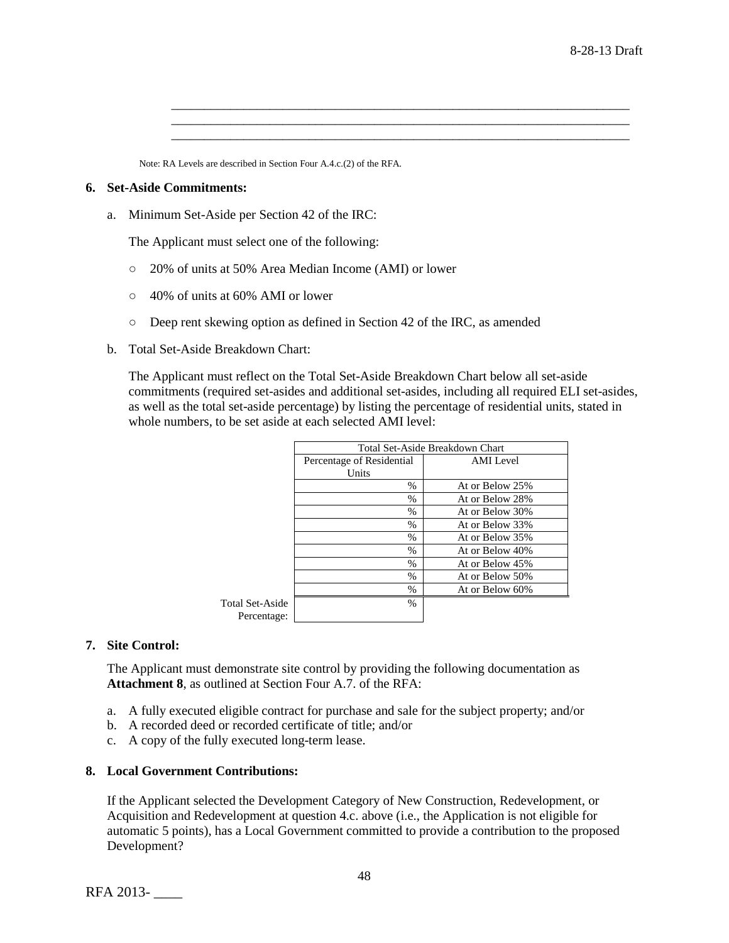Note: RA Levels are described in Section Four A.4.c.(2) of the RFA.

#### **6. Set-Aside Commitments:**

a. Minimum Set-Aside per Section 42 of the IRC:

The Applicant must select one of the following:

- 20% of units at 50% Area Median Income (AMI) or lower
- 40% of units at 60% AMI or lower
- Deep rent skewing option as defined in Section 42 of the IRC, as amended
- b. Total Set-Aside Breakdown Chart:

The Applicant must reflect on the Total Set-Aside Breakdown Chart below all set-aside commitments (required set-asides and additional set-asides, including all required ELI set-asides, as well as the total set-aside percentage) by listing the percentage of residential units, stated in whole numbers, to be set aside at each selected AMI level:

\_\_\_\_\_\_\_\_\_\_\_\_\_\_\_\_\_\_\_\_\_\_\_\_\_\_\_\_\_\_\_\_\_\_\_\_\_\_\_\_\_\_\_\_\_\_\_\_\_\_\_\_\_\_\_\_\_\_\_\_\_\_\_\_\_\_\_\_\_\_ \_\_\_\_\_\_\_\_\_\_\_\_\_\_\_\_\_\_\_\_\_\_\_\_\_\_\_\_\_\_\_\_\_\_\_\_\_\_\_\_\_\_\_\_\_\_\_\_\_\_\_\_\_\_\_\_\_\_\_\_\_\_\_\_\_\_\_\_\_\_ \_\_\_\_\_\_\_\_\_\_\_\_\_\_\_\_\_\_\_\_\_\_\_\_\_\_\_\_\_\_\_\_\_\_\_\_\_\_\_\_\_\_\_\_\_\_\_\_\_\_\_\_\_\_\_\_\_\_\_\_\_\_\_\_\_\_\_\_\_\_

|                        | Total Set-Aside Breakdown Chart |                  |  |  |  |  |
|------------------------|---------------------------------|------------------|--|--|--|--|
|                        | Percentage of Residential       | <b>AMI</b> Level |  |  |  |  |
|                        | Units                           |                  |  |  |  |  |
|                        | $\frac{0}{0}$                   | At or Below 25%  |  |  |  |  |
|                        | $\%$                            | At or Below 28%  |  |  |  |  |
|                        | $\%$                            | At or Below 30%  |  |  |  |  |
|                        | $\%$                            | At or Below 33%  |  |  |  |  |
|                        | $\%$                            | At or Below 35%  |  |  |  |  |
|                        | $\%$                            | At or Below 40%  |  |  |  |  |
|                        | $\%$                            | At or Below 45%  |  |  |  |  |
|                        | $\frac{0}{0}$                   | At or Below 50%  |  |  |  |  |
|                        | $\%$                            | At or Below 60%  |  |  |  |  |
| <b>Total Set-Aside</b> | $\%$                            |                  |  |  |  |  |
| Percentage:            |                                 |                  |  |  |  |  |

#### **7. Site Control:**

The Applicant must demonstrate site control by providing the following documentation as **Attachment 8**, as outlined at Section Four A.7. of the RFA:

- a. A fully executed eligible contract for purchase and sale for the subject property; and/or
- b. A recorded deed or recorded certificate of title; and/or
- c. A copy of the fully executed long-term lease.

#### **8. Local Government Contributions:**

If the Applicant selected the Development Category of New Construction, Redevelopment, or Acquisition and Redevelopment at question 4.c. above (i.e., the Application is not eligible for automatic 5 points), has a Local Government committed to provide a contribution to the proposed Development?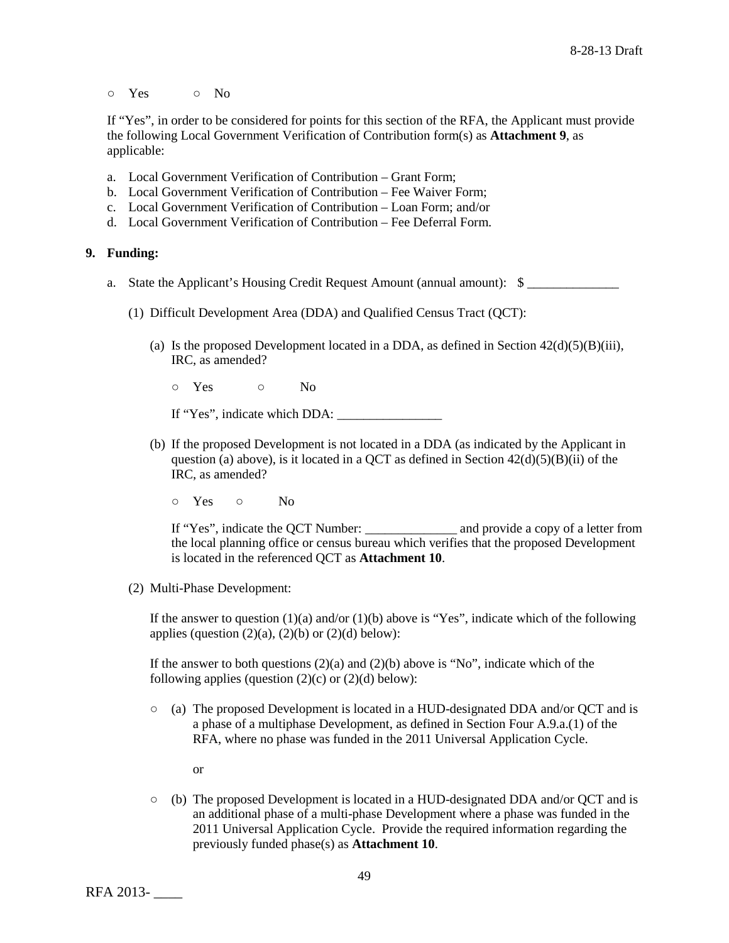○ Yes ○ No

If "Yes", in order to be considered for points for this section of the RFA, the Applicant must provide the following Local Government Verification of Contribution form(s) as **Attachment 9**, as applicable:

- a. Local Government Verification of Contribution Grant Form;
- b. Local Government Verification of Contribution Fee Waiver Form;
- c. Local Government Verification of Contribution Loan Form; and/or
- d. Local Government Verification of Contribution Fee Deferral Form.

### **9. Funding:**

- a. State the Applicant's Housing Credit Request Amount (annual amount): \$
	- (1) Difficult Development Area (DDA) and Qualified Census Tract (QCT):
		- (a) Is the proposed Development located in a DDA, as defined in Section  $42(d)(5)(B)(iii)$ , IRC, as amended?

○ Yes ○ No

If "Yes", indicate which DDA: \_\_\_\_\_\_\_\_\_\_\_\_\_\_\_\_

- (b) If the proposed Development is not located in a DDA (as indicated by the Applicant in question (a) above), is it located in a QCT as defined in Section  $42(d)(5)(B)(ii)$  of the IRC, as amended?
	- Yes No

If "Yes", indicate the QCT Number: \_\_\_\_\_\_\_\_\_\_\_\_\_\_ and provide a copy of a letter from the local planning office or census bureau which verifies that the proposed Development is located in the referenced QCT as **Attachment 10**.

(2) Multi-Phase Development:

If the answer to question  $(1)(a)$  and/or  $(1)(b)$  above is "Yes", indicate which of the following applies (question  $(2)(a)$ ,  $(2)(b)$  or  $(2)(d)$  below):

If the answer to both questions  $(2)(a)$  and  $(2)(b)$  above is "No", indicate which of the following applies (question  $(2)(c)$  or  $(2)(d)$  below):

- (a) The proposed Development is located in a HUD-designated DDA and/or QCT and is a phase of a multiphase Development, as defined in Section Four A.9.a.(1) of the RFA, where no phase was funded in the 2011 Universal Application Cycle.
	- or
- (b) The proposed Development is located in a HUD-designated DDA and/or QCT and is an additional phase of a multi-phase Development where a phase was funded in the 2011 Universal Application Cycle. Provide the required information regarding the previously funded phase(s) as **Attachment 10**.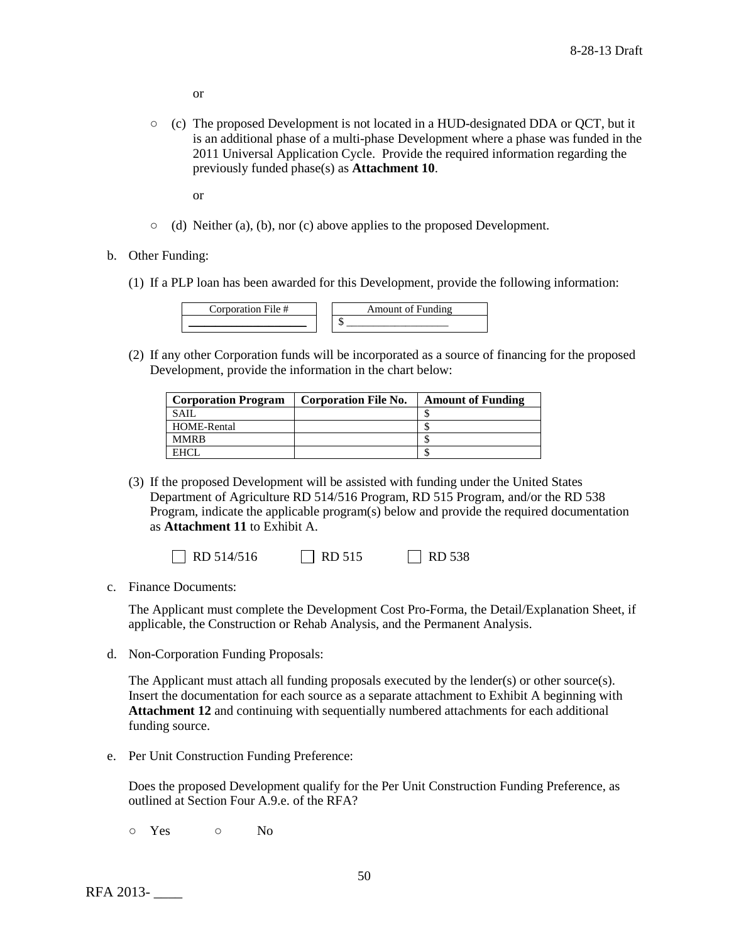or

- (c) The proposed Development is not located in a HUD-designated DDA or QCT, but it is an additional phase of a multi-phase Development where a phase was funded in the 2011 Universal Application Cycle. Provide the required information regarding the previously funded phase(s) as **Attachment 10**.
	- or
- $\circ$  (d) Neither (a), (b), nor (c) above applies to the proposed Development.
- b. Other Funding:
	- (1) If a PLP loan has been awarded for this Development, provide the following information:

| . . |
|-----|
| . . |

(2) If any other Corporation funds will be incorporated as a source of financing for the proposed Development, provide the information in the chart below:

| <b>Corporation Program</b> | <b>Corporation File No.</b> | <b>Amount of Funding</b> |
|----------------------------|-----------------------------|--------------------------|
| <b>SAIL</b>                |                             |                          |
| HOME-Rental                |                             |                          |
| <b>MMRB</b>                |                             |                          |
| <b>FHCI</b>                |                             |                          |

(3) If the proposed Development will be assisted with funding under the United States Department of Agriculture RD 514/516 Program, RD 515 Program, and/or the RD 538 Program, indicate the applicable program(s) below and provide the required documentation as **Attachment 11** to Exhibit A.

| $\Box$ RD 514/516 | $\Box$ RD 515 | $\Box$ RD 538 |
|-------------------|---------------|---------------|
|-------------------|---------------|---------------|

c. Finance Documents:

The Applicant must complete the Development Cost Pro-Forma, the Detail/Explanation Sheet, if applicable, the Construction or Rehab Analysis, and the Permanent Analysis.

d. Non-Corporation Funding Proposals:

The Applicant must attach all funding proposals executed by the lender(s) or other source(s). Insert the documentation for each source as a separate attachment to Exhibit A beginning with **Attachment 12** and continuing with sequentially numbered attachments for each additional funding source.

e. Per Unit Construction Funding Preference:

Does the proposed Development qualify for the Per Unit Construction Funding Preference, as outlined at Section Four A.9.e. of the RFA?

○ Yes ○ No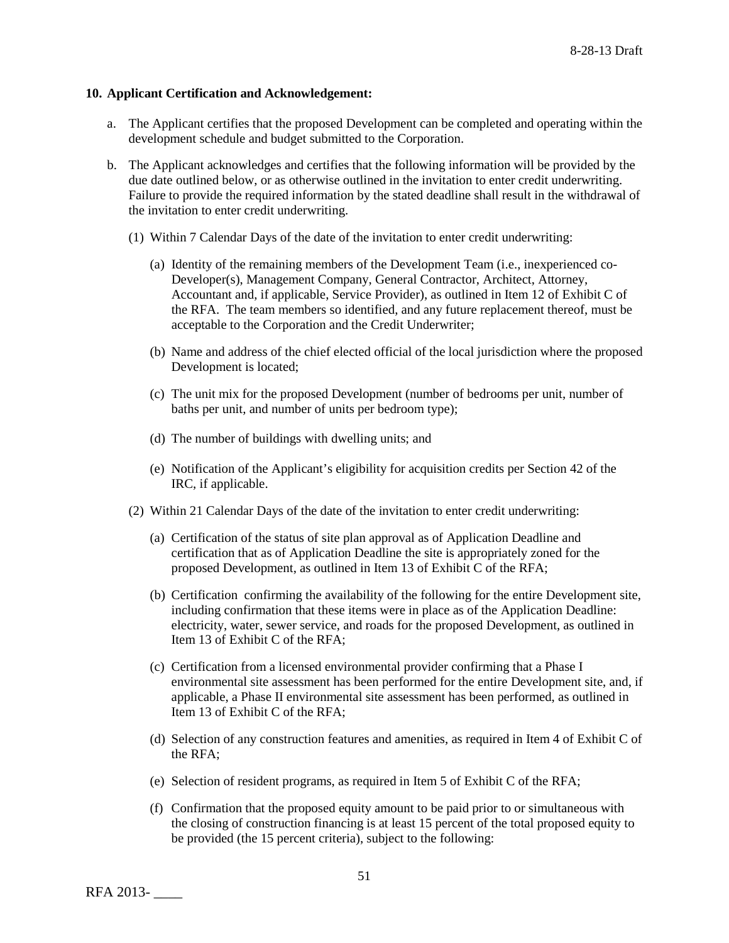### **10. Applicant Certification and Acknowledgement:**

- a. The Applicant certifies that the proposed Development can be completed and operating within the development schedule and budget submitted to the Corporation.
- b. The Applicant acknowledges and certifies that the following information will be provided by the due date outlined below, or as otherwise outlined in the invitation to enter credit underwriting. Failure to provide the required information by the stated deadline shall result in the withdrawal of the invitation to enter credit underwriting.
	- (1) Within 7 Calendar Days of the date of the invitation to enter credit underwriting:
		- (a) Identity of the remaining members of the Development Team (i.e., inexperienced co-Developer(s), Management Company, General Contractor, Architect, Attorney, Accountant and, if applicable, Service Provider), as outlined in Item 12 of Exhibit C of the RFA. The team members so identified, and any future replacement thereof, must be acceptable to the Corporation and the Credit Underwriter;
		- (b) Name and address of the chief elected official of the local jurisdiction where the proposed Development is located;
		- (c) The unit mix for the proposed Development (number of bedrooms per unit, number of baths per unit, and number of units per bedroom type);
		- (d) The number of buildings with dwelling units; and
		- (e) Notification of the Applicant's eligibility for acquisition credits per Section 42 of the IRC, if applicable.
	- (2) Within 21 Calendar Days of the date of the invitation to enter credit underwriting:
		- (a) Certification of the status of site plan approval as of Application Deadline and certification that as of Application Deadline the site is appropriately zoned for the proposed Development, as outlined in Item 13 of Exhibit C of the RFA;
		- (b) Certification confirming the availability of the following for the entire Development site, including confirmation that these items were in place as of the Application Deadline: electricity, water, sewer service, and roads for the proposed Development, as outlined in Item 13 of Exhibit C of the RFA;
		- (c) Certification from a licensed environmental provider confirming that a Phase I environmental site assessment has been performed for the entire Development site, and, if applicable, a Phase II environmental site assessment has been performed, as outlined in Item 13 of Exhibit C of the RFA;
		- (d) Selection of any construction features and amenities, as required in Item 4 of Exhibit C of the RFA;
		- (e) Selection of resident programs, as required in Item 5 of Exhibit C of the RFA;
		- (f) Confirmation that the proposed equity amount to be paid prior to or simultaneous with the closing of construction financing is at least 15 percent of the total proposed equity to be provided (the 15 percent criteria), subject to the following: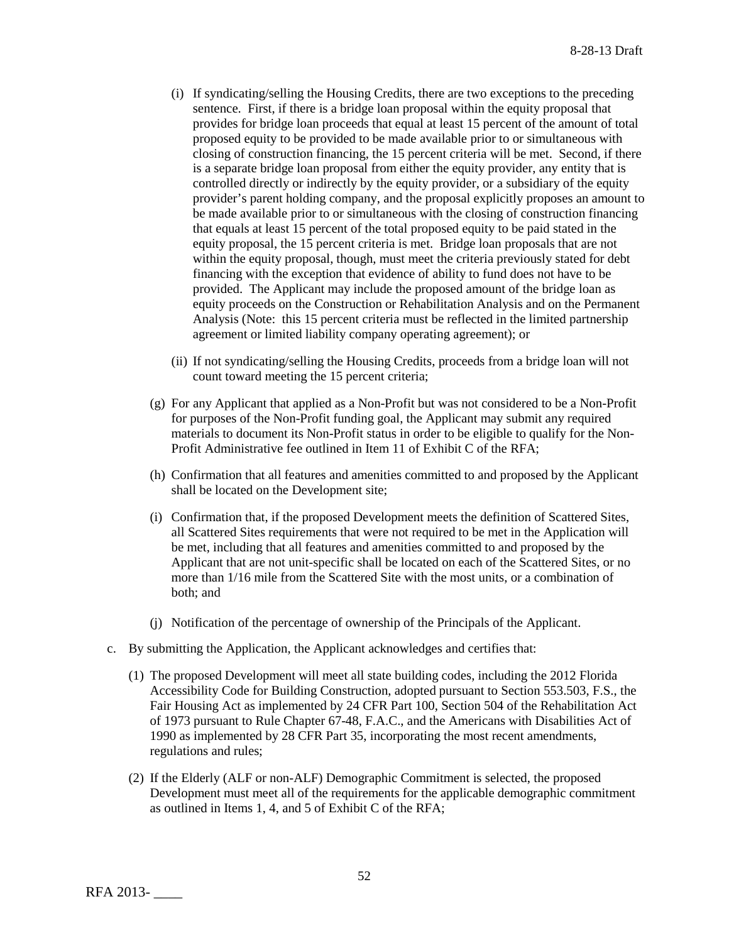- (i) If syndicating/selling the Housing Credits, there are two exceptions to the preceding sentence. First, if there is a bridge loan proposal within the equity proposal that provides for bridge loan proceeds that equal at least 15 percent of the amount of total proposed equity to be provided to be made available prior to or simultaneous with closing of construction financing, the 15 percent criteria will be met. Second, if there is a separate bridge loan proposal from either the equity provider, any entity that is controlled directly or indirectly by the equity provider, or a subsidiary of the equity provider's parent holding company, and the proposal explicitly proposes an amount to be made available prior to or simultaneous with the closing of construction financing that equals at least 15 percent of the total proposed equity to be paid stated in the equity proposal, the 15 percent criteria is met. Bridge loan proposals that are not within the equity proposal, though, must meet the criteria previously stated for debt financing with the exception that evidence of ability to fund does not have to be provided. The Applicant may include the proposed amount of the bridge loan as equity proceeds on the Construction or Rehabilitation Analysis and on the Permanent Analysis (Note: this 15 percent criteria must be reflected in the limited partnership agreement or limited liability company operating agreement); or
- (ii) If not syndicating/selling the Housing Credits, proceeds from a bridge loan will not count toward meeting the 15 percent criteria;
- (g) For any Applicant that applied as a Non-Profit but was not considered to be a Non-Profit for purposes of the Non-Profit funding goal, the Applicant may submit any required materials to document its Non-Profit status in order to be eligible to qualify for the Non-Profit Administrative fee outlined in Item 11 of Exhibit C of the RFA;
- (h) Confirmation that all features and amenities committed to and proposed by the Applicant shall be located on the Development site;
- (i) Confirmation that, if the proposed Development meets the definition of Scattered Sites, all Scattered Sites requirements that were not required to be met in the Application will be met, including that all features and amenities committed to and proposed by the Applicant that are not unit-specific shall be located on each of the Scattered Sites, or no more than 1/16 mile from the Scattered Site with the most units, or a combination of both; and
- (j) Notification of the percentage of ownership of the Principals of the Applicant.
- c. By submitting the Application, the Applicant acknowledges and certifies that:
	- (1) The proposed Development will meet all state building codes, including the 2012 Florida Accessibility Code for Building Construction, adopted pursuant to Section 553.503, F.S., the Fair Housing Act as implemented by 24 CFR Part 100, Section 504 of the Rehabilitation Act of 1973 pursuant to Rule Chapter 67-48, F.A.C., and the Americans with Disabilities Act of 1990 as implemented by 28 CFR Part 35, incorporating the most recent amendments, regulations and rules;
	- (2) If the Elderly (ALF or non-ALF) Demographic Commitment is selected, the proposed Development must meet all of the requirements for the applicable demographic commitment as outlined in Items 1, 4, and 5 of Exhibit C of the RFA;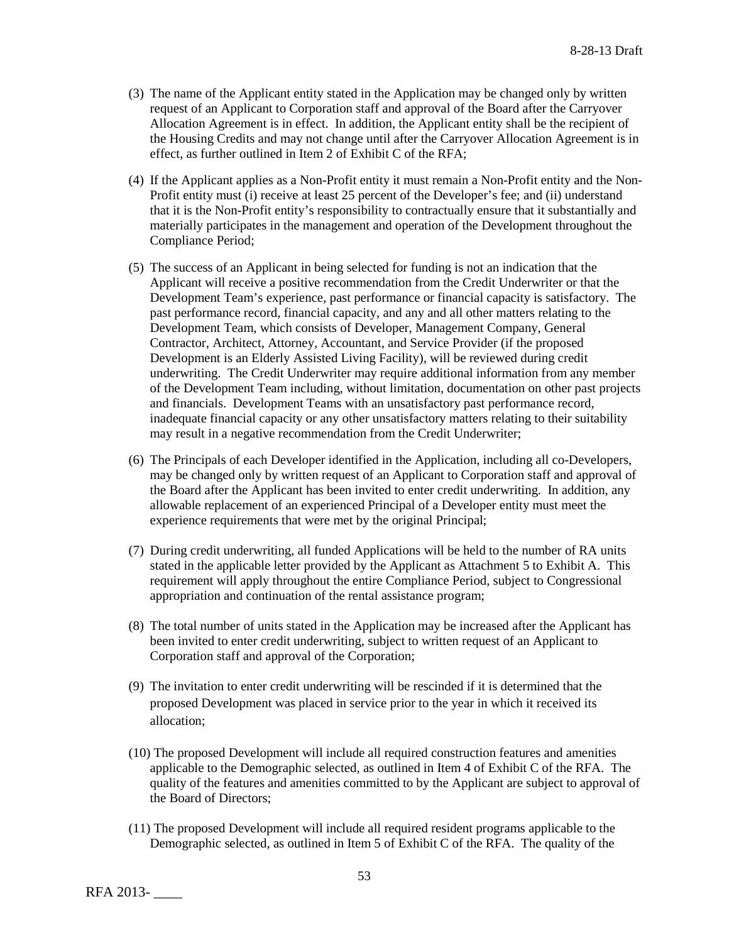- (3) The name of the Applicant entity stated in the Application may be changed only by written request of an Applicant to Corporation staff and approval of the Board after the Carryover Allocation Agreement is in effect. In addition, the Applicant entity shall be the recipient of the Housing Credits and may not change until after the Carryover Allocation Agreement is in effect, as further outlined in Item 2 of Exhibit C of the RFA;
- (4) If the Applicant applies as a Non-Profit entity it must remain a Non-Profit entity and the Non-Profit entity must (i) receive at least 25 percent of the Developer's fee; and (ii) understand that it is the Non-Profit entity's responsibility to contractually ensure that it substantially and materially participates in the management and operation of the Development throughout the Compliance Period;
- (5) The success of an Applicant in being selected for funding is not an indication that the Applicant will receive a positive recommendation from the Credit Underwriter or that the Development Team's experience, past performance or financial capacity is satisfactory. The past performance record, financial capacity, and any and all other matters relating to the Development Team, which consists of Developer, Management Company, General Contractor, Architect, Attorney, Accountant, and Service Provider (if the proposed Development is an Elderly Assisted Living Facility), will be reviewed during credit underwriting. The Credit Underwriter may require additional information from any member of the Development Team including, without limitation, documentation on other past projects and financials. Development Teams with an unsatisfactory past performance record, inadequate financial capacity or any other unsatisfactory matters relating to their suitability may result in a negative recommendation from the Credit Underwriter;
- (6) The Principals of each Developer identified in the Application, including all co-Developers, may be changed only by written request of an Applicant to Corporation staff and approval of the Board after the Applicant has been invited to enter credit underwriting. In addition, any allowable replacement of an experienced Principal of a Developer entity must meet the experience requirements that were met by the original Principal;
- (7) During credit underwriting, all funded Applications will be held to the number of RA units stated in the applicable letter provided by the Applicant as Attachment 5 to Exhibit A. This requirement will apply throughout the entire Compliance Period, subject to Congressional appropriation and continuation of the rental assistance program;
- (8) The total number of units stated in the Application may be increased after the Applicant has been invited to enter credit underwriting, subject to written request of an Applicant to Corporation staff and approval of the Corporation;
- (9) The invitation to enter credit underwriting will be rescinded if it is determined that the proposed Development was placed in service prior to the year in which it received its allocation;
- (10) The proposed Development will include all required construction features and amenities applicable to the Demographic selected, as outlined in Item 4 of Exhibit C of the RFA. The quality of the features and amenities committed to by the Applicant are subject to approval of the Board of Directors;
- (11) The proposed Development will include all required resident programs applicable to the Demographic selected, as outlined in Item 5 of Exhibit C of the RFA. The quality of the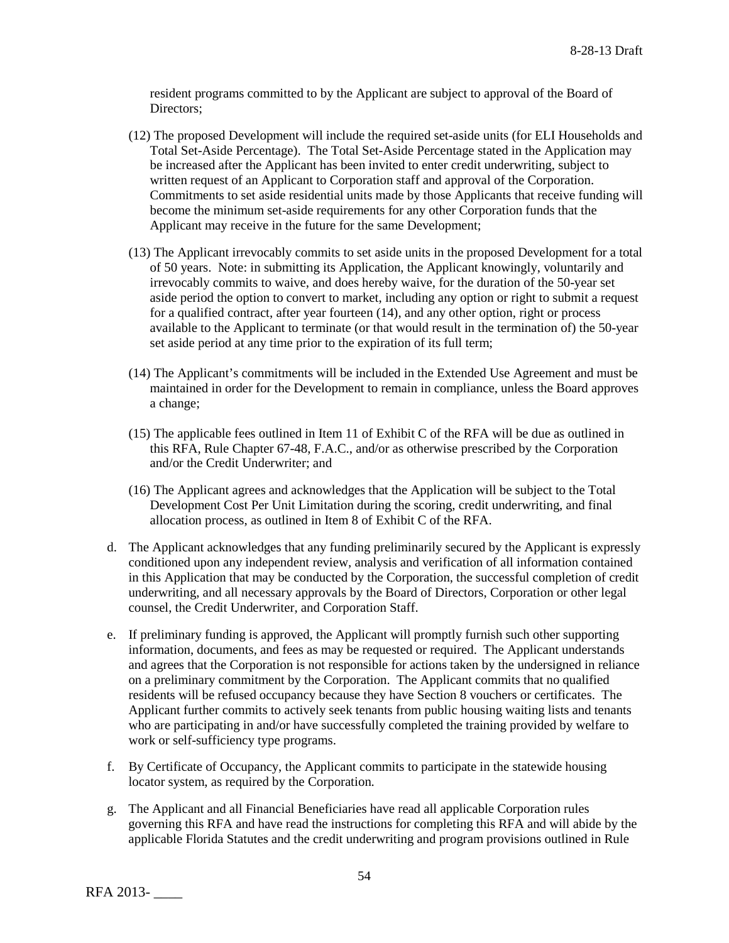resident programs committed to by the Applicant are subject to approval of the Board of Directors;

- (12) The proposed Development will include the required set-aside units (for ELI Households and Total Set-Aside Percentage). The Total Set-Aside Percentage stated in the Application may be increased after the Applicant has been invited to enter credit underwriting, subject to written request of an Applicant to Corporation staff and approval of the Corporation. Commitments to set aside residential units made by those Applicants that receive funding will become the minimum set-aside requirements for any other Corporation funds that the Applicant may receive in the future for the same Development;
- (13) The Applicant irrevocably commits to set aside units in the proposed Development for a total of 50 years. Note: in submitting its Application, the Applicant knowingly, voluntarily and irrevocably commits to waive, and does hereby waive, for the duration of the 50-year set aside period the option to convert to market, including any option or right to submit a request for a qualified contract, after year fourteen (14), and any other option, right or process available to the Applicant to terminate (or that would result in the termination of) the 50-year set aside period at any time prior to the expiration of its full term;
- (14) The Applicant's commitments will be included in the Extended Use Agreement and must be maintained in order for the Development to remain in compliance, unless the Board approves a change;
- (15) The applicable fees outlined in Item 11 of Exhibit C of the RFA will be due as outlined in this RFA, Rule Chapter 67-48, F.A.C., and/or as otherwise prescribed by the Corporation and/or the Credit Underwriter; and
- (16) The Applicant agrees and acknowledges that the Application will be subject to the Total Development Cost Per Unit Limitation during the scoring, credit underwriting, and final allocation process, as outlined in Item 8 of Exhibit C of the RFA.
- d. The Applicant acknowledges that any funding preliminarily secured by the Applicant is expressly conditioned upon any independent review, analysis and verification of all information contained in this Application that may be conducted by the Corporation, the successful completion of credit underwriting, and all necessary approvals by the Board of Directors, Corporation or other legal counsel, the Credit Underwriter, and Corporation Staff.
- e. If preliminary funding is approved, the Applicant will promptly furnish such other supporting information, documents, and fees as may be requested or required. The Applicant understands and agrees that the Corporation is not responsible for actions taken by the undersigned in reliance on a preliminary commitment by the Corporation. The Applicant commits that no qualified residents will be refused occupancy because they have Section 8 vouchers or certificates. The Applicant further commits to actively seek tenants from public housing waiting lists and tenants who are participating in and/or have successfully completed the training provided by welfare to work or self-sufficiency type programs.
- f. By Certificate of Occupancy, the Applicant commits to participate in the statewide housing locator system, as required by the Corporation.
- g. The Applicant and all Financial Beneficiaries have read all applicable Corporation rules governing this RFA and have read the instructions for completing this RFA and will abide by the applicable Florida Statutes and the credit underwriting and program provisions outlined in Rule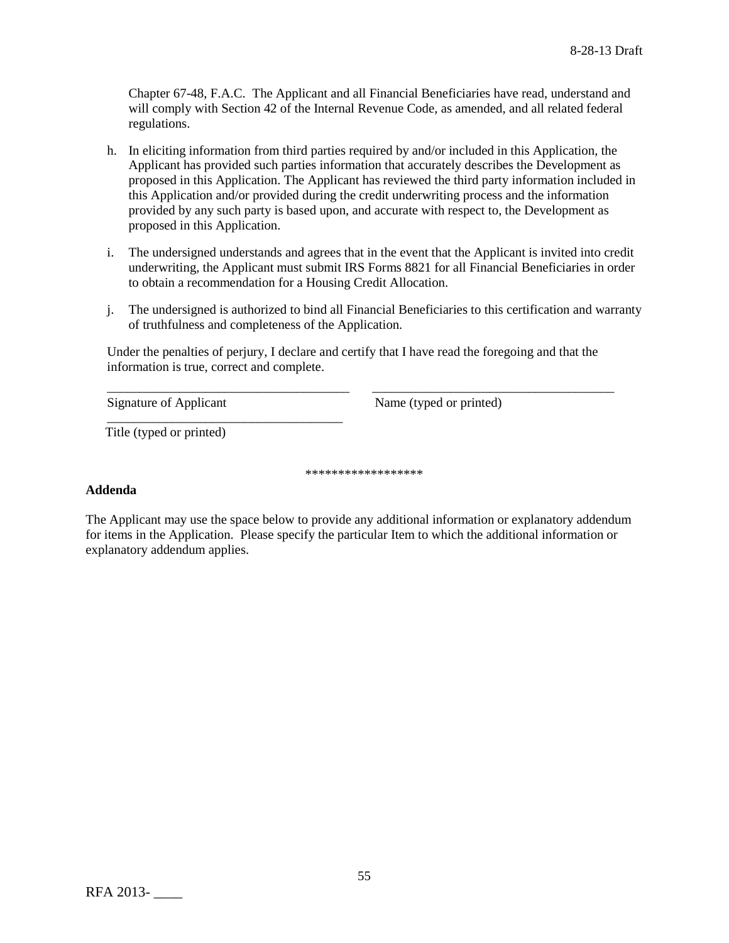Chapter 67-48, F.A.C. The Applicant and all Financial Beneficiaries have read, understand and will comply with Section 42 of the Internal Revenue Code, as amended, and all related federal regulations.

- h. In eliciting information from third parties required by and/or included in this Application, the Applicant has provided such parties information that accurately describes the Development as proposed in this Application. The Applicant has reviewed the third party information included in this Application and/or provided during the credit underwriting process and the information provided by any such party is based upon, and accurate with respect to, the Development as proposed in this Application.
- i. The undersigned understands and agrees that in the event that the Applicant is invited into credit underwriting, the Applicant must submit IRS Forms 8821 for all Financial Beneficiaries in order to obtain a recommendation for a Housing Credit Allocation.
- j. The undersigned is authorized to bind all Financial Beneficiaries to this certification and warranty of truthfulness and completeness of the Application.

Under the penalties of perjury, I declare and certify that I have read the foregoing and that the information is true, correct and complete.

\_\_\_\_\_\_\_\_\_\_\_\_\_\_\_\_\_\_\_\_\_\_\_\_\_\_\_\_\_\_\_\_\_\_\_\_\_ \_\_\_\_\_\_\_\_\_\_\_\_\_\_\_\_\_\_\_\_\_\_\_\_\_\_\_\_\_\_\_\_\_\_\_\_\_

Signature of Applicant Name (typed or printed)

\_\_\_\_\_\_\_\_\_\_\_\_\_\_\_\_\_\_\_\_\_\_\_\_\_\_\_\_\_\_\_\_\_\_\_\_ Title (typed or printed)

\*\*\*\*\*\*\*\*\*\*\*\*\*\*\*\*\*\*

# **Addenda**

The Applicant may use the space below to provide any additional information or explanatory addendum for items in the Application. Please specify the particular Item to which the additional information or explanatory addendum applies.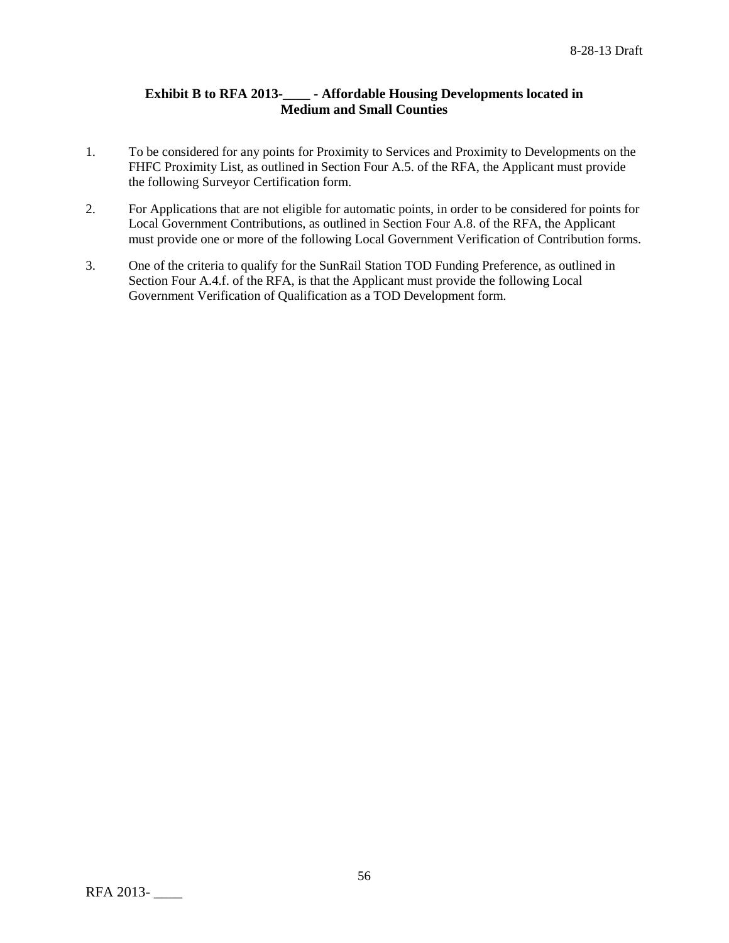# **Exhibit B to RFA 2013-\_\_\_\_ - Affordable Housing Developments located in Medium and Small Counties**

- 1. To be considered for any points for Proximity to Services and Proximity to Developments on the FHFC Proximity List, as outlined in Section Four A.5. of the RFA, the Applicant must provide the following Surveyor Certification form.
- 2. For Applications that are not eligible for automatic points, in order to be considered for points for Local Government Contributions, as outlined in Section Four A.8. of the RFA, the Applicant must provide one or more of the following Local Government Verification of Contribution forms.
- 3. One of the criteria to qualify for the SunRail Station TOD Funding Preference, as outlined in Section Four A.4.f. of the RFA, is that the Applicant must provide the following Local Government Verification of Qualification as a TOD Development form.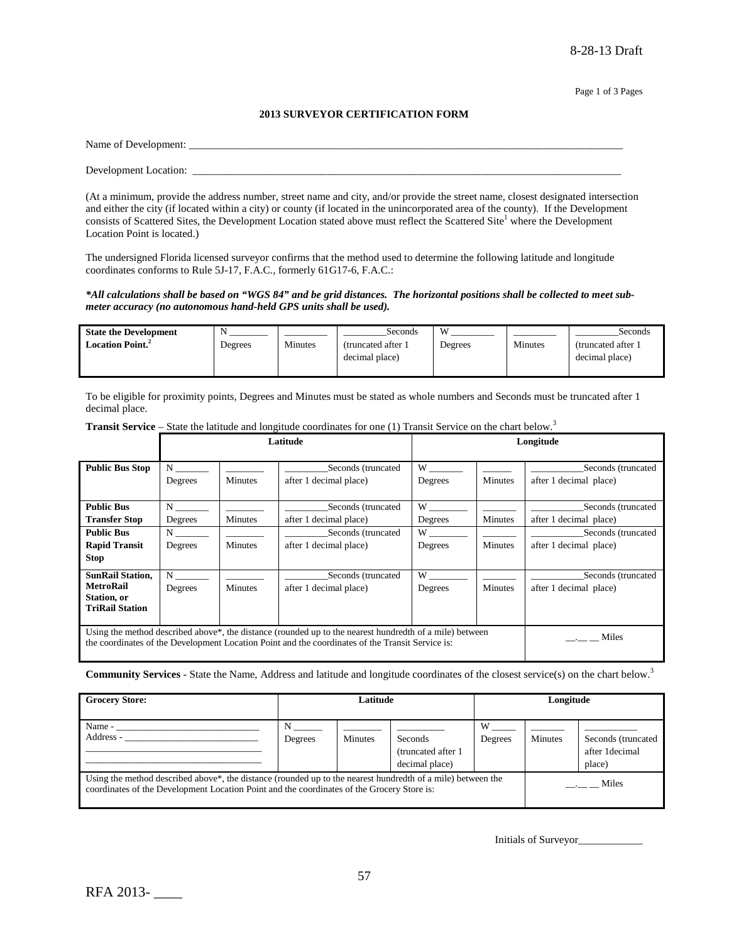#### **2013 SURVEYOR CERTIFICATION FORM**

| Name of Development:  |  |  |
|-----------------------|--|--|
|                       |  |  |
| Development Location: |  |  |

(At a minimum, provide the address number, street name and city, and/or provide the street name, closest designated intersection and either the city (if located within a city) or county (if located in the unincorporated area of the county). If the Development consists of Scattered Sites, the Development Location stated above must reflect the Scattered Site<sup>1</sup> where the Development Location Point is located.)

The undersigned Florida licensed surveyor confirms that the method used to determine the following latitude and longitude coordinates conforms to Rule 5J-17, F.A.C., formerly 61G17-6, F.A.C.:

#### *\*All calculations shall be based on "WGS 84" and be grid distances. The horizontal positions shall be collected to meet submeter accuracy (no autonomous hand-held GPS units shall be used).*

| <b>State the Development</b>        | N       |         | Seconds             | W       |         | Seconds             |
|-------------------------------------|---------|---------|---------------------|---------|---------|---------------------|
| <b>Location Point.</b> <sup>2</sup> | Degrees | Minutes | (truncated after 1) | Degrees | Minutes | (truncated after 1) |
|                                     |         |         | decimal place)      |         |         | decimal place)      |
|                                     |         |         |                     |         |         |                     |

To be eligible for proximity points, Degrees and Minutes must be stated as whole numbers and Seconds must be truncated after 1 decimal place.

|                                                                                                                                                                                                                          |              |                                                                | Latitude               |                                                                                                                                                                                                                                |                | Longitude                                    |
|--------------------------------------------------------------------------------------------------------------------------------------------------------------------------------------------------------------------------|--------------|----------------------------------------------------------------|------------------------|--------------------------------------------------------------------------------------------------------------------------------------------------------------------------------------------------------------------------------|----------------|----------------------------------------------|
| <b>Public Bus Stop</b>                                                                                                                                                                                                   | N<br>Degrees | Seconds (truncated<br><b>Minutes</b><br>after 1 decimal place) |                        | W<br>Degrees                                                                                                                                                                                                                   | <b>Minutes</b> | Seconds (truncated<br>after 1 decimal place) |
| <b>Public Bus</b>                                                                                                                                                                                                        | $N \sim$     |                                                                | Seconds (truncated     | W                                                                                                                                                                                                                              |                | Seconds (truncated                           |
| <b>Transfer Stop</b>                                                                                                                                                                                                     | Degrees      | <b>Minutes</b>                                                 | after 1 decimal place) | Degrees                                                                                                                                                                                                                        | Minutes        | after 1 decimal place)                       |
| <b>Public Bus</b>                                                                                                                                                                                                        | $N \sim$     |                                                                | Seconds (truncated     | W                                                                                                                                                                                                                              |                | Seconds (truncated                           |
| <b>Rapid Transit</b>                                                                                                                                                                                                     | Degrees      | <b>Minutes</b>                                                 | after 1 decimal place) | Degrees                                                                                                                                                                                                                        | Minutes        | after 1 decimal place)                       |
| <b>Stop</b>                                                                                                                                                                                                              |              |                                                                |                        |                                                                                                                                                                                                                                |                |                                              |
| <b>SunRail Station,</b>                                                                                                                                                                                                  | N            |                                                                | Seconds (truncated     | W and the set of the set of the set of the set of the set of the set of the set of the set of the set of the set of the set of the set of the set of the set of the set of the set of the set of the set of the set of the set |                | Seconds (truncated                           |
| <b>MetroRail</b>                                                                                                                                                                                                         | Degrees      | <b>Minutes</b>                                                 | after 1 decimal place) | Degrees                                                                                                                                                                                                                        | Minutes        | after 1 decimal place)                       |
| Station, or                                                                                                                                                                                                              |              |                                                                |                        |                                                                                                                                                                                                                                |                |                                              |
| <b>TriRail Station</b>                                                                                                                                                                                                   |              |                                                                |                        |                                                                                                                                                                                                                                |                |                                              |
| Using the method described above <sup>*</sup> , the distance (rounded up to the nearest hundredth of a mile) between<br>the coordinates of the Development Location Point and the coordinates of the Transit Service is: |              |                                                                |                        |                                                                                                                                                                                                                                |                | Miles                                        |

**Transit Service** – State the latitude and longitude coordinates for one (1) Transit Service on the chart below.<sup>3</sup>

**Community Services** - State the Name, Address and latitude and longitude coordinates of the closest service(s) on the chart below.3

| <b>Grocery Store:</b>                                                                                                                                                                                                  | Latitude |                | Longitude                                        |              |                     |                                                 |
|------------------------------------------------------------------------------------------------------------------------------------------------------------------------------------------------------------------------|----------|----------------|--------------------------------------------------|--------------|---------------------|-------------------------------------------------|
| Name -<br>Address -                                                                                                                                                                                                    | Degrees  | <b>Minutes</b> | Seconds<br>(truncated after 1)<br>decimal place) | W<br>Degrees | Minutes             | Seconds (truncated<br>after 1 decimal<br>place) |
| Using the method described above <sup>*</sup> , the distance (rounded up to the nearest hundredth of a mile) between the<br>coordinates of the Development Location Point and the coordinates of the Grocery Store is: |          |                |                                                  |              | $\frac{1}{2}$ Miles |                                                 |

Initials of Surveyor\_\_\_\_\_\_\_\_\_\_\_\_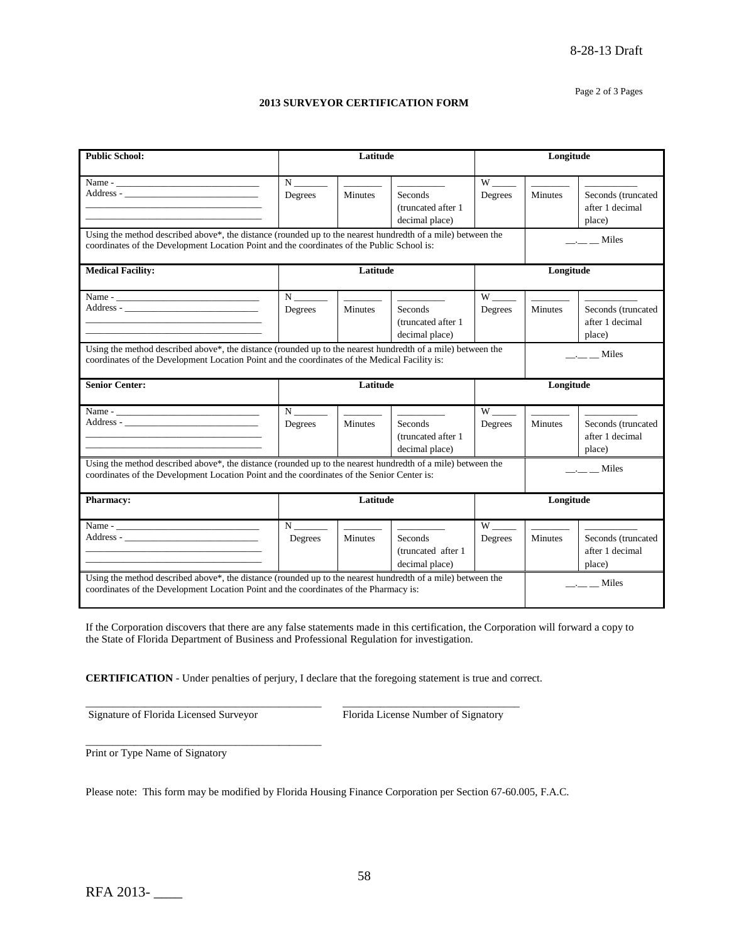#### Page 2 of 3 Pages

#### **2013 SURVEYOR CERTIFICATION FORM**

| <b>Public School:</b>                                                                                                                                                                                        |                                            | Latitude                                                                                         |                                                                                 |                                                                                                                                                                                                                                           | Longitude           |                                                 |
|--------------------------------------------------------------------------------------------------------------------------------------------------------------------------------------------------------------|--------------------------------------------|--------------------------------------------------------------------------------------------------|---------------------------------------------------------------------------------|-------------------------------------------------------------------------------------------------------------------------------------------------------------------------------------------------------------------------------------------|---------------------|-------------------------------------------------|
|                                                                                                                                                                                                              |                                            |                                                                                                  |                                                                                 |                                                                                                                                                                                                                                           |                     |                                                 |
|                                                                                                                                                                                                              | $N \underline{\hspace{2cm}}$<br>Degrees    | <u>Contractor</u><br><b>Minutes</b>                                                              | <u>Contractor and</u><br><b>Seconds</b><br>(truncated after 1<br>decimal place) | Degrees                                                                                                                                                                                                                                   | <b>Minutes</b>      | Seconds (truncated<br>after 1 decimal<br>place) |
| Using the method described above*, the distance (rounded up to the nearest hundredth of a mile) between the<br>coordinates of the Development Location Point and the coordinates of the Public School is:    |                                            |                                                                                                  |                                                                                 |                                                                                                                                                                                                                                           |                     | $\frac{1}{2}$ $\frac{1}{2}$ Miles               |
| <b>Medical Facility:</b>                                                                                                                                                                                     |                                            | Latitude                                                                                         |                                                                                 |                                                                                                                                                                                                                                           | Longitude           |                                                 |
|                                                                                                                                                                                                              | Degrees                                    | <b>Minutes</b>                                                                                   | Seconds<br>(truncated after 1)<br>decimal place)                                | Degrees                                                                                                                                                                                                                                   | <b>Minutes</b>      | Seconds (truncated<br>after 1 decimal<br>place) |
| Using the method described above*, the distance (rounded up to the nearest hundredth of a mile) between the<br>coordinates of the Development Location Point and the coordinates of the Medical Facility is: |                                            |                                                                                                  |                                                                                 |                                                                                                                                                                                                                                           | $\frac{1}{2}$ Miles |                                                 |
| <b>Senior Center:</b>                                                                                                                                                                                        |                                            | Latitude                                                                                         |                                                                                 | Longitude                                                                                                                                                                                                                                 |                     |                                                 |
|                                                                                                                                                                                                              | $\overline{N}$ <sub>_____</sub><br>Degrees | $\overline{\phantom{a}}$<br>Minutes                                                              | Seconds<br>(truncated after 1)<br>decimal place)                                | W <sub>1</sub><br>Degrees                                                                                                                                                                                                                 | <b>Minutes</b>      | Seconds (truncated<br>after 1 decimal<br>place) |
| Using the method described above*, the distance (rounded up to the nearest hundredth of a mile) between the<br>coordinates of the Development Location Point and the coordinates of the Senior Center is:    |                                            |                                                                                                  |                                                                                 |                                                                                                                                                                                                                                           |                     | $\frac{1}{1}$ $\frac{1}{1}$ Miles               |
| <b>Pharmacy:</b>                                                                                                                                                                                             | Latitude                                   |                                                                                                  |                                                                                 |                                                                                                                                                                                                                                           | Longitude           |                                                 |
|                                                                                                                                                                                                              | $N \underline{\hspace{2cm}}$<br>Degrees    | $\mathcal{L}(\mathcal{L}^{\mathcal{L}})$ and $\mathcal{L}(\mathcal{L}^{\mathcal{L}})$<br>Minutes | Seconds<br>(truncated after 1<br>decimal place)                                 | W and the set of the set of the set of the set of the set of the set of the set of the set of the set of the set of the set of the set of the set of the set of the set of the set of the set of the set of the set of the set<br>Degrees | <b>Minutes</b>      | Seconds (truncated<br>after 1 decimal<br>place) |
| Using the method described above*, the distance (rounded up to the nearest hundredth of a mile) between the<br>coordinates of the Development Location Point and the coordinates of the Pharmacy is:         |                                            |                                                                                                  |                                                                                 |                                                                                                                                                                                                                                           | $\frac{1}{2}$ Miles |                                                 |

If the Corporation discovers that there are any false statements made in this certification, the Corporation will forward a copy to the State of Florida Department of Business and Professional Regulation for investigation.

**CERTIFICATION** - Under penalties of perjury, I declare that the foregoing statement is true and correct.

\_\_\_\_\_\_\_\_\_\_\_\_\_\_\_\_\_\_\_\_\_\_\_\_\_\_\_\_\_\_\_\_\_\_\_\_\_\_\_\_\_\_\_\_ \_\_\_\_\_\_\_\_\_\_\_\_\_\_\_\_\_\_\_\_\_\_\_\_\_\_\_\_\_\_\_\_\_

\_\_\_\_\_\_\_\_\_\_\_\_\_\_\_\_\_\_\_\_\_\_\_\_\_\_\_\_\_\_\_\_\_\_\_\_\_\_\_\_\_\_\_\_

Signature of Florida Licensed Surveyor Florida License Number of Signatory

Print or Type Name of Signatory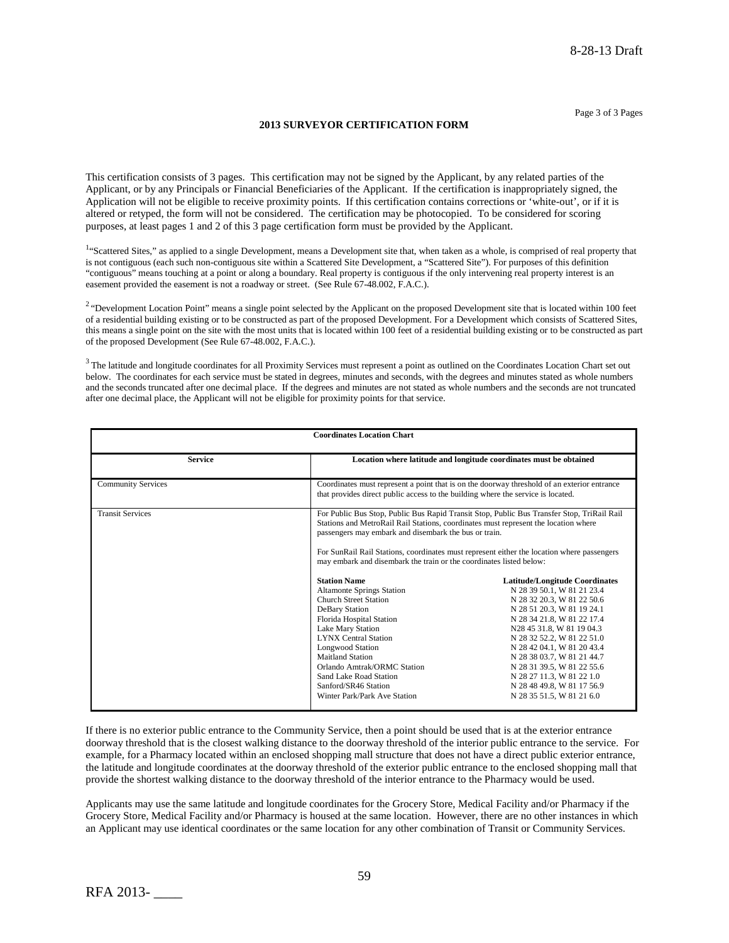#### **2013 SURVEYOR CERTIFICATION FORM**

This certification consists of 3 pages. This certification may not be signed by the Applicant, by any related parties of the Applicant, or by any Principals or Financial Beneficiaries of the Applicant. If the certification is inappropriately signed, the Application will not be eligible to receive proximity points. If this certification contains corrections or 'white-out', or if it is altered or retyped, the form will not be considered. The certification may be photocopied. To be considered for scoring purposes, at least pages 1 and 2 of this 3 page certification form must be provided by the Applicant.

<sup>1</sup>"Scattered Sites," as applied to a single Development, means a Development site that, when taken as a whole, is comprised of real property that is not contiguous (each such non-contiguous site within a Scattered Site Development, a "Scattered Site"). For purposes of this definition "contiguous" means touching at a point or along a boundary. Real property is contiguous if the only intervening real property interest is an easement provided the easement is not a roadway or street. (See Rule 67-48.002, F.A.C.).

<sup>2</sup> "Development Location Point" means a single point selected by the Applicant on the proposed Development site that is located within 100 feet of a residential building existing or to be constructed as part of the proposed Development. For a Development which consists of Scattered Sites, this means a single point on the site with the most units that is located within 100 feet of a residential building existing or to be constructed as part of the proposed Development (See Rule 67-48.002, F.A.C.).

 $3$  The latitude and longitude coordinates for all Proximity Services must represent a point as outlined on the Coordinates Location Chart set out below. The coordinates for each service must be stated in degrees, minutes and seconds, with the degrees and minutes stated as whole numbers and the seconds truncated after one decimal place. If the degrees and minutes are not stated as whole numbers and the seconds are not truncated after one decimal place, the Applicant will not be eligible for proximity points for that service.

| <b>Coordinates Location Chart</b> |                                                                                                                                                                                                                                                                                                                                                                                                                                                                                                                                                                                                                                                                                                                                                                              |                                                                                                                                                                                                                                                                                                                                                                                                            |  |  |
|-----------------------------------|------------------------------------------------------------------------------------------------------------------------------------------------------------------------------------------------------------------------------------------------------------------------------------------------------------------------------------------------------------------------------------------------------------------------------------------------------------------------------------------------------------------------------------------------------------------------------------------------------------------------------------------------------------------------------------------------------------------------------------------------------------------------------|------------------------------------------------------------------------------------------------------------------------------------------------------------------------------------------------------------------------------------------------------------------------------------------------------------------------------------------------------------------------------------------------------------|--|--|
| <b>Service</b>                    | Location where latitude and longitude coordinates must be obtained                                                                                                                                                                                                                                                                                                                                                                                                                                                                                                                                                                                                                                                                                                           |                                                                                                                                                                                                                                                                                                                                                                                                            |  |  |
| <b>Community Services</b>         | Coordinates must represent a point that is on the doorway threshold of an exterior entrance<br>that provides direct public access to the building where the service is located.                                                                                                                                                                                                                                                                                                                                                                                                                                                                                                                                                                                              |                                                                                                                                                                                                                                                                                                                                                                                                            |  |  |
| <b>Transit Services</b>           | For Public Bus Stop, Public Bus Rapid Transit Stop, Public Bus Transfer Stop, TriRail Rail<br>Stations and MetroRail Rail Stations, coordinates must represent the location where<br>passengers may embark and disembark the bus or train.<br>For SunRail Rail Stations, coordinates must represent either the location where passengers<br>may embark and disembark the train or the coordinates listed below:<br><b>Station Name</b><br><b>Altamonte Springs Station</b><br><b>Church Street Station</b><br>DeBary Station<br>Florida Hospital Station<br>Lake Mary Station<br><b>LYNX Central Station</b><br><b>Longwood Station</b><br>Maitland Station<br>Orlando Amtrak/ORMC Station<br>Sand Lake Road Station<br>Sanford/SR46 Station<br>Winter Park/Park Ave Station | <b>Latitude/Longitude Coordinates</b><br>N 28 39 50.1, W 81 21 23.4<br>N 28 32 20.3, W 81 22 50.6<br>N 28 51 20.3, W 81 19 24.1<br>N 28 34 21.8, W 81 22 17.4<br>N28 45 31.8, W 81 19 04.3<br>N 28 32 52.2, W 81 22 51.0<br>N 28 42 04.1, W 81 20 43.4<br>N 28 38 03.7, W 81 21 44.7<br>N 28 31 39.5, W 81 22 55.6<br>N 28 27 11.3, W 81 22 1.0<br>N 28 48 49.8, W 81 17 56.9<br>N 28 35 51.5, W 81 21 6.0 |  |  |

If there is no exterior public entrance to the Community Service, then a point should be used that is at the exterior entrance doorway threshold that is the closest walking distance to the doorway threshold of the interior public entrance to the service. For example, for a Pharmacy located within an enclosed shopping mall structure that does not have a direct public exterior entrance, the latitude and longitude coordinates at the doorway threshold of the exterior public entrance to the enclosed shopping mall that provide the shortest walking distance to the doorway threshold of the interior entrance to the Pharmacy would be used.

Applicants may use the same latitude and longitude coordinates for the Grocery Store, Medical Facility and/or Pharmacy if the Grocery Store, Medical Facility and/or Pharmacy is housed at the same location. However, there are no other instances in which an Applicant may use identical coordinates or the same location for any other combination of Transit or Community Services.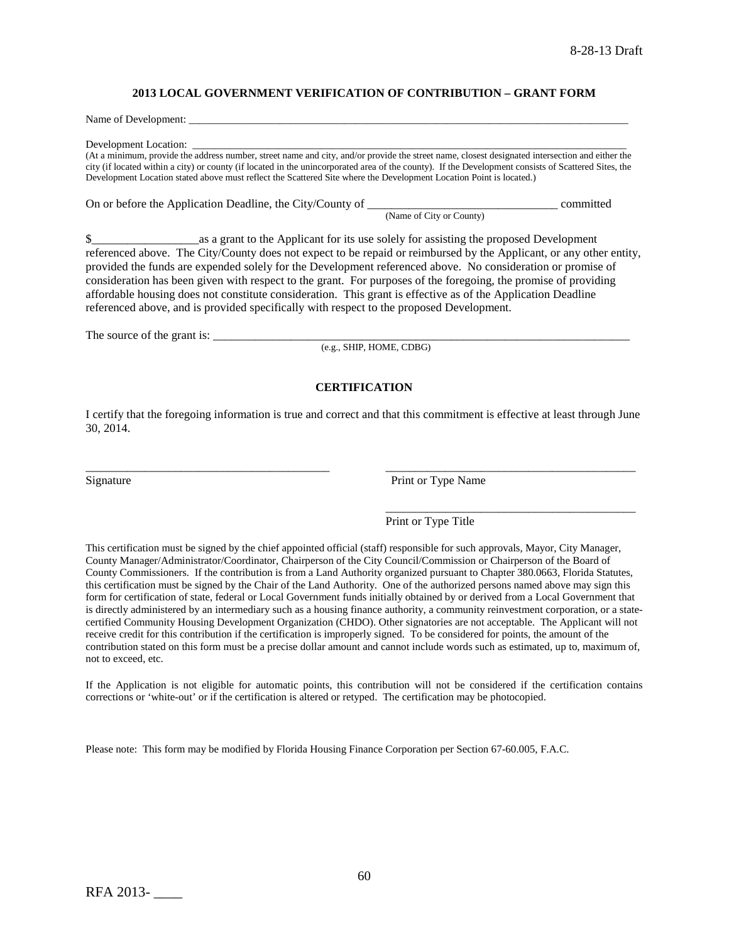#### **2013 LOCAL GOVERNMENT VERIFICATION OF CONTRIBUTION – GRANT FORM**

Name of Development:

Development Location:

(At a minimum, provide the address number, street name and city, and/or provide the street name, closest designated intersection and either the city (if located within a city) or county (if located in the unincorporated area of the county). If the Development consists of Scattered Sites, the Development Location stated above must reflect the Scattered Site where the Development Location Point is located.)

On or before the Application Deadline, the City/County of \_\_\_\_\_\_\_\_\_\_\_\_\_\_\_\_\_\_\_\_\_\_\_\_\_\_\_\_\_\_\_\_ committed (Name of City or County)

\$\_\_\_\_\_\_\_\_\_\_\_\_\_\_\_\_\_\_as a grant to the Applicant for its use solely for assisting the proposed Development referenced above. The City/County does not expect to be repaid or reimbursed by the Applicant, or any other entity, provided the funds are expended solely for the Development referenced above. No consideration or promise of consideration has been given with respect to the grant. For purposes of the foregoing, the promise of providing affordable housing does not constitute consideration. This grant is effective as of the Application Deadline referenced above, and is provided specifically with respect to the proposed Development.

The source of the grant is: \_\_\_\_\_\_\_\_\_\_\_\_\_\_\_\_\_\_\_\_\_\_\_\_\_\_\_\_\_\_\_\_\_\_\_\_\_\_\_\_\_\_\_\_\_\_\_\_\_\_\_\_\_\_\_\_\_\_\_\_\_\_\_\_\_\_\_\_\_\_

(e.g., SHIP, HOME, CDBG)

#### **CERTIFICATION**

I certify that the foregoing information is true and correct and that this commitment is effective at least through June 30, 2014.

\_\_\_\_\_\_\_\_\_\_\_\_\_\_\_\_\_\_\_\_\_\_\_\_\_\_\_\_\_\_\_\_\_\_\_\_\_\_\_\_\_ \_\_\_\_\_\_\_\_\_\_\_\_\_\_\_\_\_\_\_\_\_\_\_\_\_\_\_\_\_\_\_\_\_\_\_\_\_\_\_\_\_\_

Signature Print or Type Name

\_\_\_\_\_\_\_\_\_\_\_\_\_\_\_\_\_\_\_\_\_\_\_\_\_\_\_\_\_\_\_\_\_\_\_\_\_\_\_\_\_\_

## Print or Type Title

This certification must be signed by the chief appointed official (staff) responsible for such approvals, Mayor, City Manager, County Manager/Administrator/Coordinator, Chairperson of the City Council/Commission or Chairperson of the Board of County Commissioners. If the contribution is from a Land Authority organized pursuant to Chapter 380.0663, Florida Statutes, this certification must be signed by the Chair of the Land Authority. One of the authorized persons named above may sign this form for certification of state, federal or Local Government funds initially obtained by or derived from a Local Government that is directly administered by an intermediary such as a housing finance authority, a community reinvestment corporation, or a statecertified Community Housing Development Organization (CHDO). Other signatories are not acceptable. The Applicant will not receive credit for this contribution if the certification is improperly signed. To be considered for points, the amount of the contribution stated on this form must be a precise dollar amount and cannot include words such as estimated, up to, maximum of, not to exceed, etc.

If the Application is not eligible for automatic points, this contribution will not be considered if the certification contains corrections or 'white-out' or if the certification is altered or retyped. The certification may be photocopied.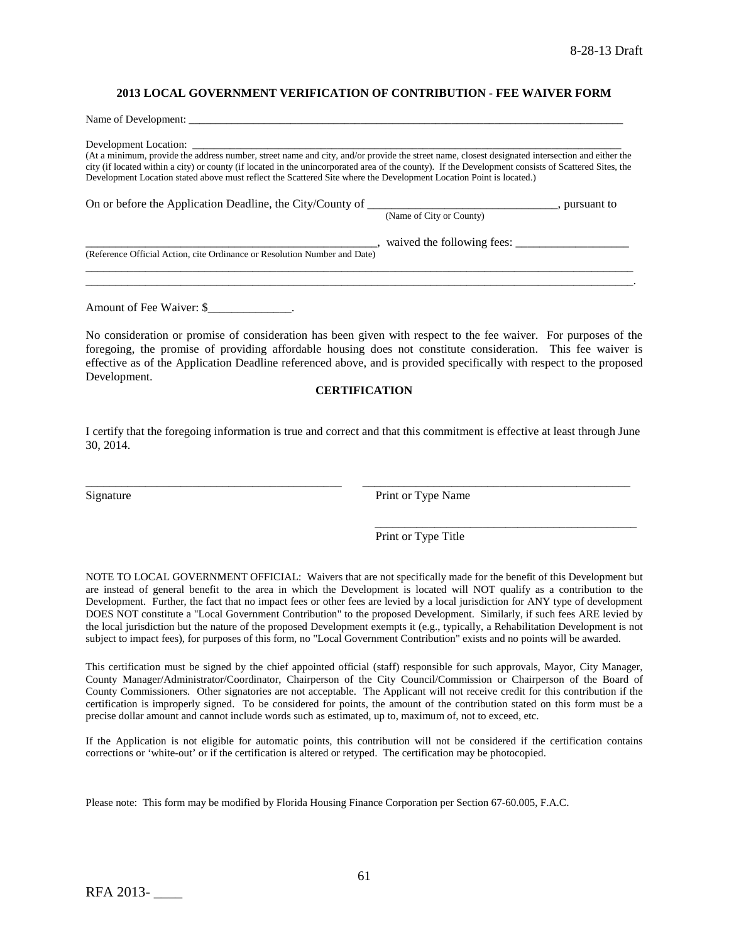#### **2013 LOCAL GOVERNMENT VERIFICATION OF CONTRIBUTION - FEE WAIVER FORM**

| Name of Development:                                                                                                                                                                                                                                                                                                                                                                                                           |                              |
|--------------------------------------------------------------------------------------------------------------------------------------------------------------------------------------------------------------------------------------------------------------------------------------------------------------------------------------------------------------------------------------------------------------------------------|------------------------------|
| (At a minimum, provide the address number, street name and city, and/or provide the street name, closest designated intersection and either the<br>city (if located within a city) or county (if located in the unincorporated area of the county). If the Development consists of Scattered Sites, the<br>Development Location stated above must reflect the Scattered Site where the Development Location Point is located.) |                              |
|                                                                                                                                                                                                                                                                                                                                                                                                                                | (Name of City or County)     |
| (Reference Official Action, cite Ordinance or Resolution Number and Date)                                                                                                                                                                                                                                                                                                                                                      | , waived the following fees: |
|                                                                                                                                                                                                                                                                                                                                                                                                                                |                              |

Amount of Fee Waiver: \$

No consideration or promise of consideration has been given with respect to the fee waiver. For purposes of the foregoing, the promise of providing affordable housing does not constitute consideration. This fee waiver is effective as of the Application Deadline referenced above, and is provided specifically with respect to the proposed Development.

#### **CERTIFICATION**

I certify that the foregoing information is true and correct and that this commitment is effective at least through June 30, 2014.

\_\_\_\_\_\_\_\_\_\_\_\_\_\_\_\_\_\_\_\_\_\_\_\_\_\_\_\_\_\_\_\_\_\_\_\_\_\_\_\_\_\_\_ \_\_\_\_\_\_\_\_\_\_\_\_\_\_\_\_\_\_\_\_\_\_\_\_\_\_\_\_\_\_\_\_\_\_\_\_\_\_\_\_\_\_\_\_\_

Signature Print or Type Name

Print or Type Title

\_\_\_\_\_\_\_\_\_\_\_\_\_\_\_\_\_\_\_\_\_\_\_\_\_\_\_\_\_\_\_\_\_\_\_\_\_\_\_\_\_\_\_\_

NOTE TO LOCAL GOVERNMENT OFFICIAL: Waivers that are not specifically made for the benefit of this Development but are instead of general benefit to the area in which the Development is located will NOT qualify as a contribution to the Development. Further, the fact that no impact fees or other fees are levied by a local jurisdiction for ANY type of development DOES NOT constitute a "Local Government Contribution" to the proposed Development. Similarly, if such fees ARE levied by the local jurisdiction but the nature of the proposed Development exempts it (e.g., typically, a Rehabilitation Development is not subject to impact fees), for purposes of this form, no "Local Government Contribution" exists and no points will be awarded.

This certification must be signed by the chief appointed official (staff) responsible for such approvals, Mayor, City Manager, County Manager/Administrator/Coordinator, Chairperson of the City Council/Commission or Chairperson of the Board of County Commissioners. Other signatories are not acceptable. The Applicant will not receive credit for this contribution if the certification is improperly signed. To be considered for points, the amount of the contribution stated on this form must be a precise dollar amount and cannot include words such as estimated, up to, maximum of, not to exceed, etc.

If the Application is not eligible for automatic points, this contribution will not be considered if the certification contains corrections or 'white-out' or if the certification is altered or retyped. The certification may be photocopied.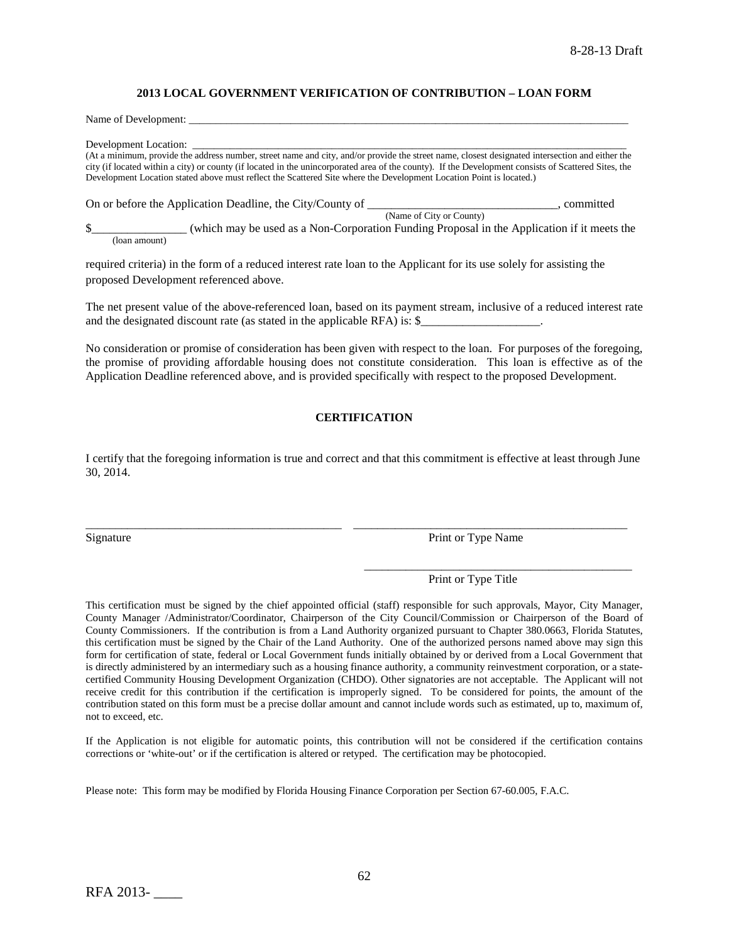#### **2013 LOCAL GOVERNMENT VERIFICATION OF CONTRIBUTION – LOAN FORM**

Name of Development:

Development Location:

(At a minimum, provide the address number, street name and city, and/or provide the street name, closest designated intersection and either the city (if located within a city) or county (if located in the unincorporated area of the county). If the Development consists of Scattered Sites, the Development Location stated above must reflect the Scattered Site where the Development Location Point is located.)

On or before the Application Deadline, the City/County of \_\_\_\_\_\_\_\_\_\_\_\_\_\_\_\_\_\_\_\_\_\_, committed (Name of City or County) \$\_\_\_\_\_\_\_\_\_\_\_\_\_\_\_\_ (which may be used as a Non-Corporation Funding Proposal in the Application if it meets the

(loan amount)

required criteria) in the form of a reduced interest rate loan to the Applicant for its use solely for assisting the proposed Development referenced above.

The net present value of the above-referenced loan, based on its payment stream, inclusive of a reduced interest rate and the designated discount rate (as stated in the applicable RFA) is: \$\_\_\_\_\_\_\_\_\_\_\_\_\_\_\_\_\_\_\_\_.

No consideration or promise of consideration has been given with respect to the loan. For purposes of the foregoing, the promise of providing affordable housing does not constitute consideration. This loan is effective as of the Application Deadline referenced above, and is provided specifically with respect to the proposed Development.

#### **CERTIFICATION**

I certify that the foregoing information is true and correct and that this commitment is effective at least through June 30, 2014.

\_\_\_\_\_\_\_\_\_\_\_\_\_\_\_\_\_\_\_\_\_\_\_\_\_\_\_\_\_\_\_\_\_\_\_\_\_\_\_\_\_\_\_ \_\_\_\_\_\_\_\_\_\_\_\_\_\_\_\_\_\_\_\_\_\_\_\_\_\_\_\_\_\_\_\_\_\_\_\_\_\_\_\_\_\_\_\_\_\_

Signature Print or Type Name

Print or Type Title

\_\_\_\_\_\_\_\_\_\_\_\_\_\_\_\_\_\_\_\_\_\_\_\_\_\_\_\_\_\_\_\_\_\_\_\_\_\_\_\_\_\_\_\_\_

This certification must be signed by the chief appointed official (staff) responsible for such approvals, Mayor, City Manager, County Manager /Administrator/Coordinator, Chairperson of the City Council/Commission or Chairperson of the Board of County Commissioners. If the contribution is from a Land Authority organized pursuant to Chapter 380.0663, Florida Statutes, this certification must be signed by the Chair of the Land Authority. One of the authorized persons named above may sign this form for certification of state, federal or Local Government funds initially obtained by or derived from a Local Government that is directly administered by an intermediary such as a housing finance authority, a community reinvestment corporation, or a statecertified Community Housing Development Organization (CHDO). Other signatories are not acceptable. The Applicant will not receive credit for this contribution if the certification is improperly signed. To be considered for points, the amount of the contribution stated on this form must be a precise dollar amount and cannot include words such as estimated, up to, maximum of, not to exceed, etc.

If the Application is not eligible for automatic points, this contribution will not be considered if the certification contains corrections or 'white-out' or if the certification is altered or retyped. The certification may be photocopied.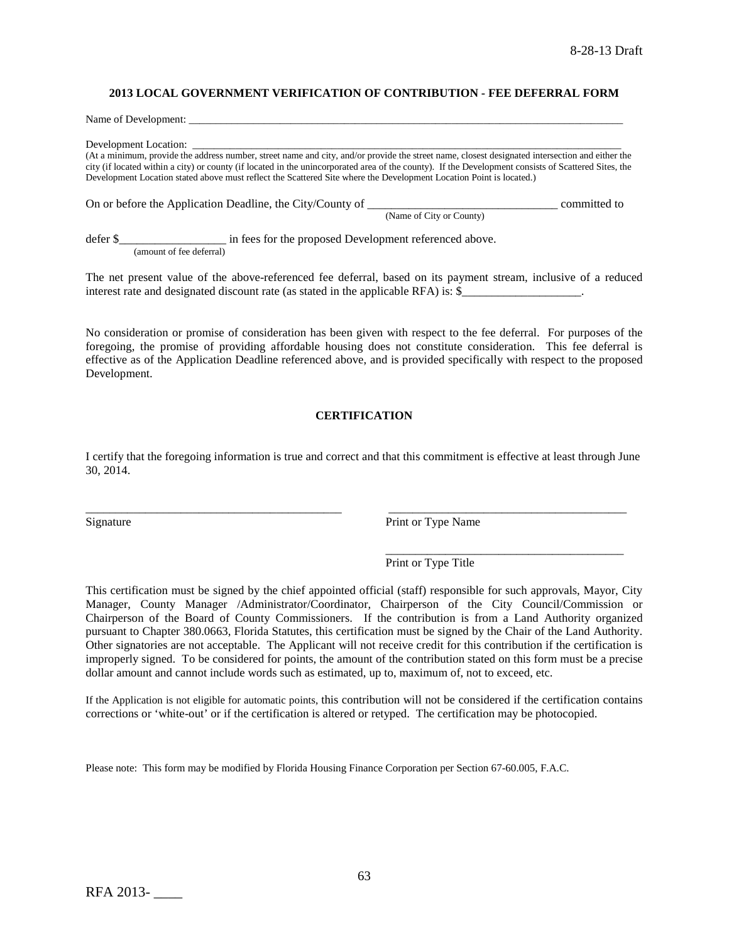#### **2013 LOCAL GOVERNMENT VERIFICATION OF CONTRIBUTION - FEE DEFERRAL FORM**

Name of Development:

Development Location:

(At a minimum, provide the address number, street name and city, and/or provide the street name, closest designated intersection and either the city (if located within a city) or county (if located in the unincorporated area of the county). If the Development consists of Scattered Sites, the Development Location stated above must reflect the Scattered Site where the Development Location Point is located.)

On or before the Application Deadline, the City/County of \_\_\_\_\_\_\_\_\_\_\_\_\_\_\_\_\_\_\_\_\_\_\_\_\_\_\_\_\_\_\_\_ committed to (Name of City or County)

defer \$\_\_\_\_\_\_\_\_\_\_\_\_\_\_\_\_\_\_\_\_\_\_ in fees for the proposed Development referenced above. (amount of fee deferral)

The net present value of the above-referenced fee deferral, based on its payment stream, inclusive of a reduced interest rate and designated discount rate (as stated in the applicable RFA) is: \$

No consideration or promise of consideration has been given with respect to the fee deferral. For purposes of the foregoing, the promise of providing affordable housing does not constitute consideration. This fee deferral is effective as of the Application Deadline referenced above, and is provided specifically with respect to the proposed Development.

#### **CERTIFICATION**

I certify that the foregoing information is true and correct and that this commitment is effective at least through June 30, 2014.

\_\_\_\_\_\_\_\_\_\_\_\_\_\_\_\_\_\_\_\_\_\_\_\_\_\_\_\_\_\_\_\_\_\_\_\_\_\_\_\_\_\_\_ \_\_\_\_\_\_\_\_\_\_\_\_\_\_\_\_\_\_\_\_\_\_\_\_\_\_\_\_\_\_\_\_\_\_\_\_\_\_\_\_

Signature Print or Type Name

\_\_\_\_\_\_\_\_\_\_\_\_\_\_\_\_\_\_\_\_\_\_\_\_\_\_\_\_\_\_\_\_\_\_\_\_\_\_\_\_ Print or Type Title

This certification must be signed by the chief appointed official (staff) responsible for such approvals, Mayor, City Manager, County Manager /Administrator/Coordinator, Chairperson of the City Council/Commission or Chairperson of the Board of County Commissioners. If the contribution is from a Land Authority organized pursuant to Chapter 380.0663, Florida Statutes, this certification must be signed by the Chair of the Land Authority. Other signatories are not acceptable. The Applicant will not receive credit for this contribution if the certification is improperly signed. To be considered for points, the amount of the contribution stated on this form must be a precise dollar amount and cannot include words such as estimated, up to, maximum of, not to exceed, etc.

If the Application is not eligible for automatic points, this contribution will not be considered if the certification contains corrections or 'white-out' or if the certification is altered or retyped. The certification may be photocopied.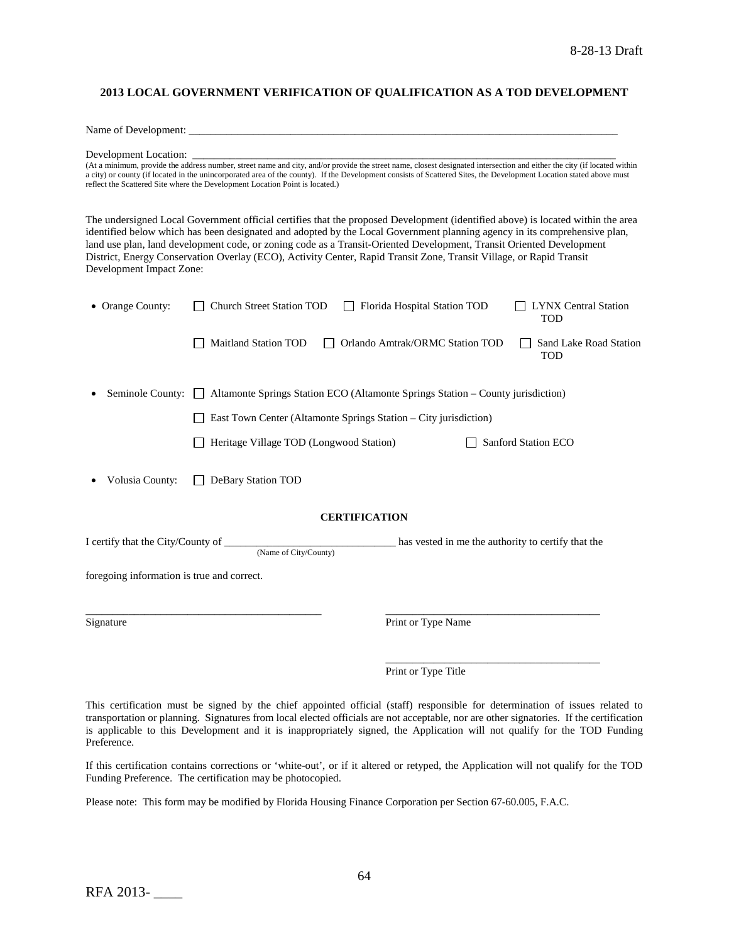#### **2013 LOCAL GOVERNMENT VERIFICATION OF QUALIFICATION AS A TOD DEVELOPMENT**

Name of Development:

Development Location: \_\_\_\_\_\_\_\_\_\_\_\_\_\_\_\_\_\_\_\_\_\_\_\_\_\_\_\_\_\_\_\_\_\_\_\_\_\_\_\_\_\_\_\_\_\_\_\_\_\_\_\_\_\_\_\_\_\_\_\_\_\_\_\_\_\_\_\_\_\_\_\_\_\_\_\_\_\_\_

(At a minimum, provide the address number, street name and city, and/or provide the street name, closest designated intersection and either the city (if located within a city) or county (if located in the unincorporated area of the county). If the Development consists of Scattered Sites, the Development Location stated above must reflect the Scattered Site where the Development Location Point is located.)

The undersigned Local Government official certifies that the proposed Development (identified above) is located within the area identified below which has been designated and adopted by the Local Government planning agency in its comprehensive plan, land use plan, land development code, or zoning code as a Transit-Oriented Development, Transit Oriented Development District, Energy Conservation Overlay (ECO), Activity Center, Rapid Transit Zone, Transit Village, or Rapid Transit Development Impact Zone:

| • Orange County:                           | Church Street Station TOD<br>$\mathbf{1}$                                                  | Florida Hospital Station TOD    | <b>LYNX Central Station</b><br><b>TOD</b> |
|--------------------------------------------|--------------------------------------------------------------------------------------------|---------------------------------|-------------------------------------------|
|                                            | <b>Maitland Station TOD</b>                                                                | Orlando Amtrak/ORMC Station TOD | Sand Lake Road Station<br><b>TOD</b>      |
| Seminole County:                           | Altamonte Springs Station ECO (Altamonte Springs Station - County jurisdiction)<br>$\perp$ |                                 |                                           |
|                                            | East Town Center (Altamonte Springs Station – City jurisdiction)                           |                                 |                                           |
|                                            | Heritage Village TOD (Longwood Station)                                                    |                                 | Sanford Station ECO                       |
| Volusia County:                            | DeBary Station TOD                                                                         |                                 |                                           |
|                                            | <b>CERTIFICATION</b>                                                                       |                                 |                                           |
|                                            | (Name of City/County)                                                                      |                                 |                                           |
| foregoing information is true and correct. |                                                                                            |                                 |                                           |
| Signature                                  |                                                                                            | Print or Type Name              |                                           |
|                                            |                                                                                            |                                 |                                           |
|                                            |                                                                                            | Print or Type Title             |                                           |

This certification must be signed by the chief appointed official (staff) responsible for determination of issues related to transportation or planning. Signatures from local elected officials are not acceptable, nor are other signatories. If the certification is applicable to this Development and it is inappropriately signed, the Application will not qualify for the TOD Funding Preference.

If this certification contains corrections or 'white-out', or if it altered or retyped, the Application will not qualify for the TOD Funding Preference. The certification may be photocopied.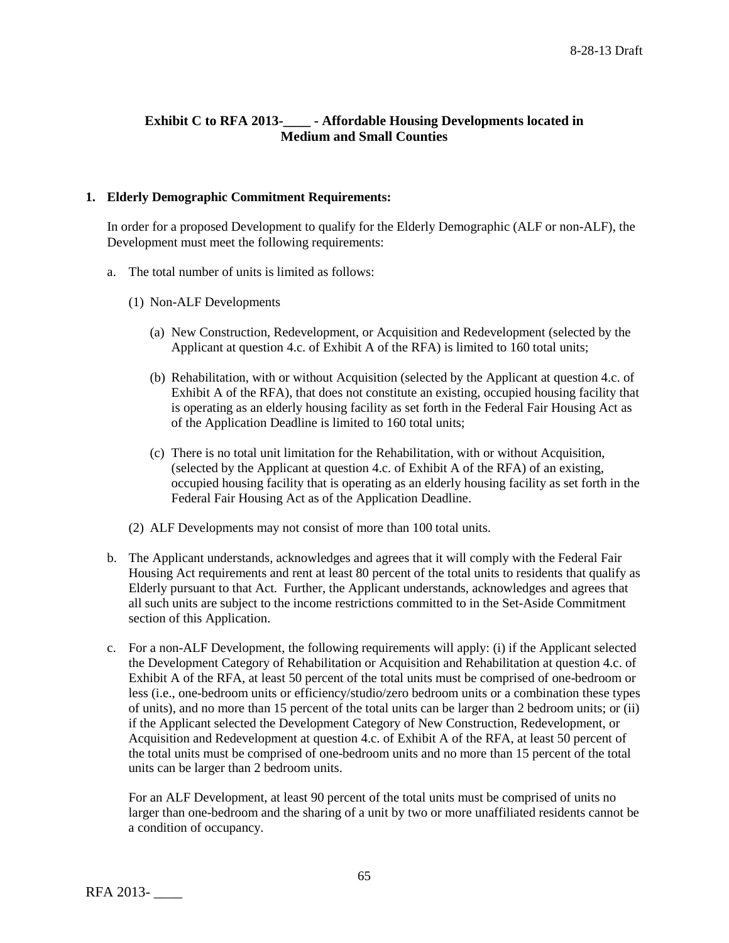# **Exhibit C to RFA 2013-\_\_\_\_ - Affordable Housing Developments located in Medium and Small Counties**

## **1. Elderly Demographic Commitment Requirements:**

In order for a proposed Development to qualify for the Elderly Demographic (ALF or non-ALF), the Development must meet the following requirements:

- a. The total number of units is limited as follows:
	- (1) Non-ALF Developments
		- (a) New Construction, Redevelopment, or Acquisition and Redevelopment (selected by the Applicant at question 4.c. of Exhibit A of the RFA) is limited to 160 total units;
		- (b) Rehabilitation, with or without Acquisition (selected by the Applicant at question 4.c. of Exhibit A of the RFA), that does not constitute an existing, occupied housing facility that is operating as an elderly housing facility as set forth in the Federal Fair Housing Act as of the Application Deadline is limited to 160 total units;
		- (c) There is no total unit limitation for the Rehabilitation, with or without Acquisition, (selected by the Applicant at question 4.c. of Exhibit A of the RFA) of an existing, occupied housing facility that is operating as an elderly housing facility as set forth in the Federal Fair Housing Act as of the Application Deadline.
	- (2) ALF Developments may not consist of more than 100 total units.
- b. The Applicant understands, acknowledges and agrees that it will comply with the Federal Fair Housing Act requirements and rent at least 80 percent of the total units to residents that qualify as Elderly pursuant to that Act. Further, the Applicant understands, acknowledges and agrees that all such units are subject to the income restrictions committed to in the Set-Aside Commitment section of this Application.
- c. For a non-ALF Development, the following requirements will apply: (i) if the Applicant selected the Development Category of Rehabilitation or Acquisition and Rehabilitation at question 4.c. of Exhibit A of the RFA, at least 50 percent of the total units must be comprised of one-bedroom or less (i.e., one-bedroom units or efficiency/studio/zero bedroom units or a combination these types of units), and no more than 15 percent of the total units can be larger than 2 bedroom units; or (ii) if the Applicant selected the Development Category of New Construction, Redevelopment, or Acquisition and Redevelopment at question 4.c. of Exhibit A of the RFA, at least 50 percent of the total units must be comprised of one-bedroom units and no more than 15 percent of the total units can be larger than 2 bedroom units.

For an ALF Development, at least 90 percent of the total units must be comprised of units no larger than one-bedroom and the sharing of a unit by two or more unaffiliated residents cannot be a condition of occupancy.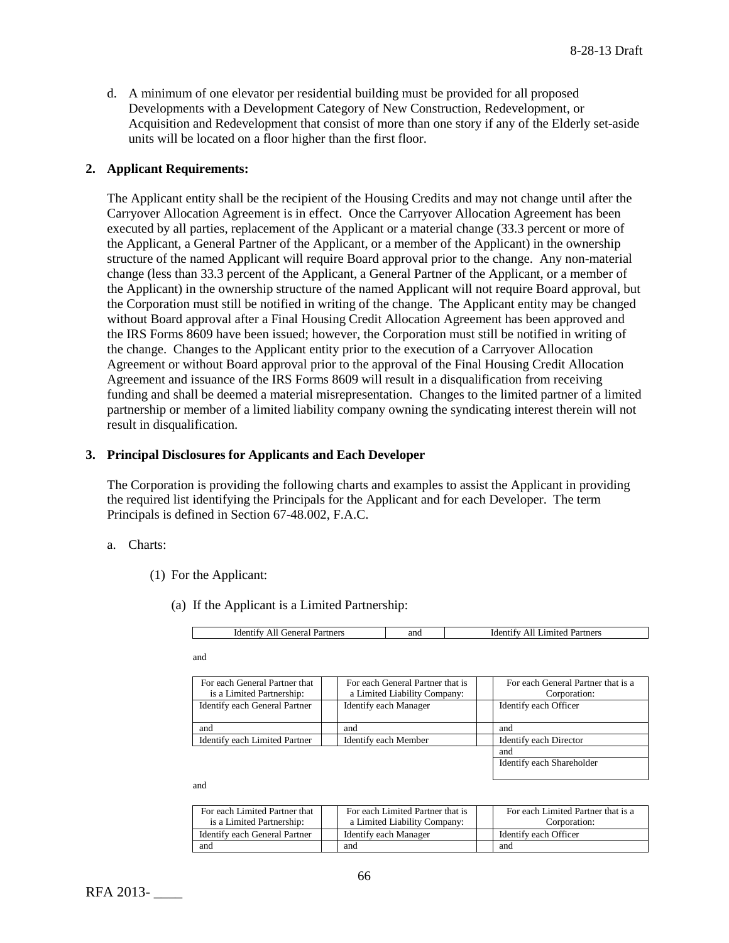d. A minimum of one elevator per residential building must be provided for all proposed Developments with a Development Category of New Construction, Redevelopment, or Acquisition and Redevelopment that consist of more than one story if any of the Elderly set-aside units will be located on a floor higher than the first floor.

## **2. Applicant Requirements:**

The Applicant entity shall be the recipient of the Housing Credits and may not change until after the Carryover Allocation Agreement is in effect. Once the Carryover Allocation Agreement has been executed by all parties, replacement of the Applicant or a material change (33.3 percent or more of the Applicant, a General Partner of the Applicant, or a member of the Applicant) in the ownership structure of the named Applicant will require Board approval prior to the change. Any non-material change (less than 33.3 percent of the Applicant, a General Partner of the Applicant, or a member of the Applicant) in the ownership structure of the named Applicant will not require Board approval, but the Corporation must still be notified in writing of the change. The Applicant entity may be changed without Board approval after a Final Housing Credit Allocation Agreement has been approved and the IRS Forms 8609 have been issued; however, the Corporation must still be notified in writing of the change. Changes to the Applicant entity prior to the execution of a Carryover Allocation Agreement or without Board approval prior to the approval of the Final Housing Credit Allocation Agreement and issuance of the IRS Forms 8609 will result in a disqualification from receiving funding and shall be deemed a material misrepresentation. Changes to the limited partner of a limited partnership or member of a limited liability company owning the syndicating interest therein will not result in disqualification.

## **3. Principal Disclosures for Applicants and Each Developer**

The Corporation is providing the following charts and examples to assist the Applicant in providing the required list identifying the Principals for the Applicant and for each Developer. The term Principals is defined in Section 67-48.002, F.A.C.

#### a. Charts:

- (1) For the Applicant:
	- (a) If the Applicant is a Limited Partnership:

| ldenti<br>Partners<br>jeneral<br>− 1 1 1 | and | artners<br>Identify<br>All<br>Limited. |
|------------------------------------------|-----|----------------------------------------|
|------------------------------------------|-----|----------------------------------------|

and

| For each General Partner that<br>is a Limited Partnership: | For each General Partner that is<br>a Limited Liability Company: | For each General Partner that is a<br>Corporation: |
|------------------------------------------------------------|------------------------------------------------------------------|----------------------------------------------------|
| Identify each General Partner                              | <b>Identify each Manager</b>                                     | Identify each Officer                              |
| and                                                        | and                                                              | and                                                |
| Identify each Limited Partner                              | Identify each Member                                             | Identify each Director                             |
|                                                            |                                                                  | and                                                |

Identify each Shareholder

and

| For each Limited Partner that | For each Limited Partner that is | For each Limited Partner that is a |
|-------------------------------|----------------------------------|------------------------------------|
| is a Limited Partnership:     | a Limited Liability Company:     | Corporation:                       |
| Identify each General Partner | Identify each Manager            | Identify each Officer              |
| and                           | and                              | and                                |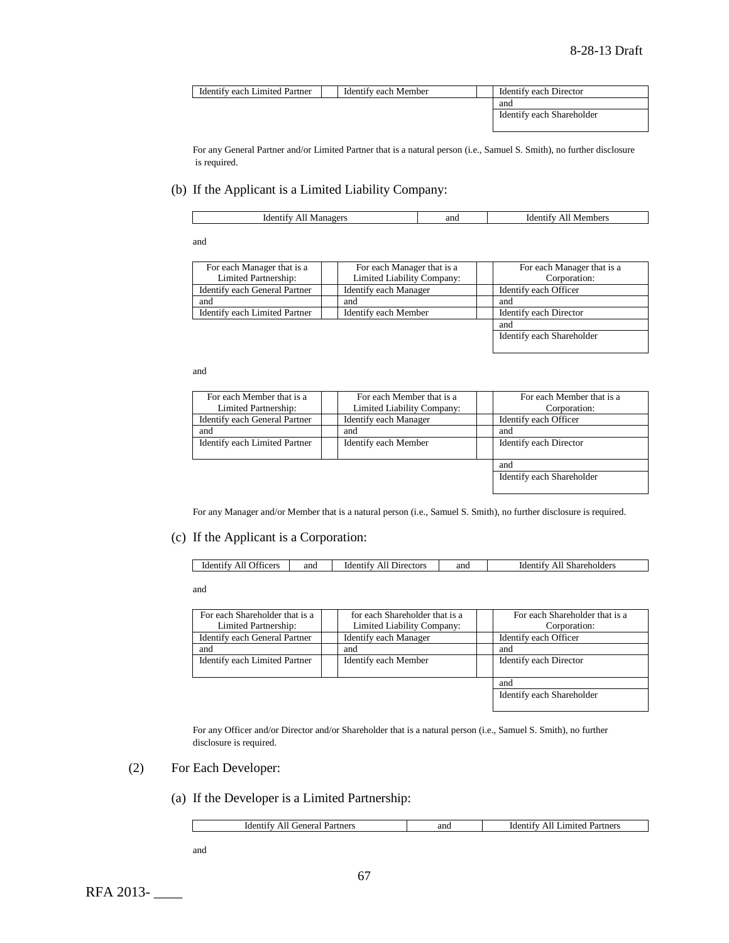| Identify each Limited Partner | Identify each Member | Identify each Director    |  |
|-------------------------------|----------------------|---------------------------|--|
|                               |                      | and                       |  |
|                               |                      | Identify each Shareholder |  |

For any General Partner and/or Limited Partner that is a natural person (i.e., Samuel S. Smith), no further disclosure is required.

## (b) If the Applicant is a Limited Liability Company:

| ano<br>nbers<br>.101<br>1d6<br>∩VI€<br>IVI :<br>10¢<br>$\mathbf{v}$<br>- 11<br>. .<br>. |
|-----------------------------------------------------------------------------------------|
|-----------------------------------------------------------------------------------------|

and

| For each Manager that is a    | For each Manager that is a | For each Manager that is a |
|-------------------------------|----------------------------|----------------------------|
| Limited Partnership:          | Limited Liability Company: | Corporation:               |
| Identify each General Partner | Identify each Manager      | Identify each Officer      |
| and                           | and                        | and                        |
| Identify each Limited Partner | Identify each Member       | Identify each Director     |
|                               |                            | and                        |
|                               |                            | Identify each Shareholder  |

#### and

| For each Member that is a     | For each Member that is a  | For each Member that is a |
|-------------------------------|----------------------------|---------------------------|
| Limited Partnership:          | Limited Liability Company: | Corporation:              |
| Identify each General Partner | Identify each Manager      | Identify each Officer     |
| and                           | and                        | and                       |
| Identify each Limited Partner | Identify each Member       | Identify each Director    |
|                               |                            |                           |
|                               |                            | and                       |
|                               |                            | Identify each Shareholder |
|                               |                            |                           |

For any Manager and/or Member that is a natural person (i.e., Samuel S. Smith), no further disclosure is required.

## (c) If the Applicant is a Corporation:

| r control<br><b>Jiticers</b><br>and<br>and<br><b>Directors</b><br>Identity<br>identify<br>Shareholders<br><b>Identify</b><br>AII<br>AII<br>ΑH |  |  |  |
|-----------------------------------------------------------------------------------------------------------------------------------------------|--|--|--|
|                                                                                                                                               |  |  |  |

and

| for each Shareholder that is a<br>Limited Liability Company: | For each Shareholder that is a<br>Corporation: |
|--------------------------------------------------------------|------------------------------------------------|
| Identify each Manager                                        | Identify each Officer                          |
| and                                                          | and                                            |
| Identify each Member                                         | Identify each Director                         |
|                                                              |                                                |
|                                                              | and                                            |
|                                                              | Identify each Shareholder                      |
|                                                              |                                                |

For any Officer and/or Director and/or Shareholder that is a natural person (i.e., Samuel S. Smith), no further disclosure is required.

- (2) For Each Developer:
	- (a) If the Developer is a Limited Partnership:

| . ieneral<br>Identify<br>Partners<br>AIL<br>------- | and | All<br>Limited<br>Partners<br>Identify |
|-----------------------------------------------------|-----|----------------------------------------|
|                                                     |     |                                        |

and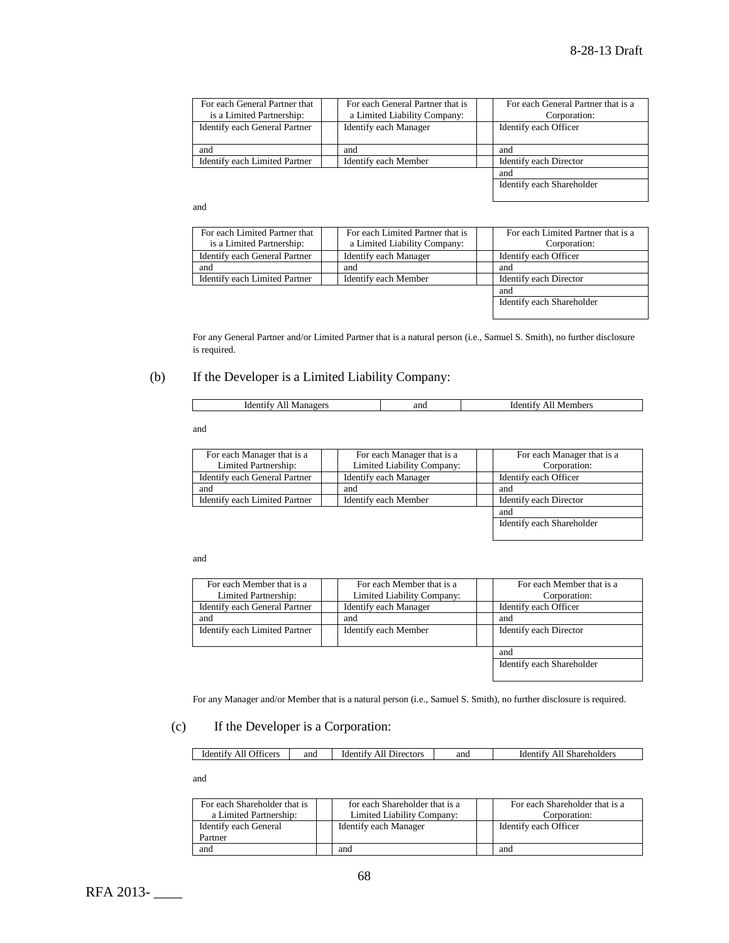| For each General Partner that<br>is a Limited Partnership: | For each General Partner that is<br>a Limited Liability Company: | For each General Partner that is a<br>Corporation: |
|------------------------------------------------------------|------------------------------------------------------------------|----------------------------------------------------|
| Identify each General Partner                              | Identify each Manager                                            | Identify each Officer                              |
| and                                                        | and                                                              | and                                                |
| Identify each Limited Partner                              | Identify each Member                                             | Identify each Director                             |
|                                                            |                                                                  | and                                                |
|                                                            |                                                                  | Identify each Shareholder                          |

#### and

| For each Limited Partner that | For each Limited Partner that is | For each Limited Partner that is a |
|-------------------------------|----------------------------------|------------------------------------|
| is a Limited Partnership:     | a Limited Liability Company:     | Corporation:                       |
| Identify each General Partner | <b>Identify each Manager</b>     | Identify each Officer              |
| and                           | and                              | and                                |
| Identify each Limited Partner | Identify each Member             | Identify each Director             |
|                               |                                  | and                                |
|                               |                                  | Identify each Shareholder          |

For any General Partner and/or Limited Partner that is a natural person (i.e., Samuel S. Smith), no further disclosure is required.

# (b) If the Developer is a Limited Liability Company:

and

| For each Manager that is a<br>Limited Partnership:           | For each Manager that is a<br>Limited Liability Company: | For each Manager that is a<br>Corporation: |  |
|--------------------------------------------------------------|----------------------------------------------------------|--------------------------------------------|--|
| Identify each General Partner                                | Identify each Manager                                    | Identify each Officer                      |  |
| and                                                          | and                                                      | and                                        |  |
| Identify each Limited Partner<br><b>Identify each Member</b> |                                                          | Identify each Director                     |  |
|                                                              |                                                          | and                                        |  |
|                                                              |                                                          | Identify each Shareholder                  |  |

and

| For each Member that is a<br>Limited Partnership:     | For each Member that is a<br>Limited Liability Company: |                       | For each Member that is a<br>Corporation: |
|-------------------------------------------------------|---------------------------------------------------------|-----------------------|-------------------------------------------|
| Identify each General Partner                         | Identify each Manager                                   | Identify each Officer |                                           |
| and                                                   | and                                                     |                       | and                                       |
| Identify each Limited Partner<br>Identify each Member |                                                         |                       | Identify each Director                    |
|                                                       |                                                         |                       | and                                       |
|                                                       |                                                         |                       | Identify each Shareholder                 |

For any Manager and/or Member that is a natural person (i.e., Samuel S. Smith), no further disclosure is required.

## (c) If the Developer is a Corporation:

| <b>CONTRACTOR</b><br>and<br>and<br><b>Cers</b><br>ectors<br>$d$ can be<br>Identity<br>Shareholders<br>.)tre<br><sub>1</sub> der<br>эл<br>1616<br>41 I<br>$"$ HCC <sub>L</sub><br>- 11 |
|---------------------------------------------------------------------------------------------------------------------------------------------------------------------------------------|
|---------------------------------------------------------------------------------------------------------------------------------------------------------------------------------------|

and

| For each Shareholder that is<br>a Limited Partnership: |                       | for each Shareholder that is a<br>Limited Liability Company: | For each Shareholder that is a<br>Corporation: |                       |
|--------------------------------------------------------|-----------------------|--------------------------------------------------------------|------------------------------------------------|-----------------------|
| Identify each General                                  | Identify each Manager |                                                              |                                                | Identify each Officer |
| Partner                                                |                       |                                                              |                                                |                       |
| and                                                    |                       | and                                                          |                                                | and                   |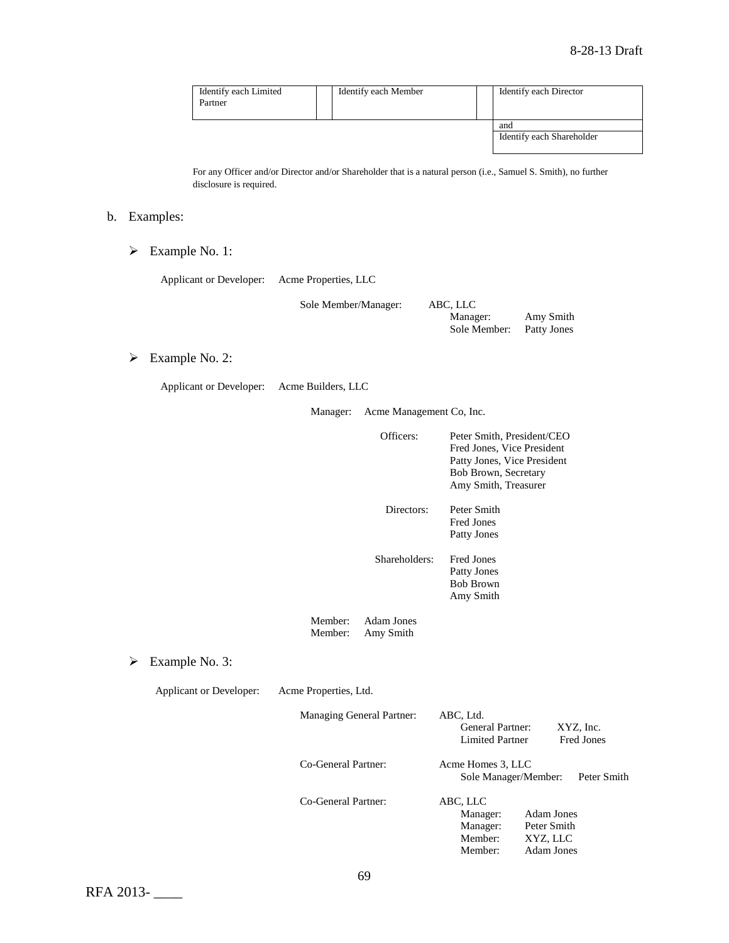| Identify each Limited<br>Partner |  | Identify each Member | Identify each Director           |
|----------------------------------|--|----------------------|----------------------------------|
|                                  |  |                      | and<br>Identify each Shareholder |

For any Officer and/or Director and/or Shareholder that is a natural person (i.e., Samuel S. Smith), no further disclosure is required.

# b. Examples:

Example No. 1:

Applicant or Developer: Acme Properties, LLC

| Sole Member/Manager: | ABC, LLC     |             |
|----------------------|--------------|-------------|
|                      | Manager:     | Amy Smith   |
|                      | Sole Member: | Patty Jones |

Example No. 2:

Applicant or Developer: Acme Builders, LLC

Manager: Acme Management Co, Inc.

|   |                         |                       | Officers:                      | Peter Smith, President/CEO<br>Fred Jones, Vice President<br>Patty Jones, Vice President<br>Bob Brown, Secretary<br>Amy Smith, Treasurer |                                                                   |                                |
|---|-------------------------|-----------------------|--------------------------------|-----------------------------------------------------------------------------------------------------------------------------------------|-------------------------------------------------------------------|--------------------------------|
|   |                         |                       | Directors:                     | Peter Smith<br><b>Fred Jones</b><br>Patty Jones                                                                                         |                                                                   |                                |
|   |                         |                       | Shareholders:                  | <b>Fred Jones</b><br>Patty Jones<br><b>Bob Brown</b><br>Amy Smith                                                                       |                                                                   |                                |
|   |                         | Member:<br>Member:    | <b>Adam Jones</b><br>Amy Smith |                                                                                                                                         |                                                                   |                                |
| ➤ | Example No. 3:          |                       |                                |                                                                                                                                         |                                                                   |                                |
|   | Applicant or Developer: | Acme Properties, Ltd. |                                |                                                                                                                                         |                                                                   |                                |
|   |                         |                       | Managing General Partner:      | ABC, Ltd.<br><b>General Partner:</b><br><b>Limited Partner</b>                                                                          |                                                                   | XYZ, Inc.<br><b>Fred Jones</b> |
|   |                         | Co-General Partner:   |                                | Acme Homes 3, LLC<br>Sole Manager/Member:                                                                                               |                                                                   | Peter Smith                    |
|   |                         | Co-General Partner:   |                                | ABC, LLC<br>Manager:<br>Manager:<br>Member:<br>Member:                                                                                  | <b>Adam Jones</b><br>Peter Smith<br>XYZ, LLC<br><b>Adam Jones</b> |                                |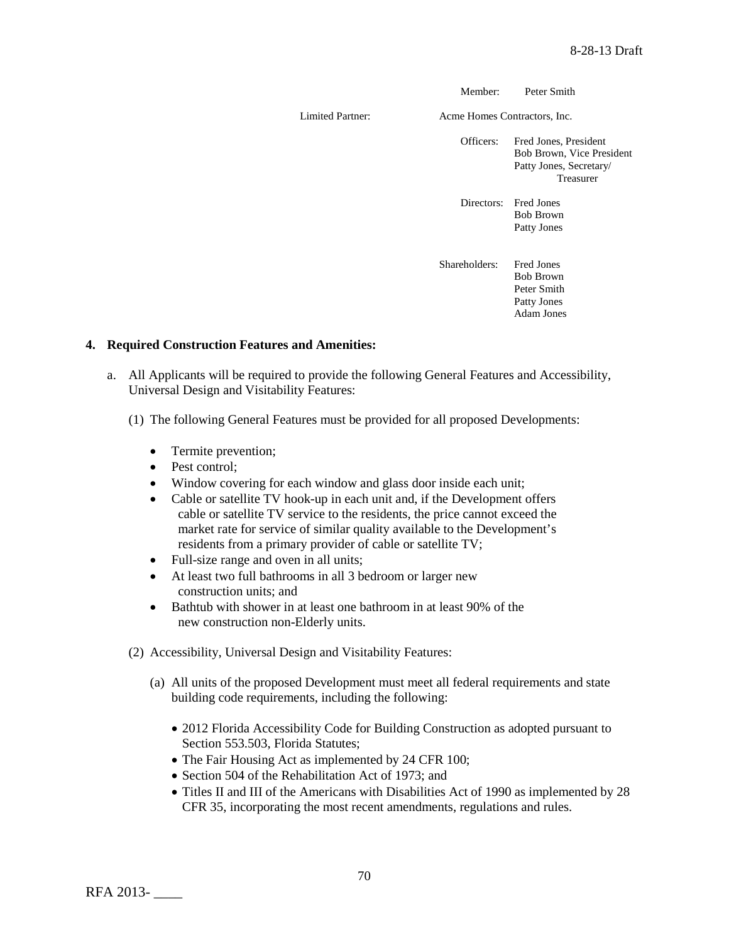Member: Peter Smith

Limited Partner: Acme Homes Contractors, Inc.

Officers: Fred Jones, President Bob Brown, Vice President Patty Jones, Secretary/ Treasurer

Directors: Fred Jones Bob Brown Patty Jones

Shareholders: Fred Jones Bob Brown Peter Smith Patty Jones Adam Jones

# **4. Required Construction Features and Amenities:**

- a. All Applicants will be required to provide the following General Features and Accessibility, Universal Design and Visitability Features:
	- (1) The following General Features must be provided for all proposed Developments:
		- Termite prevention;
		- Pest control:
		- Window covering for each window and glass door inside each unit;
		- Cable or satellite TV hook-up in each unit and, if the Development offers cable or satellite TV service to the residents, the price cannot exceed the market rate for service of similar quality available to the Development's residents from a primary provider of cable or satellite TV;
		- Full-size range and oven in all units;
		- At least two full bathrooms in all 3 bedroom or larger new construction units; and
		- Bathtub with shower in at least one bathroom in at least 90% of the new construction non-Elderly units.
	- (2) Accessibility, Universal Design and Visitability Features:
		- (a) All units of the proposed Development must meet all federal requirements and state building code requirements, including the following:
			- 2012 Florida Accessibility Code for Building Construction as adopted pursuant to Section 553.503, Florida Statutes;
			- The Fair Housing Act as implemented by 24 CFR 100;
			- Section 504 of the Rehabilitation Act of 1973; and
			- Titles II and III of the Americans with Disabilities Act of 1990 as implemented by 28 CFR 35, incorporating the most recent amendments, regulations and rules.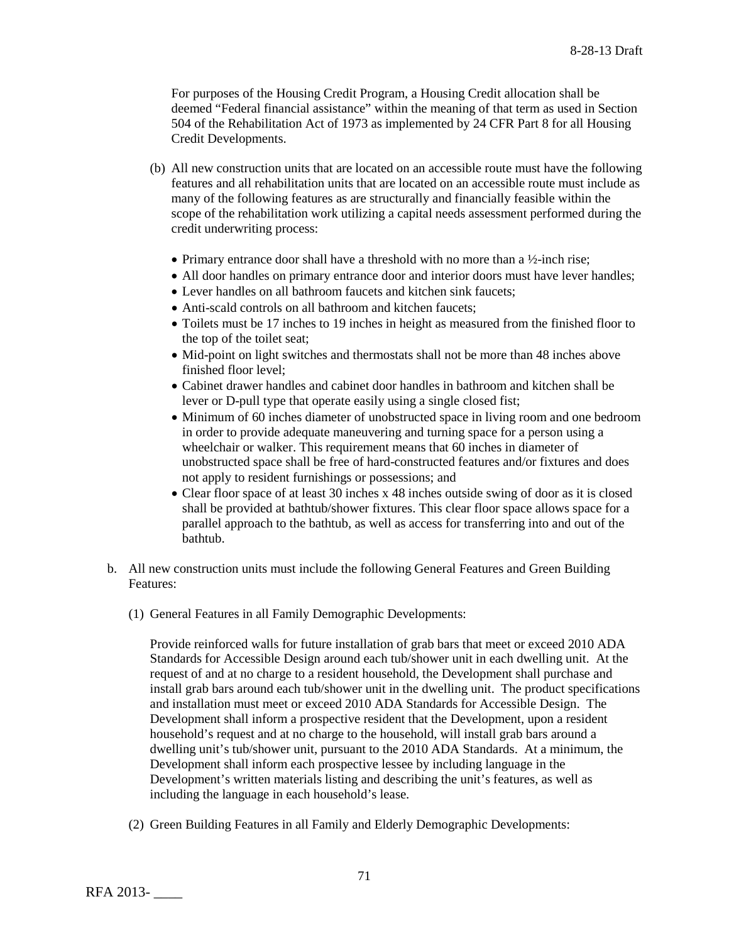For purposes of the Housing Credit Program, a Housing Credit allocation shall be deemed "Federal financial assistance" within the meaning of that term as used in Section 504 of the Rehabilitation Act of 1973 as implemented by 24 CFR Part 8 for all Housing Credit Developments.

- (b) All new construction units that are located on an accessible route must have the following features and all rehabilitation units that are located on an accessible route must include as many of the following features as are structurally and financially feasible within the scope of the rehabilitation work utilizing a capital needs assessment performed during the credit underwriting process:
	- Primary entrance door shall have a threshold with no more than a  $\frac{1}{2}$ -inch rise;
	- All door handles on primary entrance door and interior doors must have lever handles;
	- Lever handles on all bathroom faucets and kitchen sink faucets:
	- Anti-scald controls on all bathroom and kitchen faucets:
	- Toilets must be 17 inches to 19 inches in height as measured from the finished floor to the top of the toilet seat;
	- Mid-point on light switches and thermostats shall not be more than 48 inches above finished floor level;
	- Cabinet drawer handles and cabinet door handles in bathroom and kitchen shall be lever or D-pull type that operate easily using a single closed fist;
	- Minimum of 60 inches diameter of unobstructed space in living room and one bedroom in order to provide adequate maneuvering and turning space for a person using a wheelchair or walker. This requirement means that 60 inches in diameter of unobstructed space shall be free of hard-constructed features and/or fixtures and does not apply to resident furnishings or possessions; and
	- Clear floor space of at least 30 inches x 48 inches outside swing of door as it is closed shall be provided at bathtub/shower fixtures. This clear floor space allows space for a parallel approach to the bathtub, as well as access for transferring into and out of the bathtub.
- b. All new construction units must include the following General Features and Green Building Features:
	- (1) General Features in all Family Demographic Developments:

Provide reinforced walls for future installation of grab bars that meet or exceed 2010 ADA Standards for Accessible Design around each tub/shower unit in each dwelling unit. At the request of and at no charge to a resident household, the Development shall purchase and install grab bars around each tub/shower unit in the dwelling unit. The product specifications and installation must meet or exceed 2010 ADA Standards for Accessible Design. The Development shall inform a prospective resident that the Development, upon a resident household's request and at no charge to the household, will install grab bars around a dwelling unit's tub/shower unit, pursuant to the 2010 ADA Standards. At a minimum, the Development shall inform each prospective lessee by including language in the Development's written materials listing and describing the unit's features, as well as including the language in each household's lease.

(2) Green Building Features in all Family and Elderly Demographic Developments: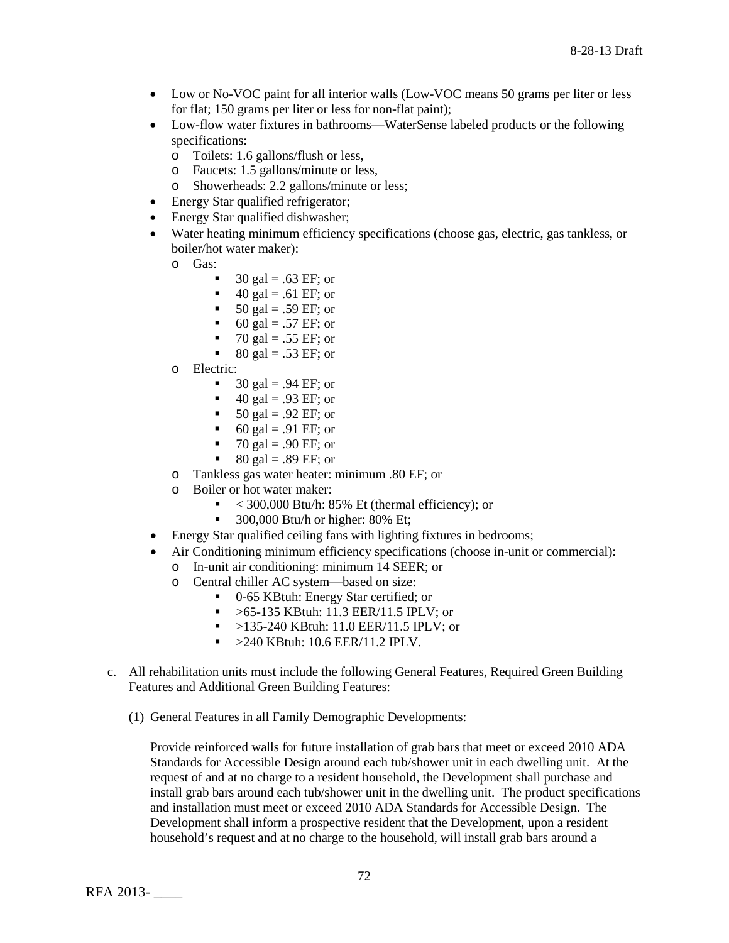- Low or No-VOC paint for all interior walls (Low-VOC means 50 grams per liter or less for flat; 150 grams per liter or less for non-flat paint);
- Low-flow water fixtures in bathrooms—WaterSense labeled products or the following specifications:
	- o Toilets: 1.6 gallons/flush or less,
	- o Faucets: 1.5 gallons/minute or less,
	- o Showerheads: 2.2 gallons/minute or less;
- Energy Star qualified refrigerator;
- Energy Star qualified dishwasher;
- Water heating minimum efficiency specifications (choose gas, electric, gas tankless, or boiler/hot water maker):
	- o Gas:
		- 30 gal =  $.63 \text{ EF}$ ; or
		- $\blacksquare$  40 gal = .61 EF; or
		- $\blacksquare$  50 gal = .59 EF; or
		- 60 gal = .57 EF; or
		- $\blacksquare$  70 gal = .55 EF; or
		- $80 \text{ gal} = .53 \text{ EF}$ ; or
	- o Electric:
		- $\blacksquare$  30 gal = .94 EF; or
		- $\blacksquare$  40 gal = .93 EF; or
		- $\bullet$  50 gal = .92 EF; or
		- 60 gal = .91 EF; or
		- 70 gal = .90 EF; or<br>80 gal = 89 EF; or
		- 80 gal = .89 EF; or
	- o Tankless gas water heater: minimum .80 EF; or
	- o Boiler or hot water maker:<br> $\leq 300,000$  Btu/b: 8
		- $<$  300,000 Btu/h: 85% Et (thermal efficiency); or
		- $\blacksquare$  300,000 Btu/h or higher: 80% Et;
- Energy Star qualified ceiling fans with lighting fixtures in bedrooms;
- Air Conditioning minimum efficiency specifications (choose in-unit or commercial):
	- o In-unit air conditioning: minimum 14 SEER; or
		- Central chiller AC system—based on size:
			- 0-65 KBtuh: Energy Star certified; or
			- $\blacktriangleright$  >65-135 KBtuh: 11.3 EER/11.5 IPLV; or
			- >135-240 KBtuh: 11.0 EER/11.5 IPLV; or
			- $\blacktriangleright$  >240 KBtuh: 10.6 EER/11.2 IPLV.
- c. All rehabilitation units must include the following General Features, Required Green Building Features and Additional Green Building Features:
	- (1) General Features in all Family Demographic Developments:

Provide reinforced walls for future installation of grab bars that meet or exceed 2010 ADA Standards for Accessible Design around each tub/shower unit in each dwelling unit. At the request of and at no charge to a resident household, the Development shall purchase and install grab bars around each tub/shower unit in the dwelling unit. The product specifications and installation must meet or exceed 2010 ADA Standards for Accessible Design. The Development shall inform a prospective resident that the Development, upon a resident household's request and at no charge to the household, will install grab bars around a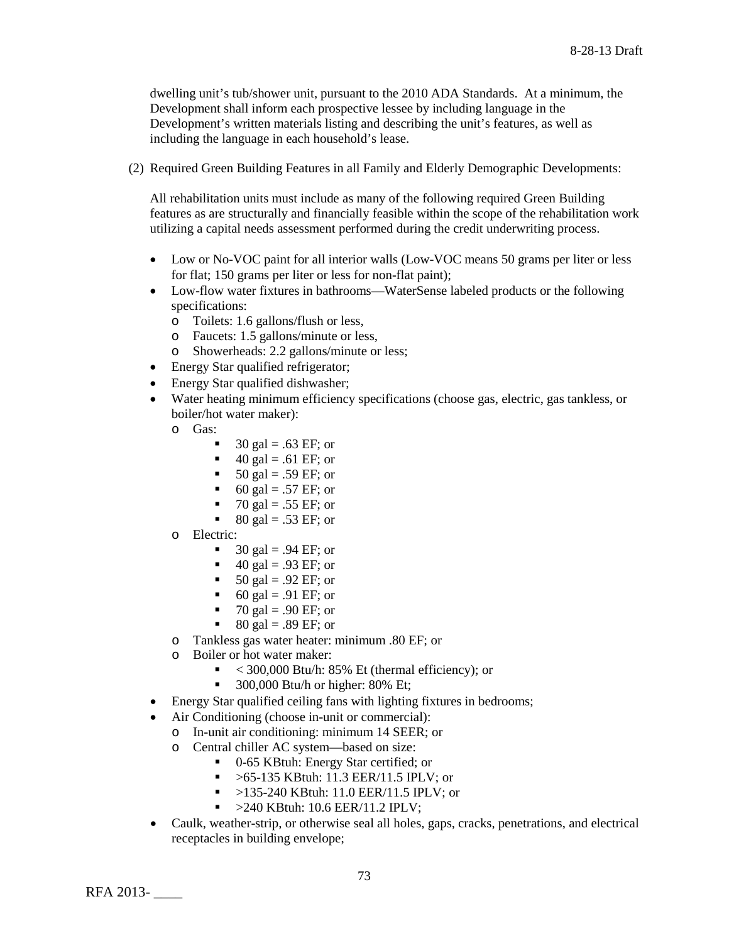dwelling unit's tub/shower unit, pursuant to the 2010 ADA Standards. At a minimum, the Development shall inform each prospective lessee by including language in the Development's written materials listing and describing the unit's features, as well as including the language in each household's lease.

(2) Required Green Building Features in all Family and Elderly Demographic Developments:

All rehabilitation units must include as many of the following required Green Building features as are structurally and financially feasible within the scope of the rehabilitation work utilizing a capital needs assessment performed during the credit underwriting process.

- Low or No-VOC paint for all interior walls (Low-VOC means 50 grams per liter or less for flat; 150 grams per liter or less for non-flat paint);
- Low-flow water fixtures in bathrooms—WaterSense labeled products or the following specifications:
	- o Toilets: 1.6 gallons/flush or less,
	- o Faucets: 1.5 gallons/minute or less,<br>
	o Showerheads: 2.2 gallons/minute or
	- Showerheads: 2.2 gallons/minute or less;
- Energy Star qualified refrigerator;
- Energy Star qualified dishwasher;
- Water heating minimum efficiency specifications (choose gas, electric, gas tankless, or boiler/hot water maker):
	- o Gas:
		- 30 gal =  $.63$  EF; or
		- $\blacksquare$  40 gal = .61 EF; or
		- $\blacksquare$  50 gal = .59 EF; or
		- 60 gal = .57 EF; or
		- 70 gal = .55 EF; or
		- $\bullet$  80 gal = .53 EF; or
	- o Electric:
		- $\blacksquare$  30 gal = .94 EF; or
		- $\blacksquare$  40 gal = .93 EF; or
		- $\blacksquare$  50 gal = .92 EF; or
		- 60 gal = .91 EF; or
		- $\blacksquare$  70 gal = .90 EF; or
		- $80 \text{ gal} = .89 \text{ EF}$ ; or
	- o Tankless gas water heater: minimum .80 EF; or
	- o Boiler or hot water maker:
		- $\sim$  < 300,000 Btu/h: 85% Et (thermal efficiency); or
		- $\blacksquare$  300,000 Btu/h or higher: 80% Et;
- Energy Star qualified ceiling fans with lighting fixtures in bedrooms;
- Air Conditioning (choose in-unit or commercial):
	- o In-unit air conditioning: minimum 14 SEER; or
	- o Central chiller AC system—based on size:
		- 0-65 KBtuh: Energy Star certified; or
			- > 65-135 KBtuh: 11.3 EER/11.5 IPLV; or
			- $\blacktriangleright$  >135-240 KBtuh: 11.0 EER/11.5 IPLV; or
			- $\sim$  >240 KBtuh: 10.6 EER/11.2 IPLV:
- Caulk, weather-strip, or otherwise seal all holes, gaps, cracks, penetrations, and electrical receptacles in building envelope;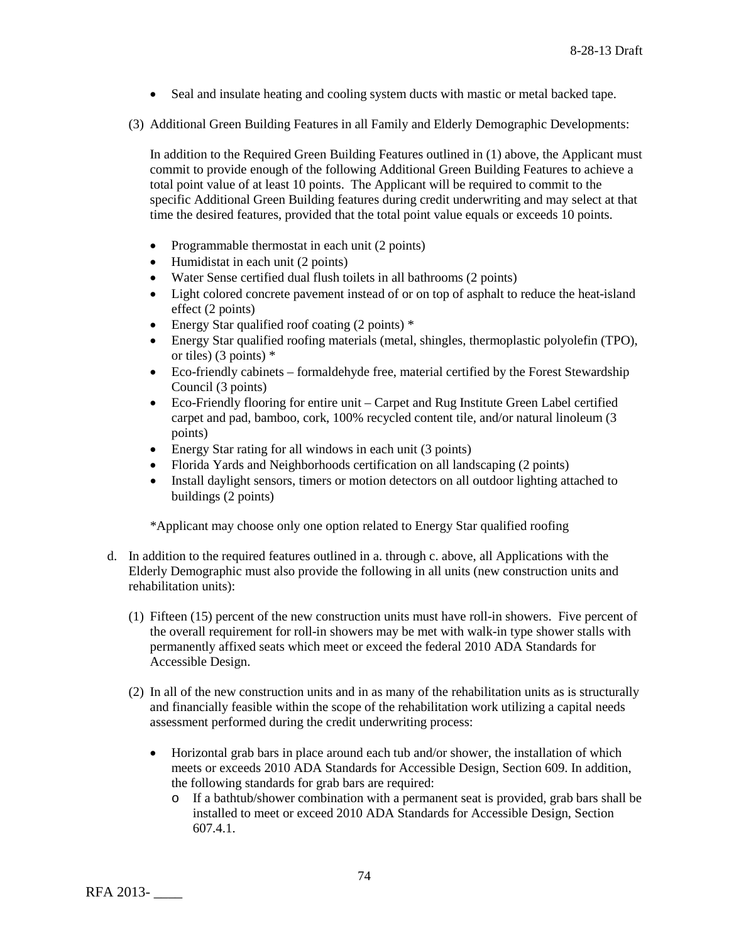- Seal and insulate heating and cooling system ducts with mastic or metal backed tape.
- (3) Additional Green Building Features in all Family and Elderly Demographic Developments:

In addition to the Required Green Building Features outlined in (1) above, the Applicant must commit to provide enough of the following Additional Green Building Features to achieve a total point value of at least 10 points. The Applicant will be required to commit to the specific Additional Green Building features during credit underwriting and may select at that time the desired features, provided that the total point value equals or exceeds 10 points.

- Programmable thermostat in each unit (2 points)
- Humidistat in each unit (2 points)
- Water Sense certified dual flush toilets in all bathrooms (2 points)
- Light colored concrete pavement instead of or on top of asphalt to reduce the heat-island effect (2 points)
- Energy Star qualified roof coating (2 points)  $*$
- Energy Star qualified roofing materials (metal, shingles, thermoplastic polyolefin (TPO), or tiles) (3 points) \*
- Eco-friendly cabinets formaldehyde free, material certified by the Forest Stewardship Council (3 points)
- Eco-Friendly flooring for entire unit Carpet and Rug Institute Green Label certified carpet and pad, bamboo, cork, 100% recycled content tile, and/or natural linoleum (3 points)
- Energy Star rating for all windows in each unit (3 points)
- Florida Yards and Neighborhoods certification on all landscaping (2 points)
- Install daylight sensors, timers or motion detectors on all outdoor lighting attached to buildings (2 points)

\*Applicant may choose only one option related to Energy Star qualified roofing

- d. In addition to the required features outlined in a. through c. above, all Applications with the Elderly Demographic must also provide the following in all units (new construction units and rehabilitation units):
	- (1) Fifteen (15) percent of the new construction units must have roll-in showers. Five percent of the overall requirement for roll-in showers may be met with walk-in type shower stalls with permanently affixed seats which meet or exceed the federal 2010 ADA Standards for Accessible Design.
	- (2) In all of the new construction units and in as many of the rehabilitation units as is structurally and financially feasible within the scope of the rehabilitation work utilizing a capital needs assessment performed during the credit underwriting process:
		- Horizontal grab bars in place around each tub and/or shower, the installation of which meets or exceeds 2010 ADA Standards for Accessible Design, Section 609. In addition, the following standards for grab bars are required:
			- o If a bathtub/shower combination with a permanent seat is provided, grab bars shall be installed to meet or exceed 2010 ADA Standards for Accessible Design, Section 607.4.1.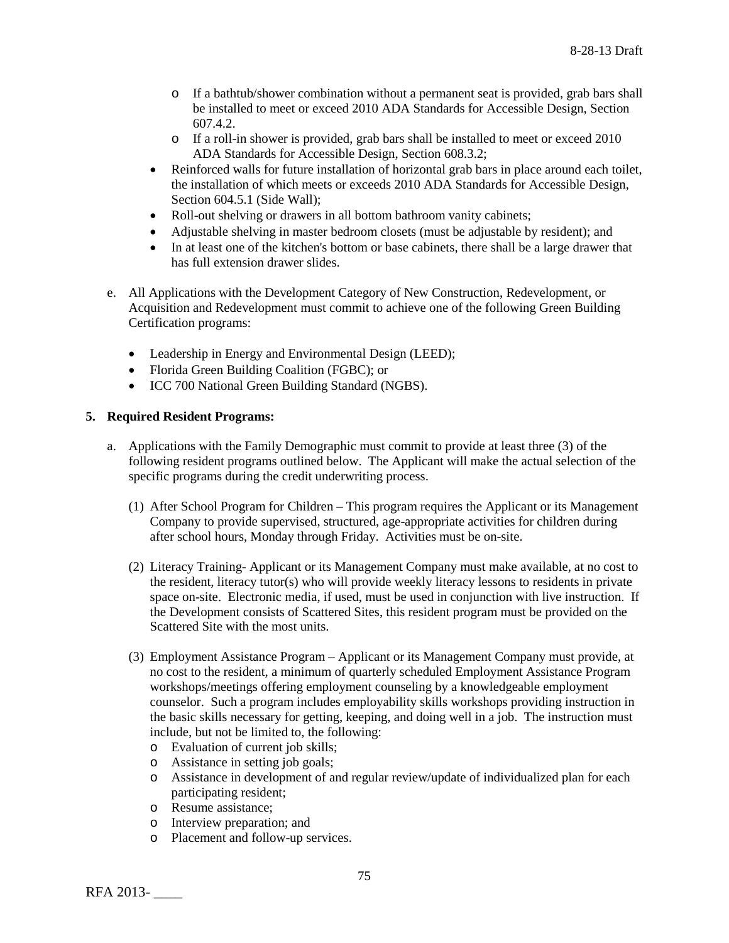- o If a bathtub/shower combination without a permanent seat is provided, grab bars shall be installed to meet or exceed 2010 ADA Standards for Accessible Design, Section 607.4.2.
- o If a roll-in shower is provided, grab bars shall be installed to meet or exceed 2010 ADA Standards for Accessible Design, Section 608.3.2;
- Reinforced walls for future installation of horizontal grab bars in place around each toilet, the installation of which meets or exceeds 2010 ADA Standards for Accessible Design, Section 604.5.1 (Side Wall);
- Roll-out shelving or drawers in all bottom bathroom vanity cabinets;
- Adjustable shelving in master bedroom closets (must be adjustable by resident); and
- In at least one of the kitchen's bottom or base cabinets, there shall be a large drawer that has full extension drawer slides.
- e. All Applications with the Development Category of New Construction, Redevelopment, or Acquisition and Redevelopment must commit to achieve one of the following Green Building Certification programs:
	- Leadership in Energy and Environmental Design (LEED);
	- Florida Green Building Coalition (FGBC); or
	- ICC 700 National Green Building Standard (NGBS).

#### **5. Required Resident Programs:**

- a. Applications with the Family Demographic must commit to provide at least three (3) of the following resident programs outlined below. The Applicant will make the actual selection of the specific programs during the credit underwriting process.
	- (1) After School Program for Children This program requires the Applicant or its Management Company to provide supervised, structured, age-appropriate activities for children during after school hours, Monday through Friday. Activities must be on-site.
	- (2) Literacy Training- Applicant or its Management Company must make available, at no cost to the resident, literacy tutor(s) who will provide weekly literacy lessons to residents in private space on-site. Electronic media, if used, must be used in conjunction with live instruction. If the Development consists of Scattered Sites, this resident program must be provided on the Scattered Site with the most units.
	- (3) Employment Assistance Program Applicant or its Management Company must provide, at no cost to the resident, a minimum of quarterly scheduled Employment Assistance Program workshops/meetings offering employment counseling by a knowledgeable employment counselor. Such a program includes employability skills workshops providing instruction in the basic skills necessary for getting, keeping, and doing well in a job. The instruction must include, but not be limited to, the following:
		- o Evaluation of current job skills;
		- o Assistance in setting job goals;
		- o Assistance in development of and regular review/update of individualized plan for each participating resident;
		- o Resume assistance;
		- o Interview preparation; and
		- o Placement and follow-up services.

RFA 2013- \_\_\_\_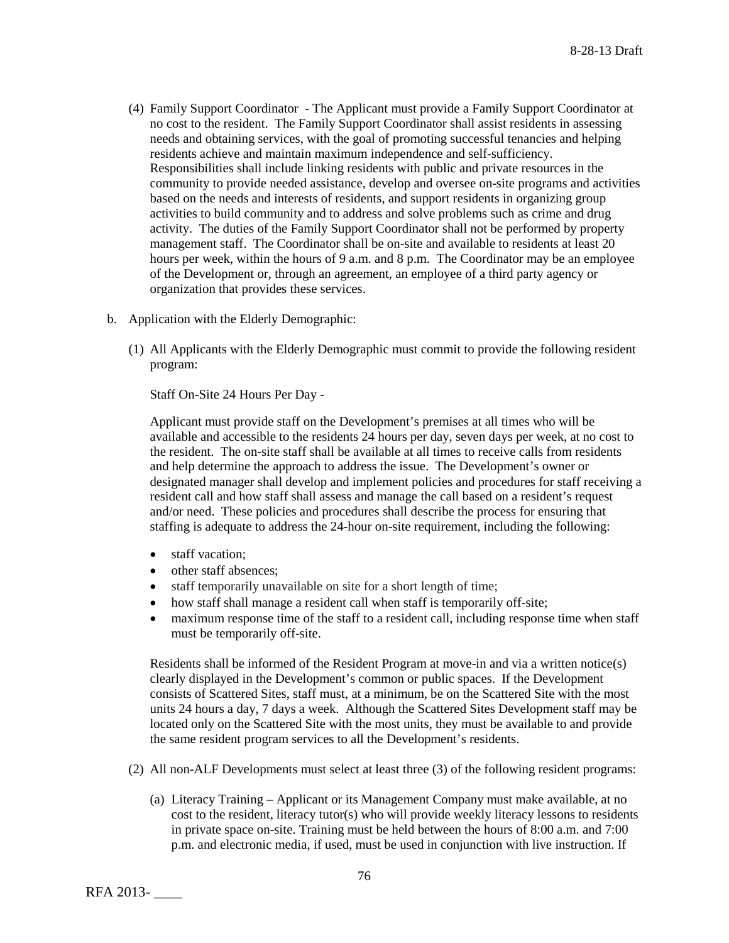- (4) Family Support Coordinator The Applicant must provide a Family Support Coordinator at no cost to the resident. The Family Support Coordinator shall assist residents in assessing needs and obtaining services, with the goal of promoting successful tenancies and helping residents achieve and maintain maximum independence and self-sufficiency. Responsibilities shall include linking residents with public and private resources in the community to provide needed assistance, develop and oversee on-site programs and activities based on the needs and interests of residents, and support residents in organizing group activities to build community and to address and solve problems such as crime and drug activity. The duties of the Family Support Coordinator shall not be performed by property management staff. The Coordinator shall be on-site and available to residents at least 20 hours per week, within the hours of 9 a.m. and 8 p.m. The Coordinator may be an employee of the Development or, through an agreement, an employee of a third party agency or organization that provides these services.
- b. Application with the Elderly Demographic:
	- (1) All Applicants with the Elderly Demographic must commit to provide the following resident program:

Staff On-Site 24 Hours Per Day -

Applicant must provide staff on the Development's premises at all times who will be available and accessible to the residents 24 hours per day, seven days per week, at no cost to the resident. The on-site staff shall be available at all times to receive calls from residents and help determine the approach to address the issue. The Development's owner or designated manager shall develop and implement policies and procedures for staff receiving a resident call and how staff shall assess and manage the call based on a resident's request and/or need. These policies and procedures shall describe the process for ensuring that staffing is adequate to address the 24-hour on-site requirement, including the following:

- staff vacation:
- other staff absences;
- staff temporarily unavailable on site for a short length of time;
- how staff shall manage a resident call when staff is temporarily off-site;
- maximum response time of the staff to a resident call, including response time when staff must be temporarily off-site.

Residents shall be informed of the Resident Program at move-in and via a written notice(s) clearly displayed in the Development's common or public spaces. If the Development consists of Scattered Sites, staff must, at a minimum, be on the Scattered Site with the most units 24 hours a day, 7 days a week. Although the Scattered Sites Development staff may be located only on the Scattered Site with the most units, they must be available to and provide the same resident program services to all the Development's residents.

- (2) All non-ALF Developments must select at least three (3) of the following resident programs:
	- (a) Literacy Training Applicant or its Management Company must make available, at no cost to the resident, literacy tutor(s) who will provide weekly literacy lessons to residents in private space on-site. Training must be held between the hours of 8:00 a.m. and 7:00 p.m. and electronic media, if used, must be used in conjunction with live instruction. If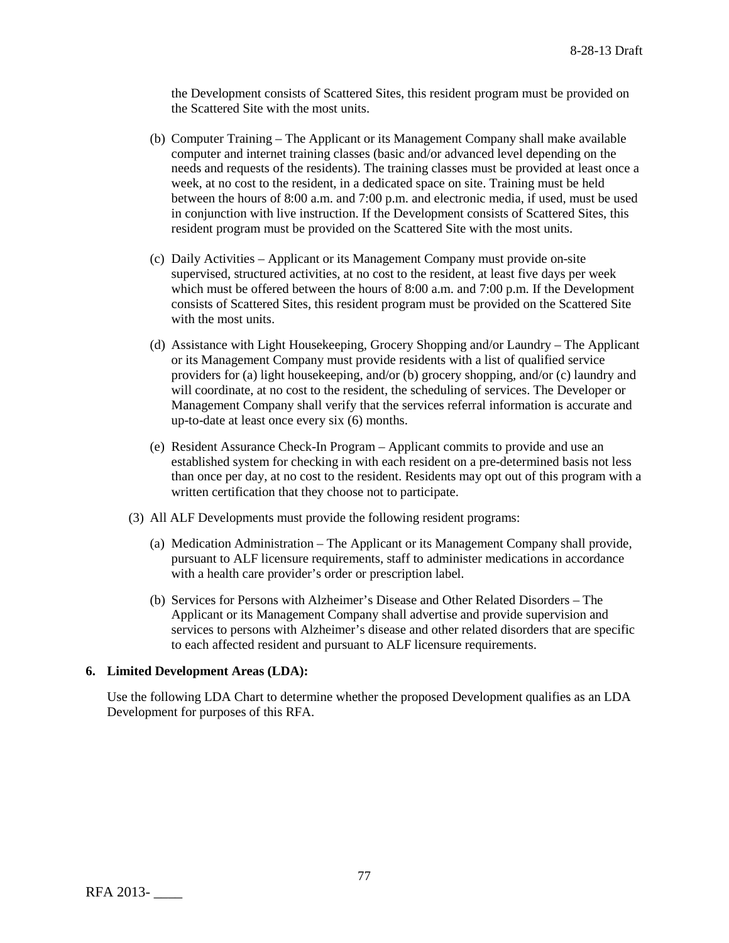the Development consists of Scattered Sites, this resident program must be provided on the Scattered Site with the most units.

- (b) Computer Training The Applicant or its Management Company shall make available computer and internet training classes (basic and/or advanced level depending on the needs and requests of the residents). The training classes must be provided at least once a week, at no cost to the resident, in a dedicated space on site. Training must be held between the hours of 8:00 a.m. and 7:00 p.m. and electronic media, if used, must be used in conjunction with live instruction. If the Development consists of Scattered Sites, this resident program must be provided on the Scattered Site with the most units.
- (c) Daily Activities Applicant or its Management Company must provide on-site supervised, structured activities, at no cost to the resident, at least five days per week which must be offered between the hours of 8:00 a.m. and 7:00 p.m. If the Development consists of Scattered Sites, this resident program must be provided on the Scattered Site with the most units.
- (d) Assistance with Light Housekeeping, Grocery Shopping and/or Laundry The Applicant or its Management Company must provide residents with a list of qualified service providers for (a) light housekeeping, and/or (b) grocery shopping, and/or (c) laundry and will coordinate, at no cost to the resident, the scheduling of services. The Developer or Management Company shall verify that the services referral information is accurate and up-to-date at least once every six (6) months.
- (e) Resident Assurance Check-In Program Applicant commits to provide and use an established system for checking in with each resident on a pre-determined basis not less than once per day, at no cost to the resident. Residents may opt out of this program with a written certification that they choose not to participate.
- (3) All ALF Developments must provide the following resident programs:
	- (a) Medication Administration The Applicant or its Management Company shall provide, pursuant to ALF licensure requirements, staff to administer medications in accordance with a health care provider's order or prescription label.
	- (b) Services for Persons with Alzheimer's Disease and Other Related Disorders The Applicant or its Management Company shall advertise and provide supervision and services to persons with Alzheimer's disease and other related disorders that are specific to each affected resident and pursuant to ALF licensure requirements.

#### **6. Limited Development Areas (LDA):**

Use the following LDA Chart to determine whether the proposed Development qualifies as an LDA Development for purposes of this RFA.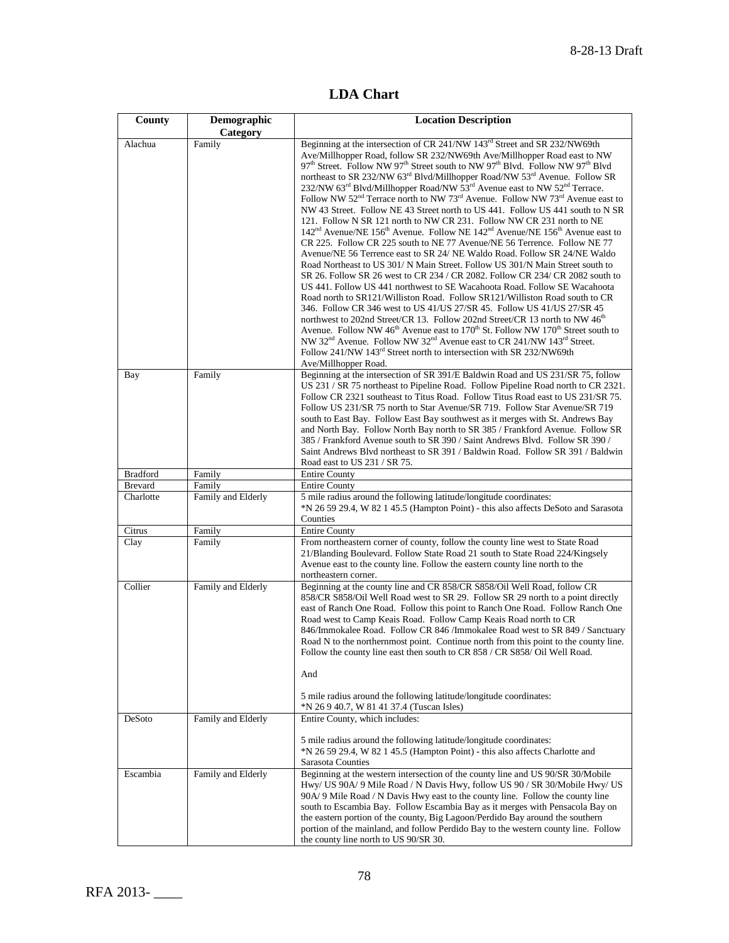**LDA Chart**

| County                      | Demographic<br>Category      | <b>Location Description</b>                                                                                                                                                                                                                                                                                                                                                                                                                                                                                                                                                                                                                                                                                                                                                                                                                                                                                                                                                                                                                                                                                                                                                                                                                                                                                                                                                                                                                                                                                                                                                                                                                                                                                                                                                                                                                                                                                |  |  |  |  |
|-----------------------------|------------------------------|------------------------------------------------------------------------------------------------------------------------------------------------------------------------------------------------------------------------------------------------------------------------------------------------------------------------------------------------------------------------------------------------------------------------------------------------------------------------------------------------------------------------------------------------------------------------------------------------------------------------------------------------------------------------------------------------------------------------------------------------------------------------------------------------------------------------------------------------------------------------------------------------------------------------------------------------------------------------------------------------------------------------------------------------------------------------------------------------------------------------------------------------------------------------------------------------------------------------------------------------------------------------------------------------------------------------------------------------------------------------------------------------------------------------------------------------------------------------------------------------------------------------------------------------------------------------------------------------------------------------------------------------------------------------------------------------------------------------------------------------------------------------------------------------------------------------------------------------------------------------------------------------------------|--|--|--|--|
| Alachua                     | Family                       | Beginning at the intersection of CR 241/NW 143 <sup>rd</sup> Street and SR 232/NW69th<br>Ave/Millhopper Road, follow SR 232/NW69th Ave/Millhopper Road east to NW<br>97 <sup>th</sup> Street. Follow NW 97 <sup>th</sup> Street south to NW 97 <sup>th</sup> Blvd. Follow NW 97 <sup>th</sup> Blvd<br>northeast to SR 232/NW 63 <sup>rd</sup> Blvd/Millhopper Road/NW 53 <sup>rd</sup> Avenue. Follow SR<br>232/NW 63 <sup>rd</sup> Blvd/Millhopper Road/NW $\hat{5}^{3rd}$ Avenue east to NW 52 <sup>nd</sup> Terrace.<br>Follow NW 52 <sup>nd</sup> Terrace north to NW 73 <sup>rd</sup> Avenue. Follow NW 73 <sup>rd</sup> Avenue east to<br>NW 43 Street. Follow NE 43 Street north to US 441. Follow US 441 south to N SR<br>121. Follow N SR 121 north to NW CR 231. Follow NW CR 231 north to NE<br>$142nd$ Avenue/NE $156th$ Avenue. Follow NE $142nd$ Avenue/NE $156th$ Avenue east to<br>CR 225. Follow CR 225 south to NE 77 Avenue/NE 56 Terrence. Follow NE 77<br>Avenue/NE 56 Terrence east to SR 24/ NE Waldo Road. Follow SR 24/NE Waldo<br>Road Northeast to US 301/ N Main Street. Follow US 301/N Main Street south to<br>SR 26. Follow SR 26 west to CR 234 / CR 2082. Follow CR 234/ CR 2082 south to<br>US 441. Follow US 441 northwest to SE Wacahoota Road. Follow SE Wacahoota<br>Road north to SR121/Williston Road. Follow SR121/Williston Road south to CR<br>346. Follow CR 346 west to US 41/US 27/SR 45. Follow US 41/US 27/SR 45<br>northwest to 202nd Street/CR 13. Follow 202nd Street/CR 13 north to NW 46 <sup>th</sup><br>Avenue. Follow NW 46 <sup>th</sup> Avenue east to 170 <sup>th</sup> St. Follow NW 170 <sup>th</sup> Street south to<br>NW 32 <sup>nd</sup> Avenue. Follow NW 32 <sup>nd</sup> Avenue east to CR 241/NW 143 <sup>rd</sup> Street.<br>Follow 241/NW 143 <sup>rd</sup> Street north to intersection with SR 232/NW69th<br>Ave/Millhopper Road. |  |  |  |  |
| Bay                         | Family                       | Beginning at the intersection of SR 391/E Baldwin Road and US 231/SR 75, follow<br>US 231 / SR 75 northeast to Pipeline Road. Follow Pipeline Road north to CR 2321.<br>Follow CR 2321 southeast to Titus Road. Follow Titus Road east to US 231/SR 75.<br>Follow US 231/SR 75 north to Star Avenue/SR 719. Follow Star Avenue/SR 719<br>south to East Bay. Follow East Bay southwest as it merges with St. Andrews Bay<br>and North Bay. Follow North Bay north to SR 385 / Frankford Avenue. Follow SR<br>385 / Frankford Avenue south to SR 390 / Saint Andrews Blvd. Follow SR 390 /<br>Saint Andrews Blvd northeast to SR 391 / Baldwin Road. Follow SR 391 / Baldwin<br>Road east to US 231 / SR 75.                                                                                                                                                                                                                                                                                                                                                                                                                                                                                                                                                                                                                                                                                                                                                                                                                                                                                                                                                                                                                                                                                                                                                                                                 |  |  |  |  |
| <b>Bradford</b>             | Family                       | <b>Entire County</b>                                                                                                                                                                                                                                                                                                                                                                                                                                                                                                                                                                                                                                                                                                                                                                                                                                                                                                                                                                                                                                                                                                                                                                                                                                                                                                                                                                                                                                                                                                                                                                                                                                                                                                                                                                                                                                                                                       |  |  |  |  |
| <b>Brevard</b><br>Charlotte | Family<br>Family and Elderly | <b>Entire County</b><br>5 mile radius around the following latitude/longitude coordinates:                                                                                                                                                                                                                                                                                                                                                                                                                                                                                                                                                                                                                                                                                                                                                                                                                                                                                                                                                                                                                                                                                                                                                                                                                                                                                                                                                                                                                                                                                                                                                                                                                                                                                                                                                                                                                 |  |  |  |  |
|                             |                              | *N 26 59 29.4, W 82 1 45.5 (Hampton Point) - this also affects DeSoto and Sarasota<br>Counties                                                                                                                                                                                                                                                                                                                                                                                                                                                                                                                                                                                                                                                                                                                                                                                                                                                                                                                                                                                                                                                                                                                                                                                                                                                                                                                                                                                                                                                                                                                                                                                                                                                                                                                                                                                                             |  |  |  |  |
| Citrus<br>Clay              | Family<br>Family             | <b>Entire County</b><br>From northeastern corner of county, follow the county line west to State Road                                                                                                                                                                                                                                                                                                                                                                                                                                                                                                                                                                                                                                                                                                                                                                                                                                                                                                                                                                                                                                                                                                                                                                                                                                                                                                                                                                                                                                                                                                                                                                                                                                                                                                                                                                                                      |  |  |  |  |
|                             |                              | 21/Blanding Boulevard. Follow State Road 21 south to State Road 224/Kingsely<br>Avenue east to the county line. Follow the eastern county line north to the<br>northeastern corner.                                                                                                                                                                                                                                                                                                                                                                                                                                                                                                                                                                                                                                                                                                                                                                                                                                                                                                                                                                                                                                                                                                                                                                                                                                                                                                                                                                                                                                                                                                                                                                                                                                                                                                                        |  |  |  |  |
| Collier                     | Family and Elderly           | Beginning at the county line and CR 858/CR S858/Oil Well Road, follow CR<br>858/CR S858/Oil Well Road west to SR 29. Follow SR 29 north to a point directly<br>east of Ranch One Road. Follow this point to Ranch One Road. Follow Ranch One<br>Road west to Camp Keais Road. Follow Camp Keais Road north to CR<br>846/Immokalee Road. Follow CR 846 /Immokalee Road west to SR 849 / Sanctuary<br>Road N to the northernmost point. Continue north from this point to the county line.<br>Follow the county line east then south to CR 858 / CR S858/ Oil Well Road.<br>And<br>5 mile radius around the following latitude/longitude coordinates:<br>*N 26 9 40.7, W 81 41 37.4 (Tuscan Isles)                                                                                                                                                                                                                                                                                                                                                                                                                                                                                                                                                                                                                                                                                                                                                                                                                                                                                                                                                                                                                                                                                                                                                                                                           |  |  |  |  |
| DeSoto                      | Family and Elderly           | Entire County, which includes:                                                                                                                                                                                                                                                                                                                                                                                                                                                                                                                                                                                                                                                                                                                                                                                                                                                                                                                                                                                                                                                                                                                                                                                                                                                                                                                                                                                                                                                                                                                                                                                                                                                                                                                                                                                                                                                                             |  |  |  |  |
|                             |                              | 5 mile radius around the following latitude/longitude coordinates:<br>*N 26 59 29.4, W 82 1 45.5 (Hampton Point) - this also affects Charlotte and<br>Sarasota Counties                                                                                                                                                                                                                                                                                                                                                                                                                                                                                                                                                                                                                                                                                                                                                                                                                                                                                                                                                                                                                                                                                                                                                                                                                                                                                                                                                                                                                                                                                                                                                                                                                                                                                                                                    |  |  |  |  |
| Escambia                    | Family and Elderly           | Beginning at the western intersection of the county line and US 90/SR 30/Mobile<br>Hwy/ US 90A/9 Mile Road / N Davis Hwy, follow US 90 / SR 30/Mobile Hwy/ US<br>90A/9 Mile Road / N Davis Hwy east to the county line. Follow the county line<br>south to Escambia Bay. Follow Escambia Bay as it merges with Pensacola Bay on<br>the eastern portion of the county, Big Lagoon/Perdido Bay around the southern<br>portion of the mainland, and follow Perdido Bay to the western county line. Follow<br>the county line north to US 90/SR 30.                                                                                                                                                                                                                                                                                                                                                                                                                                                                                                                                                                                                                                                                                                                                                                                                                                                                                                                                                                                                                                                                                                                                                                                                                                                                                                                                                            |  |  |  |  |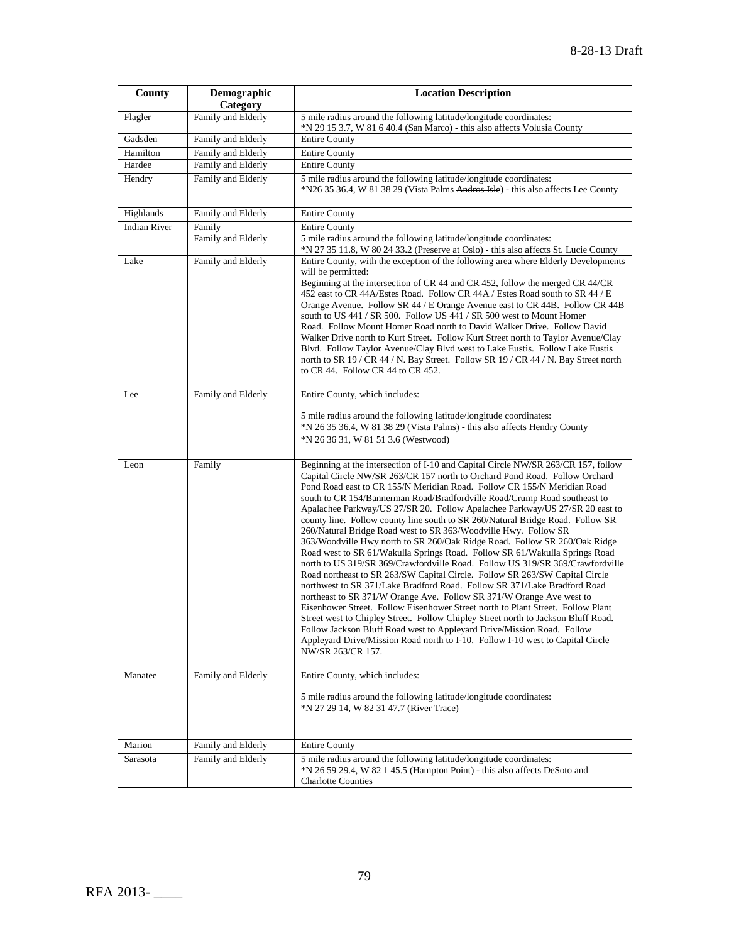| County              | Demographic<br>Category | <b>Location Description</b>                                                                                                                                                                                                                                                                                                                                                                                                                                                                                                                                                                                                                                                                                                                                                                                                                                                                                                                                                                                                                                                                                                                                                                                                                                                                                                                                                                         |  |  |  |  |
|---------------------|-------------------------|-----------------------------------------------------------------------------------------------------------------------------------------------------------------------------------------------------------------------------------------------------------------------------------------------------------------------------------------------------------------------------------------------------------------------------------------------------------------------------------------------------------------------------------------------------------------------------------------------------------------------------------------------------------------------------------------------------------------------------------------------------------------------------------------------------------------------------------------------------------------------------------------------------------------------------------------------------------------------------------------------------------------------------------------------------------------------------------------------------------------------------------------------------------------------------------------------------------------------------------------------------------------------------------------------------------------------------------------------------------------------------------------------------|--|--|--|--|
| Flagler             | Family and Elderly      | 5 mile radius around the following latitude/longitude coordinates:<br>*N 29 15 3.7, W 81 6 40.4 (San Marco) - this also affects Volusia County                                                                                                                                                                                                                                                                                                                                                                                                                                                                                                                                                                                                                                                                                                                                                                                                                                                                                                                                                                                                                                                                                                                                                                                                                                                      |  |  |  |  |
| Gadsden             | Family and Elderly      | <b>Entire County</b>                                                                                                                                                                                                                                                                                                                                                                                                                                                                                                                                                                                                                                                                                                                                                                                                                                                                                                                                                                                                                                                                                                                                                                                                                                                                                                                                                                                |  |  |  |  |
| Hamilton            | Family and Elderly      | <b>Entire County</b>                                                                                                                                                                                                                                                                                                                                                                                                                                                                                                                                                                                                                                                                                                                                                                                                                                                                                                                                                                                                                                                                                                                                                                                                                                                                                                                                                                                |  |  |  |  |
| Hardee              | Family and Elderly      | <b>Entire County</b>                                                                                                                                                                                                                                                                                                                                                                                                                                                                                                                                                                                                                                                                                                                                                                                                                                                                                                                                                                                                                                                                                                                                                                                                                                                                                                                                                                                |  |  |  |  |
| Hendry              | Family and Elderly      | 5 mile radius around the following latitude/longitude coordinates:<br>*N26 35 36.4, W 81 38 29 (Vista Palms Andros Isle) - this also affects Lee County                                                                                                                                                                                                                                                                                                                                                                                                                                                                                                                                                                                                                                                                                                                                                                                                                                                                                                                                                                                                                                                                                                                                                                                                                                             |  |  |  |  |
| Highlands           | Family and Elderly      | <b>Entire County</b>                                                                                                                                                                                                                                                                                                                                                                                                                                                                                                                                                                                                                                                                                                                                                                                                                                                                                                                                                                                                                                                                                                                                                                                                                                                                                                                                                                                |  |  |  |  |
| <b>Indian River</b> | Family                  | <b>Entire County</b>                                                                                                                                                                                                                                                                                                                                                                                                                                                                                                                                                                                                                                                                                                                                                                                                                                                                                                                                                                                                                                                                                                                                                                                                                                                                                                                                                                                |  |  |  |  |
|                     | Family and Elderly      | 5 mile radius around the following latitude/longitude coordinates:<br>*N 27 35 11.8, W 80 24 33.2 (Preserve at Oslo) - this also affects St. Lucie County                                                                                                                                                                                                                                                                                                                                                                                                                                                                                                                                                                                                                                                                                                                                                                                                                                                                                                                                                                                                                                                                                                                                                                                                                                           |  |  |  |  |
| Lake                | Family and Elderly      | Entire County, with the exception of the following area where Elderly Developments<br>will be permitted:<br>Beginning at the intersection of CR 44 and CR 452, follow the merged CR 44/CR<br>452 east to CR 44A/Estes Road. Follow CR 44A / Estes Road south to SR 44 / E<br>Orange Avenue. Follow SR 44 / E Orange Avenue east to CR 44B. Follow CR 44B<br>south to US 441 / SR 500. Follow US 441 / SR 500 west to Mount Homer<br>Road. Follow Mount Homer Road north to David Walker Drive. Follow David<br>Walker Drive north to Kurt Street. Follow Kurt Street north to Taylor Avenue/Clay<br>Blvd. Follow Taylor Avenue/Clay Blvd west to Lake Eustis. Follow Lake Eustis<br>north to SR 19 / CR 44 / N. Bay Street. Follow SR 19 / CR 44 / N. Bay Street north<br>to CR 44. Follow CR 44 to CR 452.                                                                                                                                                                                                                                                                                                                                                                                                                                                                                                                                                                                         |  |  |  |  |
| Lee                 | Family and Elderly      | Entire County, which includes:                                                                                                                                                                                                                                                                                                                                                                                                                                                                                                                                                                                                                                                                                                                                                                                                                                                                                                                                                                                                                                                                                                                                                                                                                                                                                                                                                                      |  |  |  |  |
|                     |                         | 5 mile radius around the following latitude/longitude coordinates:<br>*N 26 35 36.4, W 81 38 29 (Vista Palms) - this also affects Hendry County<br>*N 26 36 31, W 81 51 3.6 (Westwood)                                                                                                                                                                                                                                                                                                                                                                                                                                                                                                                                                                                                                                                                                                                                                                                                                                                                                                                                                                                                                                                                                                                                                                                                              |  |  |  |  |
| Leon                | Family                  | Beginning at the intersection of I-10 and Capital Circle NW/SR 263/CR 157, follow<br>Capital Circle NW/SR 263/CR 157 north to Orchard Pond Road. Follow Orchard<br>Pond Road east to CR 155/N Meridian Road. Follow CR 155/N Meridian Road<br>south to CR 154/Bannerman Road/Bradfordville Road/Crump Road southeast to<br>Apalachee Parkway/US 27/SR 20. Follow Apalachee Parkway/US 27/SR 20 east to<br>county line. Follow county line south to SR 260/Natural Bridge Road. Follow SR<br>260/Natural Bridge Road west to SR 363/Woodville Hwy. Follow SR<br>363/Woodville Hwy north to SR 260/Oak Ridge Road. Follow SR 260/Oak Ridge<br>Road west to SR 61/Wakulla Springs Road. Follow SR 61/Wakulla Springs Road<br>north to US 319/SR 369/Crawfordville Road. Follow US 319/SR 369/Crawfordville<br>Road northeast to SR 263/SW Capital Circle. Follow SR 263/SW Capital Circle<br>northwest to SR 371/Lake Bradford Road. Follow SR 371/Lake Bradford Road<br>northeast to SR 371/W Orange Ave. Follow SR 371/W Orange Ave west to<br>Eisenhower Street. Follow Eisenhower Street north to Plant Street. Follow Plant<br>Street west to Chipley Street. Follow Chipley Street north to Jackson Bluff Road.<br>Follow Jackson Bluff Road west to Appleyard Drive/Mission Road. Follow<br>Appleyard Drive/Mission Road north to I-10. Follow I-10 west to Capital Circle<br>NW/SR 263/CR 157. |  |  |  |  |
| Manatee             | Family and Elderly      | Entire County, which includes:<br>5 mile radius around the following latitude/longitude coordinates:<br>*N 27 29 14, W 82 31 47.7 (River Trace)                                                                                                                                                                                                                                                                                                                                                                                                                                                                                                                                                                                                                                                                                                                                                                                                                                                                                                                                                                                                                                                                                                                                                                                                                                                     |  |  |  |  |
|                     |                         |                                                                                                                                                                                                                                                                                                                                                                                                                                                                                                                                                                                                                                                                                                                                                                                                                                                                                                                                                                                                                                                                                                                                                                                                                                                                                                                                                                                                     |  |  |  |  |
| Marion              | Family and Elderly      | <b>Entire County</b>                                                                                                                                                                                                                                                                                                                                                                                                                                                                                                                                                                                                                                                                                                                                                                                                                                                                                                                                                                                                                                                                                                                                                                                                                                                                                                                                                                                |  |  |  |  |
| Sarasota            | Family and Elderly      | 5 mile radius around the following latitude/longitude coordinates:<br>*N 26 59 29.4, W 82 1 45.5 (Hampton Point) - this also affects DeSoto and<br><b>Charlotte Counties</b>                                                                                                                                                                                                                                                                                                                                                                                                                                                                                                                                                                                                                                                                                                                                                                                                                                                                                                                                                                                                                                                                                                                                                                                                                        |  |  |  |  |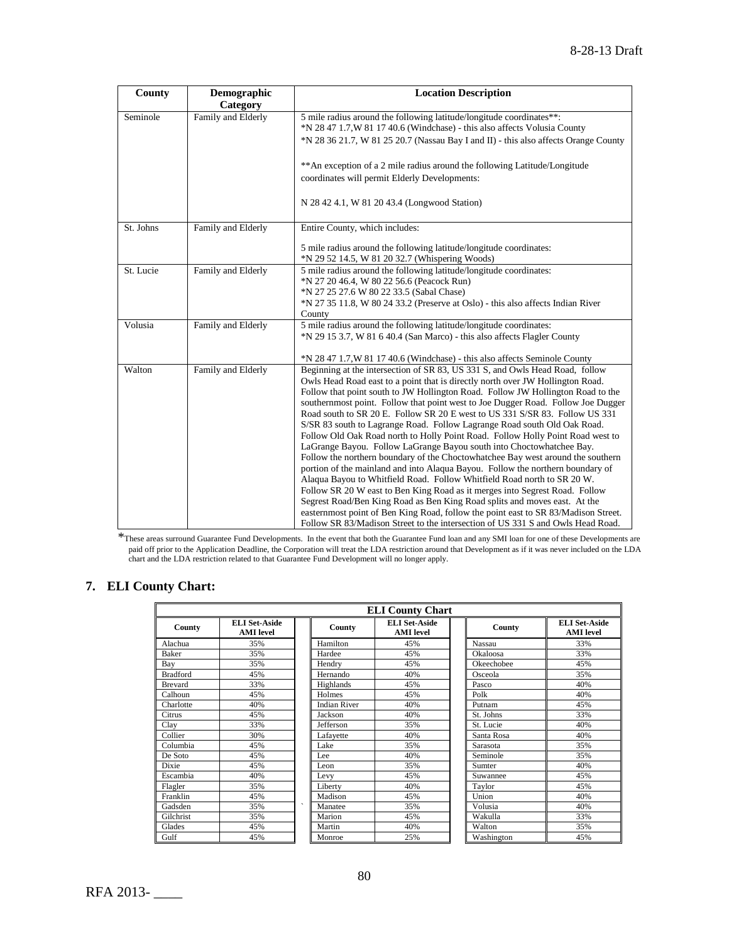| County    | Demographic<br>Category | <b>Location Description</b>                                                                                                                                                                                                                                                                                                                                                                                                                                                                                                                                                                                                                                                                                                                                                                                                                                                                                                                                                                                                                                                                                                                                                                                                                     |  |  |  |
|-----------|-------------------------|-------------------------------------------------------------------------------------------------------------------------------------------------------------------------------------------------------------------------------------------------------------------------------------------------------------------------------------------------------------------------------------------------------------------------------------------------------------------------------------------------------------------------------------------------------------------------------------------------------------------------------------------------------------------------------------------------------------------------------------------------------------------------------------------------------------------------------------------------------------------------------------------------------------------------------------------------------------------------------------------------------------------------------------------------------------------------------------------------------------------------------------------------------------------------------------------------------------------------------------------------|--|--|--|
| Seminole  | Family and Elderly      | 5 mile radius around the following latitude/longitude coordinates**:<br>*N 28 47 1.7, W 81 17 40.6 (Windchase) - this also affects Volusia County<br>*N 28 36 21.7, W 81 25 20.7 (Nassau Bay I and II) - this also affects Orange County                                                                                                                                                                                                                                                                                                                                                                                                                                                                                                                                                                                                                                                                                                                                                                                                                                                                                                                                                                                                        |  |  |  |
|           |                         | ** An exception of a 2 mile radius around the following Latitude/Longitude<br>coordinates will permit Elderly Developments:                                                                                                                                                                                                                                                                                                                                                                                                                                                                                                                                                                                                                                                                                                                                                                                                                                                                                                                                                                                                                                                                                                                     |  |  |  |
|           |                         | N 28 42 4.1, W 81 20 43.4 (Longwood Station)                                                                                                                                                                                                                                                                                                                                                                                                                                                                                                                                                                                                                                                                                                                                                                                                                                                                                                                                                                                                                                                                                                                                                                                                    |  |  |  |
| St. Johns | Family and Elderly      | Entire County, which includes:                                                                                                                                                                                                                                                                                                                                                                                                                                                                                                                                                                                                                                                                                                                                                                                                                                                                                                                                                                                                                                                                                                                                                                                                                  |  |  |  |
|           |                         | 5 mile radius around the following latitude/longitude coordinates:<br>*N 29 52 14.5, W 81 20 32.7 (Whispering Woods)                                                                                                                                                                                                                                                                                                                                                                                                                                                                                                                                                                                                                                                                                                                                                                                                                                                                                                                                                                                                                                                                                                                            |  |  |  |
| St. Lucie | Family and Elderly      | 5 mile radius around the following latitude/longitude coordinates:<br>*N 27 20 46.4, W 80 22 56.6 (Peacock Run)<br>*N 27 25 27.6 W 80 22 33.5 (Sabal Chase)<br>*N 27 35 11.8, W 80 24 33.2 (Preserve at Oslo) - this also affects Indian River<br>County                                                                                                                                                                                                                                                                                                                                                                                                                                                                                                                                                                                                                                                                                                                                                                                                                                                                                                                                                                                        |  |  |  |
| Volusia   | Family and Elderly      | 5 mile radius around the following latitude/longitude coordinates:<br>*N 29 15 3.7, W 81 6 40.4 (San Marco) - this also affects Flagler County<br>$N \approx 28471.7$ , W 81 17 40.6 (Windchase) - this also affects Seminole County                                                                                                                                                                                                                                                                                                                                                                                                                                                                                                                                                                                                                                                                                                                                                                                                                                                                                                                                                                                                            |  |  |  |
| Walton    | Family and Elderly      | Beginning at the intersection of SR 83, US 331 S, and Owls Head Road, follow<br>Owls Head Road east to a point that is directly north over JW Hollington Road.<br>Follow that point south to JW Hollington Road. Follow JW Hollington Road to the<br>southernmost point. Follow that point west to Joe Dugger Road. Follow Joe Dugger<br>Road south to SR 20 E. Follow SR 20 E west to US 331 S/SR 83. Follow US 331<br>S/SR 83 south to Lagrange Road. Follow Lagrange Road south Old Oak Road.<br>Follow Old Oak Road north to Holly Point Road. Follow Holly Point Road west to<br>LaGrange Bayou. Follow LaGrange Bayou south into Choctowhatchee Bay.<br>Follow the northern boundary of the Choctowhatchee Bay west around the southern<br>portion of the mainland and into Alaqua Bayou. Follow the northern boundary of<br>Alaqua Bayou to Whitfield Road. Follow Whitfield Road north to SR 20 W.<br>Follow SR 20 W east to Ben King Road as it merges into Segrest Road. Follow<br>Segrest Road/Ben King Road as Ben King Road splits and moves east. At the<br>easternmost point of Ben King Road, follow the point east to SR 83/Madison Street.<br>Follow SR 83/Madison Street to the intersection of US 331 S and Owls Head Road. |  |  |  |

\*These areas surround Guarantee Fund Developments. In the event that both the Guarantee Fund loan and any SMI loan for one of these Developments are paid off prior to the Application Deadline, the Corporation will treat the LDA restriction around that Development as if it was never included on the LDA chart and the LDA restriction related to that Guarantee Fund Development will no longer apply.

# **7. ELI County Chart:**

| <b>ELI County Chart</b> |                                          |                                     |                                          |            |                                          |  |
|-------------------------|------------------------------------------|-------------------------------------|------------------------------------------|------------|------------------------------------------|--|
| County                  | <b>ELI Set-Aside</b><br><b>AMI</b> level | County                              | <b>ELI Set-Aside</b><br><b>AMI</b> level | County     | <b>ELI Set-Aside</b><br><b>AMI</b> level |  |
| Alachua                 | 35%                                      | Hamilton                            | 45%                                      | Nassau     | 33%                                      |  |
| Baker                   | 35%                                      | Hardee                              | 45%                                      | Okaloosa   | 33%                                      |  |
| Bay                     | 35%                                      | Hendry                              | 45%                                      | Okeechobee | 45%                                      |  |
| <b>Bradford</b>         | 45%                                      | Hernando                            | 40%                                      | Osceola    | 35%                                      |  |
| <b>Brevard</b>          | 33%                                      | Highlands                           | 45%                                      | Pasco      | 40%                                      |  |
| Calhoun                 | 45%                                      | Holmes                              | 45%                                      | Polk       | 40%                                      |  |
| Charlotte               | 40%                                      | <b>Indian River</b>                 | 40%                                      | Putnam     | 45%                                      |  |
| Citrus                  | 45%                                      | Jackson                             | 40%                                      | St. Johns  | 33%                                      |  |
| Clay                    | 33%                                      | Jefferson                           | 35%                                      | St. Lucie  | 40%                                      |  |
| Collier                 | 30%                                      | Lafayette                           | 40%                                      | Santa Rosa | 40%                                      |  |
| Columbia                | 45%                                      | Lake                                | 35%                                      | Sarasota   | 35%                                      |  |
| De Soto                 | 45%                                      | Lee                                 | 40%                                      | Seminole   | 35%                                      |  |
| Dixie                   | 45%                                      | Leon                                | 35%                                      | Sumter     | 40%                                      |  |
| Escambia                | 40%                                      | Levy                                | 45%                                      | Suwannee   | 45%                                      |  |
| Flagler                 | 35%                                      | Liberty                             | 40%                                      | Taylor     | 45%                                      |  |
| Franklin                | 45%                                      | Madison                             | 45%                                      | Union      | 40%                                      |  |
| Gadsden                 | 35%                                      | $\overline{\phantom{a}}$<br>Manatee | 35%                                      | Volusia    | 40%                                      |  |
| Gilchrist               | 35%                                      | Marion                              | 45%                                      | Wakulla    | 33%                                      |  |
| Glades                  | 45%                                      | Martin                              | 40%                                      | Walton     | 35%                                      |  |
| Gulf                    | 45%                                      | Monroe                              | 25%                                      | Washington | 45%                                      |  |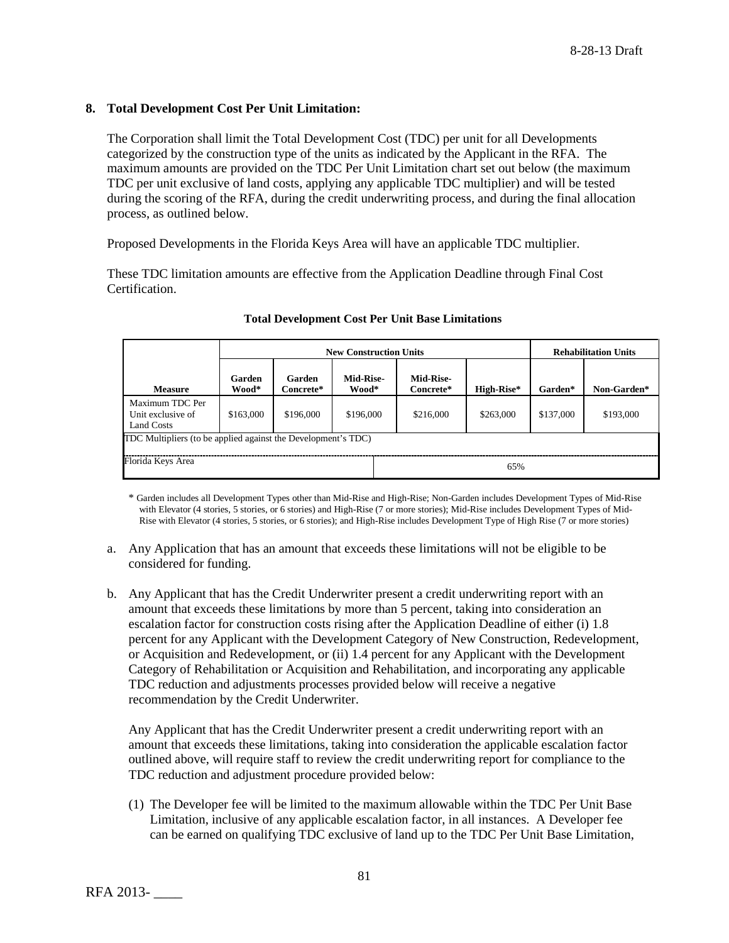# **8. Total Development Cost Per Unit Limitation:**

The Corporation shall limit the Total Development Cost (TDC) per unit for all Developments categorized by the construction type of the units as indicated by the Applicant in the RFA. The maximum amounts are provided on the TDC Per Unit Limitation chart set out below (the maximum TDC per unit exclusive of land costs, applying any applicable TDC multiplier) and will be tested during the scoring of the RFA, during the credit underwriting process, and during the final allocation process, as outlined below.

Proposed Developments in the Florida Keys Area will have an applicable TDC multiplier.

These TDC limitation amounts are effective from the Application Deadline through Final Cost Certification.

|                                                               | <b>New Construction Units</b> |                     |                    |                               | <b>Rehabilitation Units</b> |           |             |
|---------------------------------------------------------------|-------------------------------|---------------------|--------------------|-------------------------------|-----------------------------|-----------|-------------|
| <b>Measure</b>                                                | Garden<br>Wood*               | Garden<br>Concrete* | Mid-Rise-<br>Wood* | <b>Mid-Rise-</b><br>Concrete* | High-Rise*                  | Garden*   | Non-Garden* |
| Maximum TDC Per<br>Unit exclusive of<br>Land Costs            | \$163,000                     | \$196,000           | \$196,000          | \$216,000                     | \$263,000                   | \$137,000 | \$193,000   |
| TDC Multipliers (to be applied against the Development's TDC) |                               |                     |                    |                               |                             |           |             |
| Florida Keys Area                                             |                               |                     |                    | 65%                           |                             |           |             |

#### **Total Development Cost Per Unit Base Limitations**

\* Garden includes all Development Types other than Mid-Rise and High-Rise; Non-Garden includes Development Types of Mid-Rise with Elevator (4 stories, 5 stories, or 6 stories) and High-Rise (7 or more stories); Mid-Rise includes Development Types of Mid-Rise with Elevator (4 stories, 5 stories, or 6 stories); and High-Rise includes Development Type of High Rise (7 or more stories)

- a. Any Application that has an amount that exceeds these limitations will not be eligible to be considered for funding.
- b. Any Applicant that has the Credit Underwriter present a credit underwriting report with an amount that exceeds these limitations by more than 5 percent, taking into consideration an escalation factor for construction costs rising after the Application Deadline of either (i) 1.8 percent for any Applicant with the Development Category of New Construction, Redevelopment, or Acquisition and Redevelopment, or (ii) 1.4 percent for any Applicant with the Development Category of Rehabilitation or Acquisition and Rehabilitation, and incorporating any applicable TDC reduction and adjustments processes provided below will receive a negative recommendation by the Credit Underwriter.

Any Applicant that has the Credit Underwriter present a credit underwriting report with an amount that exceeds these limitations, taking into consideration the applicable escalation factor outlined above, will require staff to review the credit underwriting report for compliance to the TDC reduction and adjustment procedure provided below:

(1) The Developer fee will be limited to the maximum allowable within the TDC Per Unit Base Limitation, inclusive of any applicable escalation factor, in all instances. A Developer fee can be earned on qualifying TDC exclusive of land up to the TDC Per Unit Base Limitation,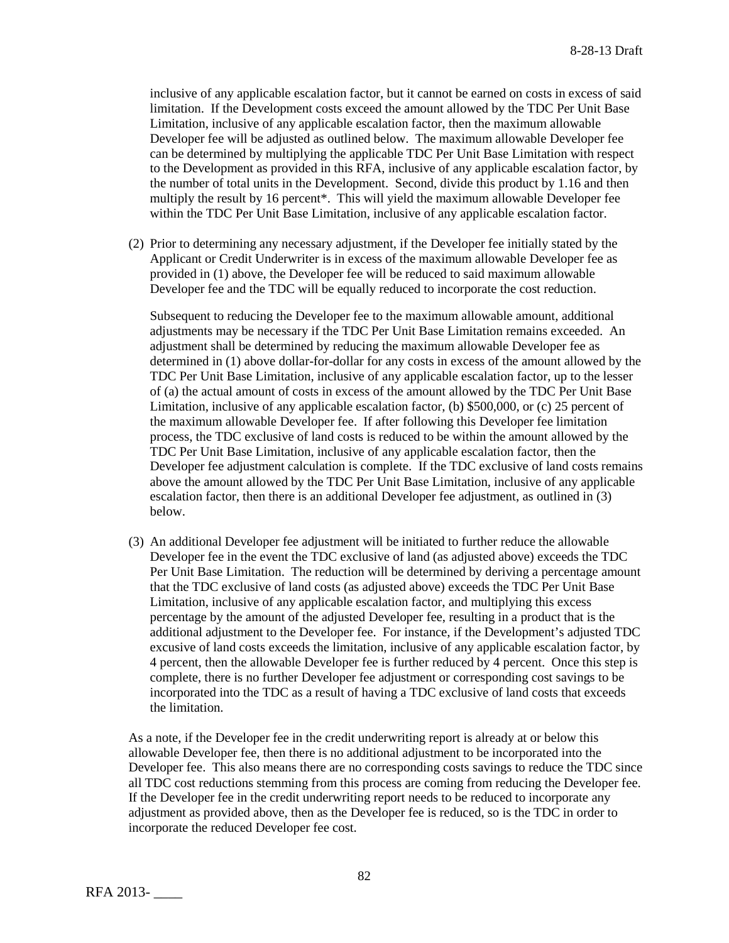inclusive of any applicable escalation factor, but it cannot be earned on costs in excess of said limitation. If the Development costs exceed the amount allowed by the TDC Per Unit Base Limitation, inclusive of any applicable escalation factor, then the maximum allowable Developer fee will be adjusted as outlined below. The maximum allowable Developer fee can be determined by multiplying the applicable TDC Per Unit Base Limitation with respect to the Development as provided in this RFA, inclusive of any applicable escalation factor, by the number of total units in the Development. Second, divide this product by 1.16 and then multiply the result by 16 percent\*. This will yield the maximum allowable Developer fee within the TDC Per Unit Base Limitation, inclusive of any applicable escalation factor.

(2) Prior to determining any necessary adjustment, if the Developer fee initially stated by the Applicant or Credit Underwriter is in excess of the maximum allowable Developer fee as provided in (1) above, the Developer fee will be reduced to said maximum allowable Developer fee and the TDC will be equally reduced to incorporate the cost reduction.

Subsequent to reducing the Developer fee to the maximum allowable amount, additional adjustments may be necessary if the TDC Per Unit Base Limitation remains exceeded. An adjustment shall be determined by reducing the maximum allowable Developer fee as determined in (1) above dollar-for-dollar for any costs in excess of the amount allowed by the TDC Per Unit Base Limitation, inclusive of any applicable escalation factor, up to the lesser of (a) the actual amount of costs in excess of the amount allowed by the TDC Per Unit Base Limitation, inclusive of any applicable escalation factor, (b) \$500,000, or (c) 25 percent of the maximum allowable Developer fee. If after following this Developer fee limitation process, the TDC exclusive of land costs is reduced to be within the amount allowed by the TDC Per Unit Base Limitation, inclusive of any applicable escalation factor, then the Developer fee adjustment calculation is complete. If the TDC exclusive of land costs remains above the amount allowed by the TDC Per Unit Base Limitation, inclusive of any applicable escalation factor, then there is an additional Developer fee adjustment, as outlined in (3) below.

(3) An additional Developer fee adjustment will be initiated to further reduce the allowable Developer fee in the event the TDC exclusive of land (as adjusted above) exceeds the TDC Per Unit Base Limitation. The reduction will be determined by deriving a percentage amount that the TDC exclusive of land costs (as adjusted above) exceeds the TDC Per Unit Base Limitation, inclusive of any applicable escalation factor, and multiplying this excess percentage by the amount of the adjusted Developer fee, resulting in a product that is the additional adjustment to the Developer fee. For instance, if the Development's adjusted TDC excusive of land costs exceeds the limitation, inclusive of any applicable escalation factor, by 4 percent, then the allowable Developer fee is further reduced by 4 percent. Once this step is complete, there is no further Developer fee adjustment or corresponding cost savings to be incorporated into the TDC as a result of having a TDC exclusive of land costs that exceeds the limitation.

As a note, if the Developer fee in the credit underwriting report is already at or below this allowable Developer fee, then there is no additional adjustment to be incorporated into the Developer fee. This also means there are no corresponding costs savings to reduce the TDC since all TDC cost reductions stemming from this process are coming from reducing the Developer fee. If the Developer fee in the credit underwriting report needs to be reduced to incorporate any adjustment as provided above, then as the Developer fee is reduced, so is the TDC in order to incorporate the reduced Developer fee cost.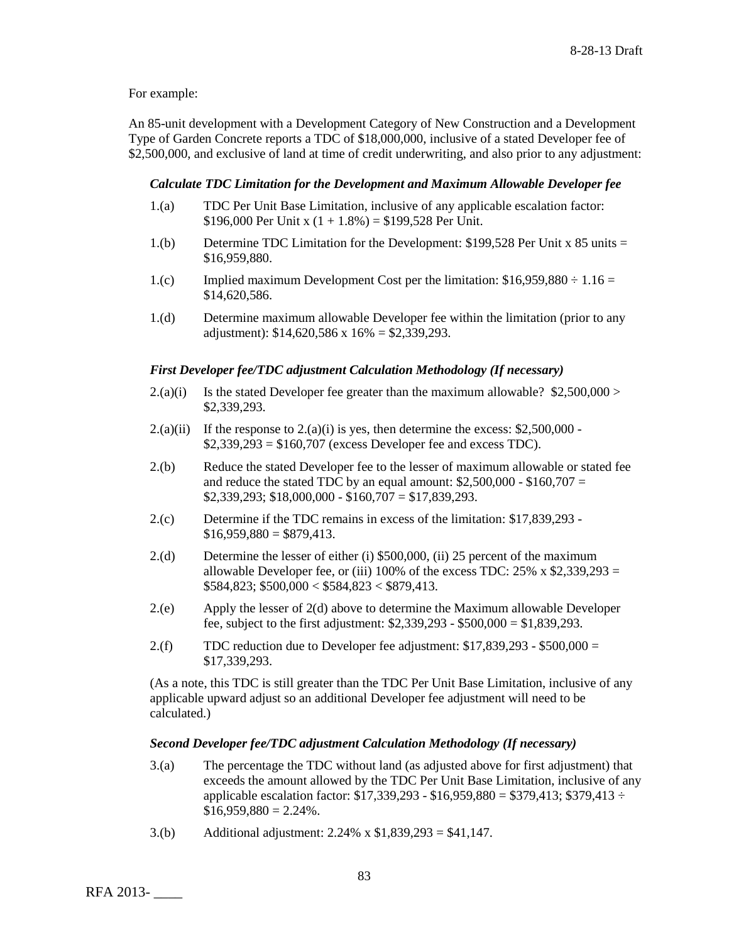### For example:

An 85-unit development with a Development Category of New Construction and a Development Type of Garden Concrete reports a TDC of \$18,000,000, inclusive of a stated Developer fee of \$2,500,000, and exclusive of land at time of credit underwriting, and also prior to any adjustment:

# *Calculate TDC Limitation for the Development and Maximum Allowable Developer fee*

- 1.(a) TDC Per Unit Base Limitation, inclusive of any applicable escalation factor: \$196,000 Per Unit x  $(1 + 1.8\%) = $199,528$  Per Unit.
- 1.(b) Determine TDC Limitation for the Development: \$199,528 Per Unit x 85 units = \$16,959,880.
- 1.(c) Implied maximum Development Cost per the limitation:  $$16,959,880 \div 1.16 =$ \$14,620,586.
- 1.(d) Determine maximum allowable Developer fee within the limitation (prior to any adjustment):  $$14,620,586 \times 16\% = $2,339,293$ .

### *First Developer fee/TDC adjustment Calculation Methodology (If necessary)*

- 2.(a)(i) Is the stated Developer fee greater than the maximum allowable?  $$2,500,000>$ \$2,339,293.
- 2.(a)(ii) If the response to  $2(2a)(i)$  is yes, then determine the excess: \$2,500,000 - $$2,339,293 = $160,707$  (excess Developer fee and excess TDC).
- 2.(b) Reduce the stated Developer fee to the lesser of maximum allowable or stated fee and reduce the stated TDC by an equal amount:  $$2,500,000 - $160,707 =$  $$2,339,293$ ;  $$18,000,000 - $160,707 = $17,839,293$ .
- 2.(c) Determine if the TDC remains in excess of the limitation: \$17,839,293  $$16,959,880 = $879,413$ .
- 2.(d) Determine the lesser of either (i) \$500,000, (ii) 25 percent of the maximum allowable Developer fee, or (iii) 100% of the excess TDC:  $25\% \times $2,339,293$  =  $$584,823$ ;  $$500,000 < $584,823 < $879,413$ .
- 2.(e) Apply the lesser of 2(d) above to determine the Maximum allowable Developer fee, subject to the first adjustment: \$2,339,293 - \$500,000 = \$1,839,293.
- 2.(f) TDC reduction due to Developer fee adjustment:  $$17,839,293 $500,000 =$ \$17,339,293.

(As a note, this TDC is still greater than the TDC Per Unit Base Limitation, inclusive of any applicable upward adjust so an additional Developer fee adjustment will need to be calculated.)

#### *Second Developer fee/TDC adjustment Calculation Methodology (If necessary)*

- 3.(a) The percentage the TDC without land (as adjusted above for first adjustment) that exceeds the amount allowed by the TDC Per Unit Base Limitation, inclusive of any applicable escalation factor:  $$17,339,293 - $16,959,880 = $379,413$ ; \$379,413 ÷  $$16,959,880 = 2.24\%$ .
- 3.(b) Additional adjustment: 2.24% x \$1,839,293 = \$41,147.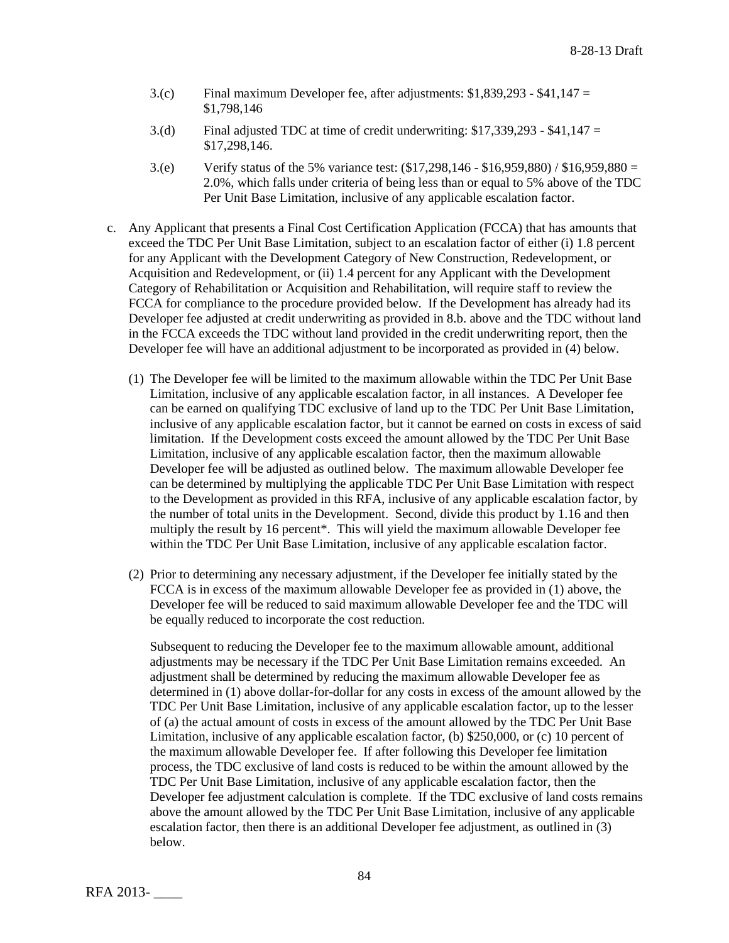- $3.(c)$  Final maximum Developer fee, after adjustments: \$1,839,293 \$41,147 = \$1,798,146
- 3.(d) Final adjusted TDC at time of credit underwriting: \$17,339,293 \$41,147 = \$17,298,146.
- 3.(e) Verify status of the 5% variance test: (\$17,298,146 \$16,959,880) / \$16,959,880 = 2.0%, which falls under criteria of being less than or equal to 5% above of the TDC Per Unit Base Limitation, inclusive of any applicable escalation factor.
- c. Any Applicant that presents a Final Cost Certification Application (FCCA) that has amounts that exceed the TDC Per Unit Base Limitation, subject to an escalation factor of either (i) 1.8 percent for any Applicant with the Development Category of New Construction, Redevelopment, or Acquisition and Redevelopment, or (ii) 1.4 percent for any Applicant with the Development Category of Rehabilitation or Acquisition and Rehabilitation, will require staff to review the FCCA for compliance to the procedure provided below. If the Development has already had its Developer fee adjusted at credit underwriting as provided in 8.b. above and the TDC without land in the FCCA exceeds the TDC without land provided in the credit underwriting report, then the Developer fee will have an additional adjustment to be incorporated as provided in (4) below.
	- (1) The Developer fee will be limited to the maximum allowable within the TDC Per Unit Base Limitation, inclusive of any applicable escalation factor, in all instances. A Developer fee can be earned on qualifying TDC exclusive of land up to the TDC Per Unit Base Limitation, inclusive of any applicable escalation factor, but it cannot be earned on costs in excess of said limitation. If the Development costs exceed the amount allowed by the TDC Per Unit Base Limitation, inclusive of any applicable escalation factor, then the maximum allowable Developer fee will be adjusted as outlined below. The maximum allowable Developer fee can be determined by multiplying the applicable TDC Per Unit Base Limitation with respect to the Development as provided in this RFA, inclusive of any applicable escalation factor, by the number of total units in the Development. Second, divide this product by 1.16 and then multiply the result by 16 percent\*. This will yield the maximum allowable Developer fee within the TDC Per Unit Base Limitation, inclusive of any applicable escalation factor.
	- (2) Prior to determining any necessary adjustment, if the Developer fee initially stated by the FCCA is in excess of the maximum allowable Developer fee as provided in (1) above, the Developer fee will be reduced to said maximum allowable Developer fee and the TDC will be equally reduced to incorporate the cost reduction.

Subsequent to reducing the Developer fee to the maximum allowable amount, additional adjustments may be necessary if the TDC Per Unit Base Limitation remains exceeded. An adjustment shall be determined by reducing the maximum allowable Developer fee as determined in (1) above dollar-for-dollar for any costs in excess of the amount allowed by the TDC Per Unit Base Limitation, inclusive of any applicable escalation factor, up to the lesser of (a) the actual amount of costs in excess of the amount allowed by the TDC Per Unit Base Limitation, inclusive of any applicable escalation factor, (b) \$250,000, or (c) 10 percent of the maximum allowable Developer fee. If after following this Developer fee limitation process, the TDC exclusive of land costs is reduced to be within the amount allowed by the TDC Per Unit Base Limitation, inclusive of any applicable escalation factor, then the Developer fee adjustment calculation is complete. If the TDC exclusive of land costs remains above the amount allowed by the TDC Per Unit Base Limitation, inclusive of any applicable escalation factor, then there is an additional Developer fee adjustment, as outlined in (3) below.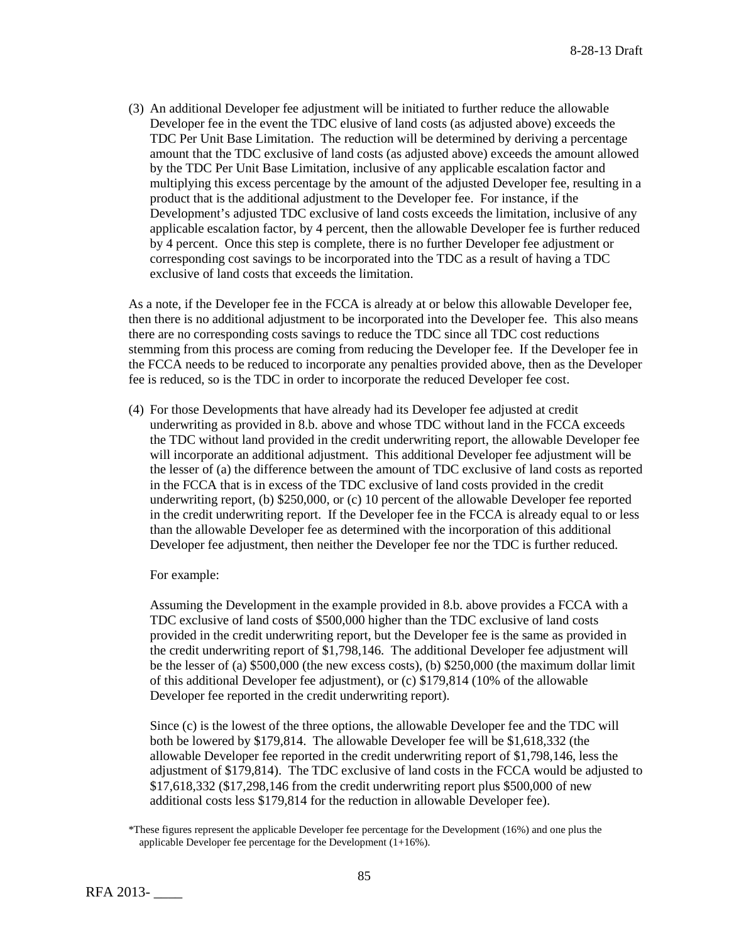(3) An additional Developer fee adjustment will be initiated to further reduce the allowable Developer fee in the event the TDC elusive of land costs (as adjusted above) exceeds the TDC Per Unit Base Limitation. The reduction will be determined by deriving a percentage amount that the TDC exclusive of land costs (as adjusted above) exceeds the amount allowed by the TDC Per Unit Base Limitation, inclusive of any applicable escalation factor and multiplying this excess percentage by the amount of the adjusted Developer fee, resulting in a product that is the additional adjustment to the Developer fee. For instance, if the Development's adjusted TDC exclusive of land costs exceeds the limitation, inclusive of any applicable escalation factor, by 4 percent, then the allowable Developer fee is further reduced by 4 percent. Once this step is complete, there is no further Developer fee adjustment or corresponding cost savings to be incorporated into the TDC as a result of having a TDC exclusive of land costs that exceeds the limitation.

As a note, if the Developer fee in the FCCA is already at or below this allowable Developer fee, then there is no additional adjustment to be incorporated into the Developer fee. This also means there are no corresponding costs savings to reduce the TDC since all TDC cost reductions stemming from this process are coming from reducing the Developer fee. If the Developer fee in the FCCA needs to be reduced to incorporate any penalties provided above, then as the Developer fee is reduced, so is the TDC in order to incorporate the reduced Developer fee cost.

(4) For those Developments that have already had its Developer fee adjusted at credit underwriting as provided in 8.b. above and whose TDC without land in the FCCA exceeds the TDC without land provided in the credit underwriting report, the allowable Developer fee will incorporate an additional adjustment. This additional Developer fee adjustment will be the lesser of (a) the difference between the amount of TDC exclusive of land costs as reported in the FCCA that is in excess of the TDC exclusive of land costs provided in the credit underwriting report, (b) \$250,000, or (c) 10 percent of the allowable Developer fee reported in the credit underwriting report. If the Developer fee in the FCCA is already equal to or less than the allowable Developer fee as determined with the incorporation of this additional Developer fee adjustment, then neither the Developer fee nor the TDC is further reduced.

For example:

Assuming the Development in the example provided in 8.b. above provides a FCCA with a TDC exclusive of land costs of \$500,000 higher than the TDC exclusive of land costs provided in the credit underwriting report, but the Developer fee is the same as provided in the credit underwriting report of \$1,798,146. The additional Developer fee adjustment will be the lesser of (a) \$500,000 (the new excess costs), (b) \$250,000 (the maximum dollar limit of this additional Developer fee adjustment), or (c) \$179,814 (10% of the allowable Developer fee reported in the credit underwriting report).

Since (c) is the lowest of the three options, the allowable Developer fee and the TDC will both be lowered by \$179,814. The allowable Developer fee will be \$1,618,332 (the allowable Developer fee reported in the credit underwriting report of \$1,798,146, less the adjustment of \$179,814). The TDC exclusive of land costs in the FCCA would be adjusted to \$17,618,332 (\$17,298,146 from the credit underwriting report plus \$500,000 of new additional costs less \$179,814 for the reduction in allowable Developer fee).

<sup>\*</sup>These figures represent the applicable Developer fee percentage for the Development (16%) and one plus the applicable Developer fee percentage for the Development (1+16%).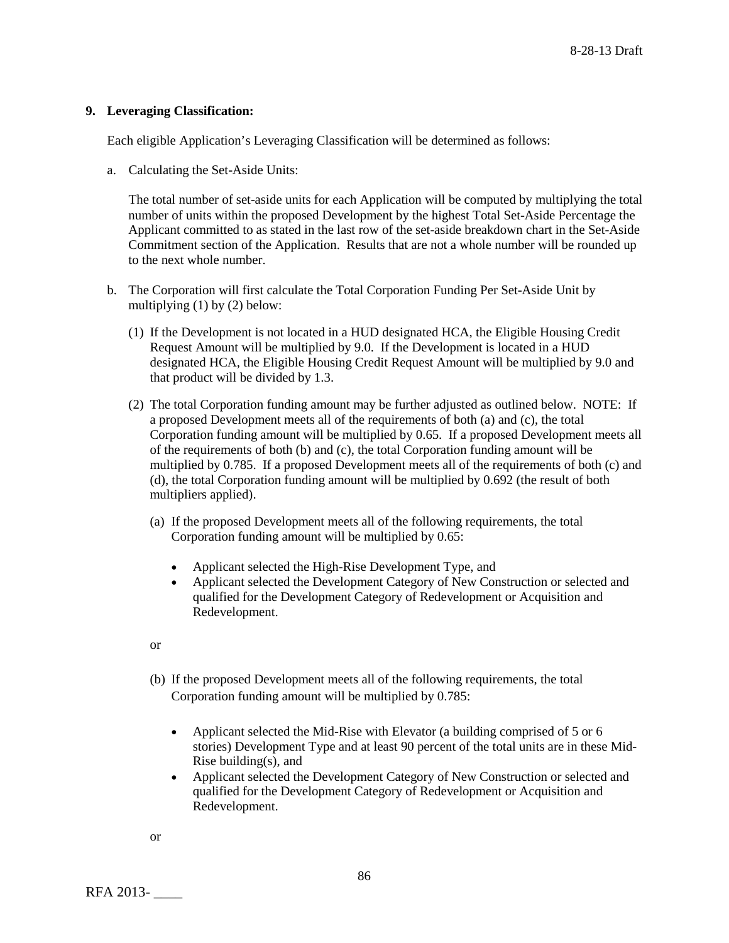### **9. Leveraging Classification:**

Each eligible Application's Leveraging Classification will be determined as follows:

a. Calculating the Set-Aside Units:

The total number of set-aside units for each Application will be computed by multiplying the total number of units within the proposed Development by the highest Total Set-Aside Percentage the Applicant committed to as stated in the last row of the set-aside breakdown chart in the Set-Aside Commitment section of the Application. Results that are not a whole number will be rounded up to the next whole number.

- b. The Corporation will first calculate the Total Corporation Funding Per Set-Aside Unit by multiplying (1) by (2) below:
	- (1) If the Development is not located in a HUD designated HCA, the Eligible Housing Credit Request Amount will be multiplied by 9.0. If the Development is located in a HUD designated HCA, the Eligible Housing Credit Request Amount will be multiplied by 9.0 and that product will be divided by 1.3.
	- (2) The total Corporation funding amount may be further adjusted as outlined below. NOTE: If a proposed Development meets all of the requirements of both (a) and (c), the total Corporation funding amount will be multiplied by 0.65. If a proposed Development meets all of the requirements of both (b) and (c), the total Corporation funding amount will be multiplied by 0.785. If a proposed Development meets all of the requirements of both (c) and (d), the total Corporation funding amount will be multiplied by 0.692 (the result of both multipliers applied).
		- (a) If the proposed Development meets all of the following requirements, the total Corporation funding amount will be multiplied by 0.65:
			- Applicant selected the High-Rise Development Type, and
			- Applicant selected the Development Category of New Construction or selected and qualified for the Development Category of Redevelopment or Acquisition and Redevelopment.
		- or
		- (b) If the proposed Development meets all of the following requirements, the total Corporation funding amount will be multiplied by 0.785:
			- Applicant selected the Mid-Rise with Elevator (a building comprised of 5 or 6 stories) Development Type and at least 90 percent of the total units are in these Mid-Rise building(s), and
			- Applicant selected the Development Category of New Construction or selected and qualified for the Development Category of Redevelopment or Acquisition and Redevelopment.

or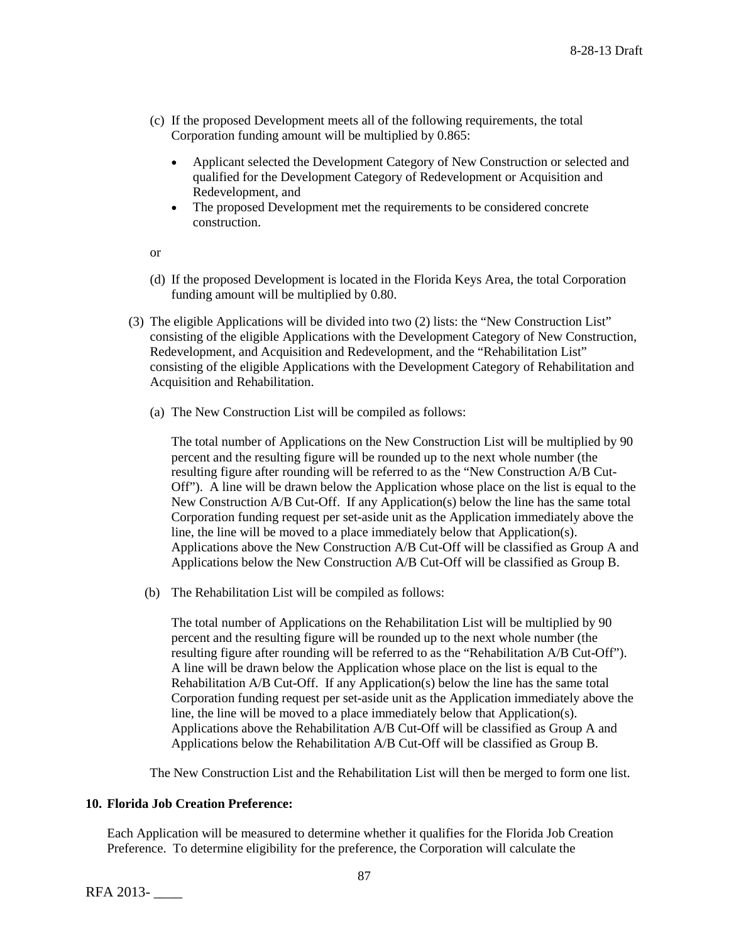- (c) If the proposed Development meets all of the following requirements, the total Corporation funding amount will be multiplied by 0.865:
	- Applicant selected the Development Category of New Construction or selected and qualified for the Development Category of Redevelopment or Acquisition and Redevelopment, and
	- The proposed Development met the requirements to be considered concrete construction.

or

- (d) If the proposed Development is located in the Florida Keys Area, the total Corporation funding amount will be multiplied by 0.80.
- (3) The eligible Applications will be divided into two (2) lists: the "New Construction List" consisting of the eligible Applications with the Development Category of New Construction, Redevelopment, and Acquisition and Redevelopment, and the "Rehabilitation List" consisting of the eligible Applications with the Development Category of Rehabilitation and Acquisition and Rehabilitation.
	- (a) The New Construction List will be compiled as follows:

The total number of Applications on the New Construction List will be multiplied by 90 percent and the resulting figure will be rounded up to the next whole number (the resulting figure after rounding will be referred to as the "New Construction A/B Cut-Off"). A line will be drawn below the Application whose place on the list is equal to the New Construction A/B Cut-Off. If any Application(s) below the line has the same total Corporation funding request per set-aside unit as the Application immediately above the line, the line will be moved to a place immediately below that Application(s). Applications above the New Construction A/B Cut-Off will be classified as Group A and Applications below the New Construction A/B Cut-Off will be classified as Group B.

(b) The Rehabilitation List will be compiled as follows:

The total number of Applications on the Rehabilitation List will be multiplied by 90 percent and the resulting figure will be rounded up to the next whole number (the resulting figure after rounding will be referred to as the "Rehabilitation A/B Cut-Off"). A line will be drawn below the Application whose place on the list is equal to the Rehabilitation A/B Cut-Off. If any Application(s) below the line has the same total Corporation funding request per set-aside unit as the Application immediately above the line, the line will be moved to a place immediately below that Application(s). Applications above the Rehabilitation A/B Cut-Off will be classified as Group A and Applications below the Rehabilitation A/B Cut-Off will be classified as Group B.

The New Construction List and the Rehabilitation List will then be merged to form one list.

# **10. Florida Job Creation Preference:**

Each Application will be measured to determine whether it qualifies for the Florida Job Creation Preference. To determine eligibility for the preference, the Corporation will calculate the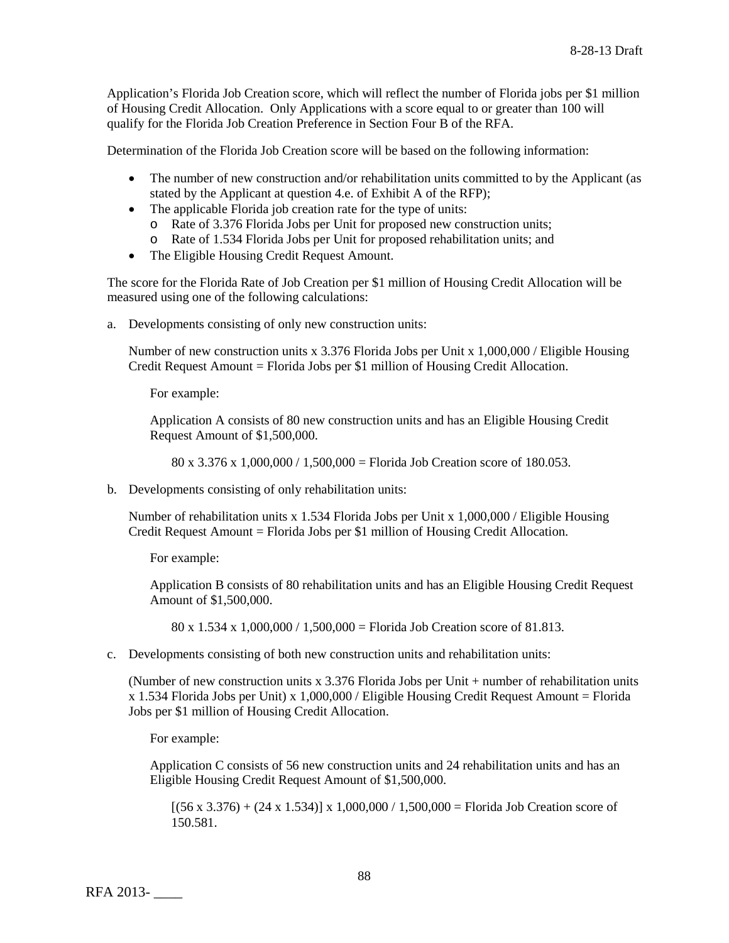Application's Florida Job Creation score, which will reflect the number of Florida jobs per \$1 million of Housing Credit Allocation. Only Applications with a score equal to or greater than 100 will qualify for the Florida Job Creation Preference in Section Four B of the RFA.

Determination of the Florida Job Creation score will be based on the following information:

- The number of new construction and/or rehabilitation units committed to by the Applicant (as stated by the Applicant at question 4.e. of Exhibit A of the RFP);
- The applicable Florida job creation rate for the type of units:
	- o Rate of 3.376 Florida Jobs per Unit for proposed new construction units;
	- o Rate of 1.534 Florida Jobs per Unit for proposed rehabilitation units; and
- The Eligible Housing Credit Request Amount.

The score for the Florida Rate of Job Creation per \$1 million of Housing Credit Allocation will be measured using one of the following calculations:

a. Developments consisting of only new construction units:

Number of new construction units x 3.376 Florida Jobs per Unit x 1,000,000 / Eligible Housing Credit Request Amount = Florida Jobs per \$1 million of Housing Credit Allocation.

For example:

Application A consists of 80 new construction units and has an Eligible Housing Credit Request Amount of \$1,500,000.

80 x 3.376 x 1,000,000 / 1,500,000 = Florida Job Creation score of 180.053.

b. Developments consisting of only rehabilitation units:

Number of rehabilitation units x 1.534 Florida Jobs per Unit x 1,000,000 / Eligible Housing Credit Request Amount = Florida Jobs per \$1 million of Housing Credit Allocation.

For example:

Application B consists of 80 rehabilitation units and has an Eligible Housing Credit Request Amount of \$1,500,000.

80 x 1.534 x 1,000,000 / 1,500,000 = Florida Job Creation score of 81.813.

c. Developments consisting of both new construction units and rehabilitation units:

(Number of new construction units x 3.376 Florida Jobs per Unit + number of rehabilitation units  $x$  1.534 Florida Jobs per Unit) x 1,000,000 / Eligible Housing Credit Request Amount = Florida Jobs per \$1 million of Housing Credit Allocation.

For example:

Application C consists of 56 new construction units and 24 rehabilitation units and has an Eligible Housing Credit Request Amount of \$1,500,000.

 $[(56 \times 3.376) + (24 \times 1.534)] \times 1,000,000 / 1,500,000 =$  Florida Job Creation score of 150.581.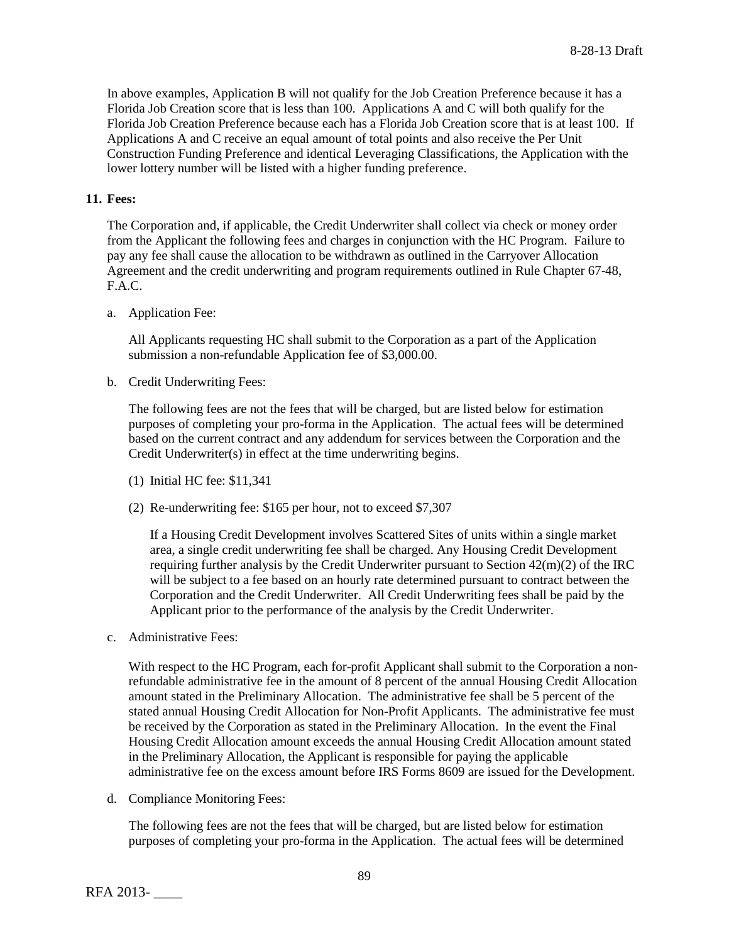In above examples, Application B will not qualify for the Job Creation Preference because it has a Florida Job Creation score that is less than 100. Applications A and C will both qualify for the Florida Job Creation Preference because each has a Florida Job Creation score that is at least 100. If Applications A and C receive an equal amount of total points and also receive the Per Unit Construction Funding Preference and identical Leveraging Classifications, the Application with the lower lottery number will be listed with a higher funding preference.

# **11. Fees:**

The Corporation and, if applicable, the Credit Underwriter shall collect via check or money order from the Applicant the following fees and charges in conjunction with the HC Program. Failure to pay any fee shall cause the allocation to be withdrawn as outlined in the Carryover Allocation Agreement and the credit underwriting and program requirements outlined in Rule Chapter 67-48, F.A.C.

a. Application Fee:

All Applicants requesting HC shall submit to the Corporation as a part of the Application submission a non-refundable Application fee of \$3,000.00.

b. Credit Underwriting Fees:

The following fees are not the fees that will be charged, but are listed below for estimation purposes of completing your pro-forma in the Application. The actual fees will be determined based on the current contract and any addendum for services between the Corporation and the Credit Underwriter(s) in effect at the time underwriting begins.

- (1) Initial HC fee: \$11,341
- (2) Re-underwriting fee: \$165 per hour, not to exceed \$7,307

If a Housing Credit Development involves Scattered Sites of units within a single market area, a single credit underwriting fee shall be charged. Any Housing Credit Development requiring further analysis by the Credit Underwriter pursuant to Section  $42(m)(2)$  of the IRC will be subject to a fee based on an hourly rate determined pursuant to contract between the Corporation and the Credit Underwriter. All Credit Underwriting fees shall be paid by the Applicant prior to the performance of the analysis by the Credit Underwriter.

c. Administrative Fees:

With respect to the HC Program, each for-profit Applicant shall submit to the Corporation a nonrefundable administrative fee in the amount of 8 percent of the annual Housing Credit Allocation amount stated in the Preliminary Allocation. The administrative fee shall be 5 percent of the stated annual Housing Credit Allocation for Non-Profit Applicants. The administrative fee must be received by the Corporation as stated in the Preliminary Allocation. In the event the Final Housing Credit Allocation amount exceeds the annual Housing Credit Allocation amount stated in the Preliminary Allocation, the Applicant is responsible for paying the applicable administrative fee on the excess amount before IRS Forms 8609 are issued for the Development.

d. Compliance Monitoring Fees:

The following fees are not the fees that will be charged, but are listed below for estimation purposes of completing your pro-forma in the Application. The actual fees will be determined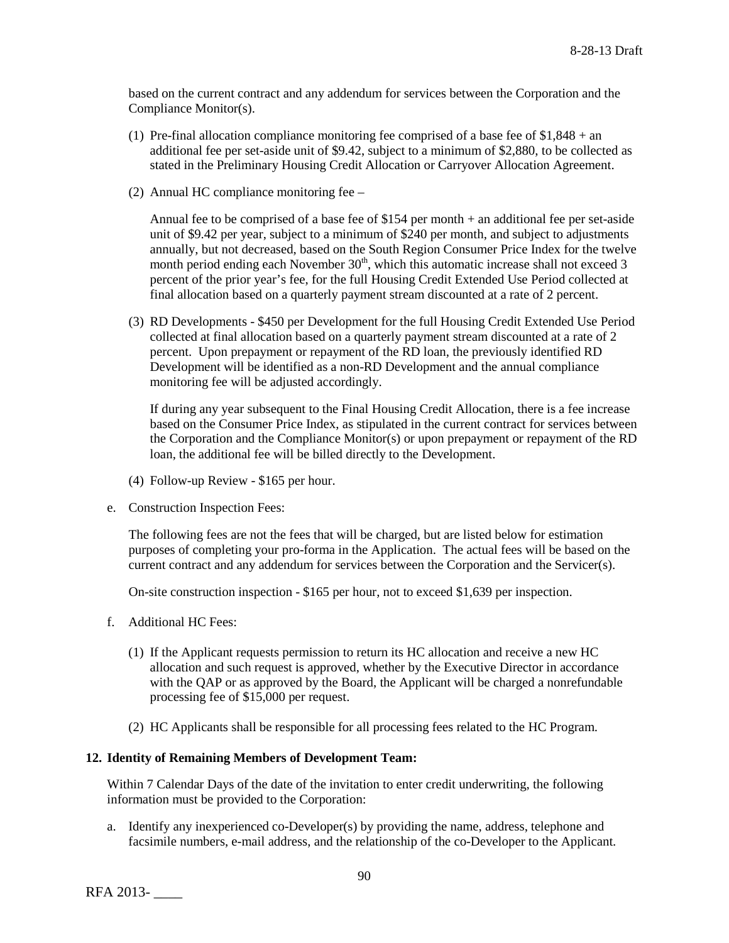based on the current contract and any addendum for services between the Corporation and the Compliance Monitor(s).

- (1) Pre-final allocation compliance monitoring fee comprised of a base fee of  $$1,848 + an$ additional fee per set-aside unit of \$9.42, subject to a minimum of \$2,880, to be collected as stated in the Preliminary Housing Credit Allocation or Carryover Allocation Agreement.
- (2) Annual HC compliance monitoring fee –

Annual fee to be comprised of a base fee of \$154 per month + an additional fee per set-aside unit of \$9.42 per year, subject to a minimum of \$240 per month, and subject to adjustments annually, but not decreased, based on the South Region Consumer Price Index for the twelve month period ending each November 30<sup>th</sup>, which this automatic increase shall not exceed 3 percent of the prior year's fee, for the full Housing Credit Extended Use Period collected at final allocation based on a quarterly payment stream discounted at a rate of 2 percent.

(3) RD Developments - \$450 per Development for the full Housing Credit Extended Use Period collected at final allocation based on a quarterly payment stream discounted at a rate of 2 percent. Upon prepayment or repayment of the RD loan, the previously identified RD Development will be identified as a non-RD Development and the annual compliance monitoring fee will be adjusted accordingly.

If during any year subsequent to the Final Housing Credit Allocation, there is a fee increase based on the Consumer Price Index, as stipulated in the current contract for services between the Corporation and the Compliance Monitor(s) or upon prepayment or repayment of the RD loan, the additional fee will be billed directly to the Development.

- (4) Follow-up Review \$165 per hour.
- e. Construction Inspection Fees:

The following fees are not the fees that will be charged, but are listed below for estimation purposes of completing your pro-forma in the Application. The actual fees will be based on the current contract and any addendum for services between the Corporation and the Servicer(s).

On-site construction inspection - \$165 per hour, not to exceed \$1,639 per inspection.

- f. Additional HC Fees:
	- (1) If the Applicant requests permission to return its HC allocation and receive a new HC allocation and such request is approved, whether by the Executive Director in accordance with the QAP or as approved by the Board, the Applicant will be charged a nonrefundable processing fee of \$15,000 per request.
	- (2) HC Applicants shall be responsible for all processing fees related to the HC Program.

#### **12. Identity of Remaining Members of Development Team:**

Within 7 Calendar Days of the date of the invitation to enter credit underwriting, the following information must be provided to the Corporation:

a. Identify any inexperienced co-Developer(s) by providing the name, address, telephone and facsimile numbers, e-mail address, and the relationship of the co-Developer to the Applicant.

RFA 2013- \_\_\_\_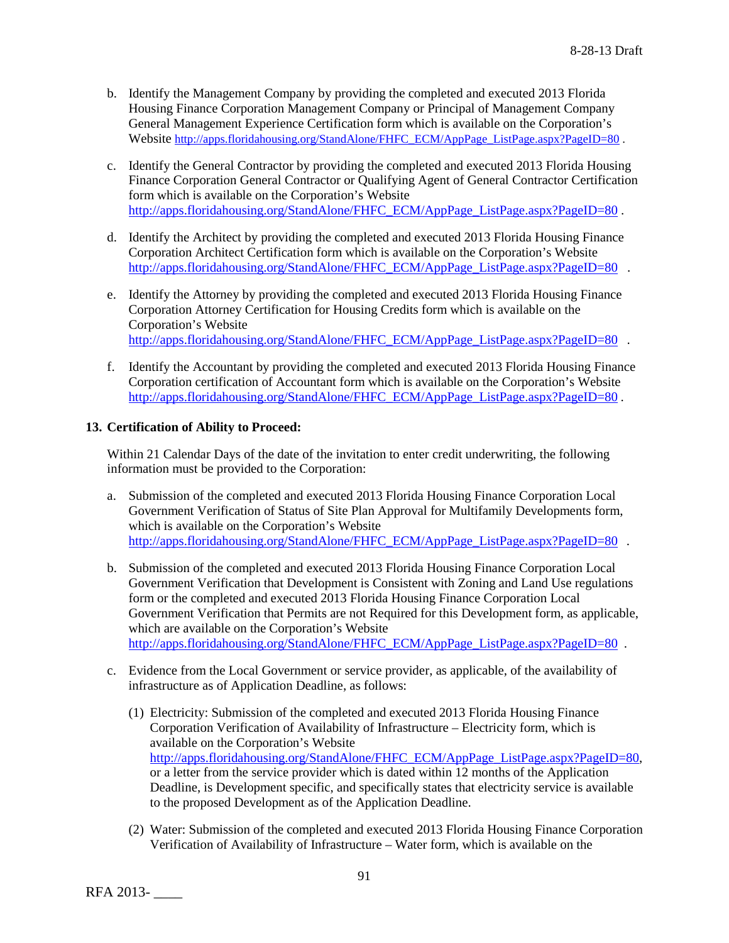- b. Identify the Management Company by providing the completed and executed 2013 Florida Housing Finance Corporation Management Company or Principal of Management Company General Management Experience Certification form which is available on the Corporation's Website [http://apps.floridahousing.org/StandAlone/FHFC\\_ECM/AppPage\\_ListPage.aspx?PageID=80](http://apps.floridahousing.org/StandAlone/FHFC_ECM/AppPage_ListPage.aspx?PageID=80).
- c. Identify the General Contractor by providing the completed and executed 2013 Florida Housing Finance Corporation General Contractor or Qualifying Agent of General Contractor Certification form which is available on the Corporation's Website [http://apps.floridahousing.org/StandAlone/FHFC\\_ECM/AppPage\\_ListPage.aspx?PageID=80](http://apps.floridahousing.org/StandAlone/FHFC_ECM/AppPage_ListPage.aspx?PageID=80) .
- d. Identify the Architect by providing the completed and executed 2013 Florida Housing Finance Corporation Architect Certification form which is available on the Corporation's Website [http://apps.floridahousing.org/StandAlone/FHFC\\_ECM/AppPage\\_ListPage.aspx?PageID=80](http://apps.floridahousing.org/StandAlone/FHFC_ECM/AppPage_ListPage.aspx?PageID=80) .
- e. Identify the Attorney by providing the completed and executed 2013 Florida Housing Finance Corporation Attorney Certification for Housing Credits form which is available on the Corporation's Website [http://apps.floridahousing.org/StandAlone/FHFC\\_ECM/AppPage\\_ListPage.aspx?PageID=80](http://apps.floridahousing.org/StandAlone/FHFC_ECM/AppPage_ListPage.aspx?PageID=80) .
- f. Identify the Accountant by providing the completed and executed 2013 Florida Housing Finance Corporation certification of Accountant form which is available on the Corporation's Website [http://apps.floridahousing.org/StandAlone/FHFC\\_ECM/AppPage\\_ListPage.aspx?PageID=80](http://apps.floridahousing.org/StandAlone/FHFC_ECM/AppPage_ListPage.aspx?PageID=80).

# **13. Certification of Ability to Proceed:**

Within 21 Calendar Days of the date of the invitation to enter credit underwriting, the following information must be provided to the Corporation:

- a. Submission of the completed and executed 2013 Florida Housing Finance Corporation Local Government Verification of Status of Site Plan Approval for Multifamily Developments form, which is available on the Corporation's Website [http://apps.floridahousing.org/StandAlone/FHFC\\_ECM/AppPage\\_ListPage.aspx?PageID=80](http://apps.floridahousing.org/StandAlone/FHFC_ECM/AppPage_ListPage.aspx?PageID=80) .
- b. Submission of the completed and executed 2013 Florida Housing Finance Corporation Local Government Verification that Development is Consistent with Zoning and Land Use regulations form or the completed and executed 2013 Florida Housing Finance Corporation Local Government Verification that Permits are not Required for this Development form, as applicable, which are available on the Corporation's Website [http://apps.floridahousing.org/StandAlone/FHFC\\_ECM/AppPage\\_ListPage.aspx?PageID=80](http://apps.floridahousing.org/StandAlone/FHFC_ECM/AppPage_ListPage.aspx?PageID=80) .
- c. Evidence from the Local Government or service provider, as applicable, of the availability of infrastructure as of Application Deadline, as follows:
	- (1) Electricity: Submission of the completed and executed 2013 Florida Housing Finance Corporation Verification of Availability of Infrastructure – Electricity form, which is available on the Corporation's Website [http://apps.floridahousing.org/StandAlone/FHFC\\_ECM/AppPage\\_ListPage.aspx?PageID=80,](http://apps.floridahousing.org/StandAlone/FHFC_ECM/AppPage_ListPage.aspx?PageID=80) or a letter from the service provider which is dated within 12 months of the Application Deadline, is Development specific, and specifically states that electricity service is available to the proposed Development as of the Application Deadline.
	- (2) Water: Submission of the completed and executed 2013 Florida Housing Finance Corporation Verification of Availability of Infrastructure – Water form, which is available on the

RFA 2013- \_\_\_\_